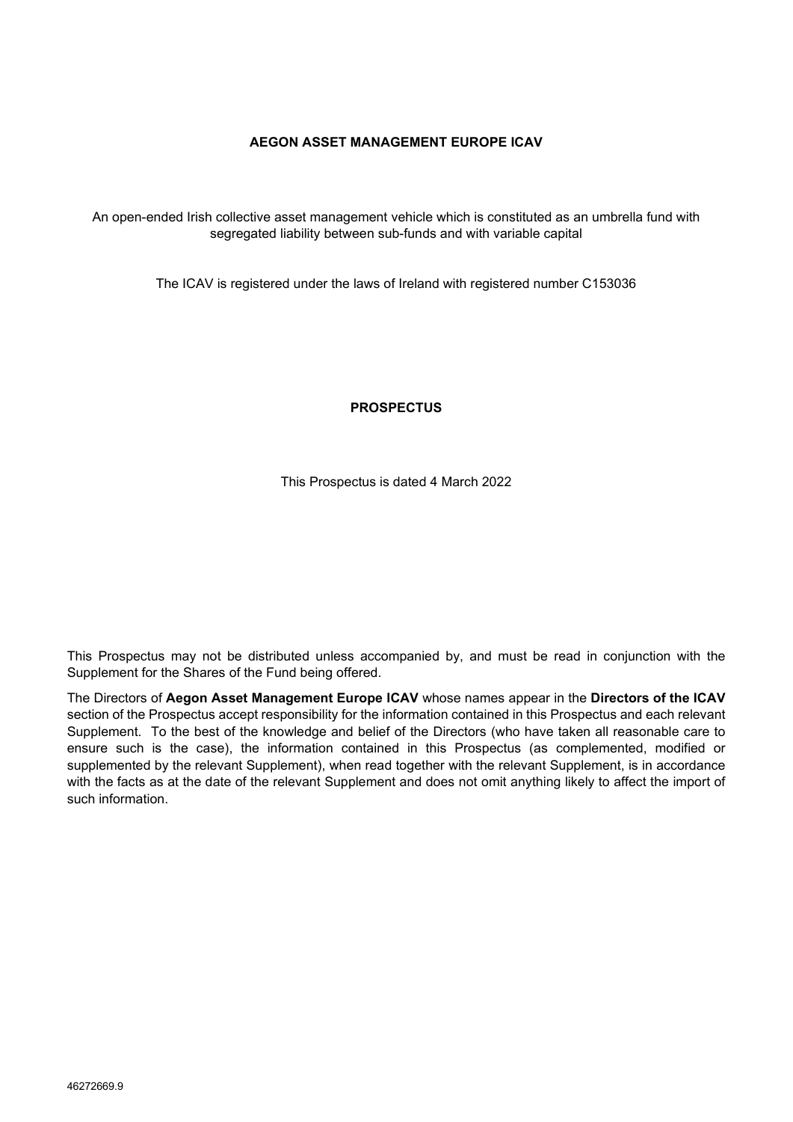## **AEGON ASSET MANAGEMENT EUROPE ICAV**

An open-ended Irish collective asset management vehicle which is constituted as an umbrella fund with segregated liability between sub-funds and with variable capital

The ICAV is registered under the laws of Ireland with registered number C153036

**PROSPECTUS**

This Prospectus is dated 4 March 2022

This Prospectus may not be distributed unless accompanied by, and must be read in conjunction with the Supplement for the Shares of the Fund being offered.

The Directors of **Aegon Asset Management Europe ICAV** whose names appear in the **Directors of the ICAV**  section of the Prospectus accept responsibility for the information contained in this Prospectus and each relevant Supplement. To the best of the knowledge and belief of the Directors (who have taken all reasonable care to ensure such is the case), the information contained in this Prospectus (as complemented, modified or supplemented by the relevant Supplement), when read together with the relevant Supplement, is in accordance with the facts as at the date of the relevant Supplement and does not omit anything likely to affect the import of such information.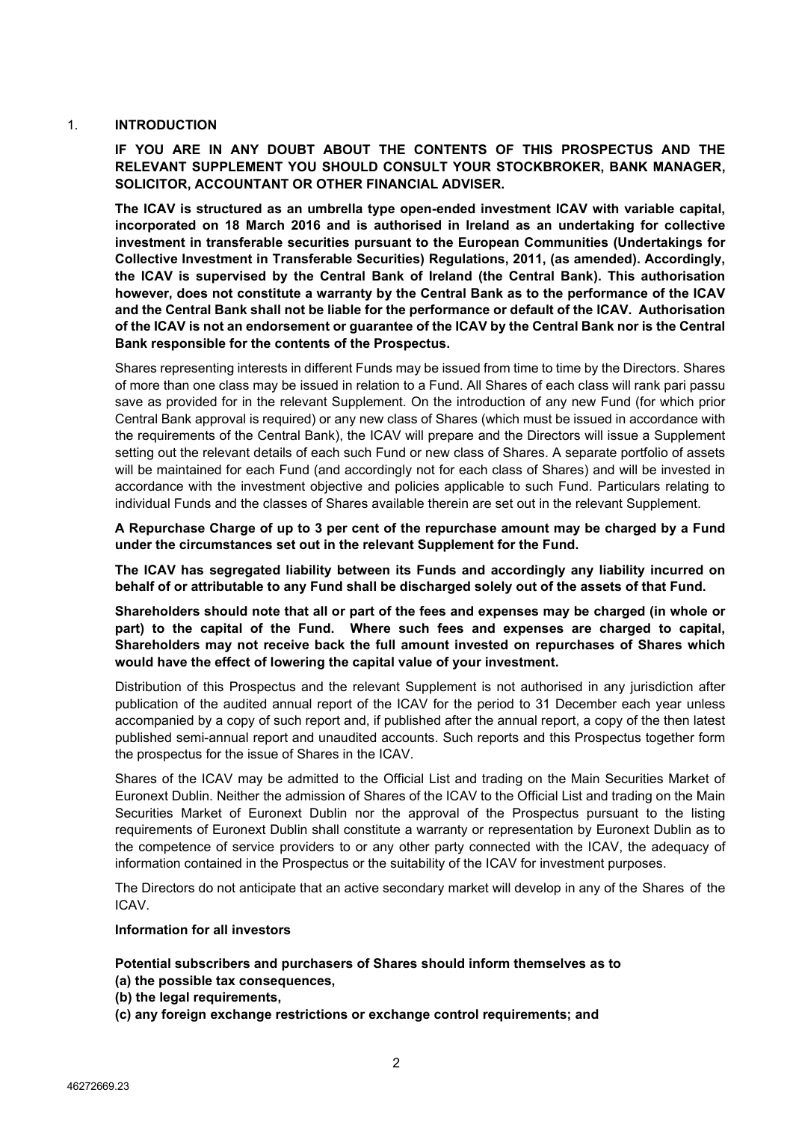# <span id="page-1-0"></span>1. **INTRODUCTION**

**IF YOU ARE IN ANY DOUBT ABOUT THE CONTENTS OF THIS PROSPECTUS AND THE RELEVANT SUPPLEMENT YOU SHOULD CONSULT YOUR STOCKBROKER, BANK MANAGER, SOLICITOR, ACCOUNTANT OR OTHER FINANCIAL ADVISER.**

**The ICAV is structured as an umbrella type open-ended investment ICAV with variable capital, incorporated on 18 March 2016 and is authorised in Ireland as an undertaking for collective investment in transferable securities pursuant to the European Communities (Undertakings for Collective Investment in Transferable Securities) Regulations, 2011, (as amended). Accordingly, the ICAV is supervised by the Central Bank of Ireland (the Central Bank). This authorisation however, does not constitute a warranty by the Central Bank as to the performance of the ICAV and the Central Bank shall not be liable for the performance or default of the ICAV. Authorisation of the ICAV is not an endorsement or guarantee of the ICAV by the Central Bank nor is the Central Bank responsible for the contents of the Prospectus.**

Shares representing interests in different Funds may be issued from time to time by the Directors. Shares of more than one class may be issued in relation to a Fund. All Shares of each class will rank pari passu save as provided for in the relevant Supplement. On the introduction of any new Fund (for which prior Central Bank approval is required) or any new class of Shares (which must be issued in accordance with the requirements of the Central Bank), the ICAV will prepare and the Directors will issue a Supplement setting out the relevant details of each such Fund or new class of Shares. A separate portfolio of assets will be maintained for each Fund (and accordingly not for each class of Shares) and will be invested in accordance with the investment objective and policies applicable to such Fund. Particulars relating to individual Funds and the classes of Shares available therein are set out in the relevant Supplement.

**A Repurchase Charge of up to 3 per cent of the repurchase amount may be charged by a Fund under the circumstances set out in the relevant Supplement for the Fund.**

**The ICAV has segregated liability between its Funds and accordingly any liability incurred on behalf of or attributable to any Fund shall be discharged solely out of the assets of that Fund.**

**Shareholders should note that all or part of the fees and expenses may be charged (in whole or part) to the capital of the Fund. Where such fees and expenses are charged to capital, Shareholders may not receive back the full amount invested on repurchases of Shares which would have the effect of lowering the capital value of your investment.**

Distribution of this Prospectus and the relevant Supplement is not authorised in any jurisdiction after publication of the audited annual report of the ICAV for the period to 31 December each year unless accompanied by a copy of such report and, if published after the annual report, a copy of the then latest published semi-annual report and unaudited accounts. Such reports and this Prospectus together form the prospectus for the issue of Shares in the ICAV.

Shares of the ICAV may be admitted to the Official List and trading on the Main Securities Market of Euronext Dublin. Neither the admission of Shares of the ICAV to the Official List and trading on the Main Securities Market of Euronext Dublin nor the approval of the Prospectus pursuant to the listing requirements of Euronext Dublin shall constitute a warranty or representation by Euronext Dublin as to the competence of service providers to or any other party connected with the ICAV, the adequacy of information contained in the Prospectus or the suitability of the ICAV for investment purposes.

The Directors do not anticipate that an active secondary market will develop in any of the Shares of the ICAV.

#### **Information for all investors**

**Potential subscribers and purchasers of Shares should inform themselves as to (a) the possible tax consequences,** 

- **(b) the legal requirements,**
- **(c) any foreign exchange restrictions or exchange control requirements; and**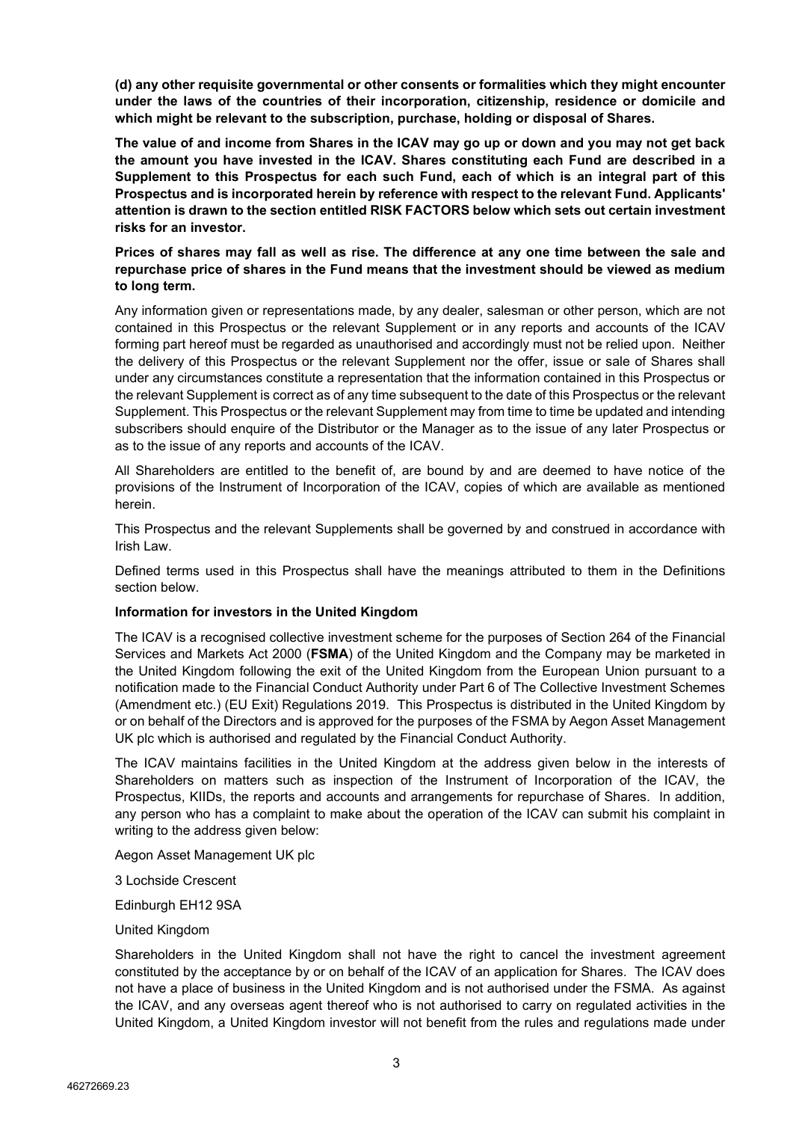**(d) any other requisite governmental or other consents or formalities which they might encounter under the laws of the countries of their incorporation, citizenship, residence or domicile and which might be relevant to the subscription, purchase, holding or disposal of Shares.**

**The value of and income from Shares in the ICAV may go up or down and you may not get back the amount you have invested in the ICAV. Shares constituting each Fund are described in a Supplement to this Prospectus for each such Fund, each of which is an integral part of this Prospectus and is incorporated herein by reference with respect to the relevant Fund. Applicants' attention is drawn to the section entitled RISK FACTORS below which sets out certain investment risks for an investor.**

# **Prices of shares may fall as well as rise. The difference at any one time between the sale and repurchase price of shares in the Fund means that the investment should be viewed as medium to long term.**

Any information given or representations made, by any dealer, salesman or other person, which are not contained in this Prospectus or the relevant Supplement or in any reports and accounts of the ICAV forming part hereof must be regarded as unauthorised and accordingly must not be relied upon. Neither the delivery of this Prospectus or the relevant Supplement nor the offer, issue or sale of Shares shall under any circumstances constitute a representation that the information contained in this Prospectus or the relevant Supplement is correct as of any time subsequent to the date of this Prospectus or the relevant Supplement. This Prospectus or the relevant Supplement may from time to time be updated and intending subscribers should enquire of the Distributor or the Manager as to the issue of any later Prospectus or as to the issue of any reports and accounts of the ICAV.

All Shareholders are entitled to the benefit of, are bound by and are deemed to have notice of the provisions of the Instrument of Incorporation of the ICAV, copies of which are available as mentioned herein.

This Prospectus and the relevant Supplements shall be governed by and construed in accordance with Irish Law.

Defined terms used in this Prospectus shall have the meanings attributed to them in the Definitions section below.

# **Information for investors in the United Kingdom**

The ICAV is a recognised collective investment scheme for the purposes of Section 264 of the Financial Services and Markets Act 2000 (**FSMA**) of the United Kingdom and the Company may be marketed in the United Kingdom following the exit of the United Kingdom from the European Union pursuant to a notification made to the Financial Conduct Authority under Part 6 of The Collective Investment Schemes (Amendment etc.) (EU Exit) Regulations 2019. This Prospectus is distributed in the United Kingdom by or on behalf of the Directors and is approved for the purposes of the FSMA by Aegon Asset Management UK plc which is authorised and regulated by the Financial Conduct Authority.

The ICAV maintains facilities in the United Kingdom at the address given below in the interests of Shareholders on matters such as inspection of the Instrument of Incorporation of the ICAV, the Prospectus, KIIDs, the reports and accounts and arrangements for repurchase of Shares. In addition, any person who has a complaint to make about the operation of the ICAV can submit his complaint in writing to the address given below:

Aegon Asset Management UK plc

3 Lochside Crescent

Edinburgh EH12 9SA

United Kingdom

Shareholders in the United Kingdom shall not have the right to cancel the investment agreement constituted by the acceptance by or on behalf of the ICAV of an application for Shares. The ICAV does not have a place of business in the United Kingdom and is not authorised under the FSMA. As against the ICAV, and any overseas agent thereof who is not authorised to carry on regulated activities in the United Kingdom, a United Kingdom investor will not benefit from the rules and regulations made under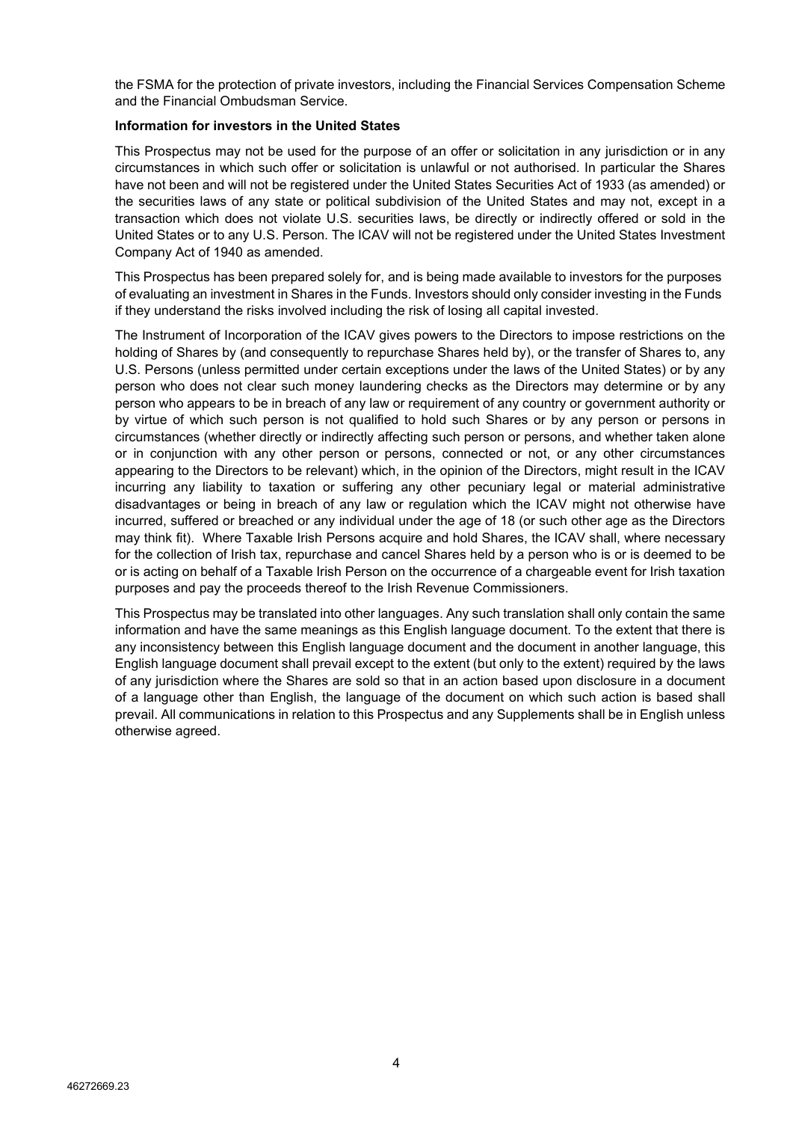the FSMA for the protection of private investors, including the Financial Services Compensation Scheme and the Financial Ombudsman Service.

## **Information for investors in the United States**

This Prospectus may not be used for the purpose of an offer or solicitation in any jurisdiction or in any circumstances in which such offer or solicitation is unlawful or not authorised. In particular the Shares have not been and will not be registered under the United States Securities Act of 1933 (as amended) or the securities laws of any state or political subdivision of the United States and may not, except in a transaction which does not violate U.S. securities laws, be directly or indirectly offered or sold in the United States or to any U.S. Person. The ICAV will not be registered under the United States Investment Company Act of 1940 as amended.

This Prospectus has been prepared solely for, and is being made available to investors for the purposes of evaluating an investment in Shares in the Funds. Investors should only consider investing in the Funds if they understand the risks involved including the risk of losing all capital invested.

The Instrument of Incorporation of the ICAV gives powers to the Directors to impose restrictions on the holding of Shares by (and consequently to repurchase Shares held by), or the transfer of Shares to, any U.S. Persons (unless permitted under certain exceptions under the laws of the United States) or by any person who does not clear such money laundering checks as the Directors may determine or by any person who appears to be in breach of any law or requirement of any country or government authority or by virtue of which such person is not qualified to hold such Shares or by any person or persons in circumstances (whether directly or indirectly affecting such person or persons, and whether taken alone or in conjunction with any other person or persons, connected or not, or any other circumstances appearing to the Directors to be relevant) which, in the opinion of the Directors, might result in the ICAV incurring any liability to taxation or suffering any other pecuniary legal or material administrative disadvantages or being in breach of any law or regulation which the ICAV might not otherwise have incurred, suffered or breached or any individual under the age of 18 (or such other age as the Directors may think fit). Where Taxable Irish Persons acquire and hold Shares, the ICAV shall, where necessary for the collection of Irish tax, repurchase and cancel Shares held by a person who is or is deemed to be or is acting on behalf of a Taxable Irish Person on the occurrence of a chargeable event for Irish taxation purposes and pay the proceeds thereof to the Irish Revenue Commissioners.

This Prospectus may be translated into other languages. Any such translation shall only contain the same information and have the same meanings as this English language document. To the extent that there is any inconsistency between this English language document and the document in another language, this English language document shall prevail except to the extent (but only to the extent) required by the laws of any jurisdiction where the Shares are sold so that in an action based upon disclosure in a document of a language other than English, the language of the document on which such action is based shall prevail. All communications in relation to this Prospectus and any Supplements shall be in English unless otherwise agreed.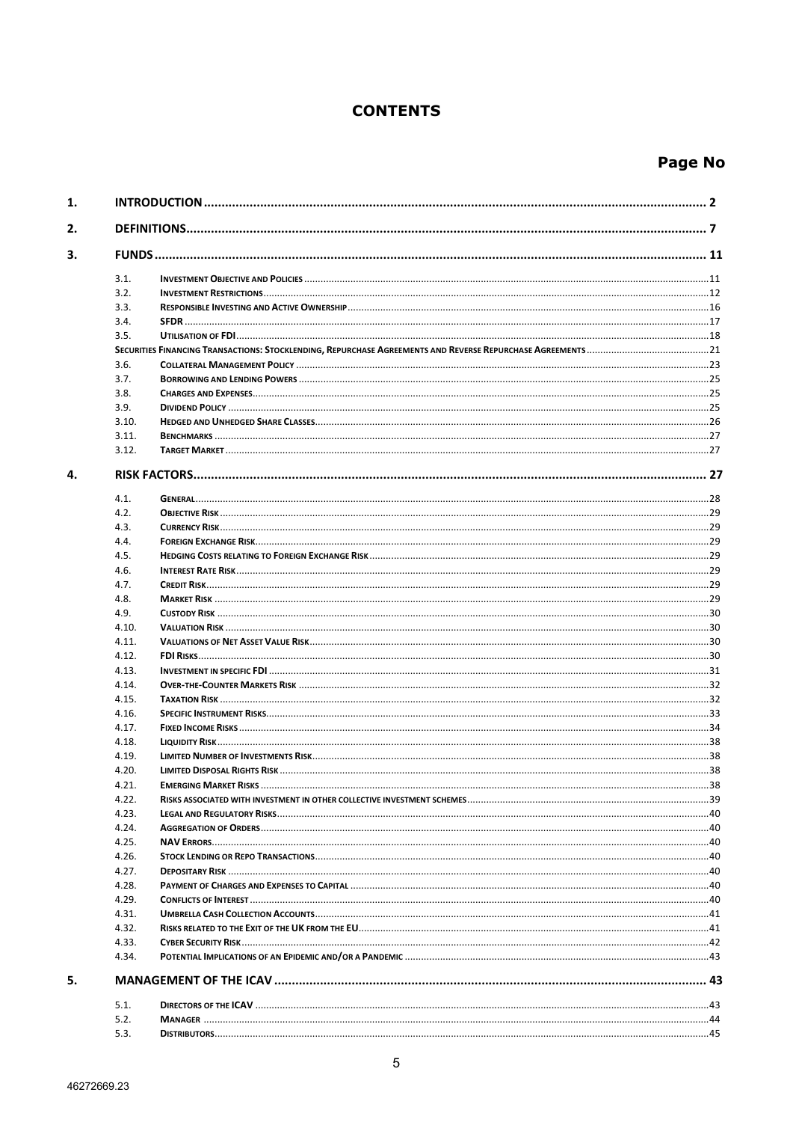# **CONTENTS**

# Page No

| 1. |       |                              |    |  |  |  |
|----|-------|------------------------------|----|--|--|--|
| 2. |       |                              |    |  |  |  |
| 3. |       |                              |    |  |  |  |
|    | 3.1.  |                              |    |  |  |  |
|    | 3.2.  |                              |    |  |  |  |
|    | 3.3.  |                              |    |  |  |  |
|    | 3.4.  |                              |    |  |  |  |
|    | 3.5.  |                              |    |  |  |  |
|    |       |                              |    |  |  |  |
|    | 3.6.  |                              |    |  |  |  |
|    | 3.7.  |                              |    |  |  |  |
|    | 3.8.  |                              |    |  |  |  |
|    | 3.9.  |                              |    |  |  |  |
|    | 3.10. |                              |    |  |  |  |
|    | 3.11. |                              |    |  |  |  |
|    | 3.12. |                              |    |  |  |  |
| 4. |       |                              |    |  |  |  |
|    | 4.1.  |                              |    |  |  |  |
|    | 4.2.  |                              |    |  |  |  |
|    | 4.3.  |                              |    |  |  |  |
|    | 4.4.  |                              |    |  |  |  |
|    | 4.5.  |                              |    |  |  |  |
|    | 4.6.  |                              |    |  |  |  |
|    | 4.7.  |                              |    |  |  |  |
|    | 4.8.  |                              |    |  |  |  |
|    | 4.9.  |                              |    |  |  |  |
|    | 4.10. |                              |    |  |  |  |
|    | 4.11. |                              |    |  |  |  |
|    | 4.12. |                              |    |  |  |  |
|    |       |                              |    |  |  |  |
|    | 4.13. |                              |    |  |  |  |
|    | 4.14. |                              |    |  |  |  |
|    | 4.15. |                              |    |  |  |  |
|    | 4.16. |                              |    |  |  |  |
|    | 4.17. |                              |    |  |  |  |
|    | 4.18. |                              |    |  |  |  |
|    | 4.19. |                              |    |  |  |  |
|    | 4.20. |                              |    |  |  |  |
|    | 4.21. | <b>FMERGING MARKET RISKS</b> | 38 |  |  |  |
|    | 4.22. |                              |    |  |  |  |
|    | 4.23. |                              |    |  |  |  |
|    | 4.24. |                              |    |  |  |  |
|    | 4.25. |                              |    |  |  |  |
|    | 4.26. |                              |    |  |  |  |
|    | 4.27. |                              |    |  |  |  |
|    | 4.28. |                              |    |  |  |  |
|    | 4.29. |                              |    |  |  |  |
|    | 4.31. |                              |    |  |  |  |
|    | 4.32. |                              |    |  |  |  |
|    | 4.33. |                              |    |  |  |  |
|    | 4.34. |                              |    |  |  |  |
| 5. |       |                              |    |  |  |  |
|    | 5.1.  |                              |    |  |  |  |
|    | 5.2.  |                              |    |  |  |  |
|    | 5.3.  |                              |    |  |  |  |
|    |       |                              |    |  |  |  |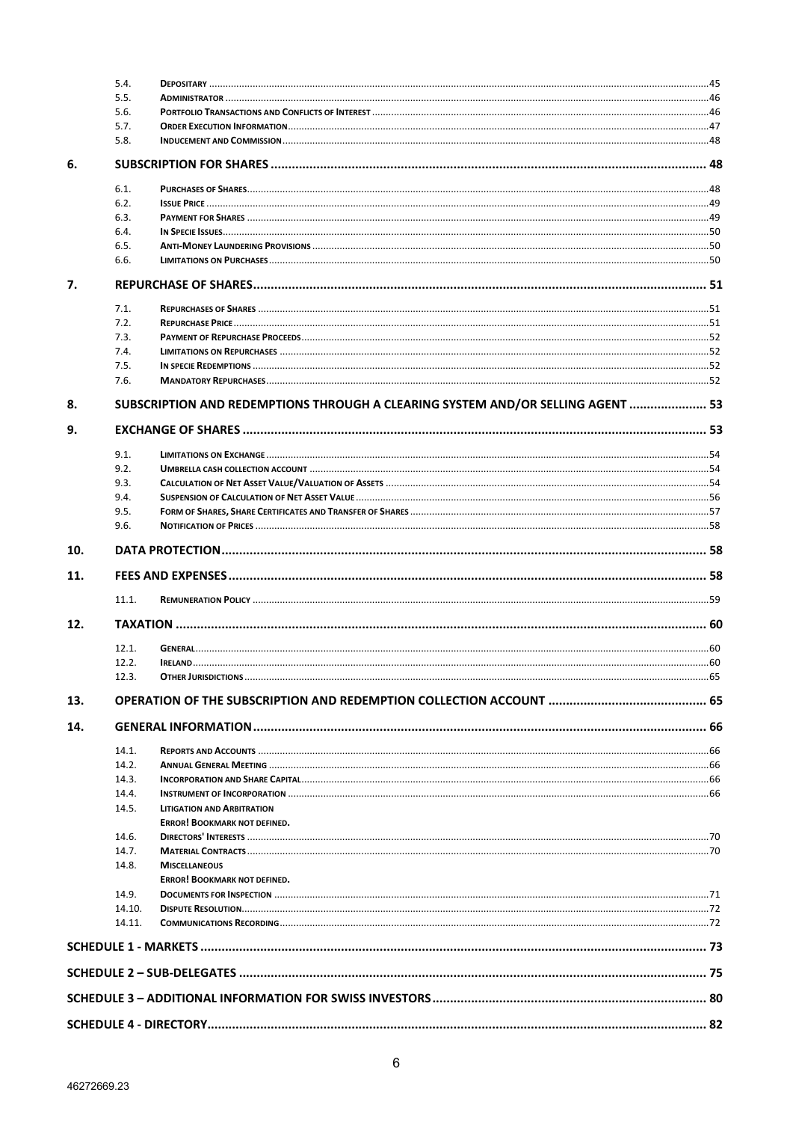|     | 5.4.   |                                                                                 |  |  |  |  |
|-----|--------|---------------------------------------------------------------------------------|--|--|--|--|
|     | 5.5.   |                                                                                 |  |  |  |  |
|     | 5.6.   |                                                                                 |  |  |  |  |
|     | 5.7.   |                                                                                 |  |  |  |  |
|     | 5.8.   |                                                                                 |  |  |  |  |
| 6.  |        |                                                                                 |  |  |  |  |
|     | 6.1.   |                                                                                 |  |  |  |  |
|     | 6.2.   |                                                                                 |  |  |  |  |
|     | 6.3.   |                                                                                 |  |  |  |  |
|     | 6.4.   |                                                                                 |  |  |  |  |
|     | 6.5.   |                                                                                 |  |  |  |  |
|     | 6.6.   |                                                                                 |  |  |  |  |
| 7.  |        |                                                                                 |  |  |  |  |
|     | 7.1.   |                                                                                 |  |  |  |  |
|     | 7.2.   |                                                                                 |  |  |  |  |
|     | 7.3.   |                                                                                 |  |  |  |  |
|     | 7.4.   |                                                                                 |  |  |  |  |
|     | 7.5.   |                                                                                 |  |  |  |  |
|     | 7.6.   |                                                                                 |  |  |  |  |
| 8.  |        |                                                                                 |  |  |  |  |
|     |        | SUBSCRIPTION AND REDEMPTIONS THROUGH A CLEARING SYSTEM AND/OR SELLING AGENT  53 |  |  |  |  |
| 9.  |        |                                                                                 |  |  |  |  |
|     | 9.1.   |                                                                                 |  |  |  |  |
|     | 9.2.   |                                                                                 |  |  |  |  |
|     | 9.3.   |                                                                                 |  |  |  |  |
|     | 9.4.   |                                                                                 |  |  |  |  |
|     | 9.5.   |                                                                                 |  |  |  |  |
|     | 9.6.   |                                                                                 |  |  |  |  |
| 10. |        |                                                                                 |  |  |  |  |
| 11. |        |                                                                                 |  |  |  |  |
|     | 11.1.  |                                                                                 |  |  |  |  |
| 12. |        |                                                                                 |  |  |  |  |
|     |        |                                                                                 |  |  |  |  |
|     | 12.1.  |                                                                                 |  |  |  |  |
|     | 12.2.  |                                                                                 |  |  |  |  |
|     | 12.3.  |                                                                                 |  |  |  |  |
| 13. |        |                                                                                 |  |  |  |  |
| 14. |        |                                                                                 |  |  |  |  |
|     | 14.1.  |                                                                                 |  |  |  |  |
|     | 14.2.  |                                                                                 |  |  |  |  |
|     | 14.3.  |                                                                                 |  |  |  |  |
|     | 14.4.  |                                                                                 |  |  |  |  |
|     | 14.5.  | <b>LITIGATION AND ARBITRATION</b>                                               |  |  |  |  |
|     |        | <b>ERROR! BOOKMARK NOT DEFINED.</b>                                             |  |  |  |  |
|     | 14.6.  |                                                                                 |  |  |  |  |
|     | 14.7.  |                                                                                 |  |  |  |  |
|     | 14.8.  | <b>MISCELLANEOUS</b>                                                            |  |  |  |  |
|     |        | <b>ERROR! BOOKMARK NOT DEFINED.</b>                                             |  |  |  |  |
|     | 14.9.  |                                                                                 |  |  |  |  |
|     | 14.10. |                                                                                 |  |  |  |  |
|     | 14.11. |                                                                                 |  |  |  |  |
|     |        |                                                                                 |  |  |  |  |
|     |        |                                                                                 |  |  |  |  |
|     |        |                                                                                 |  |  |  |  |
|     |        |                                                                                 |  |  |  |  |
|     |        |                                                                                 |  |  |  |  |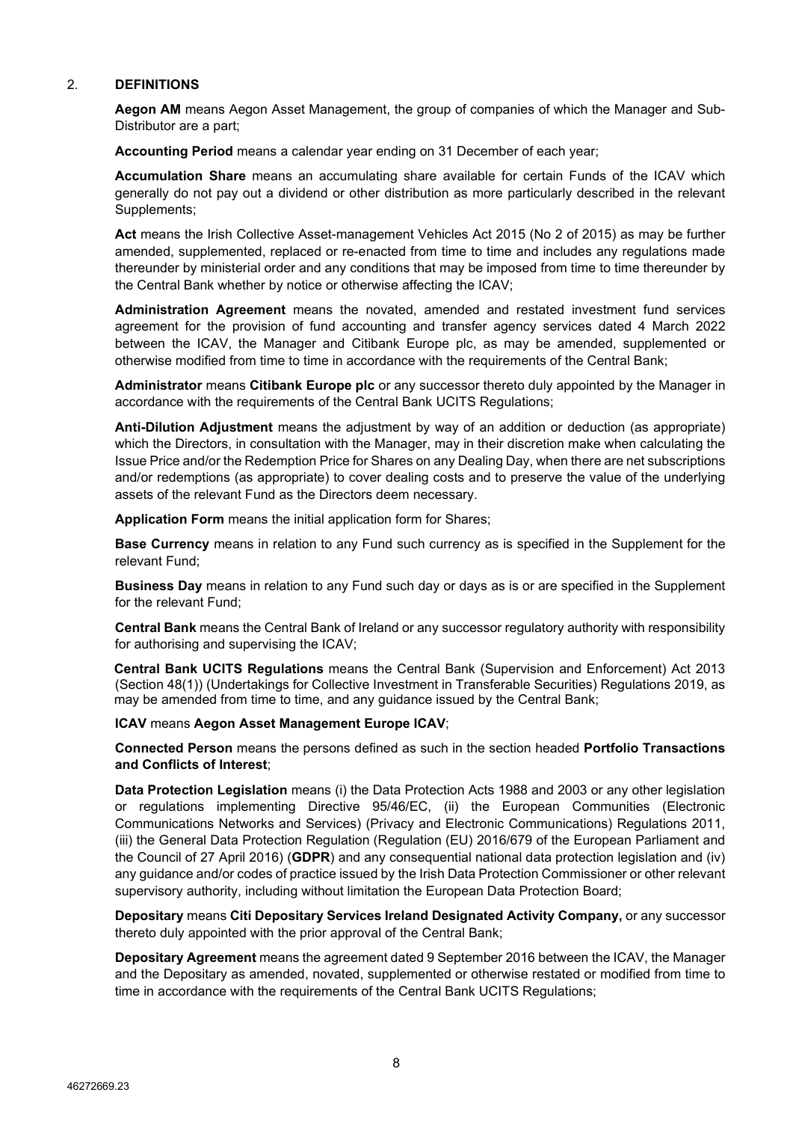# <span id="page-7-0"></span>2. **DEFINITIONS**

**Aegon AM** means Aegon Asset Management, the group of companies of which the Manager and Sub-Distributor are a part;

**Accounting Period** means a calendar year ending on 31 December of each year;

**Accumulation Share** means an accumulating share available for certain Funds of the ICAV which generally do not pay out a dividend or other distribution as more particularly described in the relevant Supplements;

**Act** means the Irish Collective Asset-management Vehicles Act 2015 (No 2 of 2015) as may be further amended, supplemented, replaced or re-enacted from time to time and includes any regulations made thereunder by ministerial order and any conditions that may be imposed from time to time thereunder by the Central Bank whether by notice or otherwise affecting the ICAV;

**Administration Agreement** means the novated, amended and restated investment fund services agreement for the provision of fund accounting and transfer agency services dated 4 March 2022 between the ICAV, the Manager and Citibank Europe plc, as may be amended, supplemented or otherwise modified from time to time in accordance with the requirements of the Central Bank;

**Administrator** means **Citibank Europe plc** or any successor thereto duly appointed by the Manager in accordance with the requirements of the Central Bank UCITS Regulations;

**Anti-Dilution Adjustment** means the adjustment by way of an addition or deduction (as appropriate) which the Directors, in consultation with the Manager, may in their discretion make when calculating the Issue Price and/or the Redemption Price for Shares on any Dealing Day, when there are net subscriptions and/or redemptions (as appropriate) to cover dealing costs and to preserve the value of the underlying assets of the relevant Fund as the Directors deem necessary.

**Application Form** means the initial application form for Shares;

**Base Currency** means in relation to any Fund such currency as is specified in the Supplement for the relevant Fund;

**Business Day** means in relation to any Fund such day or days as is or are specified in the Supplement for the relevant Fund;

**Central Bank** means the Central Bank of Ireland or any successor regulatory authority with responsibility for authorising and supervising the ICAV;

**Central Bank UCITS Regulations** means the Central Bank (Supervision and Enforcement) Act 2013 (Section 48(1)) (Undertakings for Collective Investment in Transferable Securities) Regulations 2019, as may be amended from time to time, and any guidance issued by the Central Bank;

**ICAV** means **Aegon Asset Management Europe ICAV**;

**Connected Person** means the persons defined as such in the section headed **Portfolio Transactions and Conflicts of Interest**;

**Data Protection Legislation** means (i) the Data Protection Acts 1988 and 2003 or any other legislation or regulations implementing Directive 95/46/EC, (ii) the European Communities (Electronic Communications Networks and Services) (Privacy and Electronic Communications) Regulations 2011, (iii) the General Data Protection Regulation (Regulation (EU) 2016/679 of the European Parliament and the Council of 27 April 2016) (**GDPR**) and any consequential national data protection legislation and (iv) any guidance and/or codes of practice issued by the Irish Data Protection Commissioner or other relevant supervisory authority, including without limitation the European Data Protection Board;

**Depositary** means **Citi Depositary Services Ireland Designated Activity Company,** or any successor thereto duly appointed with the prior approval of the Central Bank;

**Depositary Agreement** means the agreement dated 9 September 2016 between the ICAV, the Manager and the Depositary as amended, novated, supplemented or otherwise restated or modified from time to time in accordance with the requirements of the Central Bank UCITS Regulations;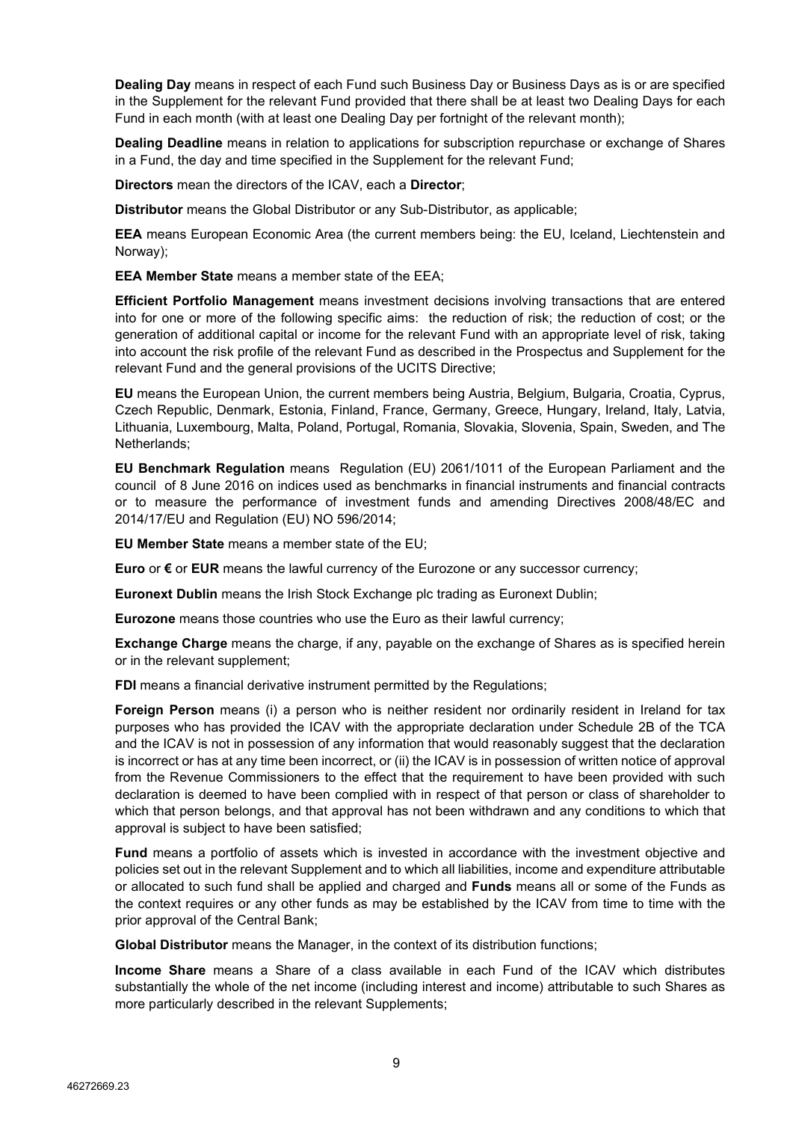**Dealing Day** means in respect of each Fund such Business Day or Business Days as is or are specified in the Supplement for the relevant Fund provided that there shall be at least two Dealing Days for each Fund in each month (with at least one Dealing Day per fortnight of the relevant month);

**Dealing Deadline** means in relation to applications for subscription repurchase or exchange of Shares in a Fund, the day and time specified in the Supplement for the relevant Fund;

**Directors** mean the directors of the ICAV, each a **Director**;

**Distributor** means the Global Distributor or any Sub-Distributor, as applicable;

**EEA** means European Economic Area (the current members being: the EU, Iceland, Liechtenstein and Norway);

**EEA Member State** means a member state of the EEA;

**Efficient Portfolio Management** means investment decisions involving transactions that are entered into for one or more of the following specific aims: the reduction of risk; the reduction of cost; or the generation of additional capital or income for the relevant Fund with an appropriate level of risk, taking into account the risk profile of the relevant Fund as described in the Prospectus and Supplement for the relevant Fund and the general provisions of the UCITS Directive;

**EU** means the European Union, the current members being Austria, Belgium, Bulgaria, Croatia, Cyprus, Czech Republic, Denmark, Estonia, Finland, France, Germany, Greece, Hungary, Ireland, Italy, Latvia, Lithuania, Luxembourg, Malta, Poland, Portugal, Romania, Slovakia, Slovenia, Spain, Sweden, and The Netherlands;

**EU Benchmark Regulation** means Regulation (EU) 2061/1011 of the European Parliament and the council of 8 June 2016 on indices used as benchmarks in financial instruments and financial contracts or to measure the performance of investment funds and amending Directives 2008/48/EC and 2014/17/EU and Regulation (EU) NO 596/2014;

**EU Member State** means a member state of the EU;

**Euro** or **€** or **EUR** means the lawful currency of the Eurozone or any successor currency;

**Euronext Dublin** means the Irish Stock Exchange plc trading as Euronext Dublin;

**Eurozone** means those countries who use the Euro as their lawful currency;

**Exchange Charge** means the charge, if any, payable on the exchange of Shares as is specified herein or in the relevant supplement;

**FDI** means a financial derivative instrument permitted by the Regulations:

**Foreign Person** means (i) a person who is neither resident nor ordinarily resident in Ireland for tax purposes who has provided the ICAV with the appropriate declaration under Schedule 2B of the TCA and the ICAV is not in possession of any information that would reasonably suggest that the declaration is incorrect or has at any time been incorrect, or (ii) the ICAV is in possession of written notice of approval from the Revenue Commissioners to the effect that the requirement to have been provided with such declaration is deemed to have been complied with in respect of that person or class of shareholder to which that person belongs, and that approval has not been withdrawn and any conditions to which that approval is subject to have been satisfied;

**Fund** means a portfolio of assets which is invested in accordance with the investment objective and policies set out in the relevant Supplement and to which all liabilities, income and expenditure attributable or allocated to such fund shall be applied and charged and **Funds** means all or some of the Funds as the context requires or any other funds as may be established by the ICAV from time to time with the prior approval of the Central Bank;

**Global Distributor** means the Manager, in the context of its distribution functions;

**Income Share** means a Share of a class available in each Fund of the ICAV which distributes substantially the whole of the net income (including interest and income) attributable to such Shares as more particularly described in the relevant Supplements;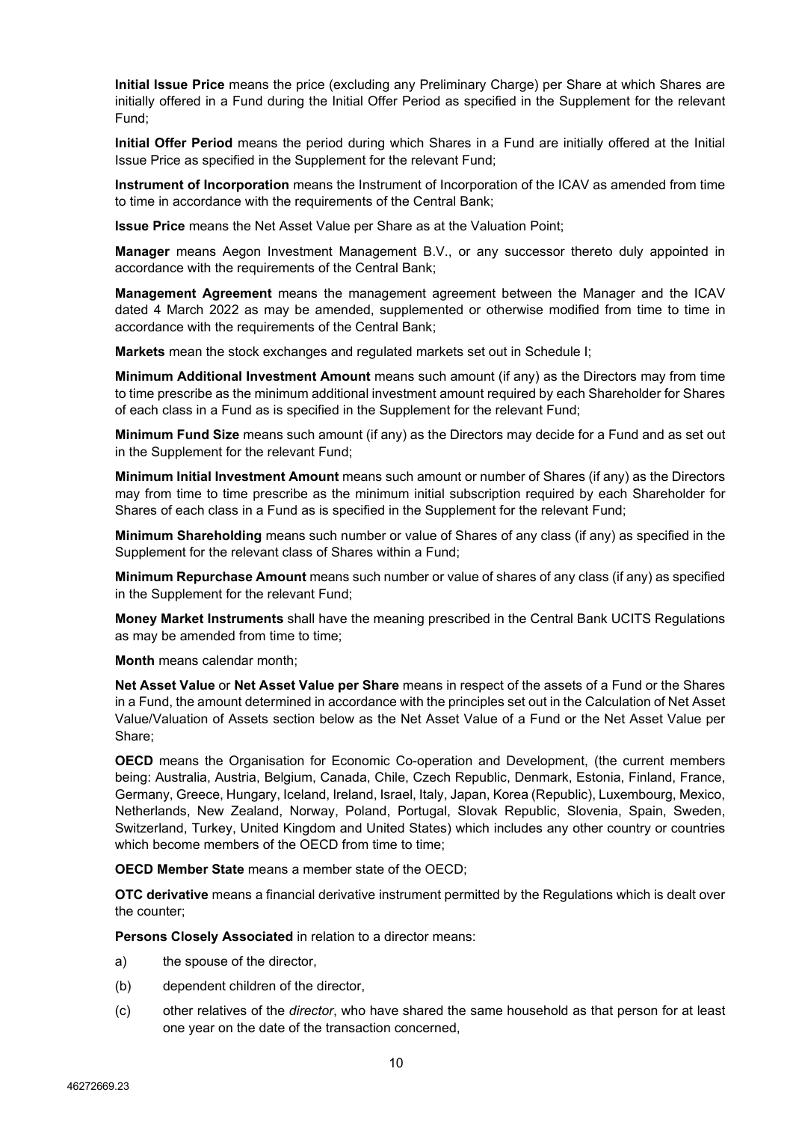**Initial Issue Price** means the price (excluding any Preliminary Charge) per Share at which Shares are initially offered in a Fund during the Initial Offer Period as specified in the Supplement for the relevant Fund;

**Initial Offer Period** means the period during which Shares in a Fund are initially offered at the Initial Issue Price as specified in the Supplement for the relevant Fund;

**Instrument of Incorporation** means the Instrument of Incorporation of the ICAV as amended from time to time in accordance with the requirements of the Central Bank;

**Issue Price** means the Net Asset Value per Share as at the Valuation Point;

**Manager** means Aegon Investment Management B.V., or any successor thereto duly appointed in accordance with the requirements of the Central Bank;

**Management Agreement** means the management agreement between the Manager and the ICAV dated 4 March 2022 as may be amended, supplemented or otherwise modified from time to time in accordance with the requirements of the Central Bank;

**Markets** mean the stock exchanges and regulated markets set out in Schedule I;

**Minimum Additional Investment Amount** means such amount (if any) as the Directors may from time to time prescribe as the minimum additional investment amount required by each Shareholder for Shares of each class in a Fund as is specified in the Supplement for the relevant Fund;

**Minimum Fund Size** means such amount (if any) as the Directors may decide for a Fund and as set out in the Supplement for the relevant Fund;

**Minimum Initial Investment Amount** means such amount or number of Shares (if any) as the Directors may from time to time prescribe as the minimum initial subscription required by each Shareholder for Shares of each class in a Fund as is specified in the Supplement for the relevant Fund;

**Minimum Shareholding** means such number or value of Shares of any class (if any) as specified in the Supplement for the relevant class of Shares within a Fund;

**Minimum Repurchase Amount** means such number or value of shares of any class (if any) as specified in the Supplement for the relevant Fund;

**Money Market Instruments** shall have the meaning prescribed in the Central Bank UCITS Regulations as may be amended from time to time;

**Month** means calendar month;

**Net Asset Value** or **Net Asset Value per Share** means in respect of the assets of a Fund or the Shares in a Fund, the amount determined in accordance with the principles set out in the Calculation of Net Asset Value/Valuation of Assets section below as the Net Asset Value of a Fund or the Net Asset Value per Share;

**OECD** means the Organisation for Economic Co-operation and Development, (the current members being: Australia, Austria, Belgium, Canada, Chile, Czech Republic, Denmark, Estonia, Finland, France, Germany, Greece, Hungary, Iceland, Ireland, Israel, Italy, Japan, Korea (Republic), Luxembourg, Mexico, Netherlands, New Zealand, Norway, Poland, Portugal, Slovak Republic, Slovenia, Spain, Sweden, Switzerland, Turkey, United Kingdom and United States) which includes any other country or countries which become members of the OECD from time to time;

**OECD Member State** means a member state of the OECD;

**OTC derivative** means a financial derivative instrument permitted by the Regulations which is dealt over the counter;

**Persons Closely Associated** in relation to a director means:

- a) the spouse of the director,
- (b) dependent children of the director,
- (c) other relatives of the *director*, who have shared the same household as that person for at least one year on the date of the transaction concerned,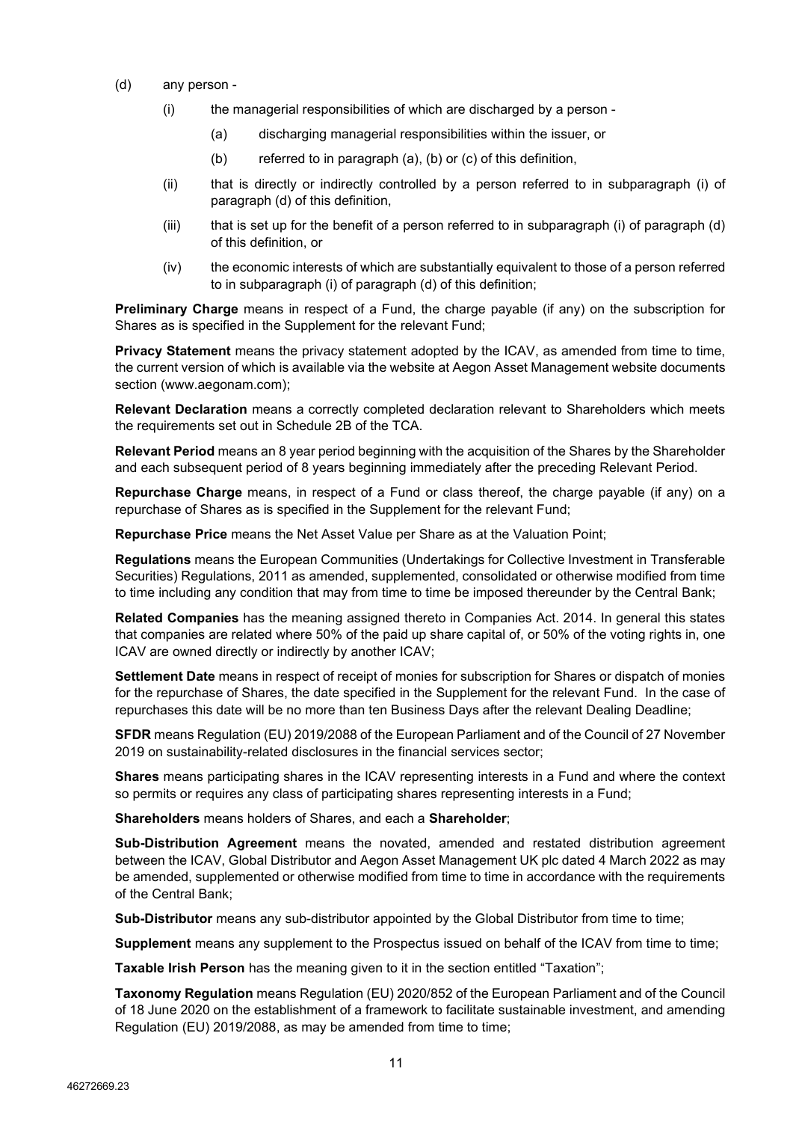- (d) any person
	- (i) the managerial responsibilities of which are discharged by a person
		- (a) discharging managerial responsibilities within the issuer, or
		- (b) referred to in paragraph (a), (b) or (c) of this definition,
	- (ii) that is directly or indirectly controlled by a person referred to in subparagraph (i) of paragraph (d) of this definition,
	- $(iii)$  that is set up for the benefit of a person referred to in subparagraph (i) of paragraph (d) of this definition, or
	- (iv) the economic interests of which are substantially equivalent to those of a person referred to in subparagraph (i) of paragraph (d) of this definition;

**Preliminary Charge** means in respect of a Fund, the charge payable (if any) on the subscription for Shares as is specified in the Supplement for the relevant Fund;

**Privacy Statement** means the privacy statement adopted by the ICAV, as amended from time to time, the current version of which is available via the website at Aegon Asset Management website documents section (www.aegonam.com);

**Relevant Declaration** means a correctly completed declaration relevant to Shareholders which meets the requirements set out in Schedule 2B of the TCA.

**Relevant Period** means an 8 year period beginning with the acquisition of the Shares by the Shareholder and each subsequent period of 8 years beginning immediately after the preceding Relevant Period.

**Repurchase Charge** means, in respect of a Fund or class thereof, the charge payable (if any) on a repurchase of Shares as is specified in the Supplement for the relevant Fund;

**Repurchase Price** means the Net Asset Value per Share as at the Valuation Point;

**Regulations** means the European Communities (Undertakings for Collective Investment in Transferable Securities) Regulations, 2011 as amended, supplemented, consolidated or otherwise modified from time to time including any condition that may from time to time be imposed thereunder by the Central Bank;

**Related Companies** has the meaning assigned thereto in Companies Act. 2014. In general this states that companies are related where 50% of the paid up share capital of, or 50% of the voting rights in, one ICAV are owned directly or indirectly by another ICAV;

**Settlement Date** means in respect of receipt of monies for subscription for Shares or dispatch of monies for the repurchase of Shares, the date specified in the Supplement for the relevant Fund. In the case of repurchases this date will be no more than ten Business Days after the relevant Dealing Deadline;

**SFDR** means Regulation (EU) 2019/2088 of the European Parliament and of the Council of 27 November 2019 on sustainability-related disclosures in the financial services sector;

**Shares** means participating shares in the ICAV representing interests in a Fund and where the context so permits or requires any class of participating shares representing interests in a Fund;

**Shareholders** means holders of Shares, and each a **Shareholder**;

**Sub-Distribution Agreement** means the novated, amended and restated distribution agreement between the ICAV, Global Distributor and Aegon Asset Management UK plc dated 4 March 2022 as may be amended, supplemented or otherwise modified from time to time in accordance with the requirements of the Central Bank;

**Sub-Distributor** means any sub-distributor appointed by the Global Distributor from time to time;

**Supplement** means any supplement to the Prospectus issued on behalf of the ICAV from time to time;

**Taxable Irish Person** has the meaning given to it in the section entitled "Taxation";

**Taxonomy Regulation** means Regulation (EU) 2020/852 of the European Parliament and of the Council of 18 June 2020 on the establishment of a framework to facilitate sustainable investment, and amending Regulation (EU) 2019/2088, as may be amended from time to time;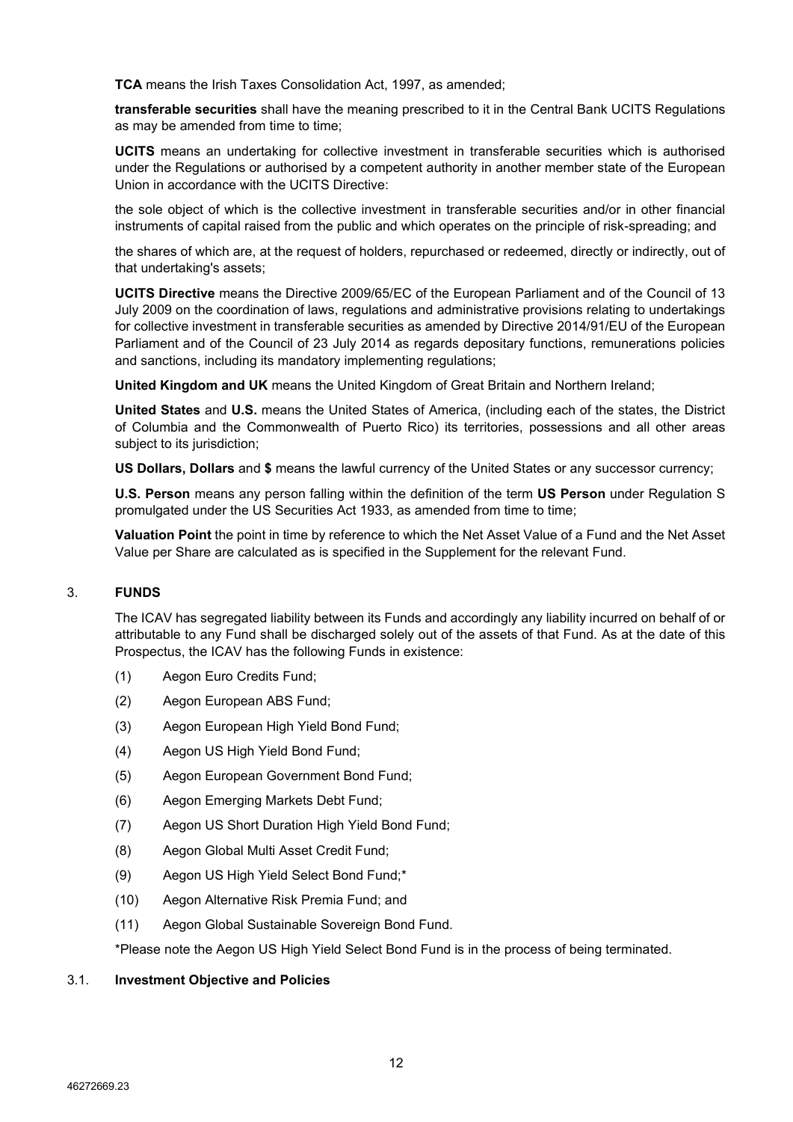**TCA** means the Irish Taxes Consolidation Act, 1997, as amended;

**transferable securities** shall have the meaning prescribed to it in the Central Bank UCITS Regulations as may be amended from time to time;

**UCITS** means an undertaking for collective investment in transferable securities which is authorised under the Regulations or authorised by a competent authority in another member state of the European Union in accordance with the UCITS Directive:

the sole object of which is the collective investment in transferable securities and/or in other financial instruments of capital raised from the public and which operates on the principle of risk-spreading; and

the shares of which are, at the request of holders, repurchased or redeemed, directly or indirectly, out of that undertaking's assets;

**UCITS Directive** means the Directive 2009/65/EC of the European Parliament and of the Council of 13 July 2009 on the coordination of laws, regulations and administrative provisions relating to undertakings for collective investment in transferable securities as amended by Directive 2014/91/EU of the European Parliament and of the Council of 23 July 2014 as regards depositary functions, remunerations policies and sanctions, including its mandatory implementing regulations;

**United Kingdom and UK** means the United Kingdom of Great Britain and Northern Ireland;

**United States** and **U.S.** means the United States of America, (including each of the states, the District of Columbia and the Commonwealth of Puerto Rico) its territories, possessions and all other areas subject to its jurisdiction;

**US Dollars, Dollars** and **\$** means the lawful currency of the United States or any successor currency;

**U.S. Person** means any person falling within the definition of the term **US Person** under Regulation S promulgated under the US Securities Act 1933, as amended from time to time;

**Valuation Point** the point in time by reference to which the Net Asset Value of a Fund and the Net Asset Value per Share are calculated as is specified in the Supplement for the relevant Fund.

# <span id="page-11-0"></span>3. **FUNDS**

The ICAV has segregated liability between its Funds and accordingly any liability incurred on behalf of or attributable to any Fund shall be discharged solely out of the assets of that Fund. As at the date of this Prospectus, the ICAV has the following Funds in existence:

- (1) Aegon Euro Credits Fund;
- (2) Aegon European ABS Fund;
- (3) Aegon European High Yield Bond Fund;
- (4) Aegon US High Yield Bond Fund;
- (5) Aegon European Government Bond Fund;
- (6) Aegon Emerging Markets Debt Fund;
- (7) Aegon US Short Duration High Yield Bond Fund;
- (8) Aegon Global Multi Asset Credit Fund;
- (9) Aegon US High Yield Select Bond Fund;\*
- (10) Aegon Alternative Risk Premia Fund; and
- (11) Aegon Global Sustainable Sovereign Bond Fund.

\*Please note the Aegon US High Yield Select Bond Fund is in the process of being terminated.

# <span id="page-11-1"></span>3.1. **Investment Objective and Policies**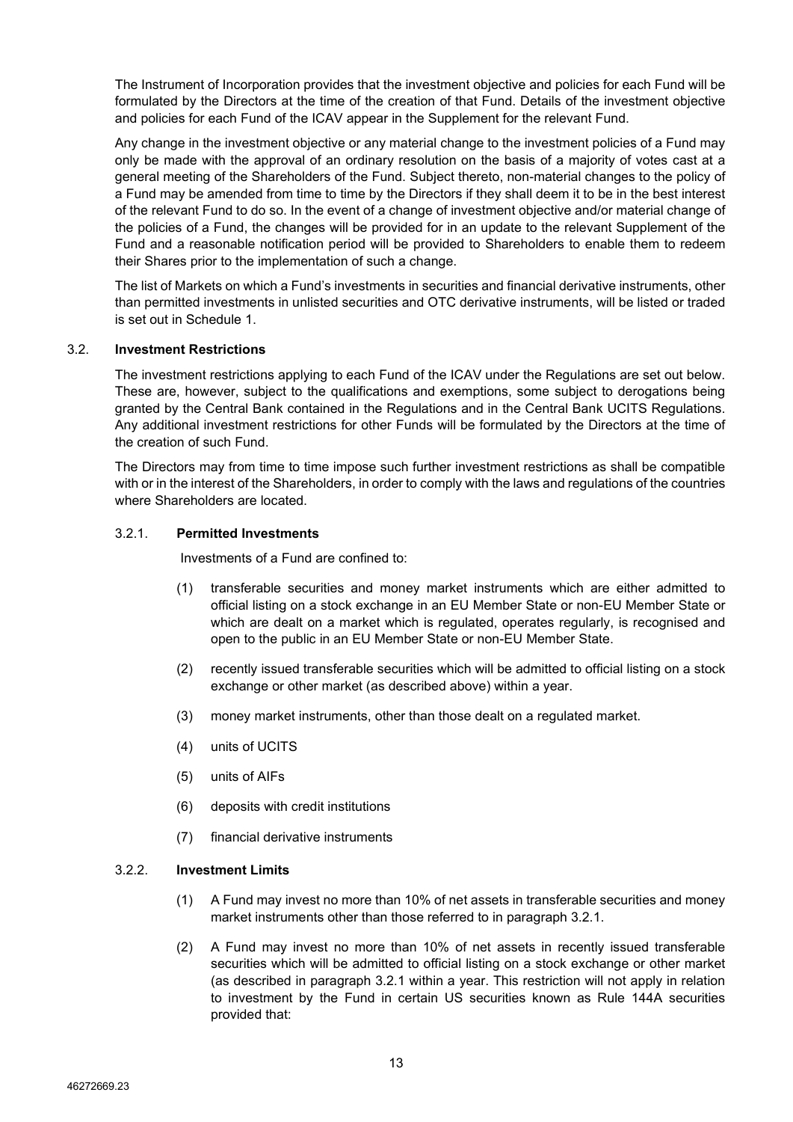The Instrument of Incorporation provides that the investment objective and policies for each Fund will be formulated by the Directors at the time of the creation of that Fund. Details of the investment objective and policies for each Fund of the ICAV appear in the Supplement for the relevant Fund.

Any change in the investment objective or any material change to the investment policies of a Fund may only be made with the approval of an ordinary resolution on the basis of a majority of votes cast at a general meeting of the Shareholders of the Fund. Subject thereto, non-material changes to the policy of a Fund may be amended from time to time by the Directors if they shall deem it to be in the best interest of the relevant Fund to do so. In the event of a change of investment objective and/or material change of the policies of a Fund, the changes will be provided for in an update to the relevant Supplement of the Fund and a reasonable notification period will be provided to Shareholders to enable them to redeem their Shares prior to the implementation of such a change.

The list of Markets on which a Fund's investments in securities and financial derivative instruments, other than permitted investments in unlisted securities and OTC derivative instruments, will be listed or traded is set out in Schedule 1.

## <span id="page-12-0"></span>3.2. **Investment Restrictions**

The investment restrictions applying to each Fund of the ICAV under the Regulations are set out below. These are, however, subject to the qualifications and exemptions, some subject to derogations being granted by the Central Bank contained in the Regulations and in the Central Bank UCITS Regulations. Any additional investment restrictions for other Funds will be formulated by the Directors at the time of the creation of such Fund.

The Directors may from time to time impose such further investment restrictions as shall be compatible with or in the interest of the Shareholders, in order to comply with the laws and regulations of the countries where Shareholders are located.

## 3.2.1. **Permitted Investments**

Investments of a Fund are confined to:

- (1) transferable securities and money market instruments which are either admitted to official listing on a stock exchange in an EU Member State or non-EU Member State or which are dealt on a market which is regulated, operates regularly, is recognised and open to the public in an EU Member State or non-EU Member State.
- (2) recently issued transferable securities which will be admitted to official listing on a stock exchange or other market (as described above) within a year.
- (3) money market instruments, other than those dealt on a regulated market.
- (4) units of UCITS
- (5) units of AIFs
- (6) deposits with credit institutions
- (7) financial derivative instruments

# <span id="page-12-2"></span><span id="page-12-1"></span>3.2.2. **Investment Limits**

- (1) A Fund may invest no more than 10% of net assets in transferable securities and money market instruments other than those referred to in paragraph 3.2.1.
- (2) A Fund may invest no more than 10% of net assets in recently issued transferable securities which will be admitted to official listing on a stock exchange or other market (as described in paragraph 3.2.1 within a year. This restriction will not apply in relation to investment by the Fund in certain US securities known as Rule 144A securities provided that: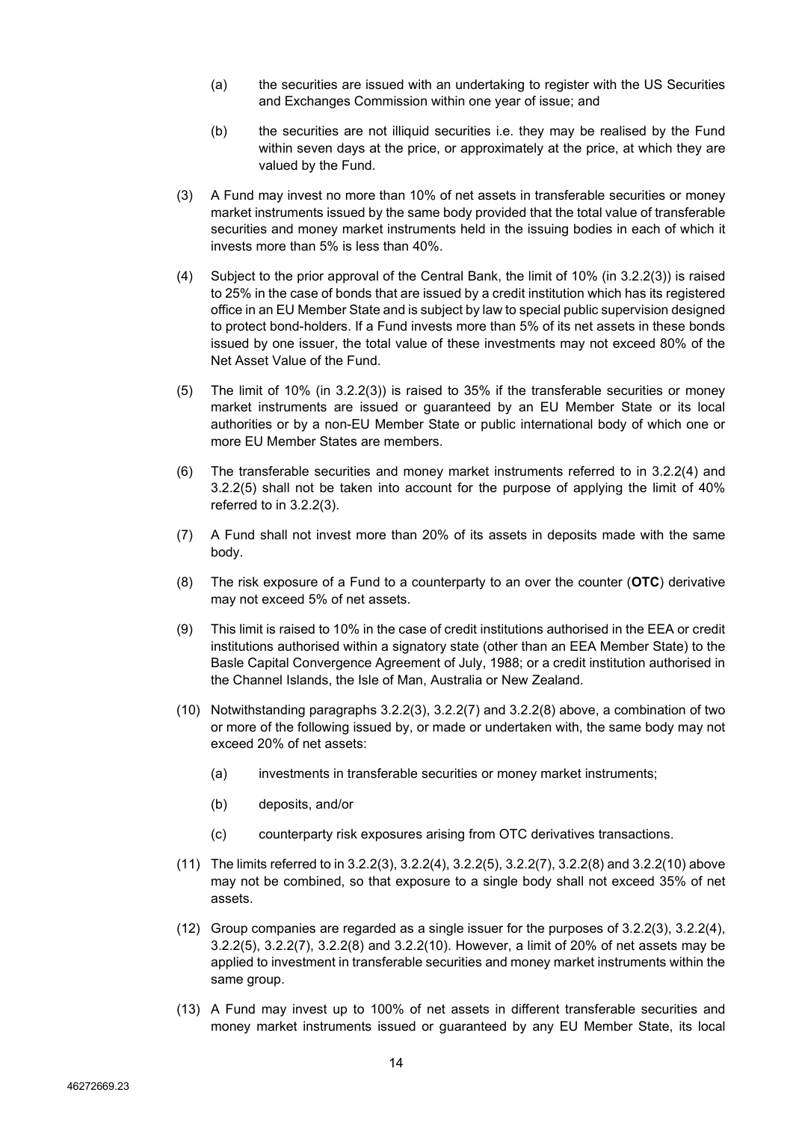- (a) the securities are issued with an undertaking to register with the US Securities and Exchanges Commission within one year of issue; and
- (b) the securities are not illiquid securities i.e. they may be realised by the Fund within seven days at the price, or approximately at the price, at which they are valued by the Fund.
- <span id="page-13-0"></span>(3) A Fund may invest no more than 10% of net assets in transferable securities or money market instruments issued by the same body provided that the total value of transferable securities and money market instruments held in the issuing bodies in each of which it invests more than 5% is less than 40%.
- <span id="page-13-1"></span>(4) Subject to the prior approval of the Central Bank, the limit of 10% (in [3.2.2\(3\)\)](#page-13-0) is raised to 25% in the case of bonds that are issued by a credit institution which has its registered office in an EU Member State and is subject by law to special public supervision designed to protect bond-holders. If a Fund invests more than 5% of its net assets in these bonds issued by one issuer, the total value of these investments may not exceed 80% of the Net Asset Value of the Fund.
- <span id="page-13-2"></span>(5) The limit of 10% (in [3.2.2\(3\)\)](#page-13-0) is raised to 35% if the transferable securities or money market instruments are issued or guaranteed by an EU Member State or its local authorities or by a non-EU Member State or public international body of which one or more EU Member States are members.
- (6) The transferable securities and money market instruments referred to in [3.2.2\(4\)](#page-13-1) and [3.2.2\(5\)](#page-13-2) shall not be taken into account for the purpose of applying the limit of 40% referred to in [3.2.2\(3\).](#page-13-0)
- <span id="page-13-3"></span>(7) A Fund shall not invest more than 20% of its assets in deposits made with the same body.
- <span id="page-13-4"></span>(8) The risk exposure of a Fund to a counterparty to an over the counter (**OTC**) derivative may not exceed 5% of net assets.
- (9) This limit is raised to 10% in the case of credit institutions authorised in the EEA or credit institutions authorised within a signatory state (other than an EEA Member State) to the Basle Capital Convergence Agreement of July, 1988; or a credit institution authorised in the Channel Islands, the Isle of Man, Australia or New Zealand.
- <span id="page-13-5"></span>(10) Notwithstanding paragraphs [3.2.2\(3\),](#page-13-0) [3.2.2\(7\)](#page-13-3) and [3.2.2](#page-12-1)[\(8\)](#page-13-4) above, a combination of two or more of the following issued by, or made or undertaken with, the same body may not exceed 20% of net assets:
	- (a) investments in transferable securities or money market instruments;
	- (b) deposits, and/or
	- (c) counterparty risk exposures arising from OTC derivatives transactions.
- <span id="page-13-6"></span>(11) The limits referred to in [3.2.2\(3\),](#page-13-0) [3.2.2\(4\),](#page-13-1) [3.2.2\(5\),](#page-13-2) [3.2.2\(7\),](#page-13-3) [3.2.2](#page-12-1)[\(8\)](#page-13-4) and [3.2.2\(10\)](#page-13-5) above may not be combined, so that exposure to a single body shall not exceed 35% of net assets.
- <span id="page-13-7"></span>(12) Group companies are regarded as a single issuer for the purposes of [3.2.2\(3\),](#page-13-0) [3.2.2\(4\),](#page-13-1) [3.2.2\(5\),](#page-13-2) [3.2.2\(7\),](#page-13-3) [3.2.2](#page-12-1)[\(8\)](#page-13-4) and [3.2.2\(10\).](#page-13-5) However, a limit of 20% of net assets may be applied to investment in transferable securities and money market instruments within the same group.
- (13) A Fund may invest up to 100% of net assets in different transferable securities and money market instruments issued or guaranteed by any EU Member State, its local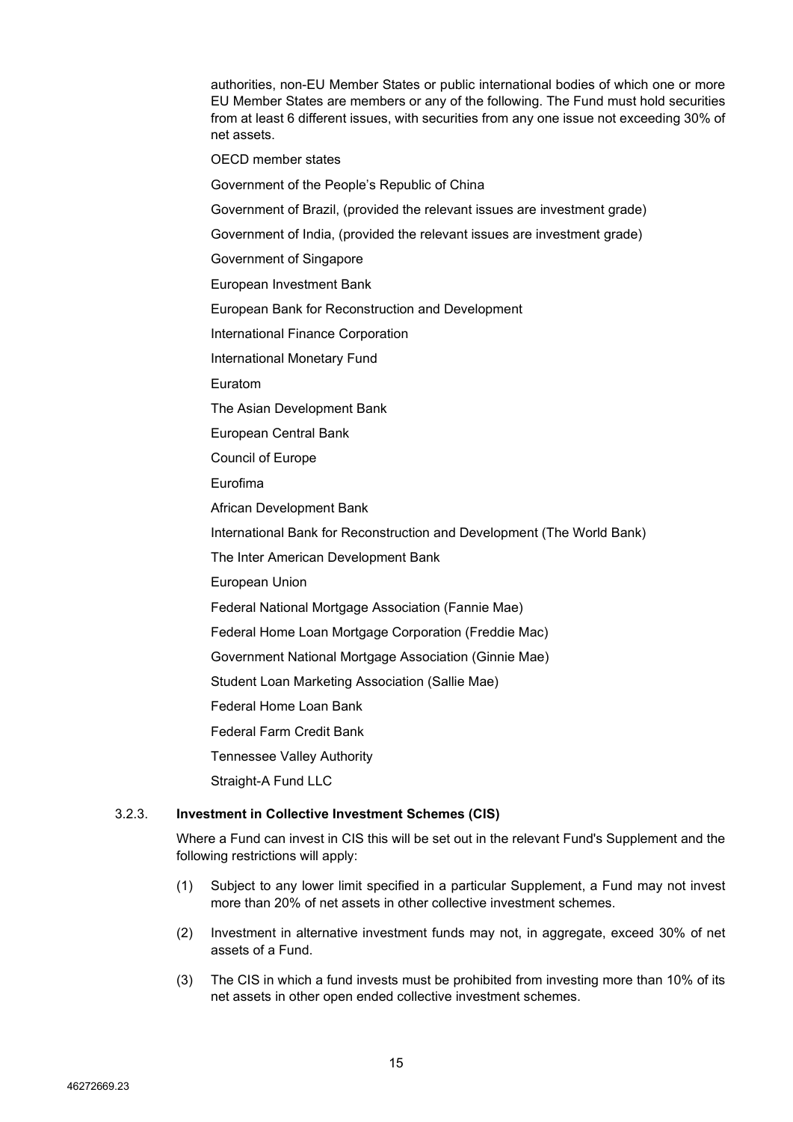authorities, non-EU Member States or public international bodies of which one or more EU Member States are members or any of the following. The Fund must hold securities from at least 6 different issues, with securities from any one issue not exceeding 30% of net assets.

OECD member states

Government of the People's Republic of China

Government of Brazil, (provided the relevant issues are investment grade)

Government of India, (provided the relevant issues are investment grade)

Government of Singapore

European Investment Bank

European Bank for Reconstruction and Development

International Finance Corporation

International Monetary Fund

Euratom

The Asian Development Bank

European Central Bank

Council of Europe

Eurofima

African Development Bank

International Bank for Reconstruction and Development (The World Bank)

The Inter American Development Bank

European Union

Federal National Mortgage Association (Fannie Mae)

Federal Home Loan Mortgage Corporation (Freddie Mac)

Government National Mortgage Association (Ginnie Mae)

Student Loan Marketing Association (Sallie Mae)

Federal Home Loan Bank

Federal Farm Credit Bank

Tennessee Valley Authority

Straight-A Fund LLC

## <span id="page-14-0"></span>3.2.3. **Investment in Collective Investment Schemes (CIS)**

Where a Fund can invest in CIS this will be set out in the relevant Fund's Supplement and the following restrictions will apply:

- (1) Subject to any lower limit specified in a particular Supplement, a Fund may not invest more than 20% of net assets in other collective investment schemes.
- <span id="page-14-1"></span>(2) Investment in alternative investment funds may not, in aggregate, exceed 30% of net assets of a Fund.
- (3) The CIS in which a fund invests must be prohibited from investing more than 10% of its net assets in other open ended collective investment schemes.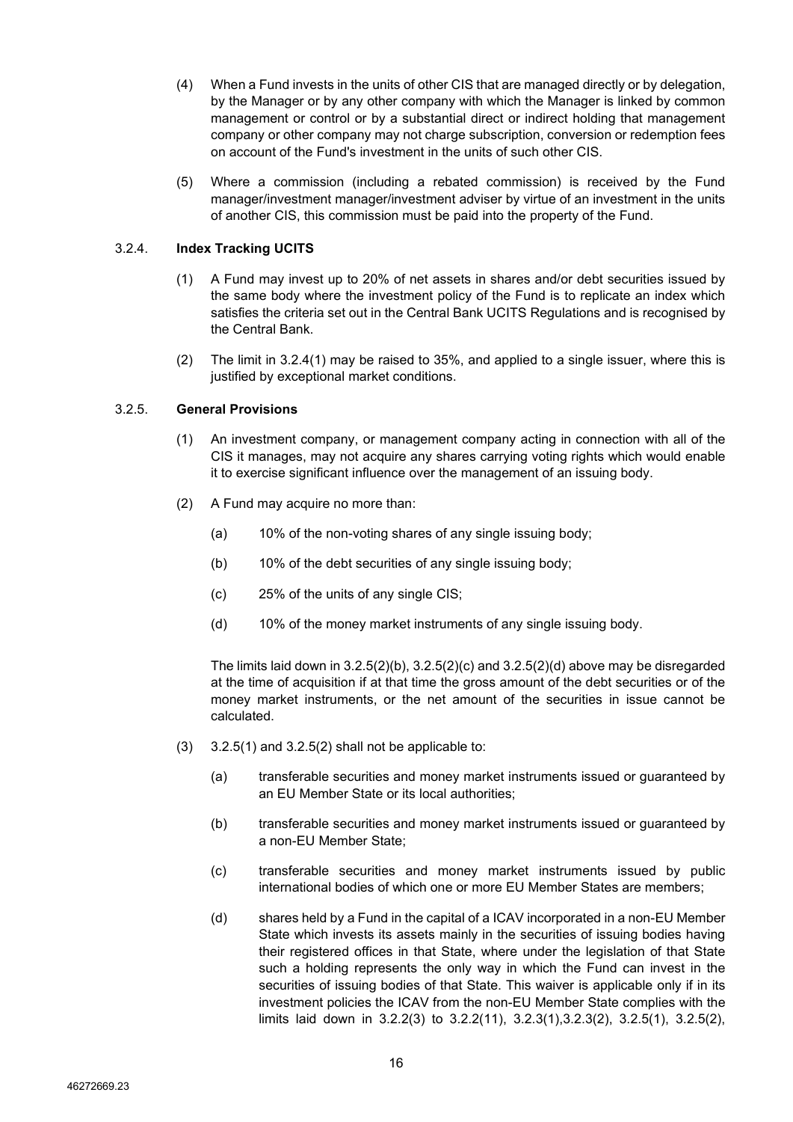- (4) When a Fund invests in the units of other CIS that are managed directly or by delegation, by the Manager or by any other company with which the Manager is linked by common management or control or by a substantial direct or indirect holding that management company or other company may not charge subscription, conversion or redemption fees on account of the Fund's investment in the units of such other CIS.
- (5) Where a commission (including a rebated commission) is received by the Fund manager/investment manager/investment adviser by virtue of an investment in the units of another CIS, this commission must be paid into the property of the Fund.

# <span id="page-15-0"></span>3.2.4. **Index Tracking UCITS**

- (1) A Fund may invest up to 20% of net assets in shares and/or debt securities issued by the same body where the investment policy of the Fund is to replicate an index which satisfies the criteria set out in the Central Bank UCITS Regulations and is recognised by the Central Bank.
- (2) The limit in [3.2.4\(1\)](#page-15-0) may be raised to 35%, and applied to a single issuer, where this is justified by exceptional market conditions.

# <span id="page-15-6"></span><span id="page-15-5"></span><span id="page-15-4"></span>3.2.5. **General Provisions**

- (1) An investment company, or management company acting in connection with all of the CIS it manages, may not acquire any shares carrying voting rights which would enable it to exercise significant influence over the management of an issuing body.
- <span id="page-15-3"></span><span id="page-15-2"></span><span id="page-15-1"></span>(2) A Fund may acquire no more than:
	- (a) 10% of the non-voting shares of any single issuing body;
	- (b) 10% of the debt securities of any single issuing body;
	- (c) 25% of the units of any single CIS;
	- (d) 10% of the money market instruments of any single issuing body.

The limits laid down in  $3.2.5(2)(b)$ ,  $3.2.5(2)(c)$  and  $3.2.5(2)(d)$  above may be disregarded at the time of acquisition if at that time the gross amount of the debt securities or of the money market instruments, or the net amount of the securities in issue cannot be calculated.

- $(3)$  [3.2.5\(1\)](#page-15-4) and [3.2.5\(2\)](#page-15-5) shall not be applicable to:
	- (a) transferable securities and money market instruments issued or guaranteed by an EU Member State or its local authorities;
	- (b) transferable securities and money market instruments issued or guaranteed by a non-EU Member State;
	- (c) transferable securities and money market instruments issued by public international bodies of which one or more EU Member States are members;
	- (d) shares held by a Fund in the capital of a ICAV incorporated in a non-EU Member State which invests its assets mainly in the securities of issuing bodies having their registered offices in that State, where under the legislation of that State such a holding represents the only way in which the Fund can invest in the securities of issuing bodies of that State. This waiver is applicable only if in its investment policies the ICAV from the non-EU Member State complies with the limits laid down in [3.2.2\(3\)](#page-13-0) to [3.2.2\(11\),](#page-13-6) [3.2.3\(1\),](#page-14-0)[3.2.3\(2\),](#page-14-1) [3.2.5\(1\),](#page-15-4) [3.2.5\(2\),](#page-15-5)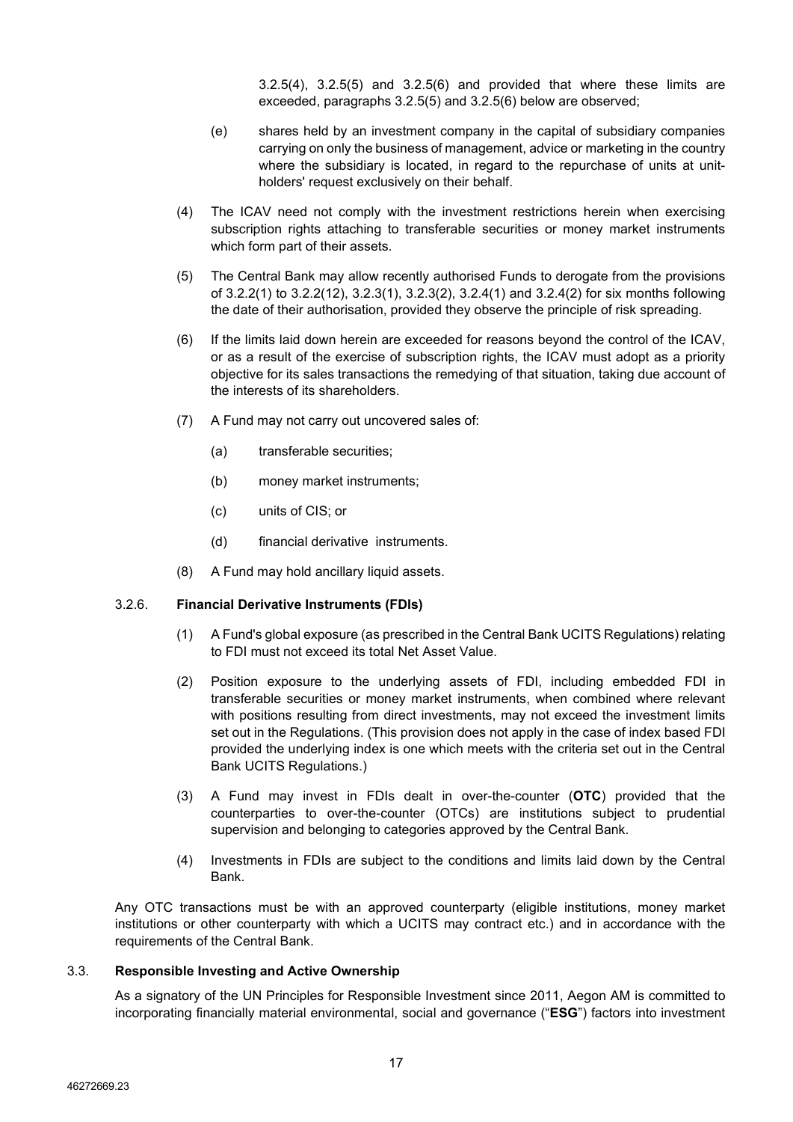[3.2.5\(4\),](#page-16-1) [3.2.5\(5\)](#page-16-2) and [3.2.5\(6\)](#page-16-3) and provided that where these limits are exceeded, paragraphs [3.2.5\(5\)](#page-16-2) and [3.2.5\(6\)](#page-16-3) below are observed;

- (e) shares held by an investment company in the capital of subsidiary companies carrying on only the business of management, advice or marketing in the country where the subsidiary is located, in regard to the repurchase of units at unitholders' request exclusively on their behalf.
- <span id="page-16-1"></span>(4) The ICAV need not comply with the investment restrictions herein when exercising subscription rights attaching to transferable securities or money market instruments which form part of their assets.
- <span id="page-16-2"></span>(5) The Central Bank may allow recently authorised Funds to derogate from the provisions of [3.2.2\(1\)](#page-12-2) to [3.2.2\(12\),](#page-13-7) [3.2.3\(1\),](#page-14-0) [3.2.3\(2\),](#page-14-1) [3.2.4\(1\)](#page-15-0) and [3.2.4\(2\)](#page-15-6) for six months following the date of their authorisation, provided they observe the principle of risk spreading.
- <span id="page-16-3"></span>(6) If the limits laid down herein are exceeded for reasons beyond the control of the ICAV, or as a result of the exercise of subscription rights, the ICAV must adopt as a priority objective for its sales transactions the remedying of that situation, taking due account of the interests of its shareholders.
- (7) A Fund may not carry out uncovered sales of:
	- (a) transferable securities;
	- (b) money market instruments;
	- (c) units of CIS; or
	- (d) financial derivative instruments.
- (8) A Fund may hold ancillary liquid assets.

#### 3.2.6. **Financial Derivative Instruments (FDIs)**

- (1) A Fund's global exposure (as prescribed in the Central Bank UCITS Regulations) relating to FDI must not exceed its total Net Asset Value.
- (2) Position exposure to the underlying assets of FDI, including embedded FDI in transferable securities or money market instruments, when combined where relevant with positions resulting from direct investments, may not exceed the investment limits set out in the Regulations. (This provision does not apply in the case of index based FDI provided the underlying index is one which meets with the criteria set out in the Central Bank UCITS Regulations.)
- (3) A Fund may invest in FDIs dealt in over-the-counter (**OTC**) provided that the counterparties to over-the-counter (OTCs) are institutions subject to prudential supervision and belonging to categories approved by the Central Bank.
- (4) Investments in FDIs are subject to the conditions and limits laid down by the Central Bank.

Any OTC transactions must be with an approved counterparty (eligible institutions, money market institutions or other counterparty with which a UCITS may contract etc.) and in accordance with the requirements of the Central Bank.

## <span id="page-16-0"></span>3.3. **Responsible Investing and Active Ownership**

As a signatory of the UN Principles for Responsible Investment since 2011, Aegon AM is committed to incorporating financially material environmental, social and governance ("**ESG**") factors into investment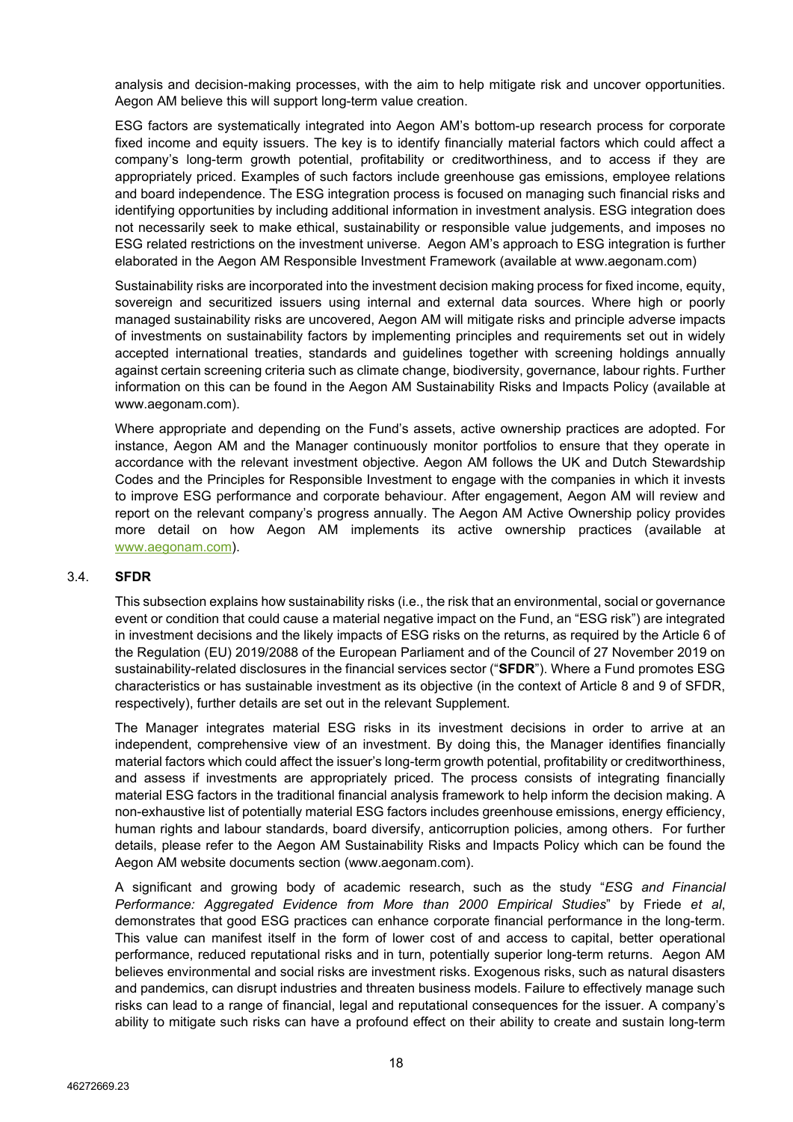analysis and decision-making processes, with the aim to help mitigate risk and uncover opportunities. Aegon AM believe this will support long-term value creation.

ESG factors are systematically integrated into Aegon AM's bottom-up research process for corporate fixed income and equity issuers. The key is to identify financially material factors which could affect a company's long-term growth potential, profitability or creditworthiness, and to access if they are appropriately priced. Examples of such factors include greenhouse gas emissions, employee relations and board independence. The ESG integration process is focused on managing such financial risks and identifying opportunities by including additional information in investment analysis. ESG integration does not necessarily seek to make ethical, sustainability or responsible value judgements, and imposes no ESG related restrictions on the investment universe. Aegon AM's approach to ESG integration is further elaborated in the Aegon AM Responsible Investment Framework (available at [www.aegonam.com\)](https://protect-eu.mimecast.com/s/rmlZCprjFQM9PYfD5oLK?domain=aegonam.com)

Sustainability risks are incorporated into the investment decision making process for fixed income, equity, sovereign and securitized issuers using internal and external data sources. Where high or poorly managed sustainability risks are uncovered, Aegon AM will mitigate risks and principle adverse impacts of investments on sustainability factors by implementing principles and requirements set out in widely accepted international treaties, standards and guidelines together with screening holdings annually against certain screening criteria such as climate change, biodiversity, governance, labour rights. Further information on this can be found in the Aegon AM Sustainability Risks and Impacts Policy (available at [www.aegonam.com\)](https://protect-eu.mimecast.com/s/rmlZCprjFQM9PYfD5oLK?domain=aegonam.com).

Where appropriate and depending on the Fund's assets, active ownership practices are adopted. For instance, Aegon AM and the Manager continuously monitor portfolios to ensure that they operate in accordance with the relevant investment objective. Aegon AM follows the UK and Dutch Stewardship Codes and the Principles for Responsible Investment to engage with the companies in which it invests to improve ESG performance and corporate behaviour. After engagement, Aegon AM will review and report on the relevant company's progress annually. The Aegon AM Active Ownership policy provides more detail on how Aegon AM implements its active ownership practices (available at [www.aegonam.com\)](https://protect-eu.mimecast.com/s/rmlZCprjFQM9PYfD5oLK?domain=aegonam.com).

#### <span id="page-17-0"></span>3.4. **SFDR**

This subsection explains how sustainability risks (i.e., the risk that an environmental, social or governance event or condition that could cause a material negative impact on the Fund, an "ESG risk") are integrated in investment decisions and the likely impacts of ESG risks on the returns, as required by the Article 6 of the Regulation (EU) 2019/2088 of the European Parliament and of the Council of 27 November 2019 on sustainability-related disclosures in the financial services sector ("**SFDR**"). Where a Fund promotes ESG characteristics or has sustainable investment as its objective (in the context of Article 8 and 9 of SFDR, respectively), further details are set out in the relevant Supplement.

The Manager integrates material ESG risks in its investment decisions in order to arrive at an independent, comprehensive view of an investment. By doing this, the Manager identifies financially material factors which could affect the issuer's long-term growth potential, profitability or creditworthiness, and assess if investments are appropriately priced. The process consists of integrating financially material ESG factors in the traditional financial analysis framework to help inform the decision making. A non-exhaustive list of potentially material ESG factors includes greenhouse emissions, energy efficiency, human rights and labour standards, board diversify, anticorruption policies, among others. For further details, please refer to the Aegon AM Sustainability Risks and Impacts Policy which can be found the Aegon AM website documents section (www.aegonam.com).

A significant and growing body of academic research, such as the study "*ESG and Financial Performance: Aggregated Evidence from More than 2000 Empirical Studies*" by Friede *et al*, demonstrates that good ESG practices can enhance corporate financial performance in the long-term. This value can manifest itself in the form of lower cost of and access to capital, better operational performance, reduced reputational risks and in turn, potentially superior long-term returns. Aegon AM believes environmental and social risks are investment risks. Exogenous risks, such as natural disasters and pandemics, can disrupt industries and threaten business models. Failure to effectively manage such risks can lead to a range of financial, legal and reputational consequences for the issuer. A company's ability to mitigate such risks can have a profound effect on their ability to create and sustain long-term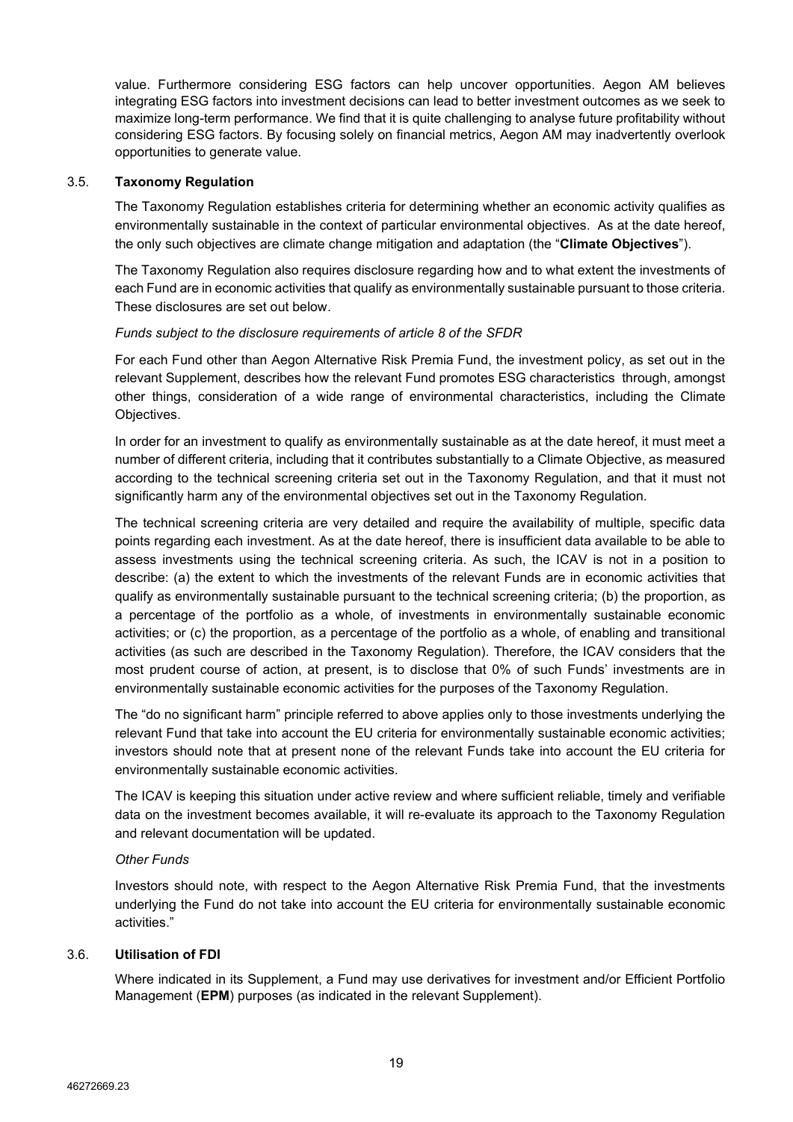value. Furthermore considering ESG factors can help uncover opportunities. Aegon AM believes integrating ESG factors into investment decisions can lead to better investment outcomes as we seek to maximize long-term performance. We find that it is quite challenging to analyse future profitability without considering ESG factors. By focusing solely on financial metrics, Aegon AM may inadvertently overlook opportunities to generate value.

## 3.5. **Taxonomy Regulation**

The Taxonomy Regulation establishes criteria for determining whether an economic activity qualifies as environmentally sustainable in the context of particular environmental objectives. As at the date hereof, the only such objectives are climate change mitigation and adaptation (the "**Climate Objectives**").

The Taxonomy Regulation also requires disclosure regarding how and to what extent the investments of each Fund are in economic activities that qualify as environmentally sustainable pursuant to those criteria. These disclosures are set out below.

## *Funds subject to the disclosure requirements of article 8 of the SFDR*

For each Fund other than Aegon Alternative Risk Premia Fund, the investment policy, as set out in the relevant Supplement, describes how the relevant Fund promotes ESG characteristics through, amongst other things, consideration of a wide range of environmental characteristics, including the Climate Objectives.

In order for an investment to qualify as environmentally sustainable as at the date hereof, it must meet a number of different criteria, including that it contributes substantially to a Climate Objective, as measured according to the technical screening criteria set out in the Taxonomy Regulation, and that it must not significantly harm any of the environmental objectives set out in the Taxonomy Regulation.

The technical screening criteria are very detailed and require the availability of multiple, specific data points regarding each investment. As at the date hereof, there is insufficient data available to be able to assess investments using the technical screening criteria. As such, the ICAV is not in a position to describe: (a) the extent to which the investments of the relevant Funds are in economic activities that qualify as environmentally sustainable pursuant to the technical screening criteria; (b) the proportion, as a percentage of the portfolio as a whole, of investments in environmentally sustainable economic activities; or (c) the proportion, as a percentage of the portfolio as a whole, of enabling and transitional activities (as such are described in the Taxonomy Regulation). Therefore, the ICAV considers that the most prudent course of action, at present, is to disclose that 0% of such Funds' investments are in environmentally sustainable economic activities for the purposes of the Taxonomy Regulation.

The "do no significant harm" principle referred to above applies only to those investments underlying the relevant Fund that take into account the EU criteria for environmentally sustainable economic activities; investors should note that at present none of the relevant Funds take into account the EU criteria for environmentally sustainable economic activities.

The ICAV is keeping this situation under active review and where sufficient reliable, timely and verifiable data on the investment becomes available, it will re-evaluate its approach to the Taxonomy Regulation and relevant documentation will be updated.

# *Other Funds*

Investors should note, with respect to the Aegon Alternative Risk Premia Fund, that the investments underlying the Fund do not take into account the EU criteria for environmentally sustainable economic activities."

# <span id="page-18-0"></span>3.6. **Utilisation of FDI**

Where indicated in its Supplement, a Fund may use derivatives for investment and/or Efficient Portfolio Management (**EPM**) purposes (as indicated in the relevant Supplement).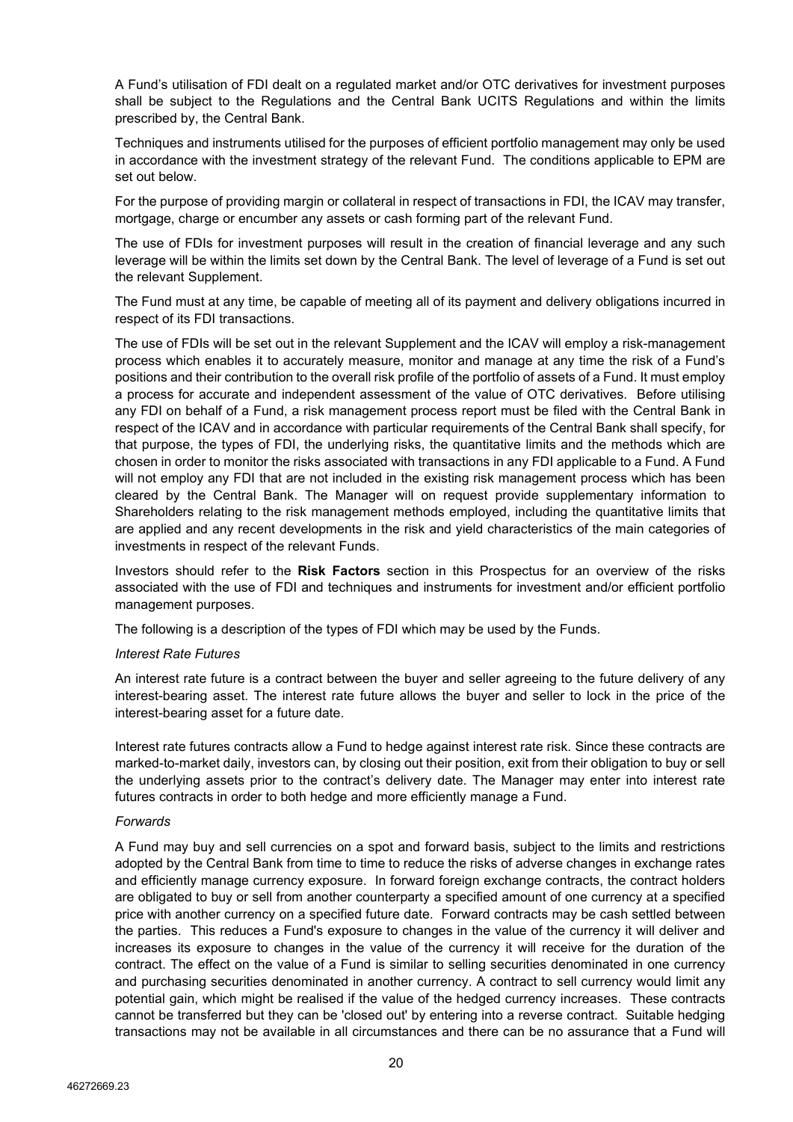A Fund's utilisation of FDI dealt on a regulated market and/or OTC derivatives for investment purposes shall be subject to the Regulations and the Central Bank UCITS Regulations and within the limits prescribed by, the Central Bank.

Techniques and instruments utilised for the purposes of efficient portfolio management may only be used in accordance with the investment strategy of the relevant Fund. The conditions applicable to EPM are set out below.

For the purpose of providing margin or collateral in respect of transactions in FDI, the ICAV may transfer, mortgage, charge or encumber any assets or cash forming part of the relevant Fund.

The use of FDIs for investment purposes will result in the creation of financial leverage and any such leverage will be within the limits set down by the Central Bank. The level of leverage of a Fund is set out the relevant Supplement.

The Fund must at any time, be capable of meeting all of its payment and delivery obligations incurred in respect of its FDI transactions.

The use of FDIs will be set out in the relevant Supplement and the ICAV will employ a risk-management process which enables it to accurately measure, monitor and manage at any time the risk of a Fund's positions and their contribution to the overall risk profile of the portfolio of assets of a Fund. It must employ a process for accurate and independent assessment of the value of OTC derivatives. Before utilising any FDI on behalf of a Fund, a risk management process report must be filed with the Central Bank in respect of the ICAV and in accordance with particular requirements of the Central Bank shall specify, for that purpose, the types of FDI, the underlying risks, the quantitative limits and the methods which are chosen in order to monitor the risks associated with transactions in any FDI applicable to a Fund. A Fund will not employ any FDI that are not included in the existing risk management process which has been cleared by the Central Bank. The Manager will on request provide supplementary information to Shareholders relating to the risk management methods employed, including the quantitative limits that are applied and any recent developments in the risk and yield characteristics of the main categories of investments in respect of the relevant Funds.

Investors should refer to the **Risk Factors** section in this Prospectus for an overview of the risks associated with the use of FDI and techniques and instruments for investment and/or efficient portfolio management purposes.

The following is a description of the types of FDI which may be used by the Funds.

#### *Interest Rate Futures*

An interest rate future is a contract between the buyer and seller agreeing to the future delivery of any interest-bearing asset. The interest rate future allows the buyer and seller to lock in the price of the interest-bearing asset for a future date.

Interest rate futures contracts allow a Fund to hedge against interest rate risk. Since these contracts are marked-to-market daily, investors can, by closing out their position, exit from their obligation to buy or sell the underlying assets prior to the contract's delivery date. The Manager may enter into interest rate futures contracts in order to both hedge and more efficiently manage a Fund.

# *Forwards*

A Fund may buy and sell currencies on a spot and forward basis, subject to the limits and restrictions adopted by the Central Bank from time to time to reduce the risks of adverse changes in exchange rates and efficiently manage currency exposure. In forward foreign exchange contracts, the contract holders are obligated to buy or sell from another counterparty a specified amount of one currency at a specified price with another currency on a specified future date. Forward contracts may be cash settled between the parties. This reduces a Fund's exposure to changes in the value of the currency it will deliver and increases its exposure to changes in the value of the currency it will receive for the duration of the contract. The effect on the value of a Fund is similar to selling securities denominated in one currency and purchasing securities denominated in another currency. A contract to sell currency would limit any potential gain, which might be realised if the value of the hedged currency increases. These contracts cannot be transferred but they can be 'closed out' by entering into a reverse contract. Suitable hedging transactions may not be available in all circumstances and there can be no assurance that a Fund will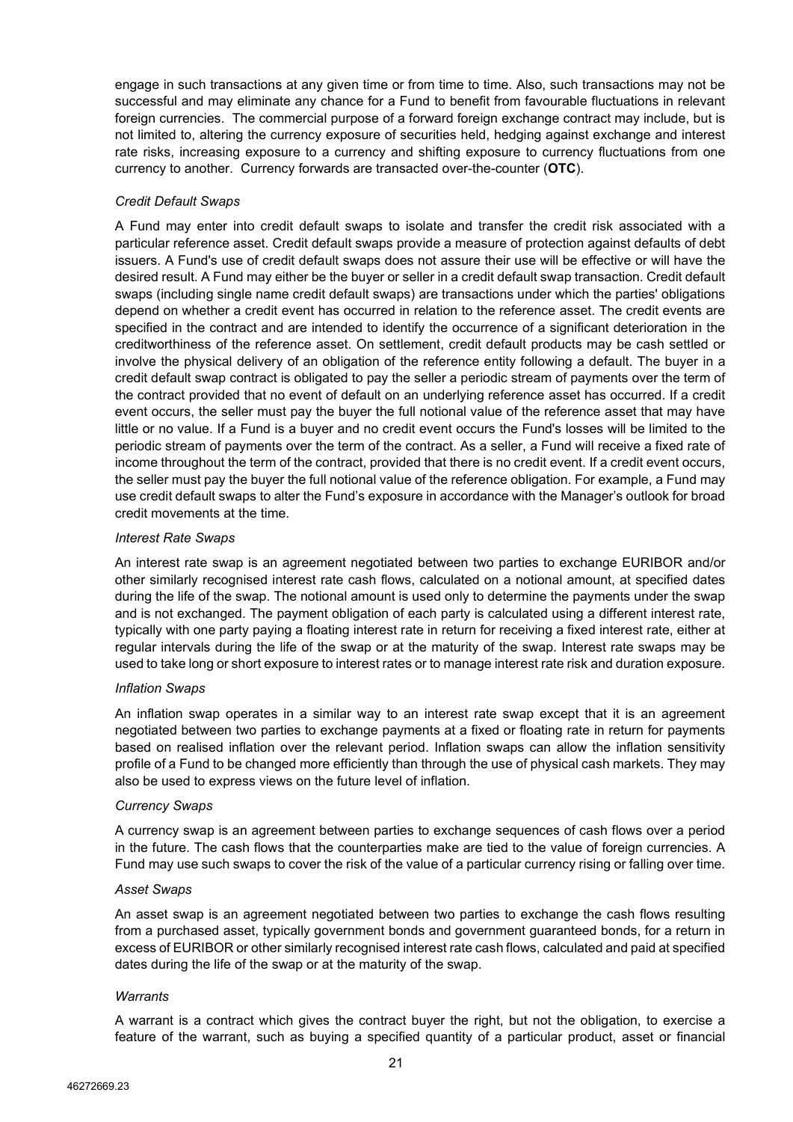engage in such transactions at any given time or from time to time. Also, such transactions may not be successful and may eliminate any chance for a Fund to benefit from favourable fluctuations in relevant foreign currencies. The commercial purpose of a forward foreign exchange contract may include, but is not limited to, altering the currency exposure of securities held, hedging against exchange and interest rate risks, increasing exposure to a currency and shifting exposure to currency fluctuations from one currency to another. Currency forwards are transacted over-the-counter (**OTC**).

# *Credit Default Swaps*

A Fund may enter into credit default swaps to isolate and transfer the credit risk associated with a particular reference asset. Credit default swaps provide a measure of protection against defaults of debt issuers. A Fund's use of credit default swaps does not assure their use will be effective or will have the desired result. A Fund may either be the buyer or seller in a credit default swap transaction. Credit default swaps (including single name credit default swaps) are transactions under which the parties' obligations depend on whether a credit event has occurred in relation to the reference asset. The credit events are specified in the contract and are intended to identify the occurrence of a significant deterioration in the creditworthiness of the reference asset. On settlement, credit default products may be cash settled or involve the physical delivery of an obligation of the reference entity following a default. The buyer in a credit default swap contract is obligated to pay the seller a periodic stream of payments over the term of the contract provided that no event of default on an underlying reference asset has occurred. If a credit event occurs, the seller must pay the buyer the full notional value of the reference asset that may have little or no value. If a Fund is a buyer and no credit event occurs the Fund's losses will be limited to the periodic stream of payments over the term of the contract. As a seller, a Fund will receive a fixed rate of income throughout the term of the contract, provided that there is no credit event. If a credit event occurs, the seller must pay the buyer the full notional value of the reference obligation. For example, a Fund may use credit default swaps to alter the Fund's exposure in accordance with the Manager's outlook for broad credit movements at the time.

# *Interest Rate Swaps*

An interest rate swap is an agreement negotiated between two parties to exchange EURIBOR and/or other similarly recognised interest rate cash flows, calculated on a notional amount, at specified dates during the life of the swap. The notional amount is used only to determine the payments under the swap and is not exchanged. The payment obligation of each party is calculated using a different interest rate, typically with one party paying a floating interest rate in return for receiving a fixed interest rate, either at regular intervals during the life of the swap or at the maturity of the swap. Interest rate swaps may be used to take long or short exposure to interest rates or to manage interest rate risk and duration exposure.

# *Inflation Swaps*

An inflation swap operates in a similar way to an interest rate swap except that it is an agreement negotiated between two parties to exchange payments at a fixed or floating rate in return for payments based on realised inflation over the relevant period. Inflation swaps can allow the inflation sensitivity profile of a Fund to be changed more efficiently than through the use of physical cash markets. They may also be used to express views on the future level of inflation.

# *Currency Swaps*

A currency swap is an agreement between parties to exchange sequences of cash flows over a period in the future. The cash flows that the counterparties make are tied to the value of foreign currencies. A Fund may use such swaps to cover the risk of the value of a particular currency rising or falling over time.

# *Asset Swaps*

An asset swap is an agreement negotiated between two parties to exchange the cash flows resulting from a purchased asset, typically government bonds and government guaranteed bonds, for a return in excess of EURIBOR or other similarly recognised interest rate cash flows, calculated and paid at specified dates during the life of the swap or at the maturity of the swap.

# *Warrants*

A warrant is a contract which gives the contract buyer the right, but not the obligation, to exercise a feature of the warrant, such as buying a specified quantity of a particular product, asset or financial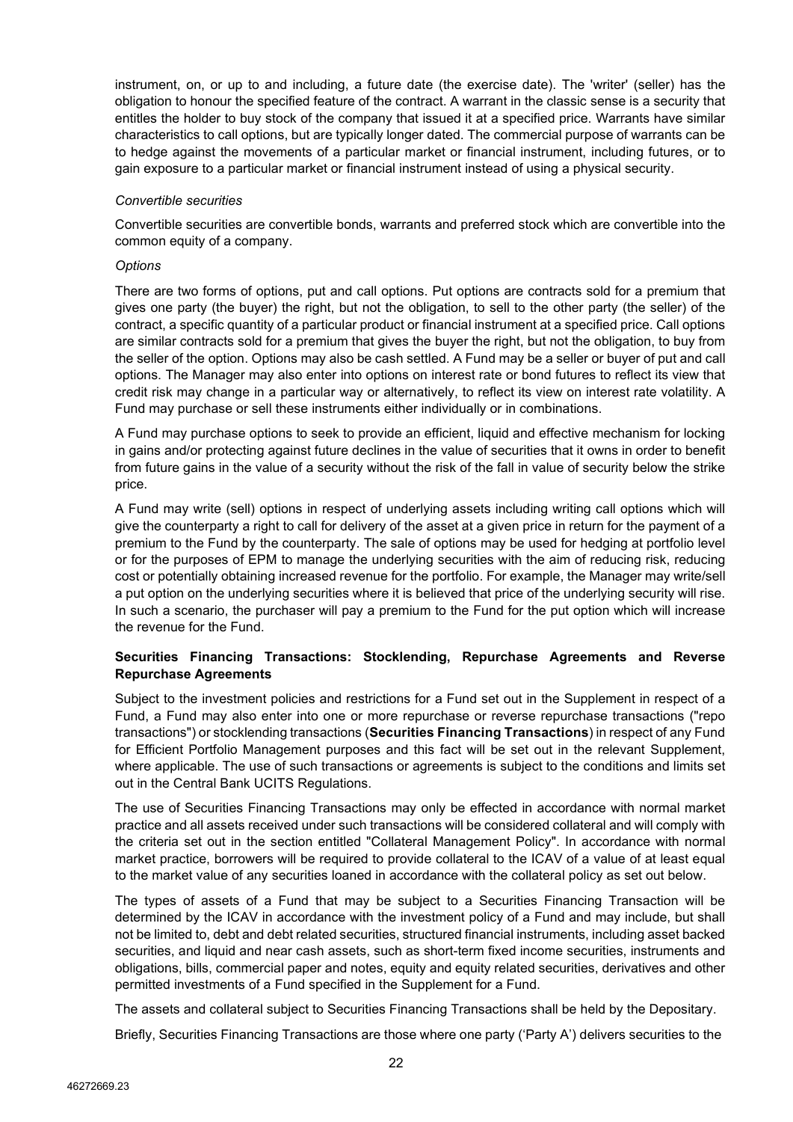instrument, on, or up to and including, a future date (the exercise date). The 'writer' (seller) has the obligation to honour the specified feature of the contract. A warrant in the classic sense is a security that entitles the holder to buy stock of the company that issued it at a specified price. Warrants have similar characteristics to call options, but are typically longer dated. The commercial purpose of warrants can be to hedge against the movements of a particular market or financial instrument, including futures, or to gain exposure to a particular market or financial instrument instead of using a physical security.

# *Convertible securities*

Convertible securities are convertible bonds, warrants and preferred stock which are convertible into the common equity of a company.

## *Options*

There are two forms of options, put and call options. Put options are contracts sold for a premium that gives one party (the buyer) the right, but not the obligation, to sell to the other party (the seller) of the contract, a specific quantity of a particular product or financial instrument at a specified price. Call options are similar contracts sold for a premium that gives the buyer the right, but not the obligation, to buy from the seller of the option. Options may also be cash settled. A Fund may be a seller or buyer of put and call options. The Manager may also enter into options on interest rate or bond futures to reflect its view that credit risk may change in a particular way or alternatively, to reflect its view on interest rate volatility. A Fund may purchase or sell these instruments either individually or in combinations.

A Fund may purchase options to seek to provide an efficient, liquid and effective mechanism for locking in gains and/or protecting against future declines in the value of securities that it owns in order to benefit from future gains in the value of a security without the risk of the fall in value of security below the strike price.

A Fund may write (sell) options in respect of underlying assets including writing call options which will give the counterparty a right to call for delivery of the asset at a given price in return for the payment of a premium to the Fund by the counterparty. The sale of options may be used for hedging at portfolio level or for the purposes of EPM to manage the underlying securities with the aim of reducing risk, reducing cost or potentially obtaining increased revenue for the portfolio. For example, the Manager may write/sell a put option on the underlying securities where it is believed that price of the underlying security will rise. In such a scenario, the purchaser will pay a premium to the Fund for the put option which will increase the revenue for the Fund.

# <span id="page-21-0"></span>**Securities Financing Transactions: Stocklending, Repurchase Agreements and Reverse Repurchase Agreements**

Subject to the investment policies and restrictions for a Fund set out in the Supplement in respect of a Fund, a Fund may also enter into one or more repurchase or reverse repurchase transactions ("repo transactions") or stocklending transactions (**Securities Financing Transactions**) in respect of any Fund for Efficient Portfolio Management purposes and this fact will be set out in the relevant Supplement, where applicable. The use of such transactions or agreements is subject to the conditions and limits set out in the Central Bank UCITS Regulations.

The use of Securities Financing Transactions may only be effected in accordance with normal market practice and all assets received under such transactions will be considered collateral and will comply with the criteria set out in the section entitled "Collateral Management Policy". In accordance with normal market practice, borrowers will be required to provide collateral to the ICAV of a value of at least equal to the market value of any securities loaned in accordance with the collateral policy as set out below.

The types of assets of a Fund that may be subject to a Securities Financing Transaction will be determined by the ICAV in accordance with the investment policy of a Fund and may include, but shall not be limited to, debt and debt related securities, structured financial instruments, including asset backed securities, and liquid and near cash assets, such as short-term fixed income securities, instruments and obligations, bills, commercial paper and notes, equity and equity related securities, derivatives and other permitted investments of a Fund specified in the Supplement for a Fund.

The assets and collateral subject to Securities Financing Transactions shall be held by the Depositary.

Briefly, Securities Financing Transactions are those where one party ('Party A') delivers securities to the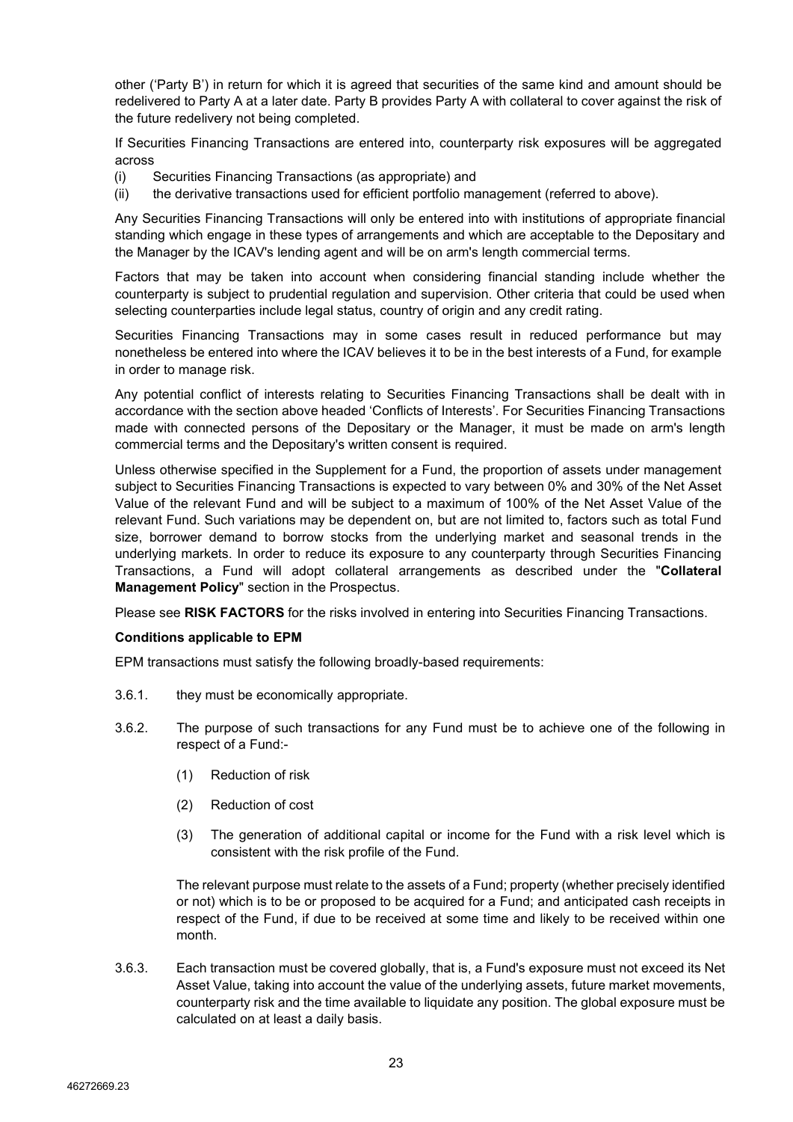other ('Party B') in return for which it is agreed that securities of the same kind and amount should be redelivered to Party A at a later date. Party B provides Party A with collateral to cover against the risk of the future redelivery not being completed.

If Securities Financing Transactions are entered into, counterparty risk exposures will be aggregated across

- (i) Securities Financing Transactions (as appropriate) and
- (ii) the derivative transactions used for efficient portfolio management (referred to above).

Any Securities Financing Transactions will only be entered into with institutions of appropriate financial standing which engage in these types of arrangements and which are acceptable to the Depositary and the Manager by the ICAV's lending agent and will be on arm's length commercial terms.

Factors that may be taken into account when considering financial standing include whether the counterparty is subject to prudential regulation and supervision. Other criteria that could be used when selecting counterparties include legal status, country of origin and any credit rating.

Securities Financing Transactions may in some cases result in reduced performance but may nonetheless be entered into where the ICAV believes it to be in the best interests of a Fund, for example in order to manage risk.

Any potential conflict of interests relating to Securities Financing Transactions shall be dealt with in accordance with the section above headed 'Conflicts of Interests'. For Securities Financing Transactions made with connected persons of the Depositary or the Manager, it must be made on arm's length commercial terms and the Depositary's written consent is required.

Unless otherwise specified in the Supplement for a Fund, the proportion of assets under management subject to Securities Financing Transactions is expected to vary between 0% and 30% of the Net Asset Value of the relevant Fund and will be subject to a maximum of 100% of the Net Asset Value of the relevant Fund. Such variations may be dependent on, but are not limited to, factors such as total Fund size, borrower demand to borrow stocks from the underlying market and seasonal trends in the underlying markets. In order to reduce its exposure to any counterparty through Securities Financing Transactions, a Fund will adopt collateral arrangements as described under the "**Collateral Management Policy**" section in the Prospectus.

Please see **RISK FACTORS** for the risks involved in entering into Securities Financing Transactions.

#### **Conditions applicable to EPM**

EPM transactions must satisfy the following broadly-based requirements:

- 3.6.1. they must be economically appropriate.
- 3.6.2. The purpose of such transactions for any Fund must be to achieve one of the following in respect of a Fund:-
	- (1) Reduction of risk
	- (2) Reduction of cost
	- (3) The generation of additional capital or income for the Fund with a risk level which is consistent with the risk profile of the Fund.

The relevant purpose must relate to the assets of a Fund; property (whether precisely identified or not) which is to be or proposed to be acquired for a Fund; and anticipated cash receipts in respect of the Fund, if due to be received at some time and likely to be received within one month.

3.6.3. Each transaction must be covered globally, that is, a Fund's exposure must not exceed its Net Asset Value, taking into account the value of the underlying assets, future market movements, counterparty risk and the time available to liquidate any position. The global exposure must be calculated on at least a daily basis.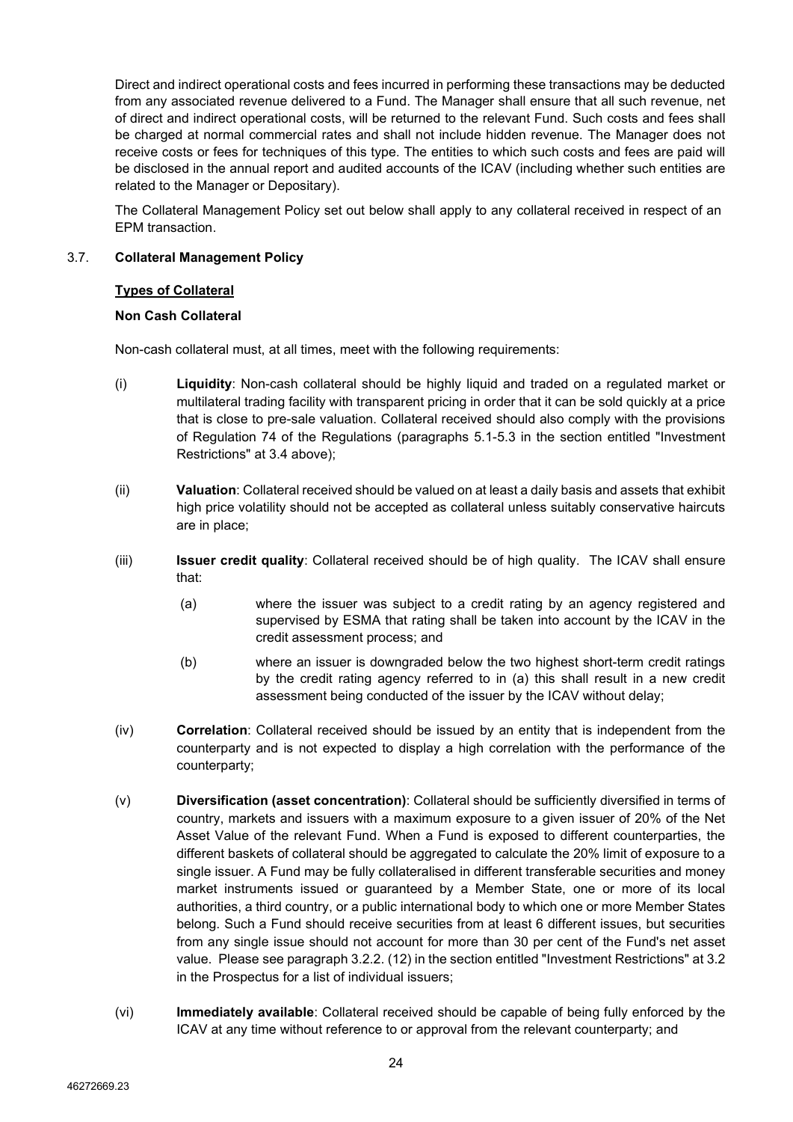Direct and indirect operational costs and fees incurred in performing these transactions may be deducted from any associated revenue delivered to a Fund. The Manager shall ensure that all such revenue, net of direct and indirect operational costs, will be returned to the relevant Fund. Such costs and fees shall be charged at normal commercial rates and shall not include hidden revenue. The Manager does not receive costs or fees for techniques of this type. The entities to which such costs and fees are paid will be disclosed in the annual report and audited accounts of the ICAV (including whether such entities are related to the Manager or Depositary).

The Collateral Management Policy set out below shall apply to any collateral received in respect of an EPM transaction.

# <span id="page-23-0"></span>3.7. **Collateral Management Policy**

# **Types of Collateral**

# **Non Cash Collateral**

Non-cash collateral must, at all times, meet with the following requirements:

- (i) **Liquidity**: Non-cash collateral should be highly liquid and traded on a regulated market or multilateral trading facility with transparent pricing in order that it can be sold quickly at a price that is close to pre-sale valuation. Collateral received should also comply with the provisions of Regulation 74 of the Regulations (paragraphs 5.1-5.3 in the section entitled "Investment Restrictions" at 3.4 above);
- (ii) **Valuation**: Collateral received should be valued on at least a daily basis and assets that exhibit high price volatility should not be accepted as collateral unless suitably conservative haircuts are in place;
- (iii) **Issuer credit quality**: Collateral received should be of high quality. The ICAV shall ensure that:
	- (a) where the issuer was subject to a credit rating by an agency registered and supervised by ESMA that rating shall be taken into account by the ICAV in the credit assessment process; and
	- (b) where an issuer is downgraded below the two highest short-term credit ratings by the credit rating agency referred to in (a) this shall result in a new credit assessment being conducted of the issuer by the ICAV without delay;
- (iv) **Correlation**: Collateral received should be issued by an entity that is independent from the counterparty and is not expected to display a high correlation with the performance of the counterparty;
- (v) **Diversification (asset concentration)**: Collateral should be sufficiently diversified in terms of country, markets and issuers with a maximum exposure to a given issuer of 20% of the Net Asset Value of the relevant Fund. When a Fund is exposed to different counterparties, the different baskets of collateral should be aggregated to calculate the 20% limit of exposure to a single issuer. A Fund may be fully collateralised in different transferable securities and money market instruments issued or guaranteed by a Member State, one or more of its local authorities, a third country, or a public international body to which one or more Member States belong. Such a Fund should receive securities from at least 6 different issues, but securities from any single issue should not account for more than 30 per cent of the Fund's net asset value. Please see paragraph 3.2.2. (12) in the section entitled "Investment Restrictions" at 3.2 in the Prospectus for a list of individual issuers;
- (vi) **Immediately available**: Collateral received should be capable of being fully enforced by the ICAV at any time without reference to or approval from the relevant counterparty; and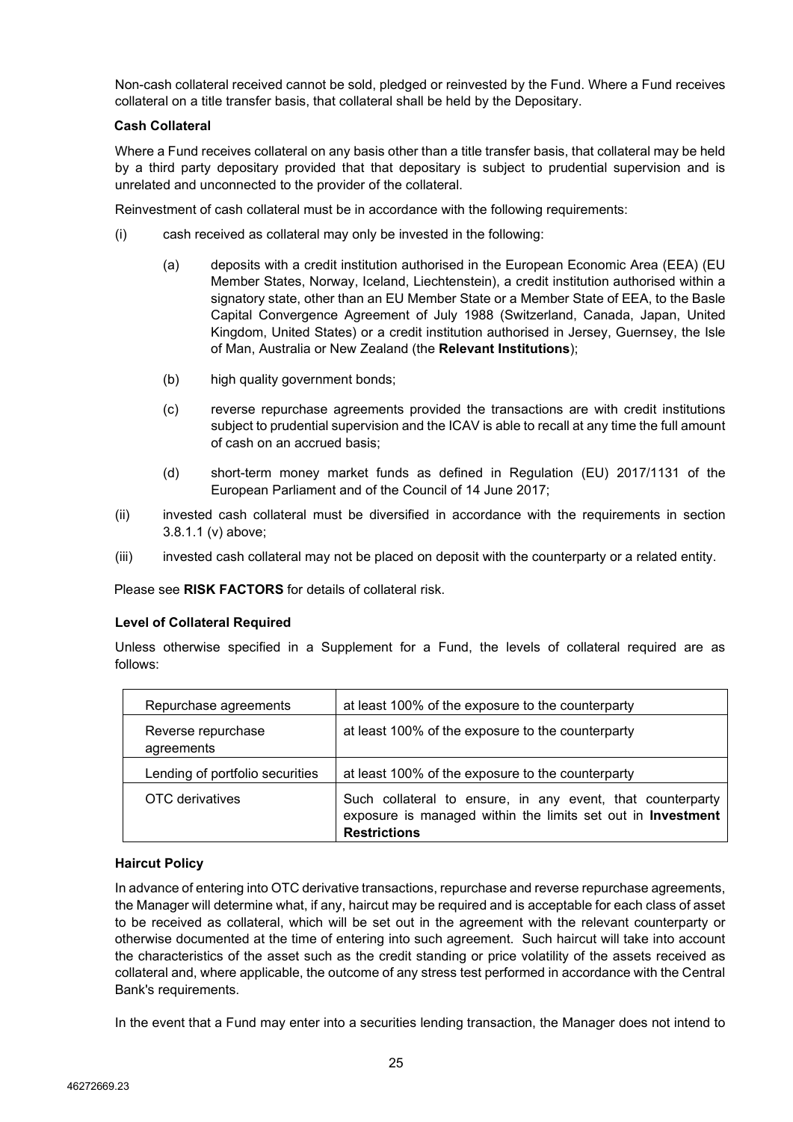Non-cash collateral received cannot be sold, pledged or reinvested by the Fund. Where a Fund receives collateral on a title transfer basis, that collateral shall be held by the Depositary.

# **Cash Collateral**

Where a Fund receives collateral on any basis other than a title transfer basis, that collateral may be held by a third party depositary provided that that depositary is subject to prudential supervision and is unrelated and unconnected to the provider of the collateral.

Reinvestment of cash collateral must be in accordance with the following requirements:

- (i) cash received as collateral may only be invested in the following:
	- (a) deposits with a credit institution authorised in the European Economic Area (EEA) (EU Member States, Norway, Iceland, Liechtenstein), a credit institution authorised within a signatory state, other than an EU Member State or a Member State of EEA, to the Basle Capital Convergence Agreement of July 1988 (Switzerland, Canada, Japan, United Kingdom, United States) or a credit institution authorised in Jersey, Guernsey, the Isle of Man, Australia or New Zealand (the **Relevant Institutions**);
	- (b) high quality government bonds;
	- (c) reverse repurchase agreements provided the transactions are with credit institutions subject to prudential supervision and the ICAV is able to recall at any time the full amount of cash on an accrued basis;
	- (d) short-term money market funds as defined in Regulation (EU) 2017/1131 of the European Parliament and of the Council of 14 June 2017;
- (ii) invested cash collateral must be diversified in accordance with the requirements in section 3.8.1.1 (v) above;
- (iii) invested cash collateral may not be placed on deposit with the counterparty or a related entity.

Please see **RISK FACTORS** for details of collateral risk.

# **Level of Collateral Required**

Unless otherwise specified in a Supplement for a Fund, the levels of collateral required are as follows:

| Repurchase agreements            | at least 100% of the exposure to the counterparty                                                                                                |
|----------------------------------|--------------------------------------------------------------------------------------------------------------------------------------------------|
| Reverse repurchase<br>agreements | at least 100% of the exposure to the counterparty                                                                                                |
| Lending of portfolio securities  | at least 100% of the exposure to the counterparty                                                                                                |
| OTC derivatives                  | Such collateral to ensure, in any event, that counterparty<br>exposure is managed within the limits set out in Investment<br><b>Restrictions</b> |

#### **Haircut Policy**

In advance of entering into OTC derivative transactions, repurchase and reverse repurchase agreements, the Manager will determine what, if any, haircut may be required and is acceptable for each class of asset to be received as collateral, which will be set out in the agreement with the relevant counterparty or otherwise documented at the time of entering into such agreement. Such haircut will take into account the characteristics of the asset such as the credit standing or price volatility of the assets received as collateral and, where applicable, the outcome of any stress test performed in accordance with the Central Bank's requirements.

In the event that a Fund may enter into a securities lending transaction, the Manager does not intend to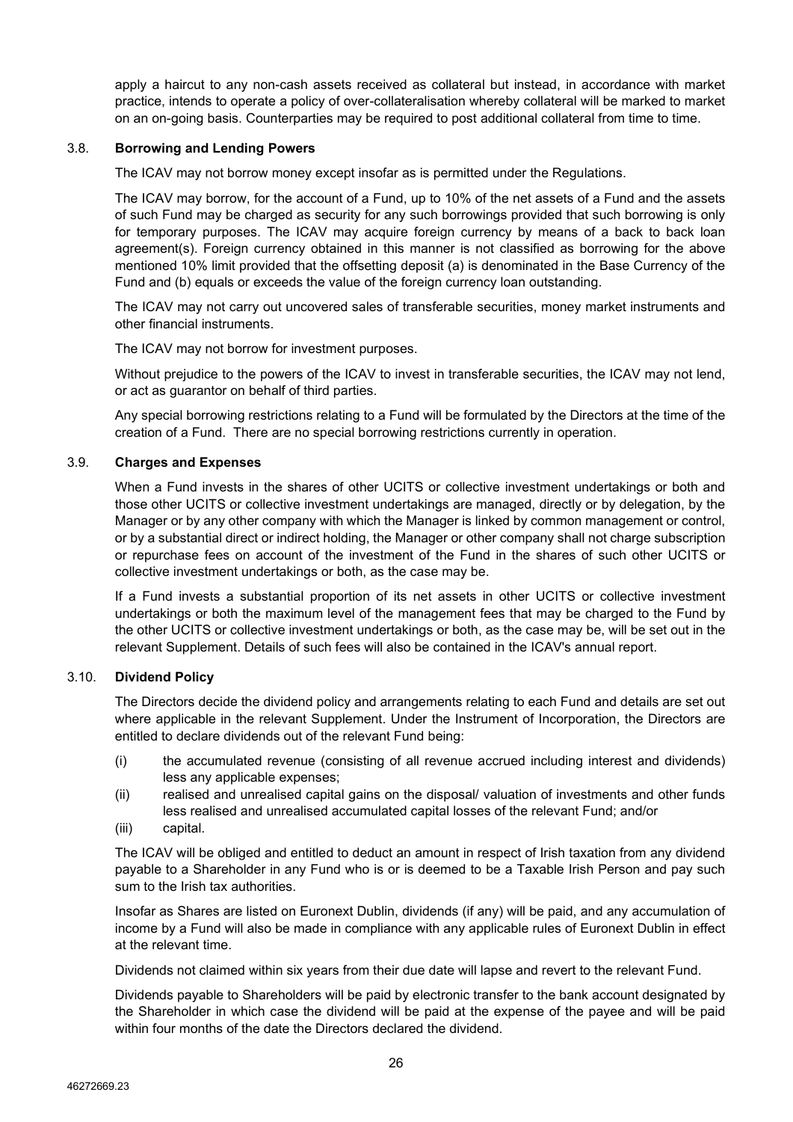apply a haircut to any non-cash assets received as collateral but instead, in accordance with market practice, intends to operate a policy of over-collateralisation whereby collateral will be marked to market on an on-going basis. Counterparties may be required to post additional collateral from time to time.

## <span id="page-25-0"></span>3.8. **Borrowing and Lending Powers**

The ICAV may not borrow money except insofar as is permitted under the Regulations.

The ICAV may borrow, for the account of a Fund, up to 10% of the net assets of a Fund and the assets of such Fund may be charged as security for any such borrowings provided that such borrowing is only for temporary purposes. The ICAV may acquire foreign currency by means of a back to back loan agreement(s). Foreign currency obtained in this manner is not classified as borrowing for the above mentioned 10% limit provided that the offsetting deposit (a) is denominated in the Base Currency of the Fund and (b) equals or exceeds the value of the foreign currency loan outstanding.

The ICAV may not carry out uncovered sales of transferable securities, money market instruments and other financial instruments.

The ICAV may not borrow for investment purposes.

Without prejudice to the powers of the ICAV to invest in transferable securities, the ICAV may not lend, or act as guarantor on behalf of third parties.

Any special borrowing restrictions relating to a Fund will be formulated by the Directors at the time of the creation of a Fund. There are no special borrowing restrictions currently in operation.

# <span id="page-25-1"></span>3.9. **Charges and Expenses**

When a Fund invests in the shares of other UCITS or collective investment undertakings or both and those other UCITS or collective investment undertakings are managed, directly or by delegation, by the Manager or by any other company with which the Manager is linked by common management or control, or by a substantial direct or indirect holding, the Manager or other company shall not charge subscription or repurchase fees on account of the investment of the Fund in the shares of such other UCITS or collective investment undertakings or both, as the case may be.

If a Fund invests a substantial proportion of its net assets in other UCITS or collective investment undertakings or both the maximum level of the management fees that may be charged to the Fund by the other UCITS or collective investment undertakings or both, as the case may be, will be set out in the relevant Supplement. Details of such fees will also be contained in the ICAV's annual report.

#### <span id="page-25-2"></span>3.10. **Dividend Policy**

The Directors decide the dividend policy and arrangements relating to each Fund and details are set out where applicable in the relevant Supplement. Under the Instrument of Incorporation, the Directors are entitled to declare dividends out of the relevant Fund being:

- (i) the accumulated revenue (consisting of all revenue accrued including interest and dividends) less any applicable expenses;
- (ii) realised and unrealised capital gains on the disposal/ valuation of investments and other funds less realised and unrealised accumulated capital losses of the relevant Fund; and/or
- (iii) capital.

The ICAV will be obliged and entitled to deduct an amount in respect of Irish taxation from any dividend payable to a Shareholder in any Fund who is or is deemed to be a Taxable Irish Person and pay such sum to the Irish tax authorities.

Insofar as Shares are listed on Euronext Dublin, dividends (if any) will be paid, and any accumulation of income by a Fund will also be made in compliance with any applicable rules of Euronext Dublin in effect at the relevant time.

Dividends not claimed within six years from their due date will lapse and revert to the relevant Fund.

Dividends payable to Shareholders will be paid by electronic transfer to the bank account designated by the Shareholder in which case the dividend will be paid at the expense of the payee and will be paid within four months of the date the Directors declared the dividend.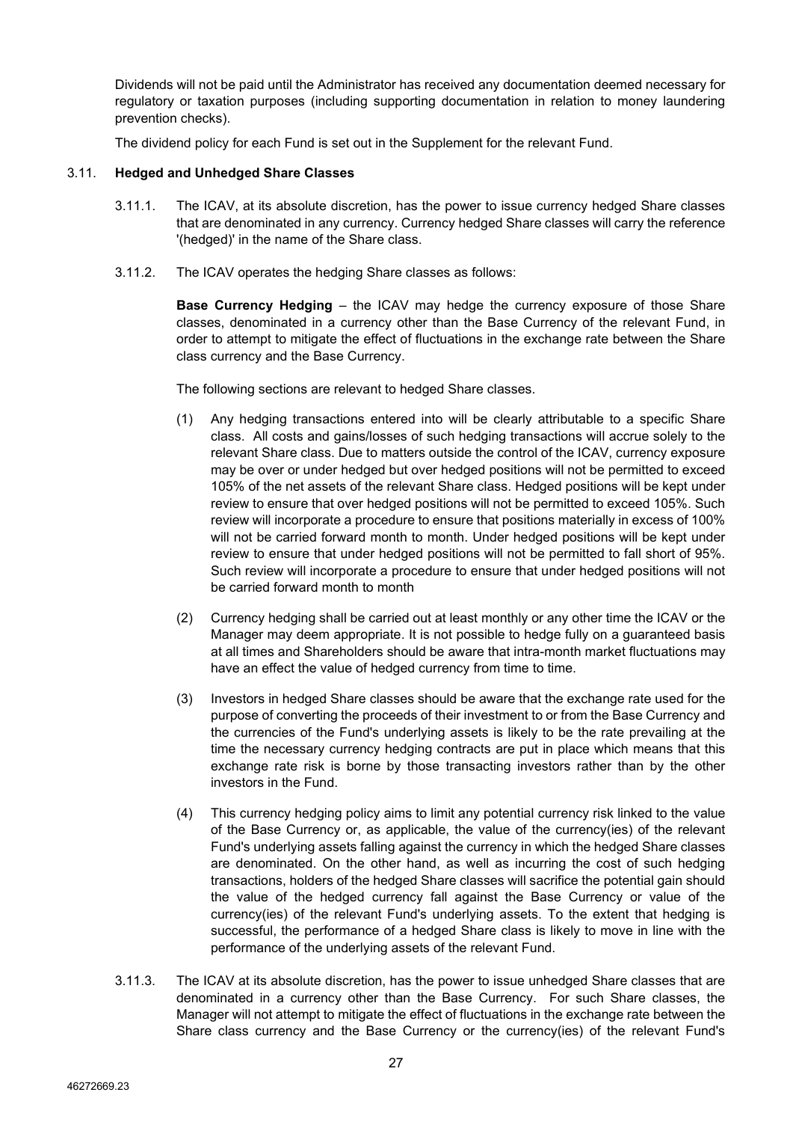Dividends will not be paid until the Administrator has received any documentation deemed necessary for regulatory or taxation purposes (including supporting documentation in relation to money laundering prevention checks).

The dividend policy for each Fund is set out in the Supplement for the relevant Fund.

## <span id="page-26-0"></span>3.11. **Hedged and Unhedged Share Classes**

- 3.11.1. The ICAV, at its absolute discretion, has the power to issue currency hedged Share classes that are denominated in any currency. Currency hedged Share classes will carry the reference '(hedged)' in the name of the Share class.
- 3.11.2. The ICAV operates the hedging Share classes as follows:

**Base Currency Hedging** – the ICAV may hedge the currency exposure of those Share classes, denominated in a currency other than the Base Currency of the relevant Fund, in order to attempt to mitigate the effect of fluctuations in the exchange rate between the Share class currency and the Base Currency.

The following sections are relevant to hedged Share classes.

- (1) Any hedging transactions entered into will be clearly attributable to a specific Share class. All costs and gains/losses of such hedging transactions will accrue solely to the relevant Share class. Due to matters outside the control of the ICAV, currency exposure may be over or under hedged but over hedged positions will not be permitted to exceed 105% of the net assets of the relevant Share class. Hedged positions will be kept under review to ensure that over hedged positions will not be permitted to exceed 105%. Such review will incorporate a procedure to ensure that positions materially in excess of 100% will not be carried forward month to month. Under hedged positions will be kept under review to ensure that under hedged positions will not be permitted to fall short of 95%. Such review will incorporate a procedure to ensure that under hedged positions will not be carried forward month to month
- (2) Currency hedging shall be carried out at least monthly or any other time the ICAV or the Manager may deem appropriate. It is not possible to hedge fully on a guaranteed basis at all times and Shareholders should be aware that intra-month market fluctuations may have an effect the value of hedged currency from time to time.
- (3) Investors in hedged Share classes should be aware that the exchange rate used for the purpose of converting the proceeds of their investment to or from the Base Currency and the currencies of the Fund's underlying assets is likely to be the rate prevailing at the time the necessary currency hedging contracts are put in place which means that this exchange rate risk is borne by those transacting investors rather than by the other investors in the Fund.
- (4) This currency hedging policy aims to limit any potential currency risk linked to the value of the Base Currency or, as applicable, the value of the currency(ies) of the relevant Fund's underlying assets falling against the currency in which the hedged Share classes are denominated. On the other hand, as well as incurring the cost of such hedging transactions, holders of the hedged Share classes will sacrifice the potential gain should the value of the hedged currency fall against the Base Currency or value of the currency(ies) of the relevant Fund's underlying assets. To the extent that hedging is successful, the performance of a hedged Share class is likely to move in line with the performance of the underlying assets of the relevant Fund.
- 3.11.3. The ICAV at its absolute discretion, has the power to issue unhedged Share classes that are denominated in a currency other than the Base Currency. For such Share classes, the Manager will not attempt to mitigate the effect of fluctuations in the exchange rate between the Share class currency and the Base Currency or the currency(ies) of the relevant Fund's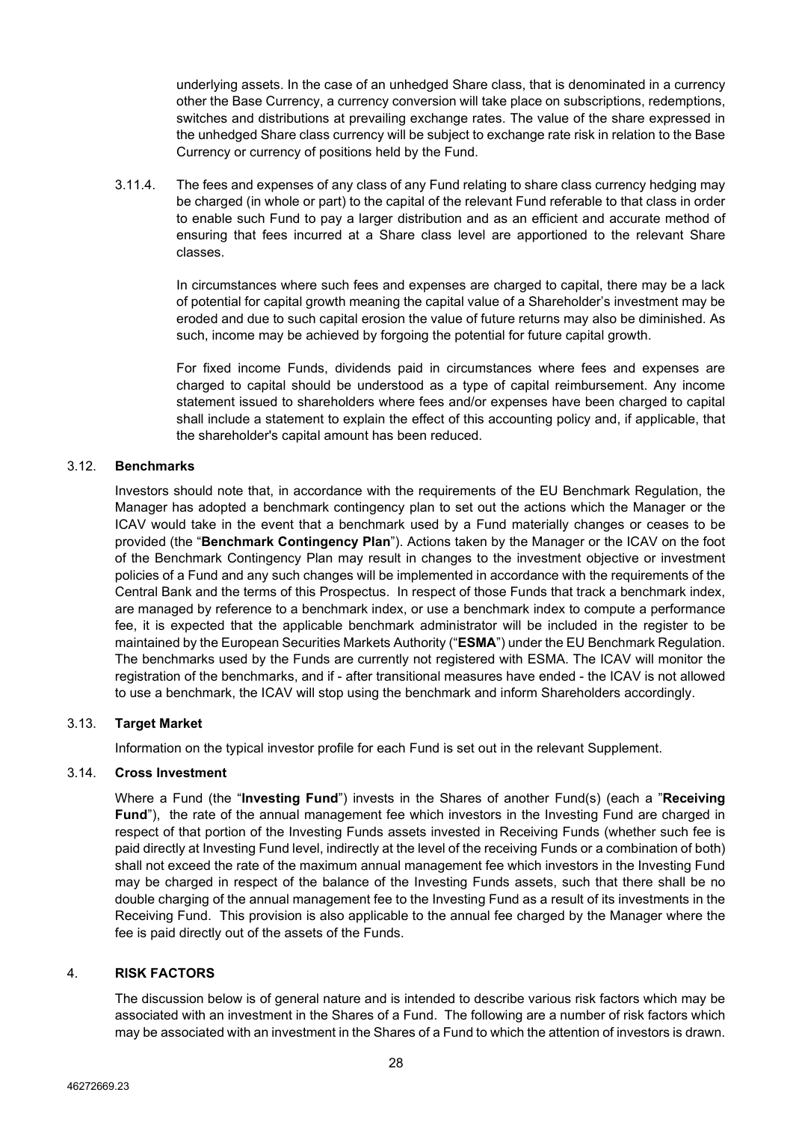underlying assets. In the case of an unhedged Share class, that is denominated in a currency other the Base Currency, a currency conversion will take place on subscriptions, redemptions, switches and distributions at prevailing exchange rates. The value of the share expressed in the unhedged Share class currency will be subject to exchange rate risk in relation to the Base Currency or currency of positions held by the Fund.

3.11.4. The fees and expenses of any class of any Fund relating to share class currency hedging may be charged (in whole or part) to the capital of the relevant Fund referable to that class in order to enable such Fund to pay a larger distribution and as an efficient and accurate method of ensuring that fees incurred at a Share class level are apportioned to the relevant Share classes.

> In circumstances where such fees and expenses are charged to capital, there may be a lack of potential for capital growth meaning the capital value of a Shareholder's investment may be eroded and due to such capital erosion the value of future returns may also be diminished. As such, income may be achieved by forgoing the potential for future capital growth.

> For fixed income Funds, dividends paid in circumstances where fees and expenses are charged to capital should be understood as a type of capital reimbursement. Any income statement issued to shareholders where fees and/or expenses have been charged to capital shall include a statement to explain the effect of this accounting policy and, if applicable, that the shareholder's capital amount has been reduced.

# <span id="page-27-0"></span>3.12. **Benchmarks**

Investors should note that, in accordance with the requirements of the EU Benchmark Regulation, the Manager has adopted a benchmark contingency plan to set out the actions which the Manager or the ICAV would take in the event that a benchmark used by a Fund materially changes or ceases to be provided (the "**Benchmark Contingency Plan**"). Actions taken by the Manager or the ICAV on the foot of the Benchmark Contingency Plan may result in changes to the investment objective or investment policies of a Fund and any such changes will be implemented in accordance with the requirements of the Central Bank and the terms of this Prospectus. In respect of those Funds that track a benchmark index, are managed by reference to a benchmark index, or use a benchmark index to compute a performance fee, it is expected that the applicable benchmark administrator will be included in the register to be maintained by the European Securities Markets Authority ("**ESMA**") under the EU Benchmark Regulation. The benchmarks used by the Funds are currently not registered with ESMA. The ICAV will monitor the registration of the benchmarks, and if - after transitional measures have ended - the ICAV is not allowed to use a benchmark, the ICAV will stop using the benchmark and inform Shareholders accordingly.

# <span id="page-27-1"></span>3.13. **Target Market**

Information on the typical investor profile for each Fund is set out in the relevant Supplement.

#### 3.14. **Cross Investment**

Where a Fund (the "**Investing Fund**") invests in the Shares of another Fund(s) (each a "**Receiving Fund**"), the rate of the annual management fee which investors in the Investing Fund are charged in respect of that portion of the Investing Funds assets invested in Receiving Funds (whether such fee is paid directly at Investing Fund level, indirectly at the level of the receiving Funds or a combination of both) shall not exceed the rate of the maximum annual management fee which investors in the Investing Fund may be charged in respect of the balance of the Investing Funds assets, such that there shall be no double charging of the annual management fee to the Investing Fund as a result of its investments in the Receiving Fund. This provision is also applicable to the annual fee charged by the Manager where the fee is paid directly out of the assets of the Funds.

#### <span id="page-27-2"></span>4. **RISK FACTORS**

The discussion below is of general nature and is intended to describe various risk factors which may be associated with an investment in the Shares of a Fund. The following are a number of risk factors which may be associated with an investment in the Shares of a Fund to which the attention of investors is drawn.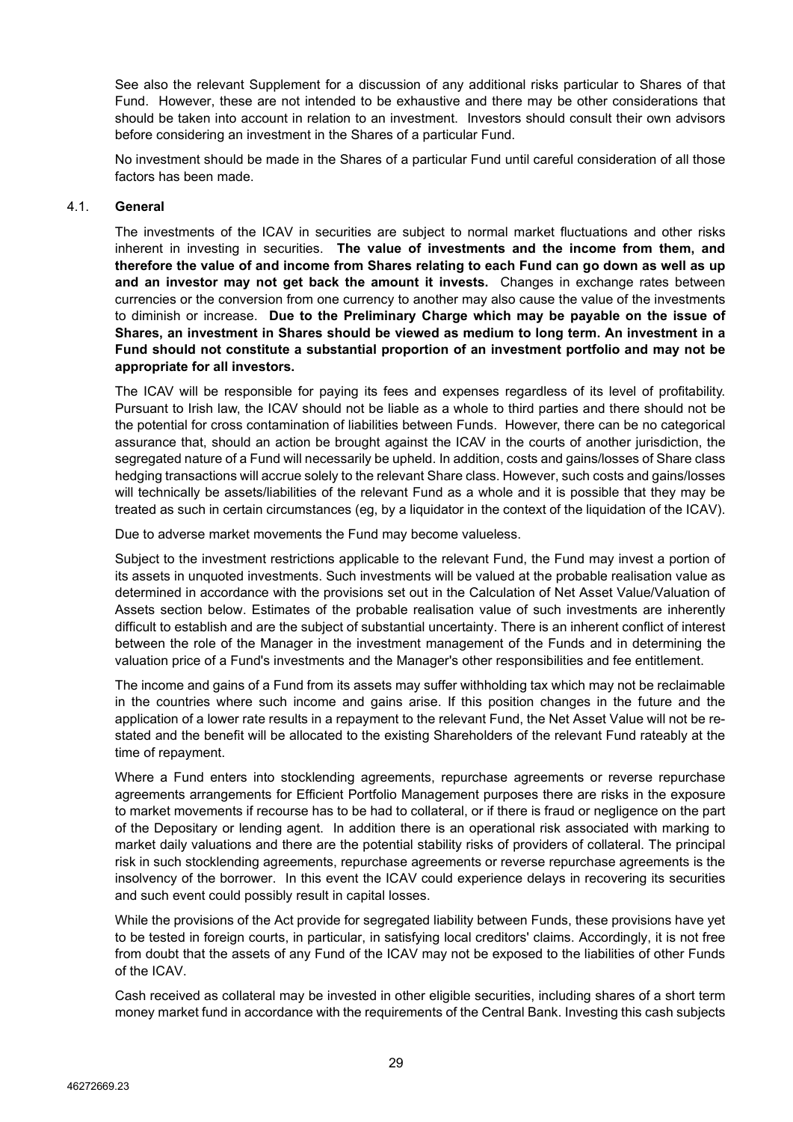See also the relevant Supplement for a discussion of any additional risks particular to Shares of that Fund. However, these are not intended to be exhaustive and there may be other considerations that should be taken into account in relation to an investment. Investors should consult their own advisors before considering an investment in the Shares of a particular Fund.

No investment should be made in the Shares of a particular Fund until careful consideration of all those factors has been made.

## <span id="page-28-0"></span>4.1. **General**

The investments of the ICAV in securities are subject to normal market fluctuations and other risks inherent in investing in securities. **The value of investments and the income from them, and therefore the value of and income from Shares relating to each Fund can go down as well as up and an investor may not get back the amount it invests.** Changes in exchange rates between currencies or the conversion from one currency to another may also cause the value of the investments to diminish or increase. **Due to the Preliminary Charge which may be payable on the issue of Shares, an investment in Shares should be viewed as medium to long term. An investment in a Fund should not constitute a substantial proportion of an investment portfolio and may not be appropriate for all investors.**

The ICAV will be responsible for paying its fees and expenses regardless of its level of profitability. Pursuant to Irish law, the ICAV should not be liable as a whole to third parties and there should not be the potential for cross contamination of liabilities between Funds. However, there can be no categorical assurance that, should an action be brought against the ICAV in the courts of another jurisdiction, the segregated nature of a Fund will necessarily be upheld. In addition, costs and gains/losses of Share class hedging transactions will accrue solely to the relevant Share class. However, such costs and gains/losses will technically be assets/liabilities of the relevant Fund as a whole and it is possible that they may be treated as such in certain circumstances (eg, by a liquidator in the context of the liquidation of the ICAV).

Due to adverse market movements the Fund may become valueless.

Subject to the investment restrictions applicable to the relevant Fund, the Fund may invest a portion of its assets in unquoted investments. Such investments will be valued at the probable realisation value as determined in accordance with the provisions set out in the Calculation of Net Asset Value/Valuation of Assets section below. Estimates of the probable realisation value of such investments are inherently difficult to establish and are the subject of substantial uncertainty. There is an inherent conflict of interest between the role of the Manager in the investment management of the Funds and in determining the valuation price of a Fund's investments and the Manager's other responsibilities and fee entitlement.

The income and gains of a Fund from its assets may suffer withholding tax which may not be reclaimable in the countries where such income and gains arise. If this position changes in the future and the application of a lower rate results in a repayment to the relevant Fund, the Net Asset Value will not be restated and the benefit will be allocated to the existing Shareholders of the relevant Fund rateably at the time of repayment.

Where a Fund enters into stocklending agreements, repurchase agreements or reverse repurchase agreements arrangements for Efficient Portfolio Management purposes there are risks in the exposure to market movements if recourse has to be had to collateral, or if there is fraud or negligence on the part of the Depositary or lending agent. In addition there is an operational risk associated with marking to market daily valuations and there are the potential stability risks of providers of collateral. The principal risk in such stocklending agreements, repurchase agreements or reverse repurchase agreements is the insolvency of the borrower. In this event the ICAV could experience delays in recovering its securities and such event could possibly result in capital losses.

While the provisions of the Act provide for segregated liability between Funds, these provisions have yet to be tested in foreign courts, in particular, in satisfying local creditors' claims. Accordingly, it is not free from doubt that the assets of any Fund of the ICAV may not be exposed to the liabilities of other Funds of the ICAV.

Cash received as collateral may be invested in other eligible securities, including shares of a short term money market fund in accordance with the requirements of the Central Bank. Investing this cash subjects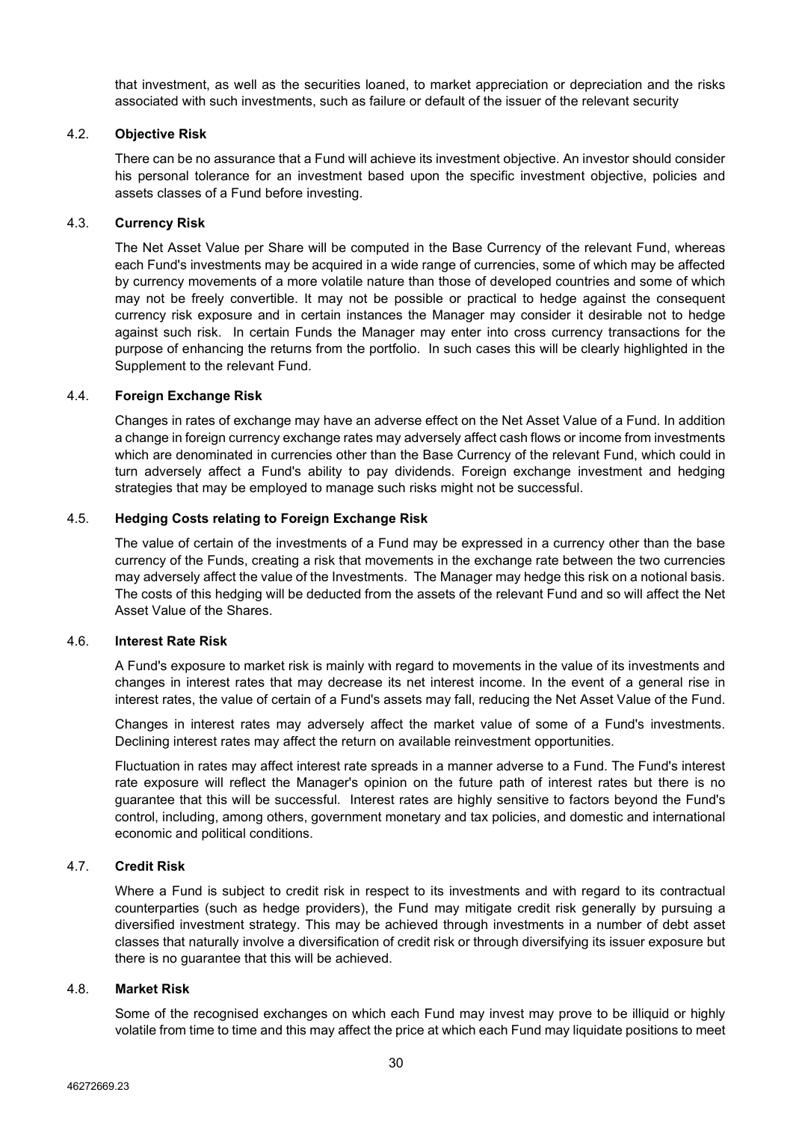that investment, as well as the securities loaned, to market appreciation or depreciation and the risks associated with such investments, such as failure or default of the issuer of the relevant security

## <span id="page-29-0"></span>4.2. **Objective Risk**

There can be no assurance that a Fund will achieve its investment objective. An investor should consider his personal tolerance for an investment based upon the specific investment objective, policies and assets classes of a Fund before investing.

#### <span id="page-29-1"></span>4.3. **Currency Risk**

The Net Asset Value per Share will be computed in the Base Currency of the relevant Fund, whereas each Fund's investments may be acquired in a wide range of currencies, some of which may be affected by currency movements of a more volatile nature than those of developed countries and some of which may not be freely convertible. It may not be possible or practical to hedge against the consequent currency risk exposure and in certain instances the Manager may consider it desirable not to hedge against such risk. In certain Funds the Manager may enter into cross currency transactions for the purpose of enhancing the returns from the portfolio. In such cases this will be clearly highlighted in the Supplement to the relevant Fund.

#### <span id="page-29-2"></span>4.4. **Foreign Exchange Risk**

Changes in rates of exchange may have an adverse effect on the Net Asset Value of a Fund. In addition a change in foreign currency exchange rates may adversely affect cash flows or income from investments which are denominated in currencies other than the Base Currency of the relevant Fund, which could in turn adversely affect a Fund's ability to pay dividends. Foreign exchange investment and hedging strategies that may be employed to manage such risks might not be successful.

## <span id="page-29-3"></span>4.5. **Hedging Costs relating to Foreign Exchange Risk**

The value of certain of the investments of a Fund may be expressed in a currency other than the base currency of the Funds, creating a risk that movements in the exchange rate between the two currencies may adversely affect the value of the Investments. The Manager may hedge this risk on a notional basis. The costs of this hedging will be deducted from the assets of the relevant Fund and so will affect the Net Asset Value of the Shares.

#### <span id="page-29-4"></span>4.6. **Interest Rate Risk**

A Fund's exposure to market risk is mainly with regard to movements in the value of its investments and changes in interest rates that may decrease its net interest income. In the event of a general rise in interest rates, the value of certain of a Fund's assets may fall, reducing the Net Asset Value of the Fund.

Changes in interest rates may adversely affect the market value of some of a Fund's investments. Declining interest rates may affect the return on available reinvestment opportunities.

Fluctuation in rates may affect interest rate spreads in a manner adverse to a Fund. The Fund's interest rate exposure will reflect the Manager's opinion on the future path of interest rates but there is no guarantee that this will be successful. Interest rates are highly sensitive to factors beyond the Fund's control, including, among others, government monetary and tax policies, and domestic and international economic and political conditions.

#### <span id="page-29-5"></span>4.7. **Credit Risk**

Where a Fund is subject to credit risk in respect to its investments and with regard to its contractual counterparties (such as hedge providers), the Fund may mitigate credit risk generally by pursuing a diversified investment strategy. This may be achieved through investments in a number of debt asset classes that naturally involve a diversification of credit risk or through diversifying its issuer exposure but there is no guarantee that this will be achieved.

# <span id="page-29-6"></span>4.8. **Market Risk**

Some of the recognised exchanges on which each Fund may invest may prove to be illiquid or highly volatile from time to time and this may affect the price at which each Fund may liquidate positions to meet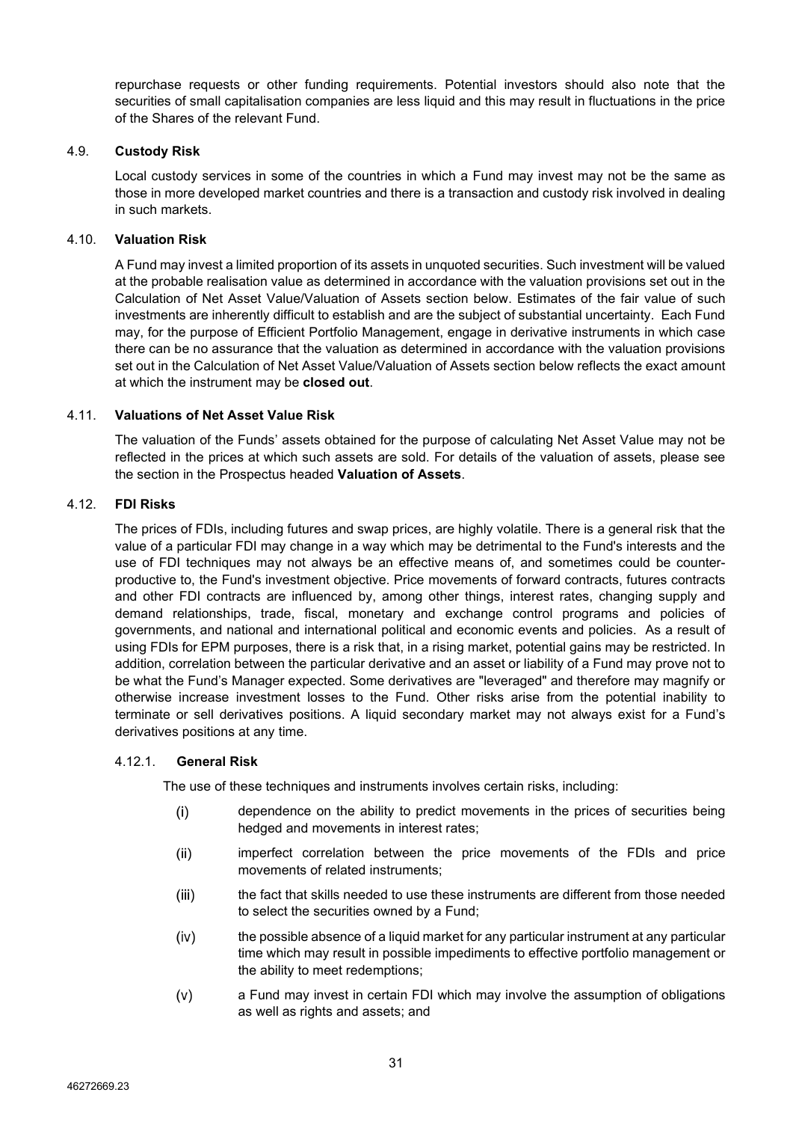repurchase requests or other funding requirements. Potential investors should also note that the securities of small capitalisation companies are less liquid and this may result in fluctuations in the price of the Shares of the relevant Fund.

## <span id="page-30-0"></span>4.9. **Custody Risk**

Local custody services in some of the countries in which a Fund may invest may not be the same as those in more developed market countries and there is a transaction and custody risk involved in dealing in such markets.

# <span id="page-30-1"></span>4.10. **Valuation Risk**

A Fund may invest a limited proportion of its assets in unquoted securities. Such investment will be valued at the probable realisation value as determined in accordance with the valuation provisions set out in the Calculation of Net Asset Value/Valuation of Assets section below. Estimates of the fair value of such investments are inherently difficult to establish and are the subject of substantial uncertainty. Each Fund may, for the purpose of Efficient Portfolio Management, engage in derivative instruments in which case there can be no assurance that the valuation as determined in accordance with the valuation provisions set out in the Calculation of Net Asset Value/Valuation of Assets section below reflects the exact amount at which the instrument may be **closed out**.

## <span id="page-30-2"></span>4.11. **Valuations of Net Asset Value Risk**

The valuation of the Funds' assets obtained for the purpose of calculating Net Asset Value may not be reflected in the prices at which such assets are sold. For details of the valuation of assets, please see the section in the Prospectus headed **Valuation of Assets**.

## <span id="page-30-3"></span>4.12. **FDI Risks**

The prices of FDIs, including futures and swap prices, are highly volatile. There is a general risk that the value of a particular FDI may change in a way which may be detrimental to the Fund's interests and the use of FDI techniques may not always be an effective means of, and sometimes could be counterproductive to, the Fund's investment objective. Price movements of forward contracts, futures contracts and other FDI contracts are influenced by, among other things, interest rates, changing supply and demand relationships, trade, fiscal, monetary and exchange control programs and policies of governments, and national and international political and economic events and policies. As a result of using FDIs for EPM purposes, there is a risk that, in a rising market, potential gains may be restricted. In addition, correlation between the particular derivative and an asset or liability of a Fund may prove not to be what the Fund's Manager expected. Some derivatives are "leveraged" and therefore may magnify or otherwise increase investment losses to the Fund. Other risks arise from the potential inability to terminate or sell derivatives positions. A liquid secondary market may not always exist for a Fund's derivatives positions at any time.

#### 4.12.1. **General Risk**

The use of these techniques and instruments involves certain risks, including:

- $(i)$ dependence on the ability to predict movements in the prices of securities being hedged and movements in interest rates;
- imperfect correlation between the price movements of the FDIs and price  $(ii)$ movements of related instruments;
- $(iii)$ the fact that skills needed to use these instruments are different from those needed to select the securities owned by a Fund;
- $(iv)$ the possible absence of a liquid market for any particular instrument at any particular time which may result in possible impediments to effective portfolio management or the ability to meet redemptions;
- $(v)$ a Fund may invest in certain FDI which may involve the assumption of obligations as well as rights and assets; and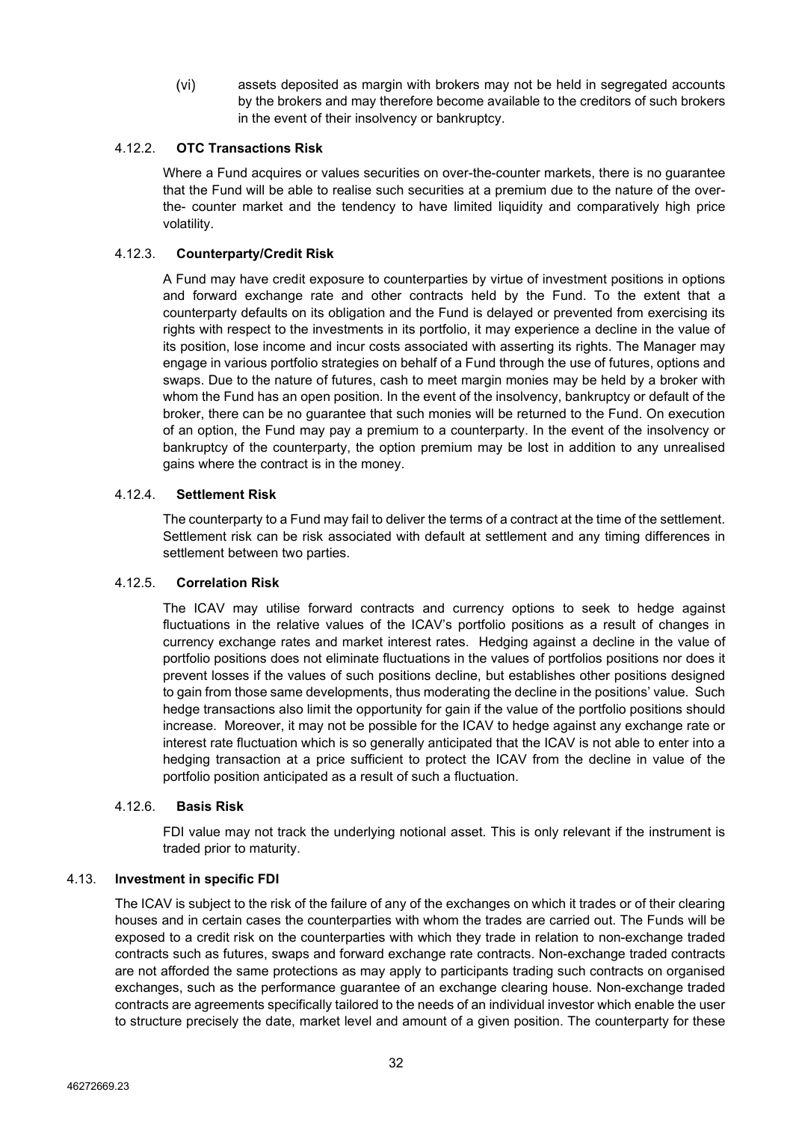$(vi)$ assets deposited as margin with brokers may not be held in segregated accounts by the brokers and may therefore become available to the creditors of such brokers in the event of their insolvency or bankruptcy.

# 4.12.2. **OTC Transactions Risk**

Where a Fund acquires or values securities on over-the-counter markets, there is no guarantee that the Fund will be able to realise such securities at a premium due to the nature of the overthe- counter market and the tendency to have limited liquidity and comparatively high price volatility.

# 4.12.3. **Counterparty/Credit Risk**

A Fund may have credit exposure to counterparties by virtue of investment positions in options and forward exchange rate and other contracts held by the Fund. To the extent that a counterparty defaults on its obligation and the Fund is delayed or prevented from exercising its rights with respect to the investments in its portfolio, it may experience a decline in the value of its position, lose income and incur costs associated with asserting its rights. The Manager may engage in various portfolio strategies on behalf of a Fund through the use of futures, options and swaps. Due to the nature of futures, cash to meet margin monies may be held by a broker with whom the Fund has an open position. In the event of the insolvency, bankruptcy or default of the broker, there can be no guarantee that such monies will be returned to the Fund. On execution of an option, the Fund may pay a premium to a counterparty. In the event of the insolvency or bankruptcy of the counterparty, the option premium may be lost in addition to any unrealised gains where the contract is in the money.

# 4.12.4. **Settlement Risk**

The counterparty to a Fund may fail to deliver the terms of a contract at the time of the settlement. Settlement risk can be risk associated with default at settlement and any timing differences in settlement between two parties.

# 4.12.5. **Correlation Risk**

The ICAV may utilise forward contracts and currency options to seek to hedge against fluctuations in the relative values of the ICAV's portfolio positions as a result of changes in currency exchange rates and market interest rates. Hedging against a decline in the value of portfolio positions does not eliminate fluctuations in the values of portfolios positions nor does it prevent losses if the values of such positions decline, but establishes other positions designed to gain from those same developments, thus moderating the decline in the positions' value. Such hedge transactions also limit the opportunity for gain if the value of the portfolio positions should increase. Moreover, it may not be possible for the ICAV to hedge against any exchange rate or interest rate fluctuation which is so generally anticipated that the ICAV is not able to enter into a hedging transaction at a price sufficient to protect the ICAV from the decline in value of the portfolio position anticipated as a result of such a fluctuation.

# 4.12.6. **Basis Risk**

FDI value may not track the underlying notional asset. This is only relevant if the instrument is traded prior to maturity.

# <span id="page-31-0"></span>4.13. **Investment in specific FDI**

The ICAV is subject to the risk of the failure of any of the exchanges on which it trades or of their clearing houses and in certain cases the counterparties with whom the trades are carried out. The Funds will be exposed to a credit risk on the counterparties with which they trade in relation to non-exchange traded contracts such as futures, swaps and forward exchange rate contracts. Non-exchange traded contracts are not afforded the same protections as may apply to participants trading such contracts on organised exchanges, such as the performance guarantee of an exchange clearing house. Non-exchange traded contracts are agreements specifically tailored to the needs of an individual investor which enable the user to structure precisely the date, market level and amount of a given position. The counterparty for these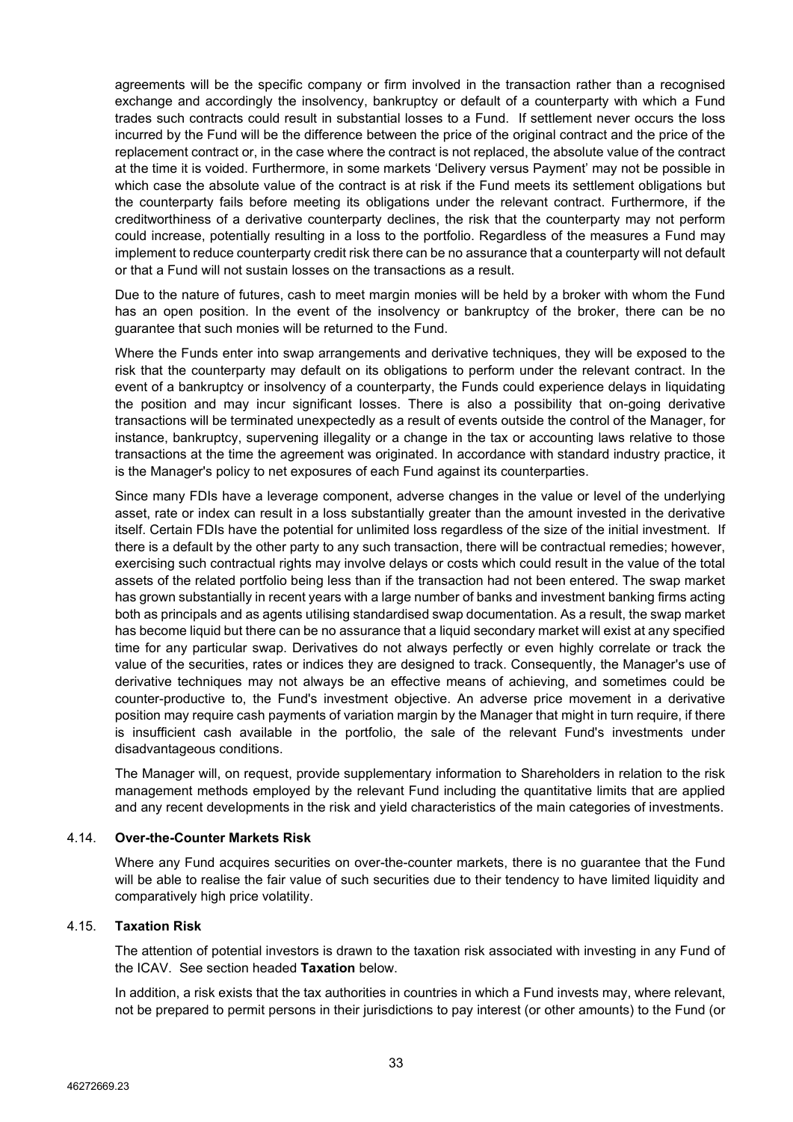agreements will be the specific company or firm involved in the transaction rather than a recognised exchange and accordingly the insolvency, bankruptcy or default of a counterparty with which a Fund trades such contracts could result in substantial losses to a Fund. If settlement never occurs the loss incurred by the Fund will be the difference between the price of the original contract and the price of the replacement contract or, in the case where the contract is not replaced, the absolute value of the contract at the time it is voided. Furthermore, in some markets 'Delivery versus Payment' may not be possible in which case the absolute value of the contract is at risk if the Fund meets its settlement obligations but the counterparty fails before meeting its obligations under the relevant contract. Furthermore, if the creditworthiness of a derivative counterparty declines, the risk that the counterparty may not perform could increase, potentially resulting in a loss to the portfolio. Regardless of the measures a Fund may implement to reduce counterparty credit risk there can be no assurance that a counterparty will not default or that a Fund will not sustain losses on the transactions as a result.

Due to the nature of futures, cash to meet margin monies will be held by a broker with whom the Fund has an open position. In the event of the insolvency or bankruptcy of the broker, there can be no guarantee that such monies will be returned to the Fund.

Where the Funds enter into swap arrangements and derivative techniques, they will be exposed to the risk that the counterparty may default on its obligations to perform under the relevant contract. In the event of a bankruptcy or insolvency of a counterparty, the Funds could experience delays in liquidating the position and may incur significant losses. There is also a possibility that on-going derivative transactions will be terminated unexpectedly as a result of events outside the control of the Manager, for instance, bankruptcy, supervening illegality or a change in the tax or accounting laws relative to those transactions at the time the agreement was originated. In accordance with standard industry practice, it is the Manager's policy to net exposures of each Fund against its counterparties.

Since many FDIs have a leverage component, adverse changes in the value or level of the underlying asset, rate or index can result in a loss substantially greater than the amount invested in the derivative itself. Certain FDIs have the potential for unlimited loss regardless of the size of the initial investment. If there is a default by the other party to any such transaction, there will be contractual remedies; however, exercising such contractual rights may involve delays or costs which could result in the value of the total assets of the related portfolio being less than if the transaction had not been entered. The swap market has grown substantially in recent years with a large number of banks and investment banking firms acting both as principals and as agents utilising standardised swap documentation. As a result, the swap market has become liquid but there can be no assurance that a liquid secondary market will exist at any specified time for any particular swap. Derivatives do not always perfectly or even highly correlate or track the value of the securities, rates or indices they are designed to track. Consequently, the Manager's use of derivative techniques may not always be an effective means of achieving, and sometimes could be counter-productive to, the Fund's investment objective. An adverse price movement in a derivative position may require cash payments of variation margin by the Manager that might in turn require, if there is insufficient cash available in the portfolio, the sale of the relevant Fund's investments under disadvantageous conditions.

The Manager will, on request, provide supplementary information to Shareholders in relation to the risk management methods employed by the relevant Fund including the quantitative limits that are applied and any recent developments in the risk and yield characteristics of the main categories of investments.

#### <span id="page-32-0"></span>4.14. **Over-the-Counter Markets Risk**

Where any Fund acquires securities on over-the-counter markets, there is no guarantee that the Fund will be able to realise the fair value of such securities due to their tendency to have limited liquidity and comparatively high price volatility.

## <span id="page-32-1"></span>4.15. **Taxation Risk**

The attention of potential investors is drawn to the taxation risk associated with investing in any Fund of the ICAV. See section headed **Taxation** below.

In addition, a risk exists that the tax authorities in countries in which a Fund invests may, where relevant, not be prepared to permit persons in their jurisdictions to pay interest (or other amounts) to the Fund (or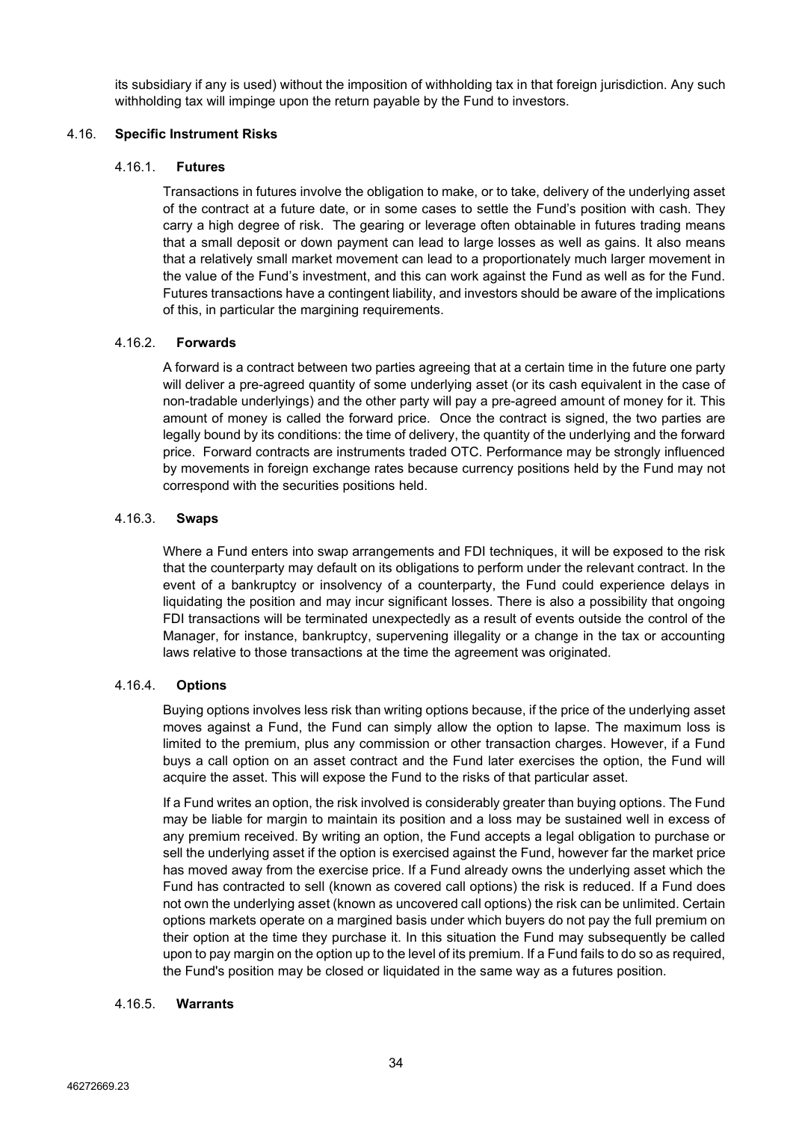its subsidiary if any is used) without the imposition of withholding tax in that foreign jurisdiction. Any such withholding tax will impinge upon the return payable by the Fund to investors.

# <span id="page-33-0"></span>4.16. **Specific Instrument Risks**

## 4.16.1. **Futures**

Transactions in futures involve the obligation to make, or to take, delivery of the underlying asset of the contract at a future date, or in some cases to settle the Fund's position with cash. They carry a high degree of risk. The gearing or leverage often obtainable in futures trading means that a small deposit or down payment can lead to large losses as well as gains. It also means that a relatively small market movement can lead to a proportionately much larger movement in the value of the Fund's investment, and this can work against the Fund as well as for the Fund. Futures transactions have a contingent liability, and investors should be aware of the implications of this, in particular the margining requirements.

# 4.16.2. **Forwards**

A forward is a contract between two parties agreeing that at a certain time in the future one party will deliver a pre-agreed quantity of some underlying asset (or its cash equivalent in the case of non-tradable underlyings) and the other party will pay a pre-agreed amount of money for it. This amount of money is called the forward price. Once the contract is signed, the two parties are legally bound by its conditions: the time of delivery, the quantity of the underlying and the forward price. Forward contracts are instruments traded OTC. Performance may be strongly influenced by movements in foreign exchange rates because currency positions held by the Fund may not correspond with the securities positions held.

# 4.16.3. **Swaps**

Where a Fund enters into swap arrangements and FDI techniques, it will be exposed to the risk that the counterparty may default on its obligations to perform under the relevant contract. In the event of a bankruptcy or insolvency of a counterparty, the Fund could experience delays in liquidating the position and may incur significant losses. There is also a possibility that ongoing FDI transactions will be terminated unexpectedly as a result of events outside the control of the Manager, for instance, bankruptcy, supervening illegality or a change in the tax or accounting laws relative to those transactions at the time the agreement was originated.

# 4.16.4. **Options**

Buying options involves less risk than writing options because, if the price of the underlying asset moves against a Fund, the Fund can simply allow the option to lapse. The maximum loss is limited to the premium, plus any commission or other transaction charges. However, if a Fund buys a call option on an asset contract and the Fund later exercises the option, the Fund will acquire the asset. This will expose the Fund to the risks of that particular asset.

If a Fund writes an option, the risk involved is considerably greater than buying options. The Fund may be liable for margin to maintain its position and a loss may be sustained well in excess of any premium received. By writing an option, the Fund accepts a legal obligation to purchase or sell the underlying asset if the option is exercised against the Fund, however far the market price has moved away from the exercise price. If a Fund already owns the underlying asset which the Fund has contracted to sell (known as covered call options) the risk is reduced. If a Fund does not own the underlying asset (known as uncovered call options) the risk can be unlimited. Certain options markets operate on a margined basis under which buyers do not pay the full premium on their option at the time they purchase it. In this situation the Fund may subsequently be called upon to pay margin on the option up to the level of its premium. If a Fund fails to do so as required, the Fund's position may be closed or liquidated in the same way as a futures position.

# 4.16.5. **Warrants**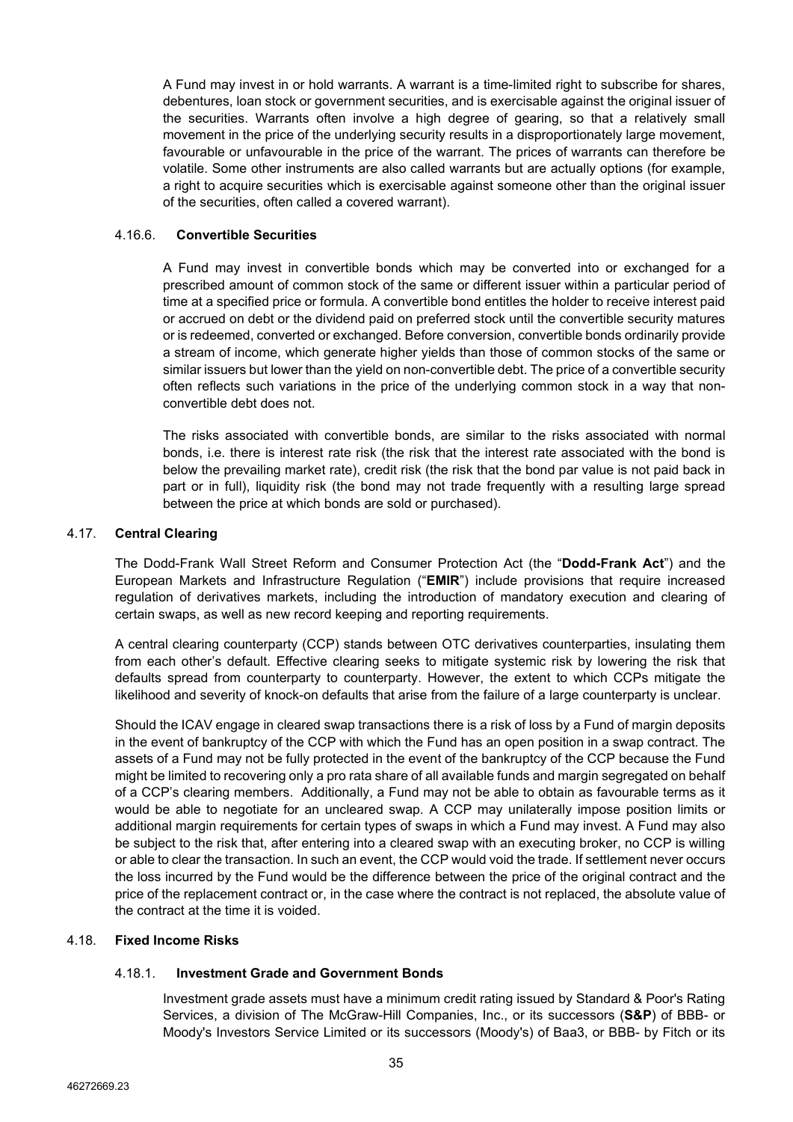A Fund may invest in or hold warrants. A warrant is a time-limited right to subscribe for shares, debentures, loan stock or government securities, and is exercisable against the original issuer of the securities. Warrants often involve a high degree of gearing, so that a relatively small movement in the price of the underlying security results in a disproportionately large movement, favourable or unfavourable in the price of the warrant. The prices of warrants can therefore be volatile. Some other instruments are also called warrants but are actually options (for example, a right to acquire securities which is exercisable against someone other than the original issuer of the securities, often called a covered warrant).

## 4.16.6. **Convertible Securities**

A Fund may invest in convertible bonds which may be converted into or exchanged for a prescribed amount of common stock of the same or different issuer within a particular period of time at a specified price or formula. A convertible bond entitles the holder to receive interest paid or accrued on debt or the dividend paid on preferred stock until the convertible security matures or is redeemed, converted or exchanged. Before conversion, convertible bonds ordinarily provide a stream of income, which generate higher yields than those of common stocks of the same or similar issuers but lower than the yield on non-convertible debt. The price of a convertible security often reflects such variations in the price of the underlying common stock in a way that nonconvertible debt does not.

The risks associated with convertible bonds, are similar to the risks associated with normal bonds, i.e. there is interest rate risk (the risk that the interest rate associated with the bond is below the prevailing market rate), credit risk (the risk that the bond par value is not paid back in part or in full), liquidity risk (the bond may not trade frequently with a resulting large spread between the price at which bonds are sold or purchased).

## 4.17. **Central Clearing**

The Dodd-Frank Wall Street Reform and Consumer Protection Act (the "**Dodd-Frank Act**") and the European Markets and Infrastructure Regulation ("**EMIR**") include provisions that require increased regulation of derivatives markets, including the introduction of mandatory execution and clearing of certain swaps, as well as new record keeping and reporting requirements.

A central clearing counterparty (CCP) stands between OTC derivatives counterparties, insulating them from each other's default. Effective clearing seeks to mitigate systemic risk by lowering the risk that defaults spread from counterparty to counterparty. However, the extent to which CCPs mitigate the likelihood and severity of knock-on defaults that arise from the failure of a large counterparty is unclear.

Should the ICAV engage in cleared swap transactions there is a risk of loss by a Fund of margin deposits in the event of bankruptcy of the CCP with which the Fund has an open position in a swap contract. The assets of a Fund may not be fully protected in the event of the bankruptcy of the CCP because the Fund might be limited to recovering only a pro rata share of all available funds and margin segregated on behalf of a CCP's clearing members. Additionally, a Fund may not be able to obtain as favourable terms as it would be able to negotiate for an uncleared swap. A CCP may unilaterally impose position limits or additional margin requirements for certain types of swaps in which a Fund may invest. A Fund may also be subject to the risk that, after entering into a cleared swap with an executing broker, no CCP is willing or able to clear the transaction. In such an event, the CCP would void the trade. If settlement never occurs the loss incurred by the Fund would be the difference between the price of the original contract and the price of the replacement contract or, in the case where the contract is not replaced, the absolute value of the contract at the time it is voided.

## <span id="page-34-0"></span>4.18. **Fixed Income Risks**

# 4.18.1. **Investment Grade and Government Bonds**

Investment grade assets must have a minimum credit rating issued by Standard & Poor's Rating Services, a division of The McGraw-Hill Companies, Inc., or its successors (**S&P**) of BBB- or Moody's Investors Service Limited or its successors (Moody's) of Baa3, or BBB- by Fitch or its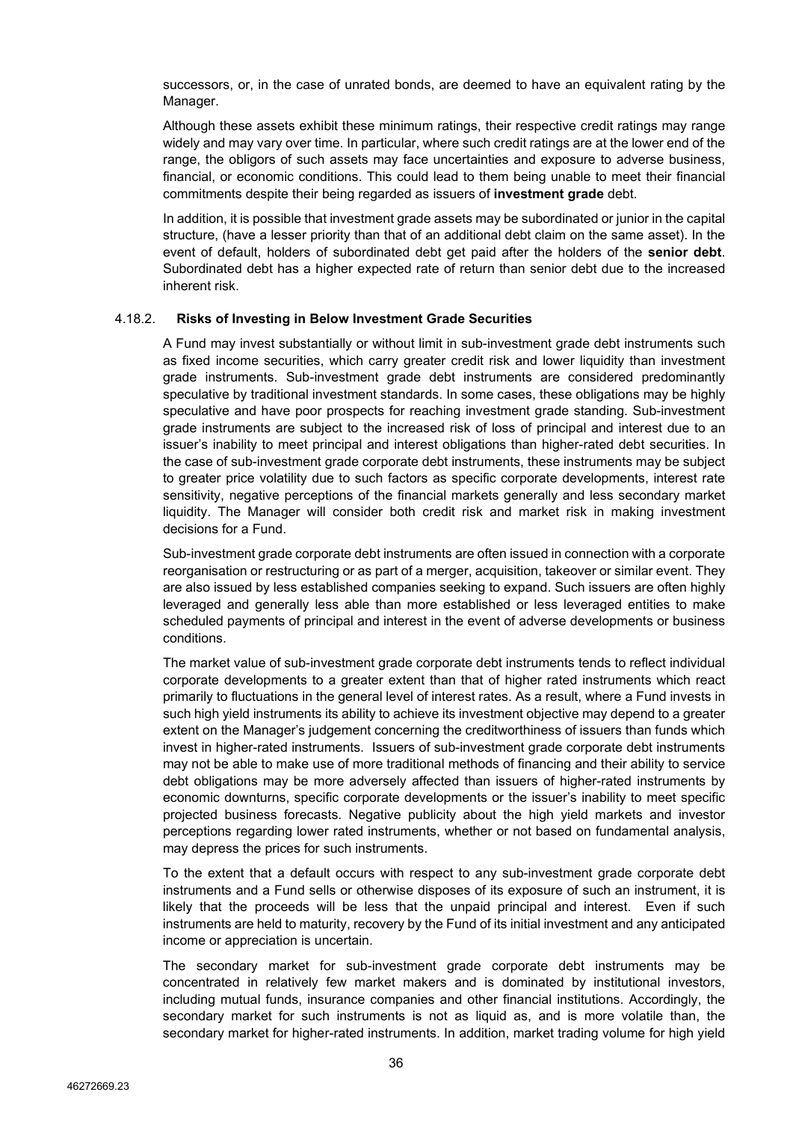successors, or, in the case of unrated bonds, are deemed to have an equivalent rating by the Manager.

Although these assets exhibit these minimum ratings, their respective credit ratings may range widely and may vary over time. In particular, where such credit ratings are at the lower end of the range, the obligors of such assets may face uncertainties and exposure to adverse business, financial, or economic conditions. This could lead to them being unable to meet their financial commitments despite their being regarded as issuers of **investment grade** debt.

In addition, it is possible that investment grade assets may be subordinated or junior in the capital structure, (have a lesser priority than that of an additional debt claim on the same asset). In the event of default, holders of subordinated debt get paid after the holders of the **senior debt**. Subordinated debt has a higher expected rate of return than senior debt due to the increased inherent risk.

#### 4.18.2. **Risks of Investing in Below Investment Grade Securities**

A Fund may invest substantially or without limit in sub-investment grade debt instruments such as fixed income securities, which carry greater credit risk and lower liquidity than investment grade instruments. Sub-investment grade debt instruments are considered predominantly speculative by traditional investment standards. In some cases, these obligations may be highly speculative and have poor prospects for reaching investment grade standing. Sub-investment grade instruments are subject to the increased risk of loss of principal and interest due to an issuer's inability to meet principal and interest obligations than higher-rated debt securities. In the case of sub-investment grade corporate debt instruments, these instruments may be subject to greater price volatility due to such factors as specific corporate developments, interest rate sensitivity, negative perceptions of the financial markets generally and less secondary market liquidity. The Manager will consider both credit risk and market risk in making investment decisions for a Fund.

Sub-investment grade corporate debt instruments are often issued in connection with a corporate reorganisation or restructuring or as part of a merger, acquisition, takeover or similar event. They are also issued by less established companies seeking to expand. Such issuers are often highly leveraged and generally less able than more established or less leveraged entities to make scheduled payments of principal and interest in the event of adverse developments or business conditions.

The market value of sub-investment grade corporate debt instruments tends to reflect individual corporate developments to a greater extent than that of higher rated instruments which react primarily to fluctuations in the general level of interest rates. As a result, where a Fund invests in such high yield instruments its ability to achieve its investment objective may depend to a greater extent on the Manager's judgement concerning the creditworthiness of issuers than funds which invest in higher-rated instruments. Issuers of sub-investment grade corporate debt instruments may not be able to make use of more traditional methods of financing and their ability to service debt obligations may be more adversely affected than issuers of higher-rated instruments by economic downturns, specific corporate developments or the issuer's inability to meet specific projected business forecasts. Negative publicity about the high yield markets and investor perceptions regarding lower rated instruments, whether or not based on fundamental analysis, may depress the prices for such instruments.

To the extent that a default occurs with respect to any sub-investment grade corporate debt instruments and a Fund sells or otherwise disposes of its exposure of such an instrument, it is likely that the proceeds will be less that the unpaid principal and interest. Even if such instruments are held to maturity, recovery by the Fund of its initial investment and any anticipated income or appreciation is uncertain.

The secondary market for sub-investment grade corporate debt instruments may be concentrated in relatively few market makers and is dominated by institutional investors, including mutual funds, insurance companies and other financial institutions. Accordingly, the secondary market for such instruments is not as liquid as, and is more volatile than, the secondary market for higher-rated instruments. In addition, market trading volume for high yield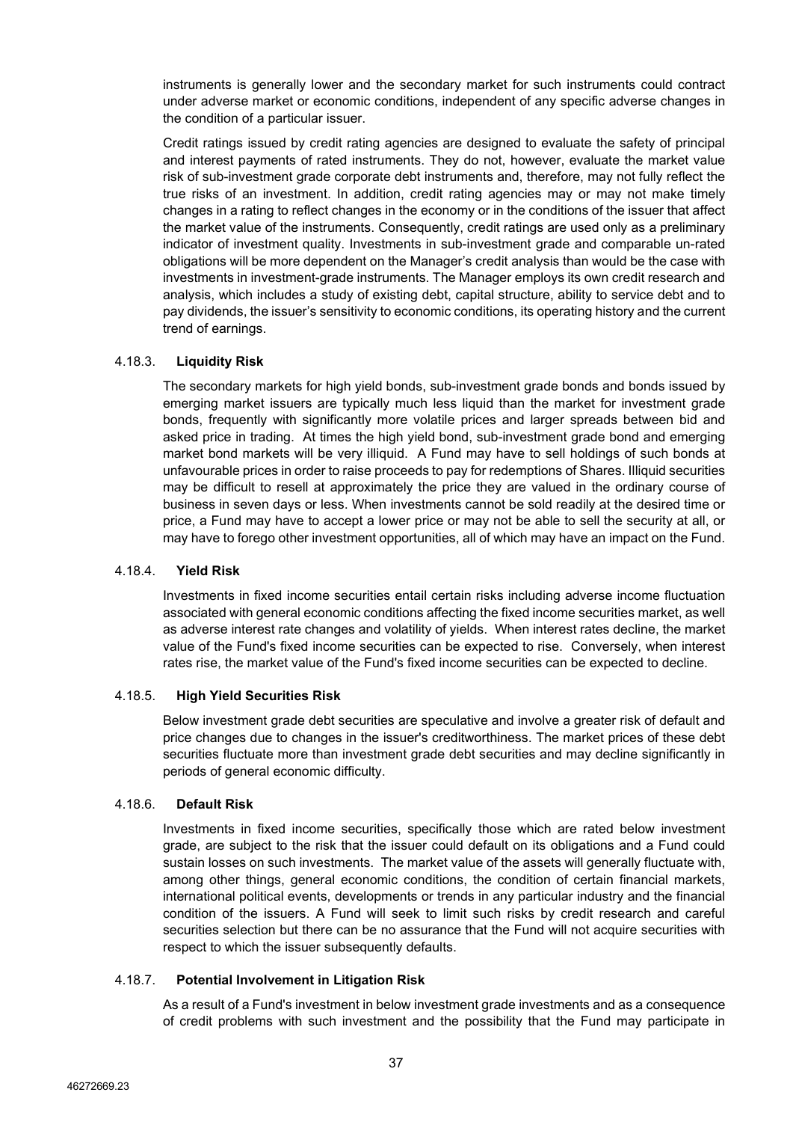instruments is generally lower and the secondary market for such instruments could contract under adverse market or economic conditions, independent of any specific adverse changes in the condition of a particular issuer.

Credit ratings issued by credit rating agencies are designed to evaluate the safety of principal and interest payments of rated instruments. They do not, however, evaluate the market value risk of sub-investment grade corporate debt instruments and, therefore, may not fully reflect the true risks of an investment. In addition, credit rating agencies may or may not make timely changes in a rating to reflect changes in the economy or in the conditions of the issuer that affect the market value of the instruments. Consequently, credit ratings are used only as a preliminary indicator of investment quality. Investments in sub-investment grade and comparable un-rated obligations will be more dependent on the Manager's credit analysis than would be the case with investments in investment-grade instruments. The Manager employs its own credit research and analysis, which includes a study of existing debt, capital structure, ability to service debt and to pay dividends, the issuer's sensitivity to economic conditions, its operating history and the current trend of earnings.

## 4.18.3. **Liquidity Risk**

The secondary markets for high yield bonds, sub-investment grade bonds and bonds issued by emerging market issuers are typically much less liquid than the market for investment grade bonds, frequently with significantly more volatile prices and larger spreads between bid and asked price in trading. At times the high yield bond, sub-investment grade bond and emerging market bond markets will be very illiquid. A Fund may have to sell holdings of such bonds at unfavourable prices in order to raise proceeds to pay for redemptions of Shares. Illiquid securities may be difficult to resell at approximately the price they are valued in the ordinary course of business in seven days or less. When investments cannot be sold readily at the desired time or price, a Fund may have to accept a lower price or may not be able to sell the security at all, or may have to forego other investment opportunities, all of which may have an impact on the Fund.

# 4.18.4. **Yield Risk**

Investments in fixed income securities entail certain risks including adverse income fluctuation associated with general economic conditions affecting the fixed income securities market, as well as adverse interest rate changes and volatility of yields. When interest rates decline, the market value of the Fund's fixed income securities can be expected to rise. Conversely, when interest rates rise, the market value of the Fund's fixed income securities can be expected to decline.

## 4.18.5. **High Yield Securities Risk**

Below investment grade debt securities are speculative and involve a greater risk of default and price changes due to changes in the issuer's creditworthiness. The market prices of these debt securities fluctuate more than investment grade debt securities and may decline significantly in periods of general economic difficulty.

## 4.18.6. **Default Risk**

Investments in fixed income securities, specifically those which are rated below investment grade, are subject to the risk that the issuer could default on its obligations and a Fund could sustain losses on such investments. The market value of the assets will generally fluctuate with, among other things, general economic conditions, the condition of certain financial markets, international political events, developments or trends in any particular industry and the financial condition of the issuers. A Fund will seek to limit such risks by credit research and careful securities selection but there can be no assurance that the Fund will not acquire securities with respect to which the issuer subsequently defaults.

## 4.18.7. **Potential Involvement in Litigation Risk**

As a result of a Fund's investment in below investment grade investments and as a consequence of credit problems with such investment and the possibility that the Fund may participate in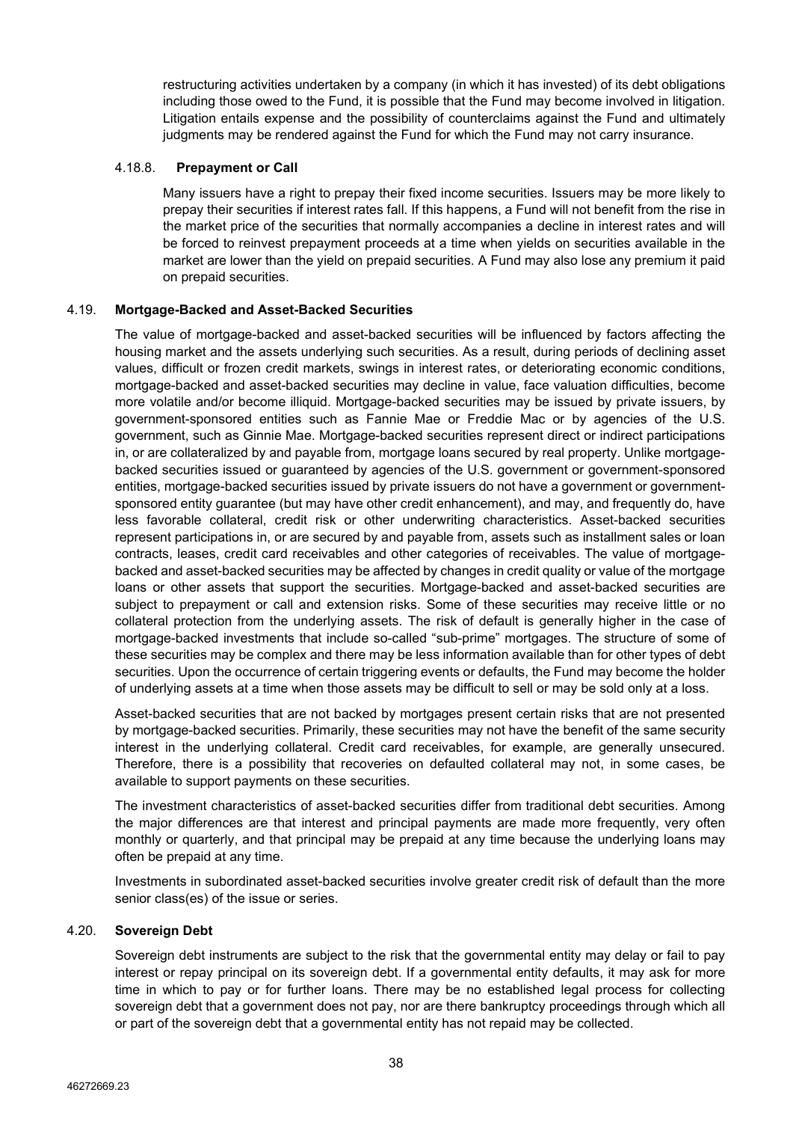restructuring activities undertaken by a company (in which it has invested) of its debt obligations including those owed to the Fund, it is possible that the Fund may become involved in litigation. Litigation entails expense and the possibility of counterclaims against the Fund and ultimately judgments may be rendered against the Fund for which the Fund may not carry insurance.

## 4.18.8. **Prepayment or Call**

Many issuers have a right to prepay their fixed income securities. Issuers may be more likely to prepay their securities if interest rates fall. If this happens, a Fund will not benefit from the rise in the market price of the securities that normally accompanies a decline in interest rates and will be forced to reinvest prepayment proceeds at a time when yields on securities available in the market are lower than the yield on prepaid securities. A Fund may also lose any premium it paid on prepaid securities.

# 4.19. **Mortgage-Backed and Asset-Backed Securities**

The value of mortgage-backed and asset-backed securities will be influenced by factors affecting the housing market and the assets underlying such securities. As a result, during periods of declining asset values, difficult or frozen credit markets, swings in interest rates, or deteriorating economic conditions, mortgage-backed and asset-backed securities may decline in value, face valuation difficulties, become more volatile and/or become illiquid. Mortgage-backed securities may be issued by private issuers, by government-sponsored entities such as Fannie Mae or Freddie Mac or by agencies of the U.S. government, such as Ginnie Mae. Mortgage-backed securities represent direct or indirect participations in, or are collateralized by and payable from, mortgage loans secured by real property. Unlike mortgagebacked securities issued or guaranteed by agencies of the U.S. government or government-sponsored entities, mortgage-backed securities issued by private issuers do not have a government or governmentsponsored entity guarantee (but may have other credit enhancement), and may, and frequently do, have less favorable collateral, credit risk or other underwriting characteristics. Asset-backed securities represent participations in, or are secured by and payable from, assets such as installment sales or loan contracts, leases, credit card receivables and other categories of receivables. The value of mortgagebacked and asset-backed securities may be affected by changes in credit quality or value of the mortgage loans or other assets that support the securities. Mortgage-backed and asset-backed securities are subject to prepayment or call and extension risks. Some of these securities may receive little or no collateral protection from the underlying assets. The risk of default is generally higher in the case of mortgage-backed investments that include so-called "sub-prime" mortgages. The structure of some of these securities may be complex and there may be less information available than for other types of debt securities. Upon the occurrence of certain triggering events or defaults, the Fund may become the holder of underlying assets at a time when those assets may be difficult to sell or may be sold only at a loss.

Asset-backed securities that are not backed by mortgages present certain risks that are not presented by mortgage-backed securities. Primarily, these securities may not have the benefit of the same security interest in the underlying collateral. Credit card receivables, for example, are generally unsecured. Therefore, there is a possibility that recoveries on defaulted collateral may not, in some cases, be available to support payments on these securities.

The investment characteristics of asset-backed securities differ from traditional debt securities. Among the major differences are that interest and principal payments are made more frequently, very often monthly or quarterly, and that principal may be prepaid at any time because the underlying loans may often be prepaid at any time.

Investments in subordinated asset-backed securities involve greater credit risk of default than the more senior class(es) of the issue or series.

## 4.20. **Sovereign Debt**

Sovereign debt instruments are subject to the risk that the governmental entity may delay or fail to pay interest or repay principal on its sovereign debt. If a governmental entity defaults, it may ask for more time in which to pay or for further loans. There may be no established legal process for collecting sovereign debt that a government does not pay, nor are there bankruptcy proceedings through which all or part of the sovereign debt that a governmental entity has not repaid may be collected.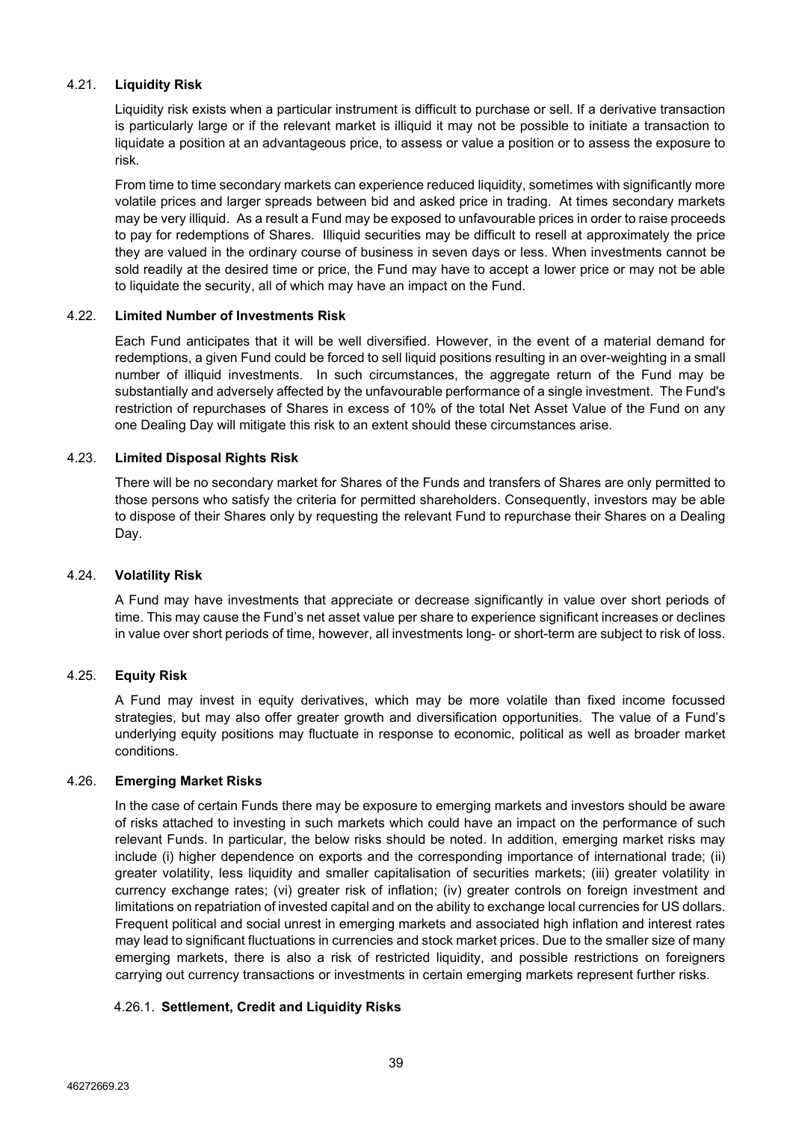# 4.21. **Liquidity Risk**

Liquidity risk exists when a particular instrument is difficult to purchase or sell. If a derivative transaction is particularly large or if the relevant market is illiquid it may not be possible to initiate a transaction to liquidate a position at an advantageous price, to assess or value a position or to assess the exposure to risk.

From time to time secondary markets can experience reduced liquidity, sometimes with significantly more volatile prices and larger spreads between bid and asked price in trading. At times secondary markets may be very illiquid. As a result a Fund may be exposed to unfavourable prices in order to raise proceeds to pay for redemptions of Shares. Illiquid securities may be difficult to resell at approximately the price they are valued in the ordinary course of business in seven days or less. When investments cannot be sold readily at the desired time or price, the Fund may have to accept a lower price or may not be able to liquidate the security, all of which may have an impact on the Fund.

## 4.22. **Limited Number of Investments Risk**

Each Fund anticipates that it will be well diversified. However, in the event of a material demand for redemptions, a given Fund could be forced to sell liquid positions resulting in an over-weighting in a small number of illiquid investments. In such circumstances, the aggregate return of the Fund may be substantially and adversely affected by the unfavourable performance of a single investment. The Fund's restriction of repurchases of Shares in excess of 10% of the total Net Asset Value of the Fund on any one Dealing Day will mitigate this risk to an extent should these circumstances arise.

# 4.23. **Limited Disposal Rights Risk**

There will be no secondary market for Shares of the Funds and transfers of Shares are only permitted to those persons who satisfy the criteria for permitted shareholders. Consequently, investors may be able to dispose of their Shares only by requesting the relevant Fund to repurchase their Shares on a Dealing Day.

## 4.24. **Volatility Risk**

A Fund may have investments that appreciate or decrease significantly in value over short periods of time. This may cause the Fund's net asset value per share to experience significant increases or declines in value over short periods of time, however, all investments long- or short-term are subject to risk of loss.

# 4.25. **Equity Risk**

A Fund may invest in equity derivatives, which may be more volatile than fixed income focussed strategies, but may also offer greater growth and diversification opportunities. The value of a Fund's underlying equity positions may fluctuate in response to economic, political as well as broader market conditions.

## 4.26. **Emerging Market Risks**

In the case of certain Funds there may be exposure to emerging markets and investors should be aware of risks attached to investing in such markets which could have an impact on the performance of such relevant Funds. In particular, the below risks should be noted. In addition, emerging market risks may include (i) higher dependence on exports and the corresponding importance of international trade; (ii) greater volatility, less liquidity and smaller capitalisation of securities markets; (iii) greater volatility in currency exchange rates; (vi) greater risk of inflation; (iv) greater controls on foreign investment and limitations on repatriation of invested capital and on the ability to exchange local currencies for US dollars. Frequent political and social unrest in emerging markets and associated high inflation and interest rates may lead to significant fluctuations in currencies and stock market prices. Due to the smaller size of many emerging markets, there is also a risk of restricted liquidity, and possible restrictions on foreigners carrying out currency transactions or investments in certain emerging markets represent further risks.

# 4.26.1. **Settlement, Credit and Liquidity Risks**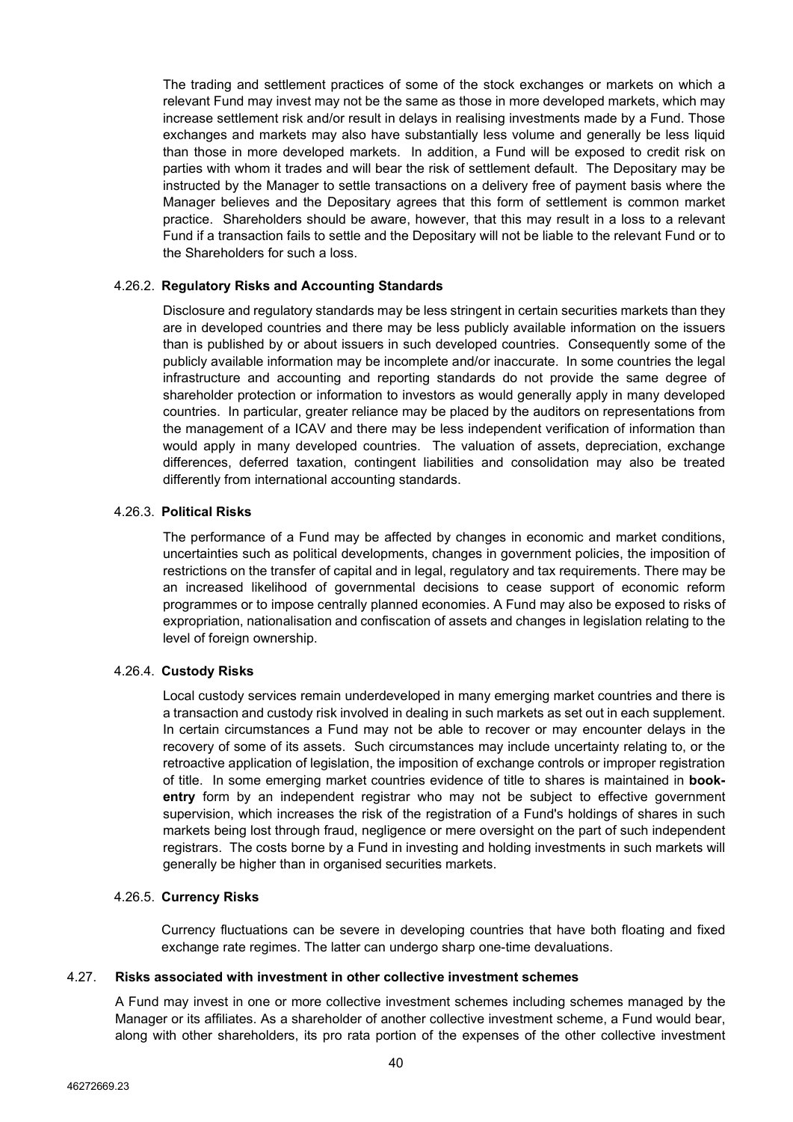The trading and settlement practices of some of the stock exchanges or markets on which a relevant Fund may invest may not be the same as those in more developed markets, which may increase settlement risk and/or result in delays in realising investments made by a Fund. Those exchanges and markets may also have substantially less volume and generally be less liquid than those in more developed markets. In addition, a Fund will be exposed to credit risk on parties with whom it trades and will bear the risk of settlement default. The Depositary may be instructed by the Manager to settle transactions on a delivery free of payment basis where the Manager believes and the Depositary agrees that this form of settlement is common market practice. Shareholders should be aware, however, that this may result in a loss to a relevant Fund if a transaction fails to settle and the Depositary will not be liable to the relevant Fund or to the Shareholders for such a loss.

### 4.26.2. **Regulatory Risks and Accounting Standards**

Disclosure and regulatory standards may be less stringent in certain securities markets than they are in developed countries and there may be less publicly available information on the issuers than is published by or about issuers in such developed countries. Consequently some of the publicly available information may be incomplete and/or inaccurate. In some countries the legal infrastructure and accounting and reporting standards do not provide the same degree of shareholder protection or information to investors as would generally apply in many developed countries. In particular, greater reliance may be placed by the auditors on representations from the management of a ICAV and there may be less independent verification of information than would apply in many developed countries. The valuation of assets, depreciation, exchange differences, deferred taxation, contingent liabilities and consolidation may also be treated differently from international accounting standards.

#### 4.26.3. **Political Risks**

The performance of a Fund may be affected by changes in economic and market conditions, uncertainties such as political developments, changes in government policies, the imposition of restrictions on the transfer of capital and in legal, regulatory and tax requirements. There may be an increased likelihood of governmental decisions to cease support of economic reform programmes or to impose centrally planned economies. A Fund may also be exposed to risks of expropriation, nationalisation and confiscation of assets and changes in legislation relating to the level of foreign ownership.

#### 4.26.4. **Custody Risks**

Local custody services remain underdeveloped in many emerging market countries and there is a transaction and custody risk involved in dealing in such markets as set out in each supplement. In certain circumstances a Fund may not be able to recover or may encounter delays in the recovery of some of its assets. Such circumstances may include uncertainty relating to, or the retroactive application of legislation, the imposition of exchange controls or improper registration of title. In some emerging market countries evidence of title to shares is maintained in **bookentry** form by an independent registrar who may not be subject to effective government supervision, which increases the risk of the registration of a Fund's holdings of shares in such markets being lost through fraud, negligence or mere oversight on the part of such independent registrars. The costs borne by a Fund in investing and holding investments in such markets will generally be higher than in organised securities markets.

#### 4.26.5. **Currency Risks**

Currency fluctuations can be severe in developing countries that have both floating and fixed exchange rate regimes. The latter can undergo sharp one-time devaluations.

#### 4.27. **Risks associated with investment in other collective investment schemes**

A Fund may invest in one or more collective investment schemes including schemes managed by the Manager or its affiliates. As a shareholder of another collective investment scheme, a Fund would bear, along with other shareholders, its pro rata portion of the expenses of the other collective investment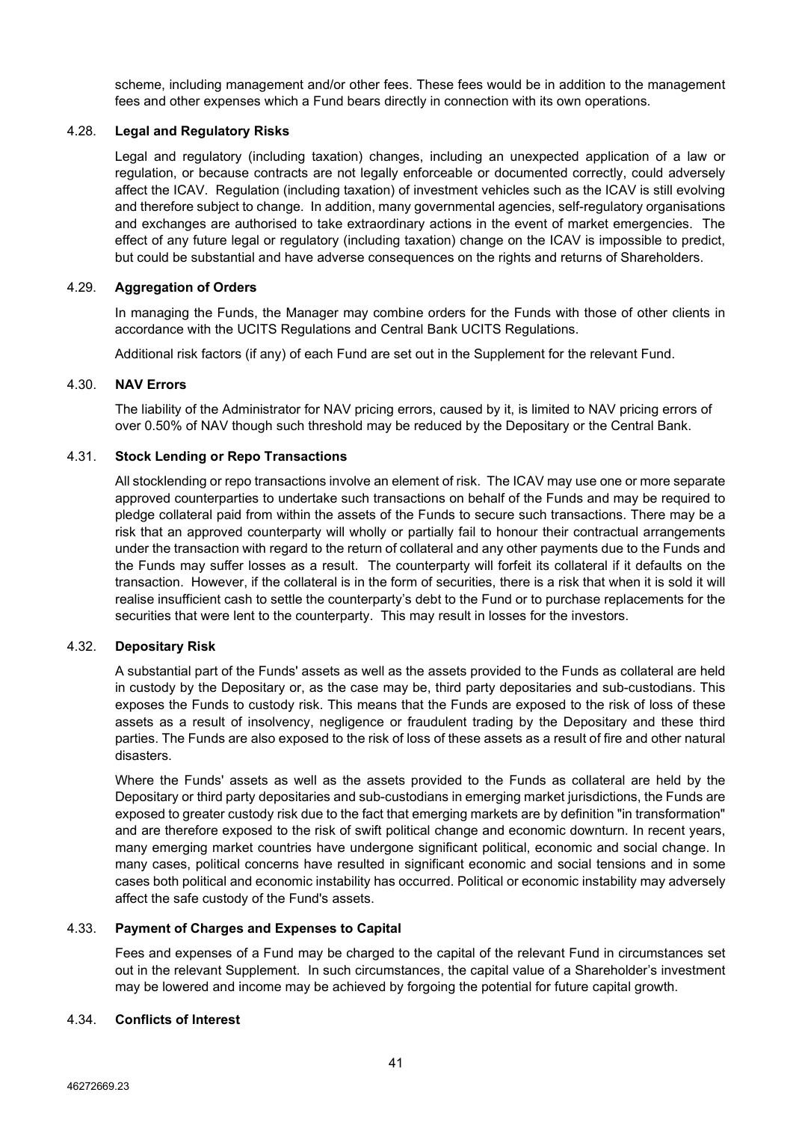scheme, including management and/or other fees. These fees would be in addition to the management fees and other expenses which a Fund bears directly in connection with its own operations.

## 4.28. **Legal and Regulatory Risks**

Legal and regulatory (including taxation) changes, including an unexpected application of a law or regulation, or because contracts are not legally enforceable or documented correctly, could adversely affect the ICAV. Regulation (including taxation) of investment vehicles such as the ICAV is still evolving and therefore subject to change. In addition, many governmental agencies, self-regulatory organisations and exchanges are authorised to take extraordinary actions in the event of market emergencies. The effect of any future legal or regulatory (including taxation) change on the ICAV is impossible to predict, but could be substantial and have adverse consequences on the rights and returns of Shareholders.

#### 4.29. **Aggregation of Orders**

In managing the Funds, the Manager may combine orders for the Funds with those of other clients in accordance with the UCITS Regulations and Central Bank UCITS Regulations.

Additional risk factors (if any) of each Fund are set out in the Supplement for the relevant Fund.

#### 4.30. **NAV Errors**

The liability of the Administrator for NAV pricing errors, caused by it, is limited to NAV pricing errors of over 0.50% of NAV though such threshold may be reduced by the Depositary or the Central Bank.

#### 4.31. **Stock Lending or Repo Transactions**

All stocklending or repo transactions involve an element of risk. The ICAV may use one or more separate approved counterparties to undertake such transactions on behalf of the Funds and may be required to pledge collateral paid from within the assets of the Funds to secure such transactions. There may be a risk that an approved counterparty will wholly or partially fail to honour their contractual arrangements under the transaction with regard to the return of collateral and any other payments due to the Funds and the Funds may suffer losses as a result. The counterparty will forfeit its collateral if it defaults on the transaction. However, if the collateral is in the form of securities, there is a risk that when it is sold it will realise insufficient cash to settle the counterparty's debt to the Fund or to purchase replacements for the securities that were lent to the counterparty. This may result in losses for the investors.

#### 4.32. **Depositary Risk**

A substantial part of the Funds' assets as well as the assets provided to the Funds as collateral are held in custody by the Depositary or, as the case may be, third party depositaries and sub-custodians. This exposes the Funds to custody risk. This means that the Funds are exposed to the risk of loss of these assets as a result of insolvency, negligence or fraudulent trading by the Depositary and these third parties. The Funds are also exposed to the risk of loss of these assets as a result of fire and other natural disasters.

Where the Funds' assets as well as the assets provided to the Funds as collateral are held by the Depositary or third party depositaries and sub-custodians in emerging market jurisdictions, the Funds are exposed to greater custody risk due to the fact that emerging markets are by definition "in transformation" and are therefore exposed to the risk of swift political change and economic downturn. In recent years, many emerging market countries have undergone significant political, economic and social change. In many cases, political concerns have resulted in significant economic and social tensions and in some cases both political and economic instability has occurred. Political or economic instability may adversely affect the safe custody of the Fund's assets.

## 4.33. **Payment of Charges and Expenses to Capital**

Fees and expenses of a Fund may be charged to the capital of the relevant Fund in circumstances set out in the relevant Supplement. In such circumstances, the capital value of a Shareholder's investment may be lowered and income may be achieved by forgoing the potential for future capital growth.

### 4.34. **Conflicts of Interest**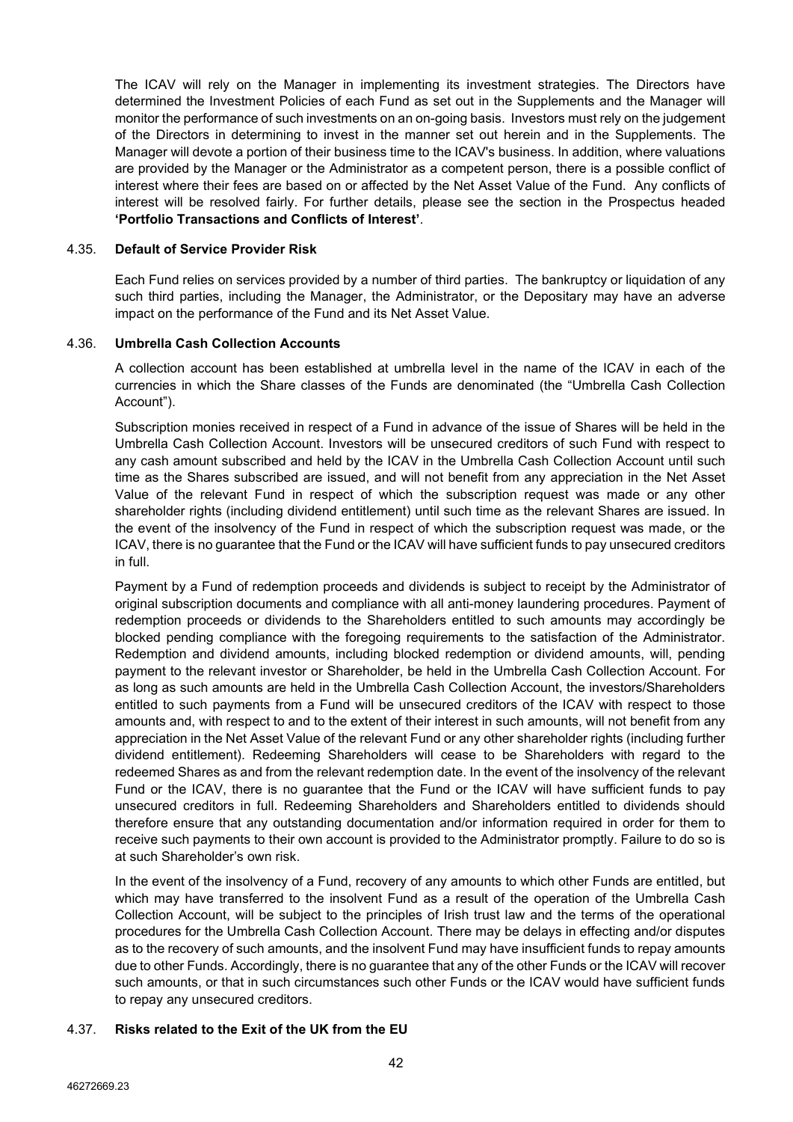The ICAV will rely on the Manager in implementing its investment strategies. The Directors have determined the Investment Policies of each Fund as set out in the Supplements and the Manager will monitor the performance of such investments on an on-going basis. Investors must rely on the judgement of the Directors in determining to invest in the manner set out herein and in the Supplements. The Manager will devote a portion of their business time to the ICAV's business. In addition, where valuations are provided by the Manager or the Administrator as a competent person, there is a possible conflict of interest where their fees are based on or affected by the Net Asset Value of the Fund. Any conflicts of interest will be resolved fairly. For further details, please see the section in the Prospectus headed **'Portfolio Transactions and Conflicts of Interest'**.

### 4.35. **Default of Service Provider Risk**

Each Fund relies on services provided by a number of third parties. The bankruptcy or liquidation of any such third parties, including the Manager, the Administrator, or the Depositary may have an adverse impact on the performance of the Fund and its Net Asset Value.

#### 4.36. **Umbrella Cash Collection Accounts**

A collection account has been established at umbrella level in the name of the ICAV in each of the currencies in which the Share classes of the Funds are denominated (the "Umbrella Cash Collection Account").

Subscription monies received in respect of a Fund in advance of the issue of Shares will be held in the Umbrella Cash Collection Account. Investors will be unsecured creditors of such Fund with respect to any cash amount subscribed and held by the ICAV in the Umbrella Cash Collection Account until such time as the Shares subscribed are issued, and will not benefit from any appreciation in the Net Asset Value of the relevant Fund in respect of which the subscription request was made or any other shareholder rights (including dividend entitlement) until such time as the relevant Shares are issued. In the event of the insolvency of the Fund in respect of which the subscription request was made, or the ICAV, there is no guarantee that the Fund or the ICAV will have sufficient funds to pay unsecured creditors in full.

Payment by a Fund of redemption proceeds and dividends is subject to receipt by the Administrator of original subscription documents and compliance with all anti-money laundering procedures. Payment of redemption proceeds or dividends to the Shareholders entitled to such amounts may accordingly be blocked pending compliance with the foregoing requirements to the satisfaction of the Administrator. Redemption and dividend amounts, including blocked redemption or dividend amounts, will, pending payment to the relevant investor or Shareholder, be held in the Umbrella Cash Collection Account. For as long as such amounts are held in the Umbrella Cash Collection Account, the investors/Shareholders entitled to such payments from a Fund will be unsecured creditors of the ICAV with respect to those amounts and, with respect to and to the extent of their interest in such amounts, will not benefit from any appreciation in the Net Asset Value of the relevant Fund or any other shareholder rights (including further dividend entitlement). Redeeming Shareholders will cease to be Shareholders with regard to the redeemed Shares as and from the relevant redemption date. In the event of the insolvency of the relevant Fund or the ICAV, there is no guarantee that the Fund or the ICAV will have sufficient funds to pay unsecured creditors in full. Redeeming Shareholders and Shareholders entitled to dividends should therefore ensure that any outstanding documentation and/or information required in order for them to receive such payments to their own account is provided to the Administrator promptly. Failure to do so is at such Shareholder's own risk.

In the event of the insolvency of a Fund, recovery of any amounts to which other Funds are entitled, but which may have transferred to the insolvent Fund as a result of the operation of the Umbrella Cash Collection Account, will be subject to the principles of Irish trust law and the terms of the operational procedures for the Umbrella Cash Collection Account. There may be delays in effecting and/or disputes as to the recovery of such amounts, and the insolvent Fund may have insufficient funds to repay amounts due to other Funds. Accordingly, there is no guarantee that any of the other Funds or the ICAV will recover such amounts, or that in such circumstances such other Funds or the ICAV would have sufficient funds to repay any unsecured creditors.

## 4.37. **Risks related to the Exit of the UK from the EU**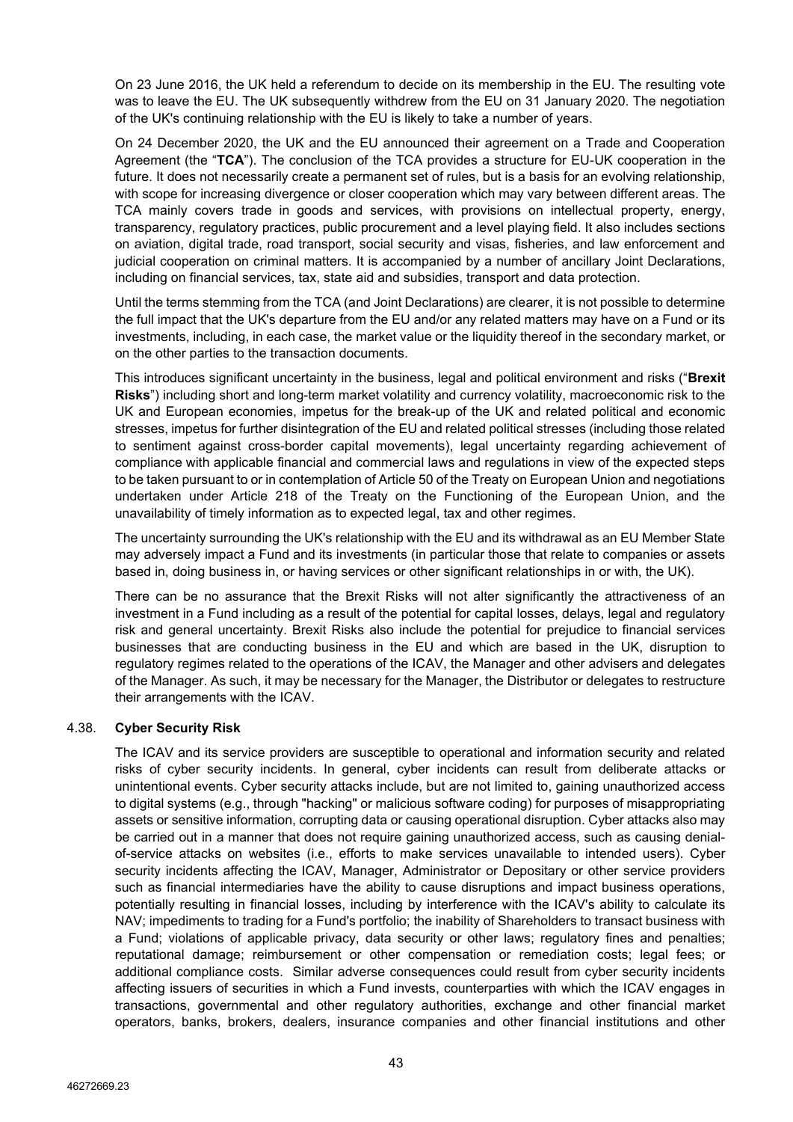On 23 June 2016, the UK held a referendum to decide on its membership in the EU. The resulting vote was to leave the EU. The UK subsequently withdrew from the EU on 31 January 2020. The negotiation of the UK's continuing relationship with the EU is likely to take a number of years.

On 24 December 2020, the UK and the EU announced their agreement on a Trade and Cooperation Agreement (the "**TCA**"). The conclusion of the TCA provides a structure for EU-UK cooperation in the future. It does not necessarily create a permanent set of rules, but is a basis for an evolving relationship, with scope for increasing divergence or closer cooperation which may vary between different areas. The TCA mainly covers trade in goods and services, with provisions on intellectual property, energy, transparency, regulatory practices, public procurement and a level playing field. It also includes sections on aviation, digital trade, road transport, social security and visas, fisheries, and law enforcement and judicial cooperation on criminal matters. It is accompanied by a number of ancillary Joint Declarations, including on financial services, tax, state aid and subsidies, transport and data protection.

Until the terms stemming from the TCA (and Joint Declarations) are clearer, it is not possible to determine the full impact that the UK's departure from the EU and/or any related matters may have on a Fund or its investments, including, in each case, the market value or the liquidity thereof in the secondary market, or on the other parties to the transaction documents.

This introduces significant uncertainty in the business, legal and political environment and risks ("**Brexit Risks**") including short and long-term market volatility and currency volatility, macroeconomic risk to the UK and European economies, impetus for the break-up of the UK and related political and economic stresses, impetus for further disintegration of the EU and related political stresses (including those related to sentiment against cross-border capital movements), legal uncertainty regarding achievement of compliance with applicable financial and commercial laws and regulations in view of the expected steps to be taken pursuant to or in contemplation of Article 50 of the Treaty on European Union and negotiations undertaken under Article 218 of the Treaty on the Functioning of the European Union, and the unavailability of timely information as to expected legal, tax and other regimes.

The uncertainty surrounding the UK's relationship with the EU and its withdrawal as an EU Member State may adversely impact a Fund and its investments (in particular those that relate to companies or assets based in, doing business in, or having services or other significant relationships in or with, the UK).

There can be no assurance that the Brexit Risks will not alter significantly the attractiveness of an investment in a Fund including as a result of the potential for capital losses, delays, legal and regulatory risk and general uncertainty. Brexit Risks also include the potential for prejudice to financial services businesses that are conducting business in the EU and which are based in the UK, disruption to regulatory regimes related to the operations of the ICAV, the Manager and other advisers and delegates of the Manager. As such, it may be necessary for the Manager, the Distributor or delegates to restructure their arrangements with the ICAV.

## 4.38. **Cyber Security Risk**

The ICAV and its service providers are susceptible to operational and information security and related risks of cyber security incidents. In general, cyber incidents can result from deliberate attacks or unintentional events. Cyber security attacks include, but are not limited to, gaining unauthorized access to digital systems (e.g., through "hacking" or malicious software coding) for purposes of misappropriating assets or sensitive information, corrupting data or causing operational disruption. Cyber attacks also may be carried out in a manner that does not require gaining unauthorized access, such as causing denialof-service attacks on websites (i.e., efforts to make services unavailable to intended users). Cyber security incidents affecting the ICAV, Manager, Administrator or Depositary or other service providers such as financial intermediaries have the ability to cause disruptions and impact business operations, potentially resulting in financial losses, including by interference with the ICAV's ability to calculate its NAV; impediments to trading for a Fund's portfolio; the inability of Shareholders to transact business with a Fund; violations of applicable privacy, data security or other laws; regulatory fines and penalties; reputational damage; reimbursement or other compensation or remediation costs; legal fees; or additional compliance costs. Similar adverse consequences could result from cyber security incidents affecting issuers of securities in which a Fund invests, counterparties with which the ICAV engages in transactions, governmental and other regulatory authorities, exchange and other financial market operators, banks, brokers, dealers, insurance companies and other financial institutions and other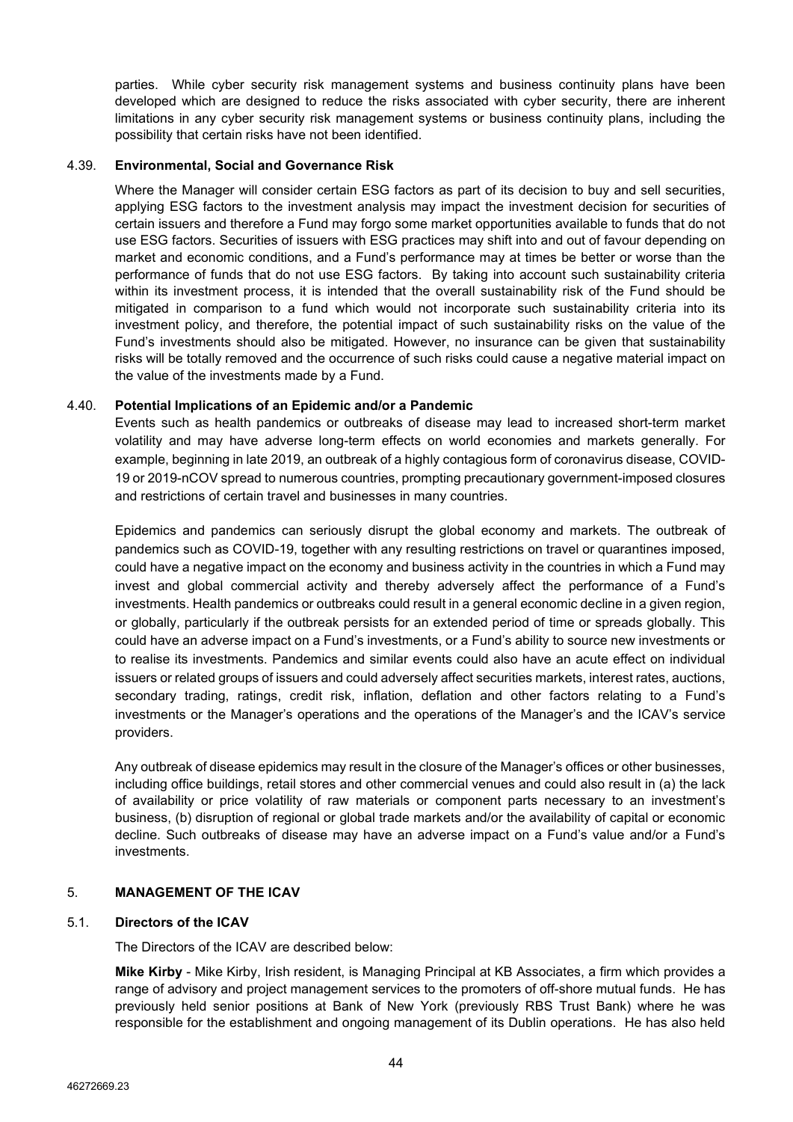parties. While cyber security risk management systems and business continuity plans have been developed which are designed to reduce the risks associated with cyber security, there are inherent limitations in any cyber security risk management systems or business continuity plans, including the possibility that certain risks have not been identified.

#### 4.39. **Environmental, Social and Governance Risk**

Where the Manager will consider certain ESG factors as part of its decision to buy and sell securities, applying ESG factors to the investment analysis may impact the investment decision for securities of certain issuers and therefore a Fund may forgo some market opportunities available to funds that do not use ESG factors. Securities of issuers with ESG practices may shift into and out of favour depending on market and economic conditions, and a Fund's performance may at times be better or worse than the performance of funds that do not use ESG factors. By taking into account such sustainability criteria within its investment process, it is intended that the overall sustainability risk of the Fund should be mitigated in comparison to a fund which would not incorporate such sustainability criteria into its investment policy, and therefore, the potential impact of such sustainability risks on the value of the Fund's investments should also be mitigated. However, no insurance can be given that sustainability risks will be totally removed and the occurrence of such risks could cause a negative material impact on the value of the investments made by a Fund.

## 4.40. **Potential Implications of an Epidemic and/or a Pandemic**

Events such as health pandemics or outbreaks of disease may lead to increased short-term market volatility and may have adverse long-term effects on world economies and markets generally. For example, beginning in late 2019, an outbreak of a highly contagious form of coronavirus disease, COVID-19 or 2019-nCOV spread to numerous countries, prompting precautionary government-imposed closures and restrictions of certain travel and businesses in many countries.

Epidemics and pandemics can seriously disrupt the global economy and markets. The outbreak of pandemics such as COVID-19, together with any resulting restrictions on travel or quarantines imposed, could have a negative impact on the economy and business activity in the countries in which a Fund may invest and global commercial activity and thereby adversely affect the performance of a Fund's investments. Health pandemics or outbreaks could result in a general economic decline in a given region, or globally, particularly if the outbreak persists for an extended period of time or spreads globally. This could have an adverse impact on a Fund's investments, or a Fund's ability to source new investments or to realise its investments. Pandemics and similar events could also have an acute effect on individual issuers or related groups of issuers and could adversely affect securities markets, interest rates, auctions, secondary trading, ratings, credit risk, inflation, deflation and other factors relating to a Fund's investments or the Manager's operations and the operations of the Manager's and the ICAV's service providers.

Any outbreak of disease epidemics may result in the closure of the Manager's offices or other businesses, including office buildings, retail stores and other commercial venues and could also result in (a) the lack of availability or price volatility of raw materials or component parts necessary to an investment's business, (b) disruption of regional or global trade markets and/or the availability of capital or economic decline. Such outbreaks of disease may have an adverse impact on a Fund's value and/or a Fund's investments.

## 5. **MANAGEMENT OF THE ICAV**

### 5.1. **Directors of the ICAV**

The Directors of the ICAV are described below:

**Mike Kirby** - Mike Kirby, Irish resident, is Managing Principal at KB Associates, a firm which provides a range of advisory and project management services to the promoters of off-shore mutual funds. He has previously held senior positions at Bank of New York (previously RBS Trust Bank) where he was responsible for the establishment and ongoing management of its Dublin operations. He has also held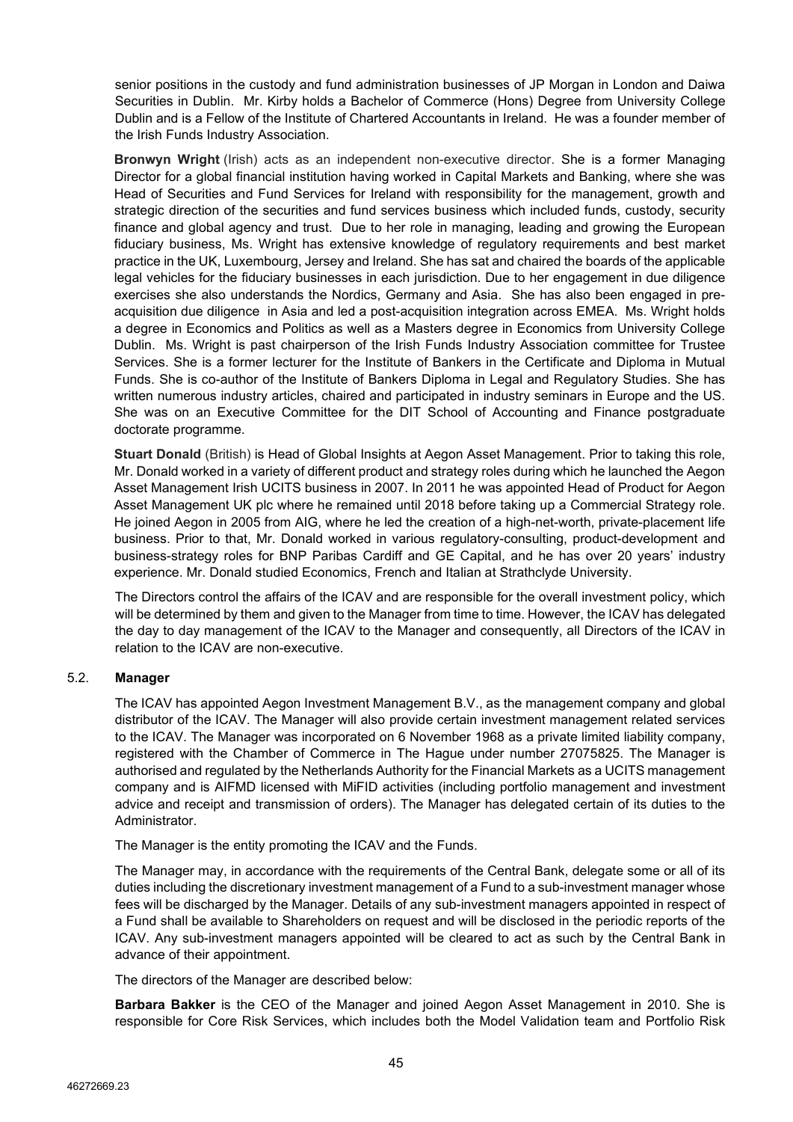senior positions in the custody and fund administration businesses of JP Morgan in London and Daiwa Securities in Dublin. Mr. Kirby holds a Bachelor of Commerce (Hons) Degree from University College Dublin and is a Fellow of the Institute of Chartered Accountants in Ireland. He was a founder member of the Irish Funds Industry Association.

**Bronwyn Wright** (Irish) acts as an independent non-executive director. She is a former Managing Director for a global financial institution having worked in Capital Markets and Banking, where she was Head of Securities and Fund Services for Ireland with responsibility for the management, growth and strategic direction of the securities and fund services business which included funds, custody, security finance and global agency and trust. Due to her role in managing, leading and growing the European fiduciary business, Ms. Wright has extensive knowledge of regulatory requirements and best market practice in the UK, Luxembourg, Jersey and Ireland. She has sat and chaired the boards of the applicable legal vehicles for the fiduciary businesses in each jurisdiction. Due to her engagement in due diligence exercises she also understands the Nordics, Germany and Asia. She has also been engaged in preacquisition due diligence in Asia and led a post-acquisition integration across EMEA. Ms. Wright holds a degree in Economics and Politics as well as a Masters degree in Economics from University College Dublin. Ms. Wright is past chairperson of the Irish Funds Industry Association committee for Trustee Services. She is a former lecturer for the Institute of Bankers in the Certificate and Diploma in Mutual Funds. She is co-author of the Institute of Bankers Diploma in Legal and Regulatory Studies. She has written numerous industry articles, chaired and participated in industry seminars in Europe and the US. She was on an Executive Committee for the DIT School of Accounting and Finance postgraduate doctorate programme.

**Stuart Donald** (British) is Head of Global Insights at Aegon Asset Management. Prior to taking this role, Mr. Donald worked in a variety of different product and strategy roles during which he launched the Aegon Asset Management Irish UCITS business in 2007. In 2011 he was appointed Head of Product for Aegon Asset Management UK plc where he remained until 2018 before taking up a Commercial Strategy role. He joined Aegon in 2005 from AIG, where he led the creation of a high-net-worth, private-placement life business. Prior to that, Mr. Donald worked in various regulatory-consulting, product-development and business-strategy roles for BNP Paribas Cardiff and GE Capital, and he has over 20 years' industry experience. Mr. Donald studied Economics, French and Italian at Strathclyde University.

The Directors control the affairs of the ICAV and are responsible for the overall investment policy, which will be determined by them and given to the Manager from time to time. However, the ICAV has delegated the day to day management of the ICAV to the Manager and consequently, all Directors of the ICAV in relation to the ICAV are non-executive.

## 5.2. **Manager**

The ICAV has appointed Aegon Investment Management B.V., as the management company and global distributor of the ICAV. The Manager will also provide certain investment management related services to the ICAV. The Manager was incorporated on 6 November 1968 as a private limited liability company, registered with the Chamber of Commerce in The Hague under number 27075825. The Manager is authorised and regulated by the Netherlands Authority for the Financial Markets as a UCITS management company and is AIFMD licensed with MiFID activities (including portfolio management and investment advice and receipt and transmission of orders). The Manager has delegated certain of its duties to the Administrator.

The Manager is the entity promoting the ICAV and the Funds.

The Manager may, in accordance with the requirements of the Central Bank, delegate some or all of its duties including the discretionary investment management of a Fund to a sub-investment manager whose fees will be discharged by the Manager. Details of any sub-investment managers appointed in respect of a Fund shall be available to Shareholders on request and will be disclosed in the periodic reports of the ICAV. Any sub-investment managers appointed will be cleared to act as such by the Central Bank in advance of their appointment.

The directors of the Manager are described below:

**Barbara Bakker** is the CEO of the Manager and joined Aegon Asset Management in 2010. She is responsible for Core Risk Services, which includes both the Model Validation team and Portfolio Risk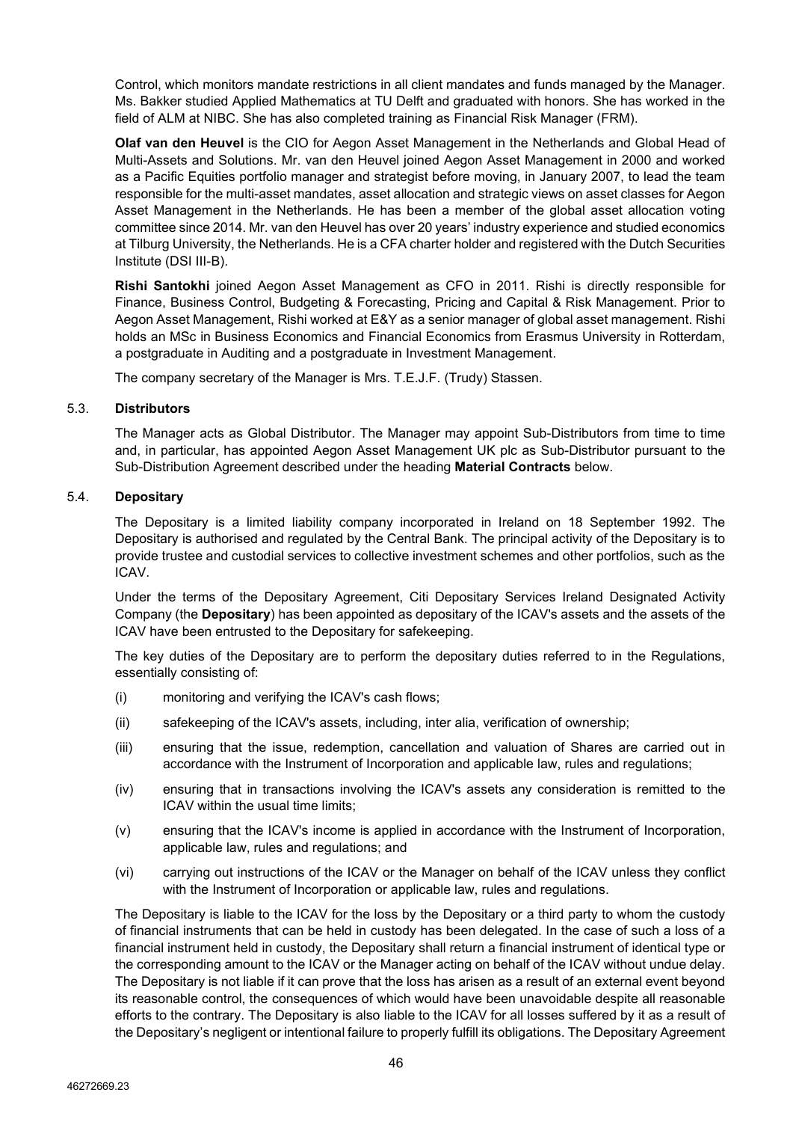Control, which monitors mandate restrictions in all client mandates and funds managed by the Manager. Ms. Bakker studied Applied Mathematics at TU Delft and graduated with honors. She has worked in the field of ALM at NIBC. She has also completed training as Financial Risk Manager (FRM).

**Olaf van den Heuvel** is the CIO for Aegon Asset Management in the Netherlands and Global Head of Multi-Assets and Solutions. Mr. van den Heuvel joined Aegon Asset Management in 2000 and worked as a Pacific Equities portfolio manager and strategist before moving, in January 2007, to lead the team responsible for the multi-asset mandates, asset allocation and strategic views on asset classes for Aegon Asset Management in the Netherlands. He has been a member of the global asset allocation voting committee since 2014. Mr. van den Heuvel has over 20 years' industry experience and studied economics at Tilburg University, the Netherlands. He is a CFA charter holder and registered with the Dutch Securities Institute (DSI III-B).

**Rishi Santokhi** joined Aegon Asset Management as CFO in 2011. Rishi is directly responsible for Finance, Business Control, Budgeting & Forecasting, Pricing and Capital & Risk Management. Prior to Aegon Asset Management, Rishi worked at E&Y as a senior manager of global asset management. Rishi holds an MSc in Business Economics and Financial Economics from Erasmus University in Rotterdam, a postgraduate in Auditing and a postgraduate in Investment Management.

The company secretary of the Manager is Mrs. T.E.J.F. (Trudy) Stassen.

## 5.3. **Distributors**

The Manager acts as Global Distributor. The Manager may appoint Sub-Distributors from time to time and, in particular, has appointed Aegon Asset Management UK plc as Sub-Distributor pursuant to the Sub-Distribution Agreement described under the heading **Material Contracts** below.

#### 5.4. **Depositary**

The Depositary is a limited liability company incorporated in Ireland on 18 September 1992. The Depositary is authorised and regulated by the Central Bank. The principal activity of the Depositary is to provide trustee and custodial services to collective investment schemes and other portfolios, such as the ICAV.

Under the terms of the Depositary Agreement, Citi Depositary Services Ireland Designated Activity Company (the **Depositary**) has been appointed as depositary of the ICAV's assets and the assets of the ICAV have been entrusted to the Depositary for safekeeping.

The key duties of the Depositary are to perform the depositary duties referred to in the Regulations, essentially consisting of:

- (i) monitoring and verifying the ICAV's cash flows;
- (ii) safekeeping of the ICAV's assets, including, inter alia, verification of ownership;
- (iii) ensuring that the issue, redemption, cancellation and valuation of Shares are carried out in accordance with the Instrument of Incorporation and applicable law, rules and regulations;
- (iv) ensuring that in transactions involving the ICAV's assets any consideration is remitted to the ICAV within the usual time limits;
- (v) ensuring that the ICAV's income is applied in accordance with the Instrument of Incorporation, applicable law, rules and regulations; and
- (vi) carrying out instructions of the ICAV or the Manager on behalf of the ICAV unless they conflict with the Instrument of Incorporation or applicable law, rules and regulations.

The Depositary is liable to the ICAV for the loss by the Depositary or a third party to whom the custody of financial instruments that can be held in custody has been delegated. In the case of such a loss of a financial instrument held in custody, the Depositary shall return a financial instrument of identical type or the corresponding amount to the ICAV or the Manager acting on behalf of the ICAV without undue delay. The Depositary is not liable if it can prove that the loss has arisen as a result of an external event beyond its reasonable control, the consequences of which would have been unavoidable despite all reasonable efforts to the contrary. The Depositary is also liable to the ICAV for all losses suffered by it as a result of the Depositary's negligent or intentional failure to properly fulfill its obligations. The Depositary Agreement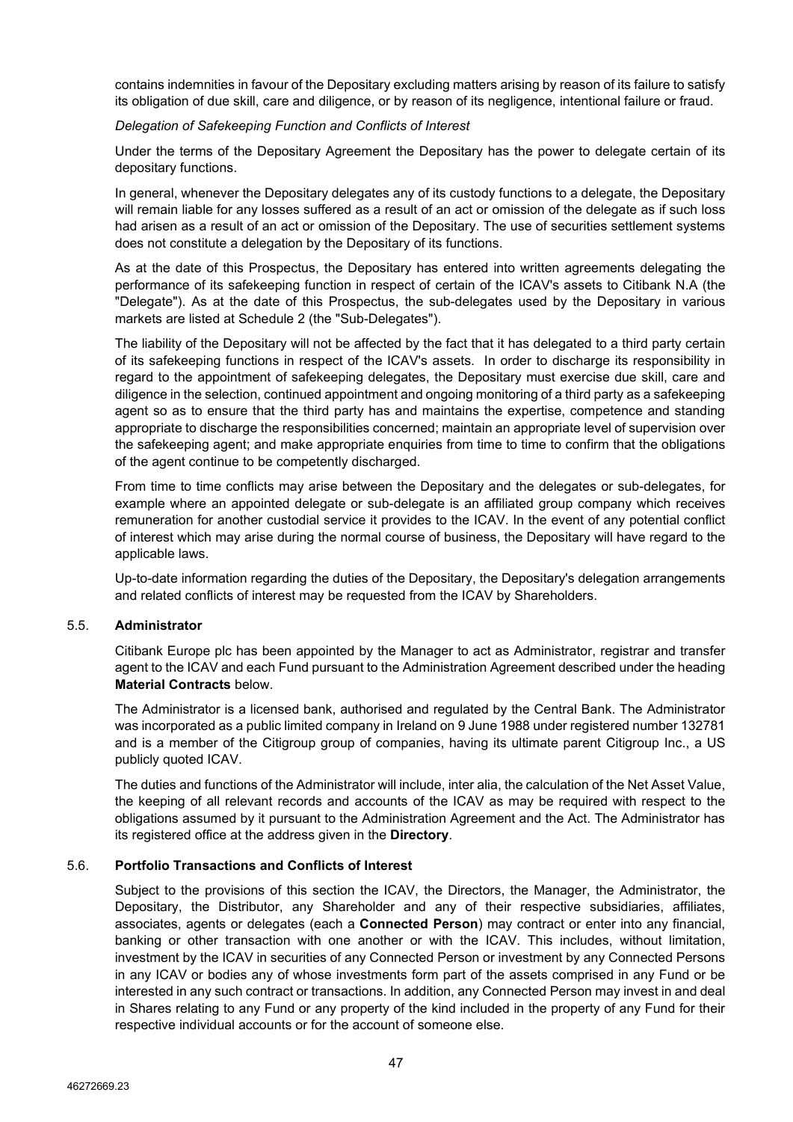contains indemnities in favour of the Depositary excluding matters arising by reason of its failure to satisfy its obligation of due skill, care and diligence, or by reason of its negligence, intentional failure or fraud.

### *Delegation of Safekeeping Function and Conflicts of Interest*

Under the terms of the Depositary Agreement the Depositary has the power to delegate certain of its depositary functions.

In general, whenever the Depositary delegates any of its custody functions to a delegate, the Depositary will remain liable for any losses suffered as a result of an act or omission of the delegate as if such loss had arisen as a result of an act or omission of the Depositary. The use of securities settlement systems does not constitute a delegation by the Depositary of its functions.

As at the date of this Prospectus, the Depositary has entered into written agreements delegating the performance of its safekeeping function in respect of certain of the ICAV's assets to Citibank N.A (the "Delegate"). As at the date of this Prospectus, the sub-delegates used by the Depositary in various markets are listed at Schedule 2 (the "Sub-Delegates").

The liability of the Depositary will not be affected by the fact that it has delegated to a third party certain of its safekeeping functions in respect of the ICAV's assets. In order to discharge its responsibility in regard to the appointment of safekeeping delegates, the Depositary must exercise due skill, care and diligence in the selection, continued appointment and ongoing monitoring of a third party as a safekeeping agent so as to ensure that the third party has and maintains the expertise, competence and standing appropriate to discharge the responsibilities concerned; maintain an appropriate level of supervision over the safekeeping agent; and make appropriate enquiries from time to time to confirm that the obligations of the agent continue to be competently discharged.

From time to time conflicts may arise between the Depositary and the delegates or sub-delegates, for example where an appointed delegate or sub-delegate is an affiliated group company which receives remuneration for another custodial service it provides to the ICAV. In the event of any potential conflict of interest which may arise during the normal course of business, the Depositary will have regard to the applicable laws.

Up-to-date information regarding the duties of the Depositary, the Depositary's delegation arrangements and related conflicts of interest may be requested from the ICAV by Shareholders.

#### 5.5. **Administrator**

Citibank Europe plc has been appointed by the Manager to act as Administrator, registrar and transfer agent to the ICAV and each Fund pursuant to the Administration Agreement described under the heading **Material Contracts** below.

The Administrator is a licensed bank, authorised and regulated by the Central Bank. The Administrator was incorporated as a public limited company in Ireland on 9 June 1988 under registered number 132781 and is a member of the Citigroup group of companies, having its ultimate parent Citigroup Inc., a US publicly quoted ICAV.

The duties and functions of the Administrator will include, inter alia, the calculation of the Net Asset Value, the keeping of all relevant records and accounts of the ICAV as may be required with respect to the obligations assumed by it pursuant to the Administration Agreement and the Act. The Administrator has its registered office at the address given in the **Directory**.

## 5.6. **Portfolio Transactions and Conflicts of Interest**

Subject to the provisions of this section the ICAV, the Directors, the Manager, the Administrator, the Depositary, the Distributor, any Shareholder and any of their respective subsidiaries, affiliates, associates, agents or delegates (each a **Connected Person**) may contract or enter into any financial, banking or other transaction with one another or with the ICAV. This includes, without limitation, investment by the ICAV in securities of any Connected Person or investment by any Connected Persons in any ICAV or bodies any of whose investments form part of the assets comprised in any Fund or be interested in any such contract or transactions. In addition, any Connected Person may invest in and deal in Shares relating to any Fund or any property of the kind included in the property of any Fund for their respective individual accounts or for the account of someone else.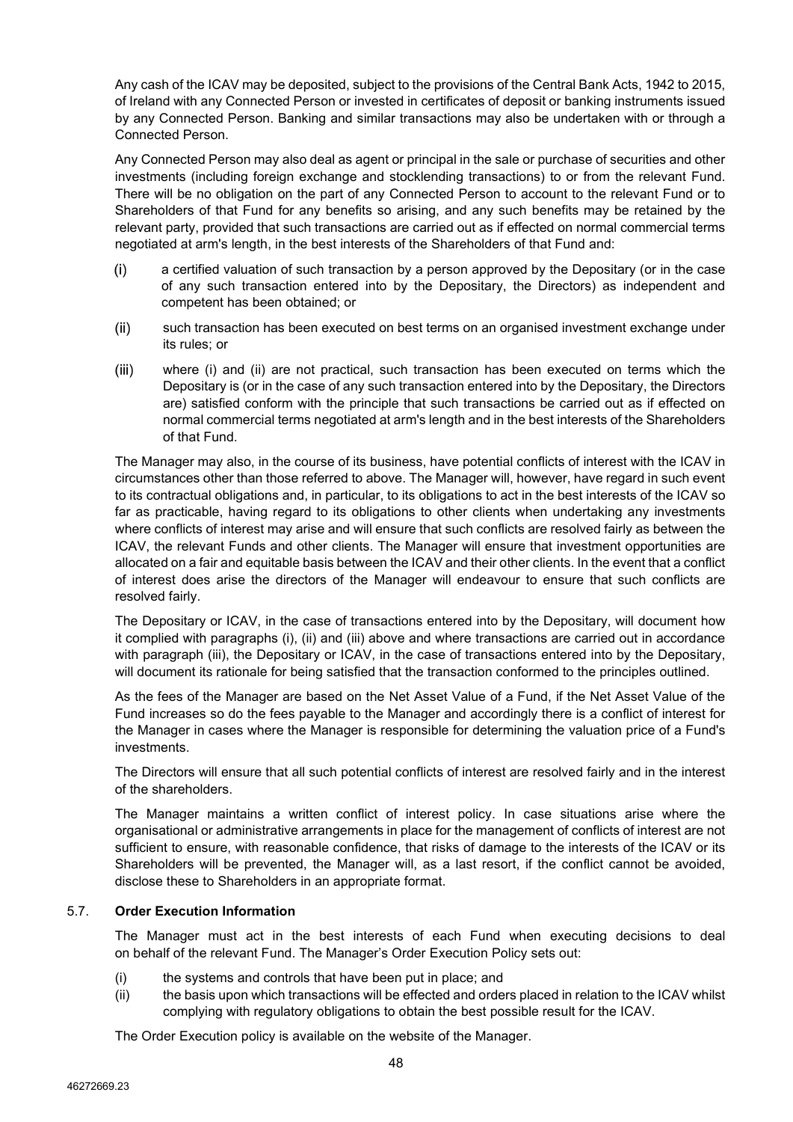Any cash of the ICAV may be deposited, subject to the provisions of the Central Bank Acts, 1942 to 2015, of Ireland with any Connected Person or invested in certificates of deposit or banking instruments issued by any Connected Person. Banking and similar transactions may also be undertaken with or through a Connected Person.

Any Connected Person may also deal as agent or principal in the sale or purchase of securities and other investments (including foreign exchange and stocklending transactions) to or from the relevant Fund. There will be no obligation on the part of any Connected Person to account to the relevant Fund or to Shareholders of that Fund for any benefits so arising, and any such benefits may be retained by the relevant party, provided that such transactions are carried out as if effected on normal commercial terms negotiated at arm's length, in the best interests of the Shareholders of that Fund and:

- $(i)$ a certified valuation of such transaction by a person approved by the Depositary (or in the case of any such transaction entered into by the Depositary, the Directors) as independent and competent has been obtained; or
- $(ii)$ such transaction has been executed on best terms on an organised investment exchange under its rules; or
- $(iii)$ where (i) and (ii) are not practical, such transaction has been executed on terms which the Depositary is (or in the case of any such transaction entered into by the Depositary, the Directors are) satisfied conform with the principle that such transactions be carried out as if effected on normal commercial terms negotiated at arm's length and in the best interests of the Shareholders of that Fund.

The Manager may also, in the course of its business, have potential conflicts of interest with the ICAV in circumstances other than those referred to above. The Manager will, however, have regard in such event to its contractual obligations and, in particular, to its obligations to act in the best interests of the ICAV so far as practicable, having regard to its obligations to other clients when undertaking any investments where conflicts of interest may arise and will ensure that such conflicts are resolved fairly as between the ICAV, the relevant Funds and other clients. The Manager will ensure that investment opportunities are allocated on a fair and equitable basis between the ICAV and their other clients. In the event that a conflict of interest does arise the directors of the Manager will endeavour to ensure that such conflicts are resolved fairly.

The Depositary or ICAV, in the case of transactions entered into by the Depositary, will document how it complied with paragraphs (i), (ii) and (iii) above and where transactions are carried out in accordance with paragraph (iii), the Depositary or ICAV, in the case of transactions entered into by the Depositary, will document its rationale for being satisfied that the transaction conformed to the principles outlined.

As the fees of the Manager are based on the Net Asset Value of a Fund, if the Net Asset Value of the Fund increases so do the fees payable to the Manager and accordingly there is a conflict of interest for the Manager in cases where the Manager is responsible for determining the valuation price of a Fund's investments.

The Directors will ensure that all such potential conflicts of interest are resolved fairly and in the interest of the shareholders.

The Manager maintains a written conflict of interest policy. In case situations arise where the organisational or administrative arrangements in place for the management of conflicts of interest are not sufficient to ensure, with reasonable confidence, that risks of damage to the interests of the ICAV or its Shareholders will be prevented, the Manager will, as a last resort, if the conflict cannot be avoided, disclose these to Shareholders in an appropriate format.

# 5.7. **Order Execution Information**

The Manager must act in the best interests of each Fund when executing decisions to deal on behalf of the relevant Fund. The Manager's Order Execution Policy sets out:

- (i) the systems and controls that have been put in place; and
- (ii) the basis upon which transactions will be effected and orders placed in relation to the ICAV whilst complying with regulatory obligations to obtain the best possible result for the ICAV.

The Order Execution policy is available on the website of the Manager.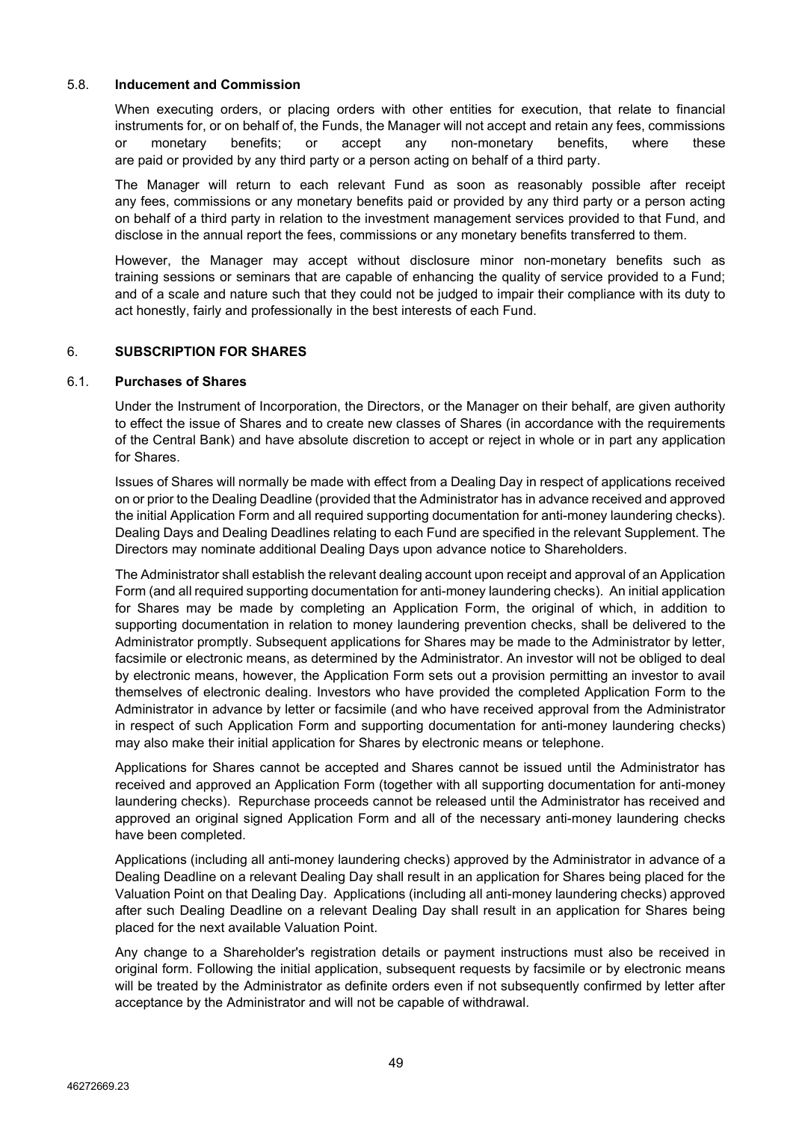### 5.8. **Inducement and Commission**

When executing orders, or placing orders with other entities for execution, that relate to financial instruments for, or on behalf of, the Funds, the Manager will not accept and retain any fees, commissions or monetary benefits; or accept any non-monetary benefits, where these are paid or provided by any third party or a person acting on behalf of a third party.

The Manager will return to each relevant Fund as soon as reasonably possible after receipt any fees, commissions or any monetary benefits paid or provided by any third party or a person acting on behalf of a third party in relation to the investment management services provided to that Fund, and disclose in the annual report the fees, commissions or any monetary benefits transferred to them.

However, the Manager may accept without disclosure minor non-monetary benefits such as training sessions or seminars that are capable of enhancing the quality of service provided to a Fund; and of a scale and nature such that they could not be judged to impair their compliance with its duty to act honestly, fairly and professionally in the best interests of each Fund.

## 6. **SUBSCRIPTION FOR SHARES**

#### 6.1. **Purchases of Shares**

Under the Instrument of Incorporation, the Directors, or the Manager on their behalf, are given authority to effect the issue of Shares and to create new classes of Shares (in accordance with the requirements of the Central Bank) and have absolute discretion to accept or reject in whole or in part any application for Shares.

Issues of Shares will normally be made with effect from a Dealing Day in respect of applications received on or prior to the Dealing Deadline (provided that the Administrator has in advance received and approved the initial Application Form and all required supporting documentation for anti-money laundering checks). Dealing Days and Dealing Deadlines relating to each Fund are specified in the relevant Supplement. The Directors may nominate additional Dealing Days upon advance notice to Shareholders.

The Administrator shall establish the relevant dealing account upon receipt and approval of an Application Form (and all required supporting documentation for anti-money laundering checks). An initial application for Shares may be made by completing an Application Form, the original of which, in addition to supporting documentation in relation to money laundering prevention checks, shall be delivered to the Administrator promptly. Subsequent applications for Shares may be made to the Administrator by letter, facsimile or electronic means, as determined by the Administrator. An investor will not be obliged to deal by electronic means, however, the Application Form sets out a provision permitting an investor to avail themselves of electronic dealing. Investors who have provided the completed Application Form to the Administrator in advance by letter or facsimile (and who have received approval from the Administrator in respect of such Application Form and supporting documentation for anti-money laundering checks) may also make their initial application for Shares by electronic means or telephone.

Applications for Shares cannot be accepted and Shares cannot be issued until the Administrator has received and approved an Application Form (together with all supporting documentation for anti-money laundering checks). Repurchase proceeds cannot be released until the Administrator has received and approved an original signed Application Form and all of the necessary anti-money laundering checks have been completed.

Applications (including all anti-money laundering checks) approved by the Administrator in advance of a Dealing Deadline on a relevant Dealing Day shall result in an application for Shares being placed for the Valuation Point on that Dealing Day. Applications (including all anti-money laundering checks) approved after such Dealing Deadline on a relevant Dealing Day shall result in an application for Shares being placed for the next available Valuation Point.

Any change to a Shareholder's registration details or payment instructions must also be received in original form. Following the initial application, subsequent requests by facsimile or by electronic means will be treated by the Administrator as definite orders even if not subsequently confirmed by letter after acceptance by the Administrator and will not be capable of withdrawal.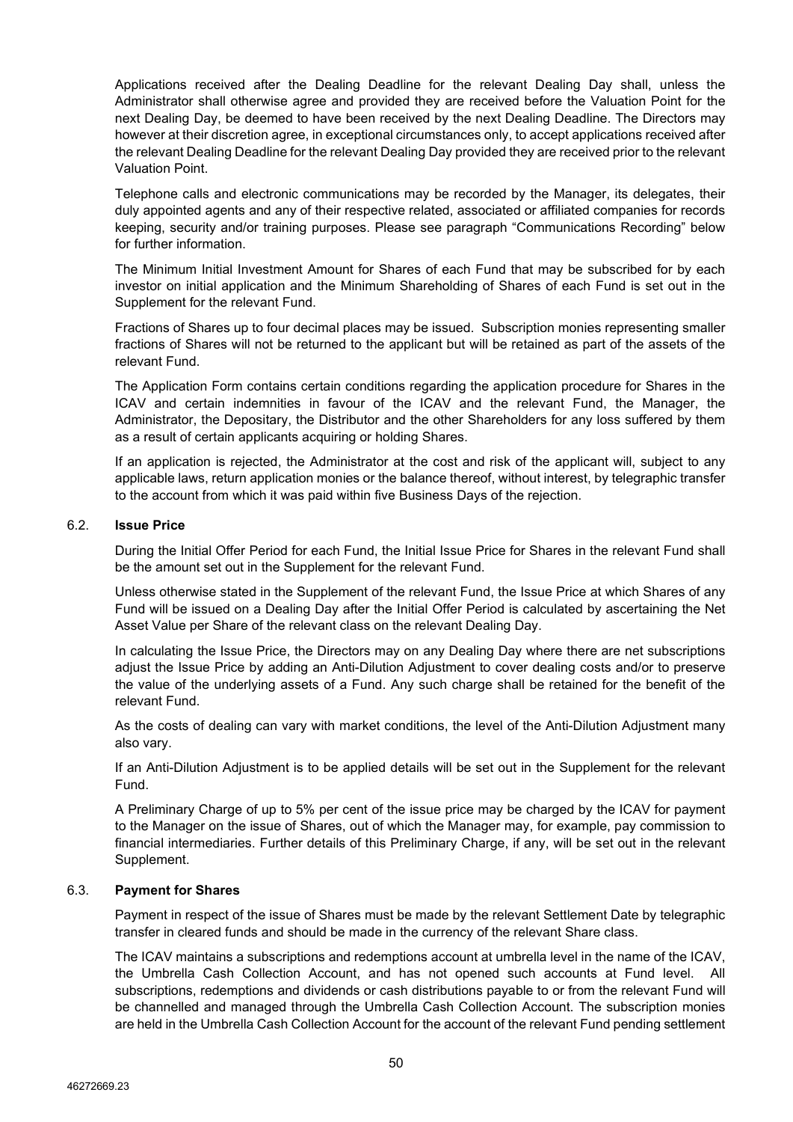Applications received after the Dealing Deadline for the relevant Dealing Day shall, unless the Administrator shall otherwise agree and provided they are received before the Valuation Point for the next Dealing Day, be deemed to have been received by the next Dealing Deadline. The Directors may however at their discretion agree, in exceptional circumstances only, to accept applications received after the relevant Dealing Deadline for the relevant Dealing Day provided they are received prior to the relevant Valuation Point.

Telephone calls and electronic communications may be recorded by the Manager, its delegates, their duly appointed agents and any of their respective related, associated or affiliated companies for records keeping, security and/or training purposes. Please see paragraph "Communications Recording" below for further information.

The Minimum Initial Investment Amount for Shares of each Fund that may be subscribed for by each investor on initial application and the Minimum Shareholding of Shares of each Fund is set out in the Supplement for the relevant Fund.

Fractions of Shares up to four decimal places may be issued. Subscription monies representing smaller fractions of Shares will not be returned to the applicant but will be retained as part of the assets of the relevant Fund.

The Application Form contains certain conditions regarding the application procedure for Shares in the ICAV and certain indemnities in favour of the ICAV and the relevant Fund, the Manager, the Administrator, the Depositary, the Distributor and the other Shareholders for any loss suffered by them as a result of certain applicants acquiring or holding Shares.

If an application is rejected, the Administrator at the cost and risk of the applicant will, subject to any applicable laws, return application monies or the balance thereof, without interest, by telegraphic transfer to the account from which it was paid within five Business Days of the rejection.

#### 6.2. **Issue Price**

During the Initial Offer Period for each Fund, the Initial Issue Price for Shares in the relevant Fund shall be the amount set out in the Supplement for the relevant Fund.

Unless otherwise stated in the Supplement of the relevant Fund, the Issue Price at which Shares of any Fund will be issued on a Dealing Day after the Initial Offer Period is calculated by ascertaining the Net Asset Value per Share of the relevant class on the relevant Dealing Day.

In calculating the Issue Price, the Directors may on any Dealing Day where there are net subscriptions adjust the Issue Price by adding an Anti-Dilution Adjustment to cover dealing costs and/or to preserve the value of the underlying assets of a Fund. Any such charge shall be retained for the benefit of the relevant Fund.

As the costs of dealing can vary with market conditions, the level of the Anti-Dilution Adjustment many also vary.

If an Anti-Dilution Adjustment is to be applied details will be set out in the Supplement for the relevant Fund.

A Preliminary Charge of up to 5% per cent of the issue price may be charged by the ICAV for payment to the Manager on the issue of Shares, out of which the Manager may, for example, pay commission to financial intermediaries. Further details of this Preliminary Charge, if any, will be set out in the relevant Supplement.

## 6.3. **Payment for Shares**

Payment in respect of the issue of Shares must be made by the relevant Settlement Date by telegraphic transfer in cleared funds and should be made in the currency of the relevant Share class.

The ICAV maintains a subscriptions and redemptions account at umbrella level in the name of the ICAV, the Umbrella Cash Collection Account, and has not opened such accounts at Fund level. All subscriptions, redemptions and dividends or cash distributions payable to or from the relevant Fund will be channelled and managed through the Umbrella Cash Collection Account. The subscription monies are held in the Umbrella Cash Collection Account for the account of the relevant Fund pending settlement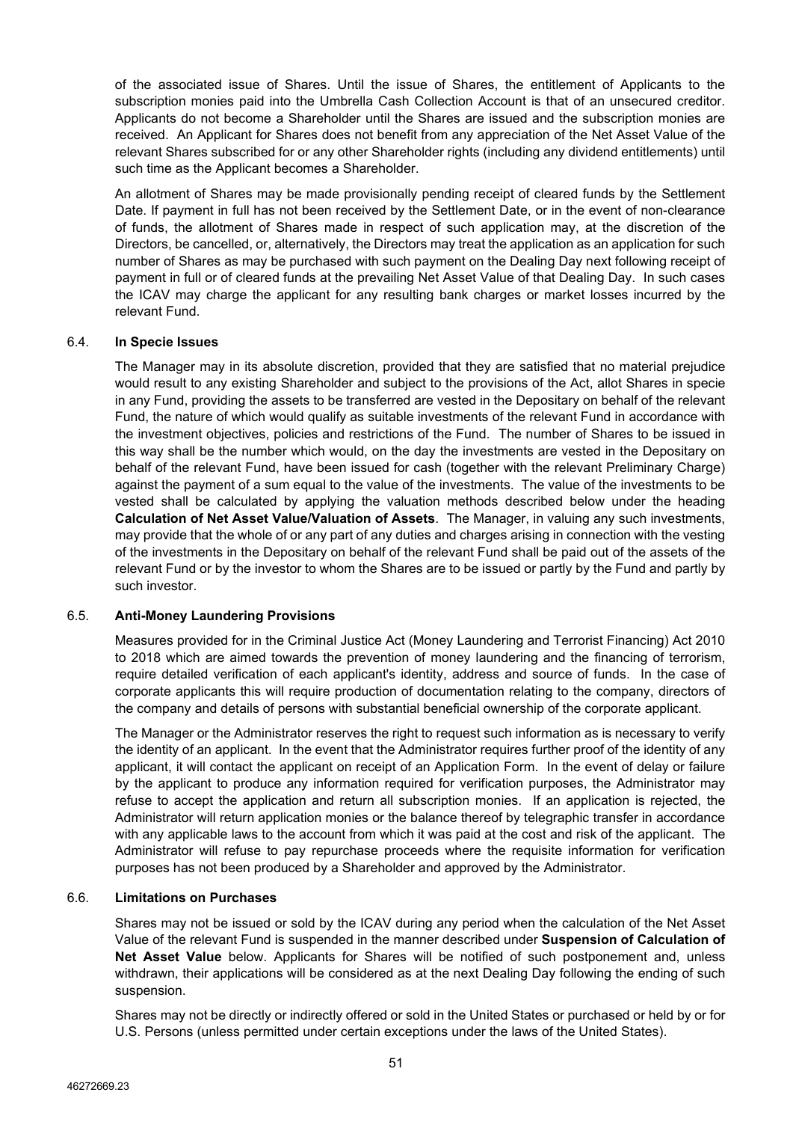of the associated issue of Shares. Until the issue of Shares, the entitlement of Applicants to the subscription monies paid into the Umbrella Cash Collection Account is that of an unsecured creditor. Applicants do not become a Shareholder until the Shares are issued and the subscription monies are received. An Applicant for Shares does not benefit from any appreciation of the Net Asset Value of the relevant Shares subscribed for or any other Shareholder rights (including any dividend entitlements) until such time as the Applicant becomes a Shareholder.

An allotment of Shares may be made provisionally pending receipt of cleared funds by the Settlement Date. If payment in full has not been received by the Settlement Date, or in the event of non-clearance of funds, the allotment of Shares made in respect of such application may, at the discretion of the Directors, be cancelled, or, alternatively, the Directors may treat the application as an application for such number of Shares as may be purchased with such payment on the Dealing Day next following receipt of payment in full or of cleared funds at the prevailing Net Asset Value of that Dealing Day. In such cases the ICAV may charge the applicant for any resulting bank charges or market losses incurred by the relevant Fund.

### 6.4. **In Specie Issues**

The Manager may in its absolute discretion, provided that they are satisfied that no material prejudice would result to any existing Shareholder and subject to the provisions of the Act, allot Shares in specie in any Fund, providing the assets to be transferred are vested in the Depositary on behalf of the relevant Fund, the nature of which would qualify as suitable investments of the relevant Fund in accordance with the investment objectives, policies and restrictions of the Fund. The number of Shares to be issued in this way shall be the number which would, on the day the investments are vested in the Depositary on behalf of the relevant Fund, have been issued for cash (together with the relevant Preliminary Charge) against the payment of a sum equal to the value of the investments. The value of the investments to be vested shall be calculated by applying the valuation methods described below under the heading **Calculation of Net Asset Value/Valuation of Assets**. The Manager, in valuing any such investments, may provide that the whole of or any part of any duties and charges arising in connection with the vesting of the investments in the Depositary on behalf of the relevant Fund shall be paid out of the assets of the relevant Fund or by the investor to whom the Shares are to be issued or partly by the Fund and partly by such investor.

## 6.5. **Anti-Money Laundering Provisions**

Measures provided for in the Criminal Justice Act (Money Laundering and Terrorist Financing) Act 2010 to 2018 which are aimed towards the prevention of money laundering and the financing of terrorism, require detailed verification of each applicant's identity, address and source of funds. In the case of corporate applicants this will require production of documentation relating to the company, directors of the company and details of persons with substantial beneficial ownership of the corporate applicant.

The Manager or the Administrator reserves the right to request such information as is necessary to verify the identity of an applicant. In the event that the Administrator requires further proof of the identity of any applicant, it will contact the applicant on receipt of an Application Form. In the event of delay or failure by the applicant to produce any information required for verification purposes, the Administrator may refuse to accept the application and return all subscription monies. If an application is rejected, the Administrator will return application monies or the balance thereof by telegraphic transfer in accordance with any applicable laws to the account from which it was paid at the cost and risk of the applicant. The Administrator will refuse to pay repurchase proceeds where the requisite information for verification purposes has not been produced by a Shareholder and approved by the Administrator.

## 6.6. **Limitations on Purchases**

Shares may not be issued or sold by the ICAV during any period when the calculation of the Net Asset Value of the relevant Fund is suspended in the manner described under **Suspension of Calculation of Net Asset Value** below. Applicants for Shares will be notified of such postponement and, unless withdrawn, their applications will be considered as at the next Dealing Day following the ending of such suspension.

Shares may not be directly or indirectly offered or sold in the United States or purchased or held by or for U.S. Persons (unless permitted under certain exceptions under the laws of the United States).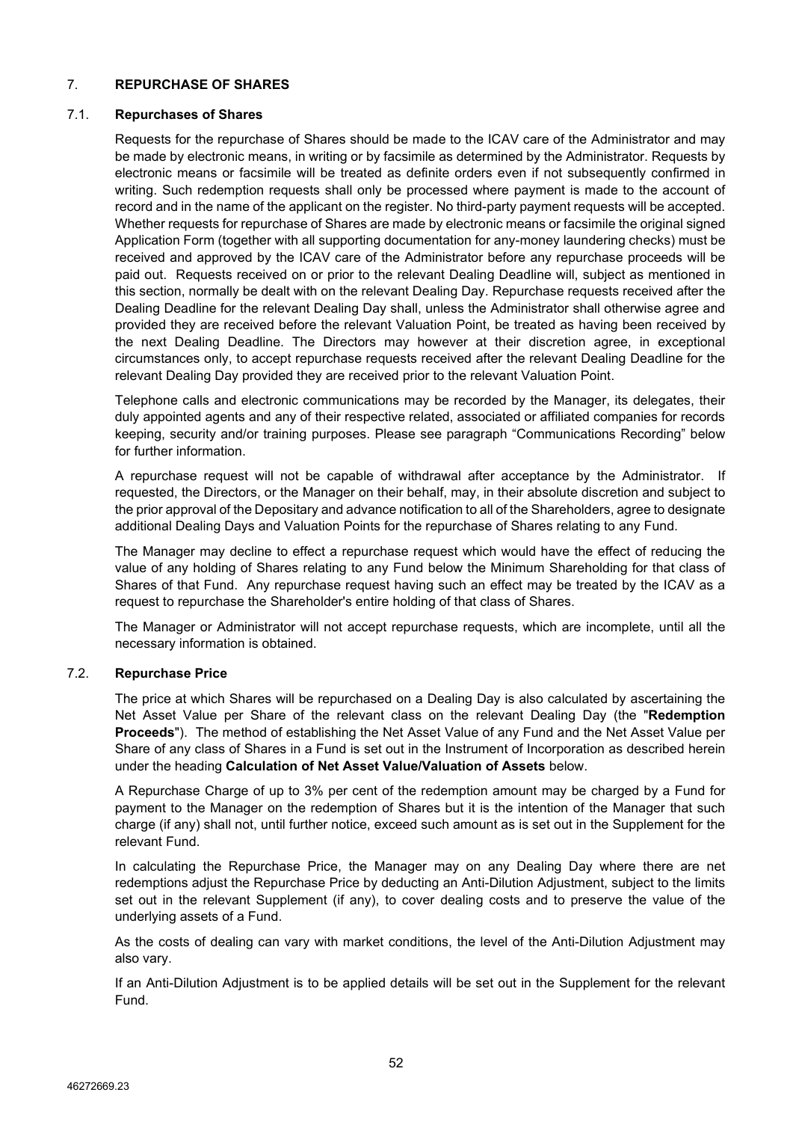## 7. **REPURCHASE OF SHARES**

### 7.1. **Repurchases of Shares**

Requests for the repurchase of Shares should be made to the ICAV care of the Administrator and may be made by electronic means, in writing or by facsimile as determined by the Administrator. Requests by electronic means or facsimile will be treated as definite orders even if not subsequently confirmed in writing. Such redemption requests shall only be processed where payment is made to the account of record and in the name of the applicant on the register. No third-party payment requests will be accepted. Whether requests for repurchase of Shares are made by electronic means or facsimile the original signed Application Form (together with all supporting documentation for any-money laundering checks) must be received and approved by the ICAV care of the Administrator before any repurchase proceeds will be paid out. Requests received on or prior to the relevant Dealing Deadline will, subject as mentioned in this section, normally be dealt with on the relevant Dealing Day. Repurchase requests received after the Dealing Deadline for the relevant Dealing Day shall, unless the Administrator shall otherwise agree and provided they are received before the relevant Valuation Point, be treated as having been received by the next Dealing Deadline. The Directors may however at their discretion agree, in exceptional circumstances only, to accept repurchase requests received after the relevant Dealing Deadline for the relevant Dealing Day provided they are received prior to the relevant Valuation Point.

Telephone calls and electronic communications may be recorded by the Manager, its delegates, their duly appointed agents and any of their respective related, associated or affiliated companies for records keeping, security and/or training purposes. Please see paragraph "Communications Recording" below for further information.

A repurchase request will not be capable of withdrawal after acceptance by the Administrator. If requested, the Directors, or the Manager on their behalf, may, in their absolute discretion and subject to the prior approval of the Depositary and advance notification to all of the Shareholders, agree to designate additional Dealing Days and Valuation Points for the repurchase of Shares relating to any Fund.

The Manager may decline to effect a repurchase request which would have the effect of reducing the value of any holding of Shares relating to any Fund below the Minimum Shareholding for that class of Shares of that Fund. Any repurchase request having such an effect may be treated by the ICAV as a request to repurchase the Shareholder's entire holding of that class of Shares.

The Manager or Administrator will not accept repurchase requests, which are incomplete, until all the necessary information is obtained.

## 7.2. **Repurchase Price**

The price at which Shares will be repurchased on a Dealing Day is also calculated by ascertaining the Net Asset Value per Share of the relevant class on the relevant Dealing Day (the "**Redemption Proceeds**"). The method of establishing the Net Asset Value of any Fund and the Net Asset Value per Share of any class of Shares in a Fund is set out in the Instrument of Incorporation as described herein under the heading **Calculation of Net Asset Value/Valuation of Assets** below.

A Repurchase Charge of up to 3% per cent of the redemption amount may be charged by a Fund for payment to the Manager on the redemption of Shares but it is the intention of the Manager that such charge (if any) shall not, until further notice, exceed such amount as is set out in the Supplement for the relevant Fund.

In calculating the Repurchase Price, the Manager may on any Dealing Day where there are net redemptions adjust the Repurchase Price by deducting an Anti-Dilution Adjustment, subject to the limits set out in the relevant Supplement (if any), to cover dealing costs and to preserve the value of the underlying assets of a Fund.

As the costs of dealing can vary with market conditions, the level of the Anti-Dilution Adjustment may also vary.

If an Anti-Dilution Adjustment is to be applied details will be set out in the Supplement for the relevant Fund.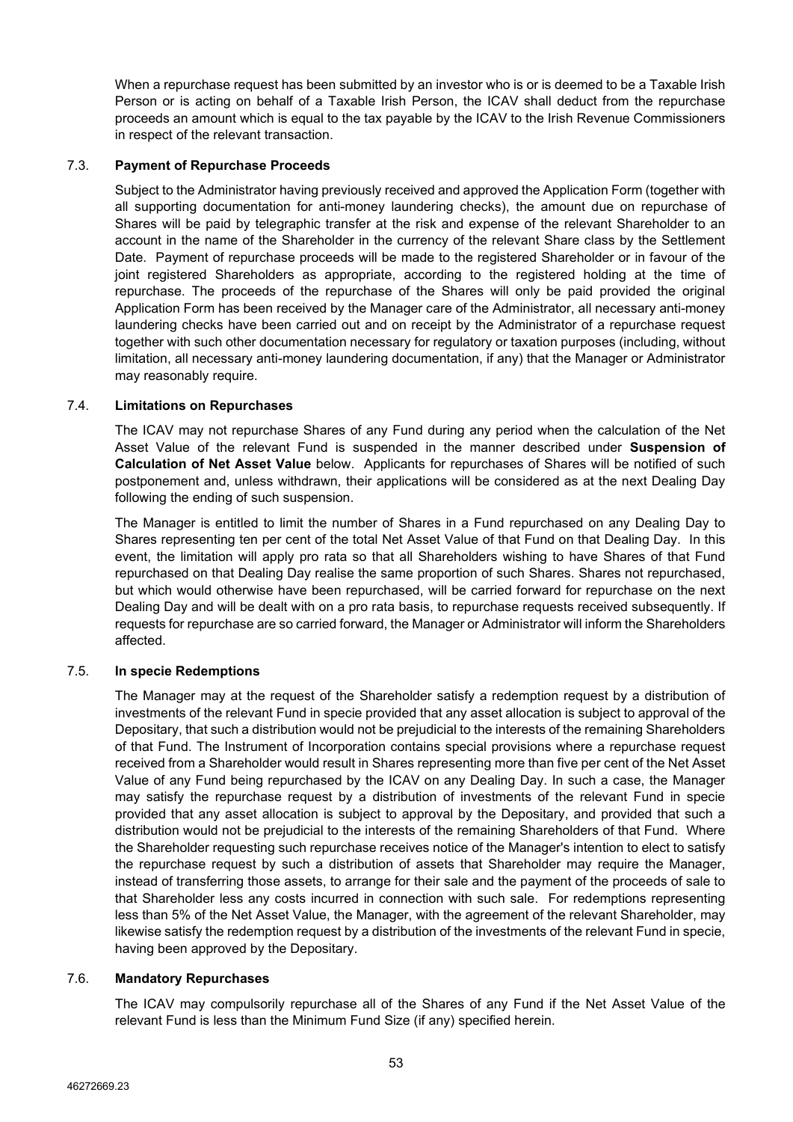When a repurchase request has been submitted by an investor who is or is deemed to be a Taxable Irish Person or is acting on behalf of a Taxable Irish Person, the ICAV shall deduct from the repurchase proceeds an amount which is equal to the tax payable by the ICAV to the Irish Revenue Commissioners in respect of the relevant transaction.

## 7.3. **Payment of Repurchase Proceeds**

Subject to the Administrator having previously received and approved the Application Form (together with all supporting documentation for anti-money laundering checks), the amount due on repurchase of Shares will be paid by telegraphic transfer at the risk and expense of the relevant Shareholder to an account in the name of the Shareholder in the currency of the relevant Share class by the Settlement Date. Payment of repurchase proceeds will be made to the registered Shareholder or in favour of the joint registered Shareholders as appropriate, according to the registered holding at the time of repurchase. The proceeds of the repurchase of the Shares will only be paid provided the original Application Form has been received by the Manager care of the Administrator, all necessary anti-money laundering checks have been carried out and on receipt by the Administrator of a repurchase request together with such other documentation necessary for regulatory or taxation purposes (including, without limitation, all necessary anti-money laundering documentation, if any) that the Manager or Administrator may reasonably require.

# 7.4. **Limitations on Repurchases**

The ICAV may not repurchase Shares of any Fund during any period when the calculation of the Net Asset Value of the relevant Fund is suspended in the manner described under **Suspension of Calculation of Net Asset Value** below. Applicants for repurchases of Shares will be notified of such postponement and, unless withdrawn, their applications will be considered as at the next Dealing Day following the ending of such suspension.

The Manager is entitled to limit the number of Shares in a Fund repurchased on any Dealing Day to Shares representing ten per cent of the total Net Asset Value of that Fund on that Dealing Day. In this event, the limitation will apply pro rata so that all Shareholders wishing to have Shares of that Fund repurchased on that Dealing Day realise the same proportion of such Shares. Shares not repurchased, but which would otherwise have been repurchased, will be carried forward for repurchase on the next Dealing Day and will be dealt with on a pro rata basis, to repurchase requests received subsequently. If requests for repurchase are so carried forward, the Manager or Administrator will inform the Shareholders affected.

# 7.5. **In specie Redemptions**

The Manager may at the request of the Shareholder satisfy a redemption request by a distribution of investments of the relevant Fund in specie provided that any asset allocation is subject to approval of the Depositary, that such a distribution would not be prejudicial to the interests of the remaining Shareholders of that Fund. The Instrument of Incorporation contains special provisions where a repurchase request received from a Shareholder would result in Shares representing more than five per cent of the Net Asset Value of any Fund being repurchased by the ICAV on any Dealing Day. In such a case, the Manager may satisfy the repurchase request by a distribution of investments of the relevant Fund in specie provided that any asset allocation is subject to approval by the Depositary, and provided that such a distribution would not be prejudicial to the interests of the remaining Shareholders of that Fund. Where the Shareholder requesting such repurchase receives notice of the Manager's intention to elect to satisfy the repurchase request by such a distribution of assets that Shareholder may require the Manager, instead of transferring those assets, to arrange for their sale and the payment of the proceeds of sale to that Shareholder less any costs incurred in connection with such sale. For redemptions representing less than 5% of the Net Asset Value, the Manager, with the agreement of the relevant Shareholder, may likewise satisfy the redemption request by a distribution of the investments of the relevant Fund in specie, having been approved by the Depositary.

## 7.6. **Mandatory Repurchases**

The ICAV may compulsorily repurchase all of the Shares of any Fund if the Net Asset Value of the relevant Fund is less than the Minimum Fund Size (if any) specified herein.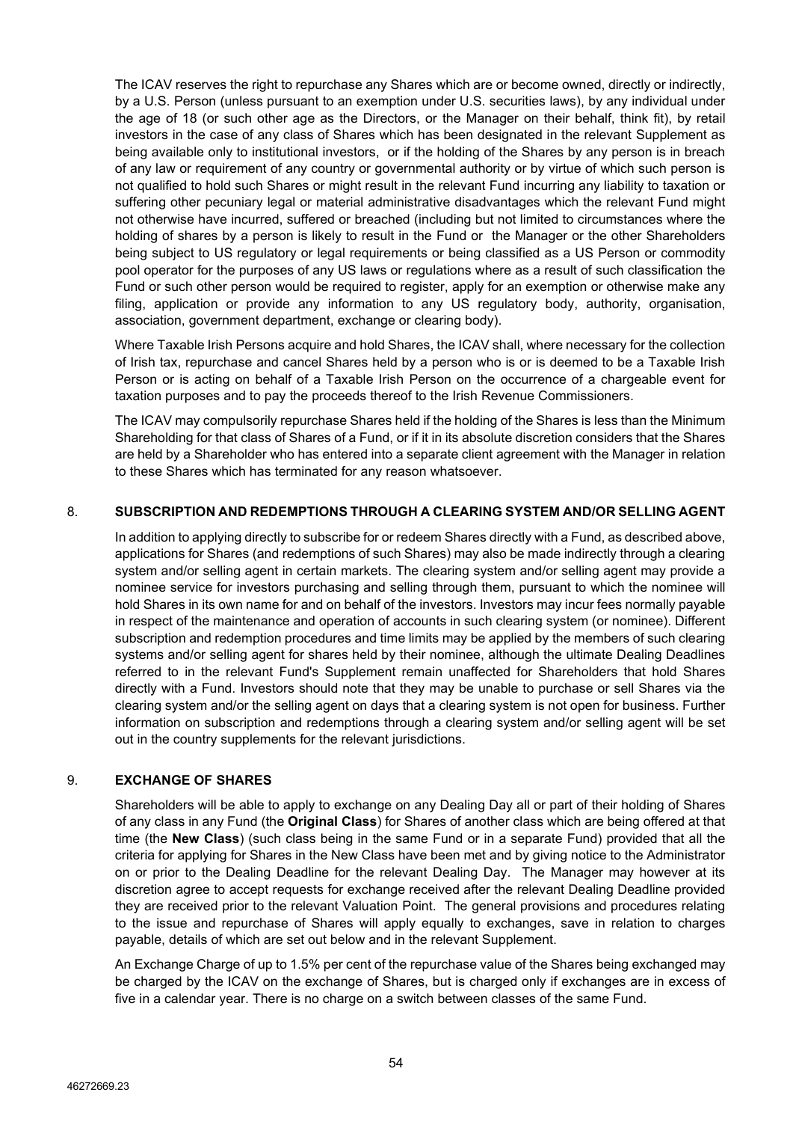The ICAV reserves the right to repurchase any Shares which are or become owned, directly or indirectly, by a U.S. Person (unless pursuant to an exemption under U.S. securities laws), by any individual under the age of 18 (or such other age as the Directors, or the Manager on their behalf, think fit), by retail investors in the case of any class of Shares which has been designated in the relevant Supplement as being available only to institutional investors, or if the holding of the Shares by any person is in breach of any law or requirement of any country or governmental authority or by virtue of which such person is not qualified to hold such Shares or might result in the relevant Fund incurring any liability to taxation or suffering other pecuniary legal or material administrative disadvantages which the relevant Fund might not otherwise have incurred, suffered or breached (including but not limited to circumstances where the holding of shares by a person is likely to result in the Fund or the Manager or the other Shareholders being subject to US regulatory or legal requirements or being classified as a US Person or commodity pool operator for the purposes of any US laws or regulations where as a result of such classification the Fund or such other person would be required to register, apply for an exemption or otherwise make any filing, application or provide any information to any US regulatory body, authority, organisation, association, government department, exchange or clearing body).

Where Taxable Irish Persons acquire and hold Shares, the ICAV shall, where necessary for the collection of Irish tax, repurchase and cancel Shares held by a person who is or is deemed to be a Taxable Irish Person or is acting on behalf of a Taxable Irish Person on the occurrence of a chargeable event for taxation purposes and to pay the proceeds thereof to the Irish Revenue Commissioners.

The ICAV may compulsorily repurchase Shares held if the holding of the Shares is less than the Minimum Shareholding for that class of Shares of a Fund, or if it in its absolute discretion considers that the Shares are held by a Shareholder who has entered into a separate client agreement with the Manager in relation to these Shares which has terminated for any reason whatsoever.

## 8. **SUBSCRIPTION AND REDEMPTIONS THROUGH A CLEARING SYSTEM AND/OR SELLING AGENT**

In addition to applying directly to subscribe for or redeem Shares directly with a Fund, as described above, applications for Shares (and redemptions of such Shares) may also be made indirectly through a clearing system and/or selling agent in certain markets. The clearing system and/or selling agent may provide a nominee service for investors purchasing and selling through them, pursuant to which the nominee will hold Shares in its own name for and on behalf of the investors. Investors may incur fees normally payable in respect of the maintenance and operation of accounts in such clearing system (or nominee). Different subscription and redemption procedures and time limits may be applied by the members of such clearing systems and/or selling agent for shares held by their nominee, although the ultimate Dealing Deadlines referred to in the relevant Fund's Supplement remain unaffected for Shareholders that hold Shares directly with a Fund. Investors should note that they may be unable to purchase or sell Shares via the clearing system and/or the selling agent on days that a clearing system is not open for business. Further information on subscription and redemptions through a clearing system and/or selling agent will be set out in the country supplements for the relevant jurisdictions.

## 9. **EXCHANGE OF SHARES**

Shareholders will be able to apply to exchange on any Dealing Day all or part of their holding of Shares of any class in any Fund (the **Original Class**) for Shares of another class which are being offered at that time (the **New Class**) (such class being in the same Fund or in a separate Fund) provided that all the criteria for applying for Shares in the New Class have been met and by giving notice to the Administrator on or prior to the Dealing Deadline for the relevant Dealing Day. The Manager may however at its discretion agree to accept requests for exchange received after the relevant Dealing Deadline provided they are received prior to the relevant Valuation Point. The general provisions and procedures relating to the issue and repurchase of Shares will apply equally to exchanges, save in relation to charges payable, details of which are set out below and in the relevant Supplement.

An Exchange Charge of up to 1.5% per cent of the repurchase value of the Shares being exchanged may be charged by the ICAV on the exchange of Shares, but is charged only if exchanges are in excess of five in a calendar year. There is no charge on a switch between classes of the same Fund.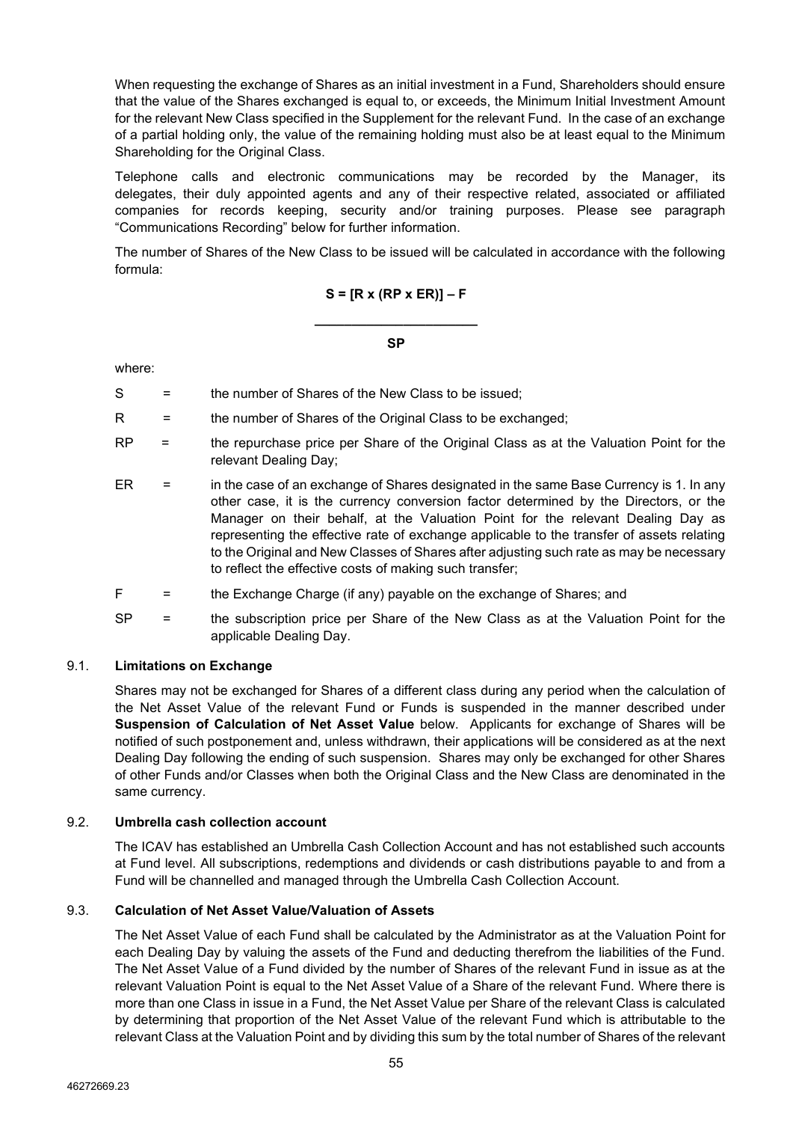When requesting the exchange of Shares as an initial investment in a Fund, Shareholders should ensure that the value of the Shares exchanged is equal to, or exceeds, the Minimum Initial Investment Amount for the relevant New Class specified in the Supplement for the relevant Fund. In the case of an exchange of a partial holding only, the value of the remaining holding must also be at least equal to the Minimum Shareholding for the Original Class.

Telephone calls and electronic communications may be recorded by the Manager, its delegates, their duly appointed agents and any of their respective related, associated or affiliated companies for records keeping, security and/or training purposes. Please see paragraph "Communications Recording" below for further information.

The number of Shares of the New Class to be issued will be calculated in accordance with the following formula:

## **S = [R x (RP x ER)] – F**

**\_\_\_\_\_\_\_\_\_\_\_\_\_\_\_\_\_\_\_\_\_\_ SP**

where:

- $S =$  the number of Shares of the New Class to be issued:
- R = the number of Shares of the Original Class to be exchanged;
- RP = the repurchase price per Share of the Original Class as at the Valuation Point for the relevant Dealing Day;
- ER = in the case of an exchange of Shares designated in the same Base Currency is 1. In any other case, it is the currency conversion factor determined by the Directors, or the Manager on their behalf, at the Valuation Point for the relevant Dealing Day as representing the effective rate of exchange applicable to the transfer of assets relating to the Original and New Classes of Shares after adjusting such rate as may be necessary to reflect the effective costs of making such transfer;

 $F =$  the Exchange Charge (if any) payable on the exchange of Shares; and

SP = the subscription price per Share of the New Class as at the Valuation Point for the applicable Dealing Day.

## 9.1. **Limitations on Exchange**

Shares may not be exchanged for Shares of a different class during any period when the calculation of the Net Asset Value of the relevant Fund or Funds is suspended in the manner described under **Suspension of Calculation of Net Asset Value** below. Applicants for exchange of Shares will be notified of such postponement and, unless withdrawn, their applications will be considered as at the next Dealing Day following the ending of such suspension. Shares may only be exchanged for other Shares of other Funds and/or Classes when both the Original Class and the New Class are denominated in the same currency.

## 9.2. **Umbrella cash collection account**

The ICAV has established an Umbrella Cash Collection Account and has not established such accounts at Fund level. All subscriptions, redemptions and dividends or cash distributions payable to and from a Fund will be channelled and managed through the Umbrella Cash Collection Account.

## 9.3. **Calculation of Net Asset Value/Valuation of Assets**

The Net Asset Value of each Fund shall be calculated by the Administrator as at the Valuation Point for each Dealing Day by valuing the assets of the Fund and deducting therefrom the liabilities of the Fund. The Net Asset Value of a Fund divided by the number of Shares of the relevant Fund in issue as at the relevant Valuation Point is equal to the Net Asset Value of a Share of the relevant Fund. Where there is more than one Class in issue in a Fund, the Net Asset Value per Share of the relevant Class is calculated by determining that proportion of the Net Asset Value of the relevant Fund which is attributable to the relevant Class at the Valuation Point and by dividing this sum by the total number of Shares of the relevant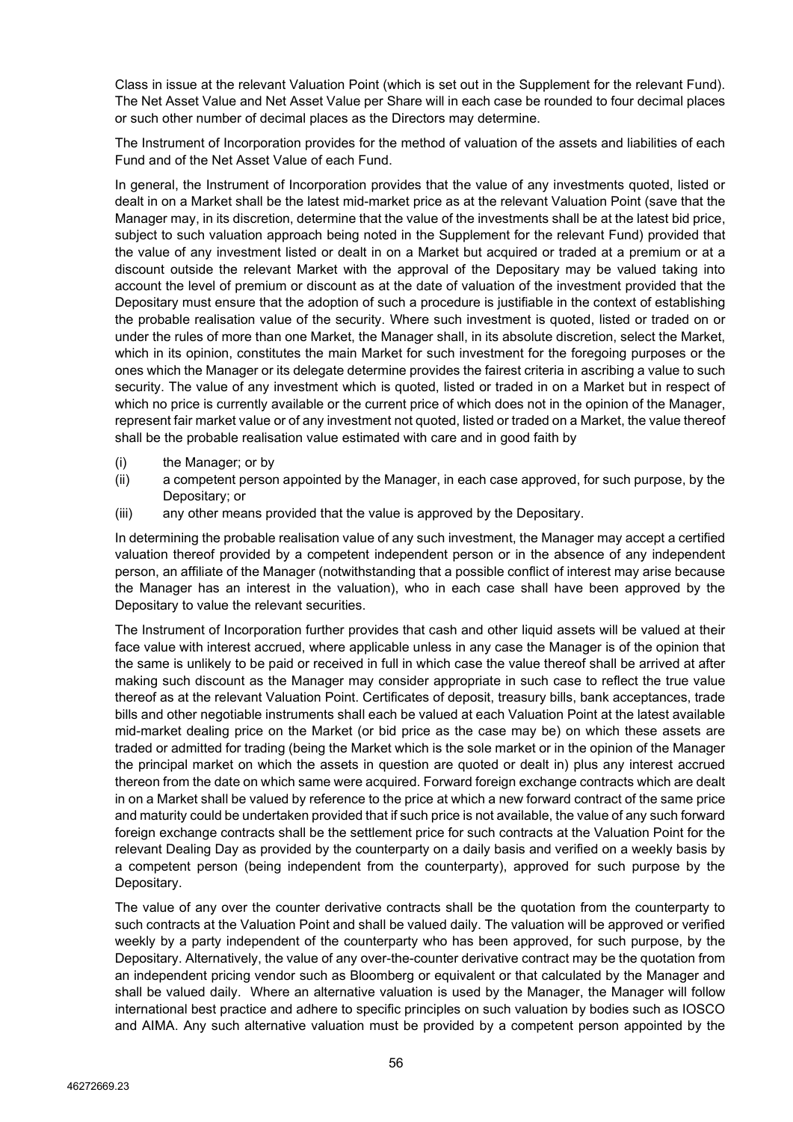Class in issue at the relevant Valuation Point (which is set out in the Supplement for the relevant Fund). The Net Asset Value and Net Asset Value per Share will in each case be rounded to four decimal places or such other number of decimal places as the Directors may determine.

The Instrument of Incorporation provides for the method of valuation of the assets and liabilities of each Fund and of the Net Asset Value of each Fund.

In general, the Instrument of Incorporation provides that the value of any investments quoted, listed or dealt in on a Market shall be the latest mid-market price as at the relevant Valuation Point (save that the Manager may, in its discretion, determine that the value of the investments shall be at the latest bid price, subject to such valuation approach being noted in the Supplement for the relevant Fund) provided that the value of any investment listed or dealt in on a Market but acquired or traded at a premium or at a discount outside the relevant Market with the approval of the Depositary may be valued taking into account the level of premium or discount as at the date of valuation of the investment provided that the Depositary must ensure that the adoption of such a procedure is justifiable in the context of establishing the probable realisation value of the security. Where such investment is quoted, listed or traded on or under the rules of more than one Market, the Manager shall, in its absolute discretion, select the Market, which in its opinion, constitutes the main Market for such investment for the foregoing purposes or the ones which the Manager or its delegate determine provides the fairest criteria in ascribing a value to such security. The value of any investment which is quoted, listed or traded in on a Market but in respect of which no price is currently available or the current price of which does not in the opinion of the Manager, represent fair market value or of any investment not quoted, listed or traded on a Market, the value thereof shall be the probable realisation value estimated with care and in good faith by

- (i) the Manager; or by
- (ii) a competent person appointed by the Manager, in each case approved, for such purpose, by the Depositary; or
- (iii) any other means provided that the value is approved by the Depositary.

In determining the probable realisation value of any such investment, the Manager may accept a certified valuation thereof provided by a competent independent person or in the absence of any independent person, an affiliate of the Manager (notwithstanding that a possible conflict of interest may arise because the Manager has an interest in the valuation), who in each case shall have been approved by the Depositary to value the relevant securities.

The Instrument of Incorporation further provides that cash and other liquid assets will be valued at their face value with interest accrued, where applicable unless in any case the Manager is of the opinion that the same is unlikely to be paid or received in full in which case the value thereof shall be arrived at after making such discount as the Manager may consider appropriate in such case to reflect the true value thereof as at the relevant Valuation Point. Certificates of deposit, treasury bills, bank acceptances, trade bills and other negotiable instruments shall each be valued at each Valuation Point at the latest available mid-market dealing price on the Market (or bid price as the case may be) on which these assets are traded or admitted for trading (being the Market which is the sole market or in the opinion of the Manager the principal market on which the assets in question are quoted or dealt in) plus any interest accrued thereon from the date on which same were acquired. Forward foreign exchange contracts which are dealt in on a Market shall be valued by reference to the price at which a new forward contract of the same price and maturity could be undertaken provided that if such price is not available, the value of any such forward foreign exchange contracts shall be the settlement price for such contracts at the Valuation Point for the relevant Dealing Day as provided by the counterparty on a daily basis and verified on a weekly basis by a competent person (being independent from the counterparty), approved for such purpose by the Depositary.

The value of any over the counter derivative contracts shall be the quotation from the counterparty to such contracts at the Valuation Point and shall be valued daily. The valuation will be approved or verified weekly by a party independent of the counterparty who has been approved, for such purpose, by the Depositary. Alternatively, the value of any over-the-counter derivative contract may be the quotation from an independent pricing vendor such as Bloomberg or equivalent or that calculated by the Manager and shall be valued daily. Where an alternative valuation is used by the Manager, the Manager will follow international best practice and adhere to specific principles on such valuation by bodies such as IOSCO and AIMA. Any such alternative valuation must be provided by a competent person appointed by the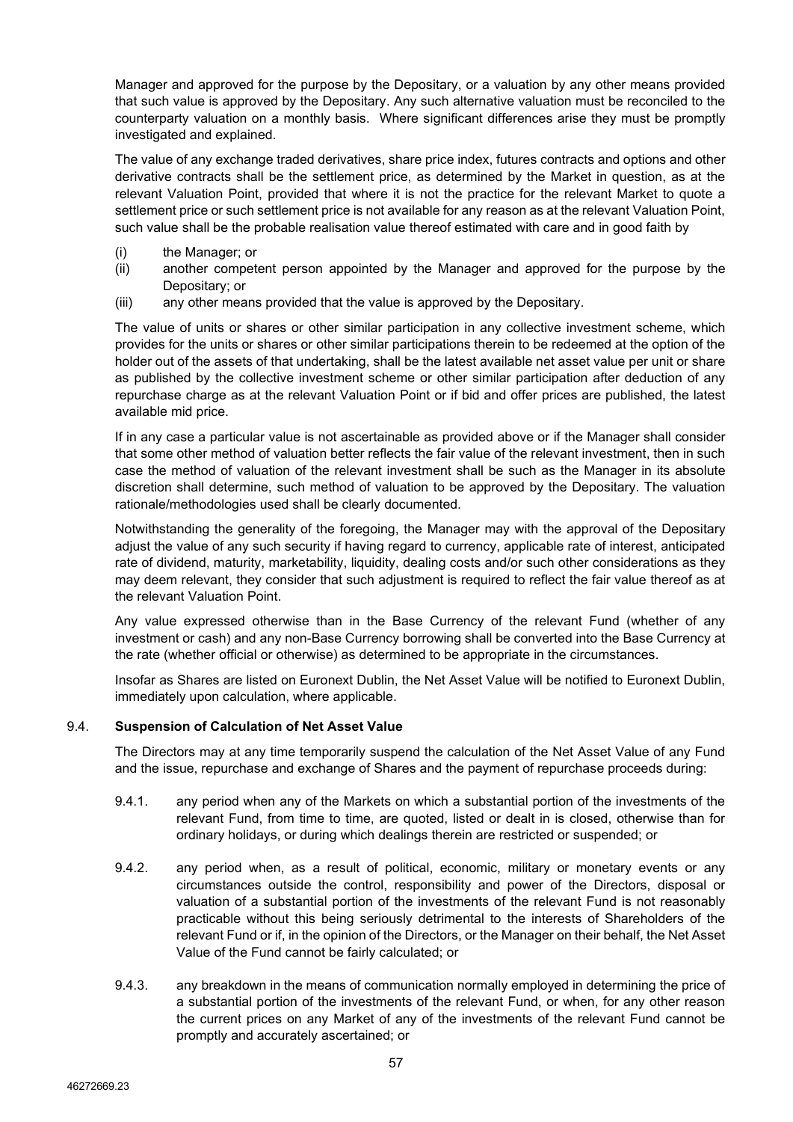Manager and approved for the purpose by the Depositary, or a valuation by any other means provided that such value is approved by the Depositary. Any such alternative valuation must be reconciled to the counterparty valuation on a monthly basis. Where significant differences arise they must be promptly investigated and explained.

The value of any exchange traded derivatives, share price index, futures contracts and options and other derivative contracts shall be the settlement price, as determined by the Market in question, as at the relevant Valuation Point, provided that where it is not the practice for the relevant Market to quote a settlement price or such settlement price is not available for any reason as at the relevant Valuation Point, such value shall be the probable realisation value thereof estimated with care and in good faith by

- (i) the Manager; or
- (ii) another competent person appointed by the Manager and approved for the purpose by the Depositary; or
- (iii) any other means provided that the value is approved by the Depositary.

The value of units or shares or other similar participation in any collective investment scheme, which provides for the units or shares or other similar participations therein to be redeemed at the option of the holder out of the assets of that undertaking, shall be the latest available net asset value per unit or share as published by the collective investment scheme or other similar participation after deduction of any repurchase charge as at the relevant Valuation Point or if bid and offer prices are published, the latest available mid price.

If in any case a particular value is not ascertainable as provided above or if the Manager shall consider that some other method of valuation better reflects the fair value of the relevant investment, then in such case the method of valuation of the relevant investment shall be such as the Manager in its absolute discretion shall determine, such method of valuation to be approved by the Depositary. The valuation rationale/methodologies used shall be clearly documented.

Notwithstanding the generality of the foregoing, the Manager may with the approval of the Depositary adjust the value of any such security if having regard to currency, applicable rate of interest, anticipated rate of dividend, maturity, marketability, liquidity, dealing costs and/or such other considerations as they may deem relevant, they consider that such adjustment is required to reflect the fair value thereof as at the relevant Valuation Point.

Any value expressed otherwise than in the Base Currency of the relevant Fund (whether of any investment or cash) and any non-Base Currency borrowing shall be converted into the Base Currency at the rate (whether official or otherwise) as determined to be appropriate in the circumstances.

Insofar as Shares are listed on Euronext Dublin, the Net Asset Value will be notified to Euronext Dublin, immediately upon calculation, where applicable.

## 9.4. **Suspension of Calculation of Net Asset Value**

The Directors may at any time temporarily suspend the calculation of the Net Asset Value of any Fund and the issue, repurchase and exchange of Shares and the payment of repurchase proceeds during:

- 9.4.1. any period when any of the Markets on which a substantial portion of the investments of the relevant Fund, from time to time, are quoted, listed or dealt in is closed, otherwise than for ordinary holidays, or during which dealings therein are restricted or suspended; or
- 9.4.2. any period when, as a result of political, economic, military or monetary events or any circumstances outside the control, responsibility and power of the Directors, disposal or valuation of a substantial portion of the investments of the relevant Fund is not reasonably practicable without this being seriously detrimental to the interests of Shareholders of the relevant Fund or if, in the opinion of the Directors, or the Manager on their behalf, the Net Asset Value of the Fund cannot be fairly calculated; or
- 9.4.3. any breakdown in the means of communication normally employed in determining the price of a substantial portion of the investments of the relevant Fund, or when, for any other reason the current prices on any Market of any of the investments of the relevant Fund cannot be promptly and accurately ascertained; or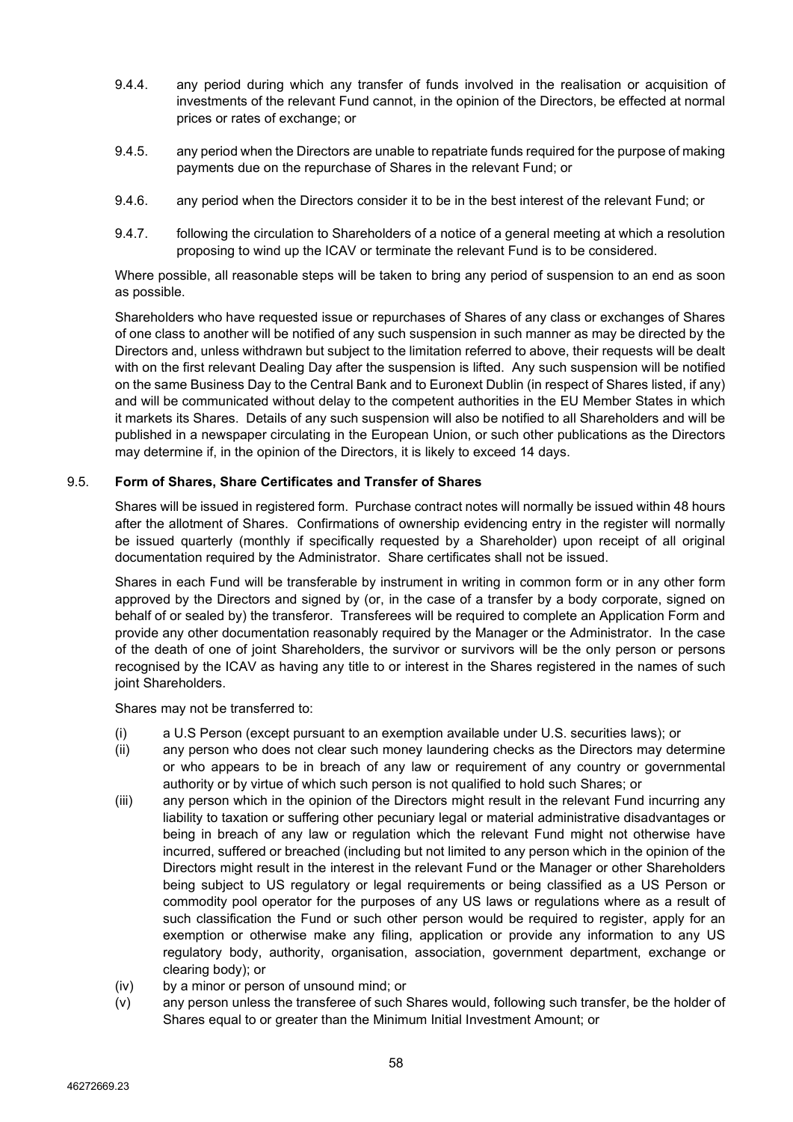- 9.4.4. any period during which any transfer of funds involved in the realisation or acquisition of investments of the relevant Fund cannot, in the opinion of the Directors, be effected at normal prices or rates of exchange; or
- 9.4.5. any period when the Directors are unable to repatriate funds required for the purpose of making payments due on the repurchase of Shares in the relevant Fund; or
- 9.4.6. any period when the Directors consider it to be in the best interest of the relevant Fund; or
- 9.4.7. following the circulation to Shareholders of a notice of a general meeting at which a resolution proposing to wind up the ICAV or terminate the relevant Fund is to be considered.

Where possible, all reasonable steps will be taken to bring any period of suspension to an end as soon as possible.

Shareholders who have requested issue or repurchases of Shares of any class or exchanges of Shares of one class to another will be notified of any such suspension in such manner as may be directed by the Directors and, unless withdrawn but subject to the limitation referred to above, their requests will be dealt with on the first relevant Dealing Day after the suspension is lifted. Any such suspension will be notified on the same Business Day to the Central Bank and to Euronext Dublin (in respect of Shares listed, if any) and will be communicated without delay to the competent authorities in the EU Member States in which it markets its Shares. Details of any such suspension will also be notified to all Shareholders and will be published in a newspaper circulating in the European Union, or such other publications as the Directors may determine if, in the opinion of the Directors, it is likely to exceed 14 days.

## 9.5. **Form of Shares, Share Certificates and Transfer of Shares**

Shares will be issued in registered form. Purchase contract notes will normally be issued within 48 hours after the allotment of Shares. Confirmations of ownership evidencing entry in the register will normally be issued quarterly (monthly if specifically requested by a Shareholder) upon receipt of all original documentation required by the Administrator. Share certificates shall not be issued.

Shares in each Fund will be transferable by instrument in writing in common form or in any other form approved by the Directors and signed by (or, in the case of a transfer by a body corporate, signed on behalf of or sealed by) the transferor. Transferees will be required to complete an Application Form and provide any other documentation reasonably required by the Manager or the Administrator. In the case of the death of one of joint Shareholders, the survivor or survivors will be the only person or persons recognised by the ICAV as having any title to or interest in the Shares registered in the names of such joint Shareholders.

Shares may not be transferred to:

- (i) a U.S Person (except pursuant to an exemption available under U.S. securities laws); or
- (ii) any person who does not clear such money laundering checks as the Directors may determine or who appears to be in breach of any law or requirement of any country or governmental authority or by virtue of which such person is not qualified to hold such Shares; or
- (iii) any person which in the opinion of the Directors might result in the relevant Fund incurring any liability to taxation or suffering other pecuniary legal or material administrative disadvantages or being in breach of any law or regulation which the relevant Fund might not otherwise have incurred, suffered or breached (including but not limited to any person which in the opinion of the Directors might result in the interest in the relevant Fund or the Manager or other Shareholders being subject to US regulatory or legal requirements or being classified as a US Person or commodity pool operator for the purposes of any US laws or regulations where as a result of such classification the Fund or such other person would be required to register, apply for an exemption or otherwise make any filing, application or provide any information to any US regulatory body, authority, organisation, association, government department, exchange or clearing body); or
- (iv) by a minor or person of unsound mind; or
- (v) any person unless the transferee of such Shares would, following such transfer, be the holder of Shares equal to or greater than the Minimum Initial Investment Amount; or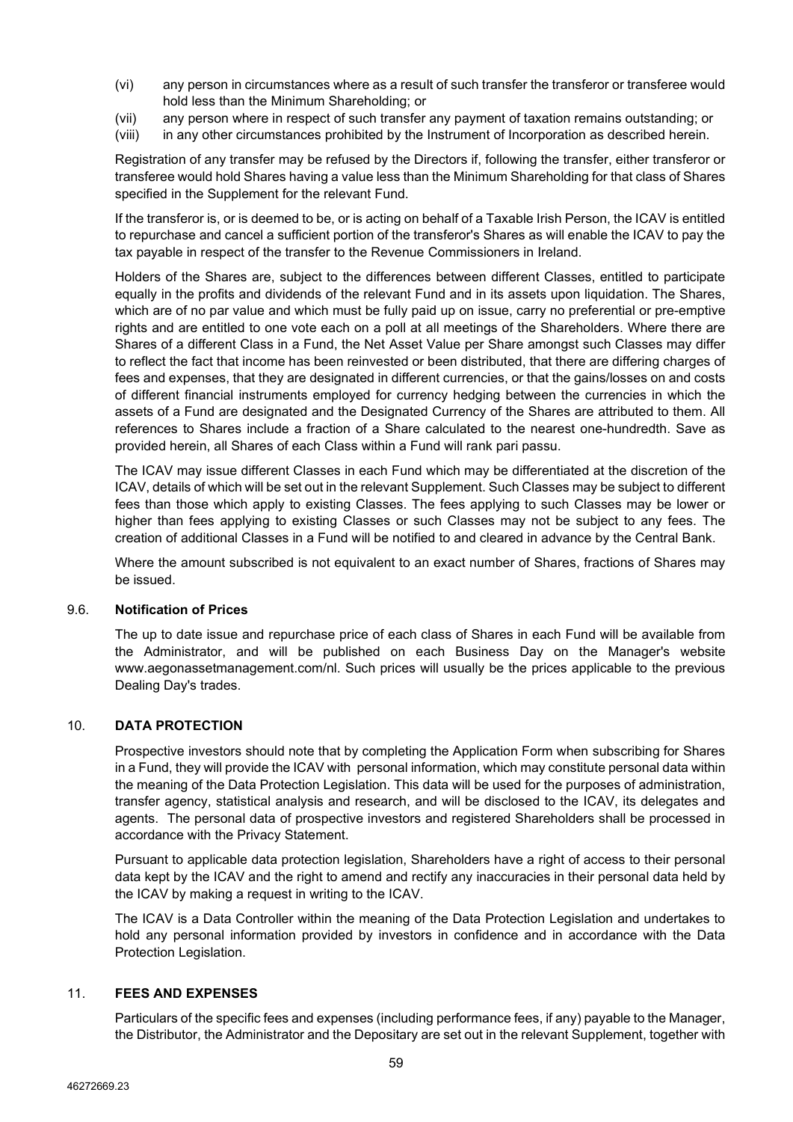- (vi) any person in circumstances where as a result of such transfer the transferor or transferee would hold less than the Minimum Shareholding; or
- (vii) any person where in respect of such transfer any payment of taxation remains outstanding; or
- (viii) in any other circumstances prohibited by the Instrument of Incorporation as described herein.

Registration of any transfer may be refused by the Directors if, following the transfer, either transferor or transferee would hold Shares having a value less than the Minimum Shareholding for that class of Shares specified in the Supplement for the relevant Fund.

If the transferor is, or is deemed to be, or is acting on behalf of a Taxable Irish Person, the ICAV is entitled to repurchase and cancel a sufficient portion of the transferor's Shares as will enable the ICAV to pay the tax payable in respect of the transfer to the Revenue Commissioners in Ireland.

Holders of the Shares are, subject to the differences between different Classes, entitled to participate equally in the profits and dividends of the relevant Fund and in its assets upon liquidation. The Shares, which are of no par value and which must be fully paid up on issue, carry no preferential or pre-emptive rights and are entitled to one vote each on a poll at all meetings of the Shareholders. Where there are Shares of a different Class in a Fund, the Net Asset Value per Share amongst such Classes may differ to reflect the fact that income has been reinvested or been distributed, that there are differing charges of fees and expenses, that they are designated in different currencies, or that the gains/losses on and costs of different financial instruments employed for currency hedging between the currencies in which the assets of a Fund are designated and the Designated Currency of the Shares are attributed to them. All references to Shares include a fraction of a Share calculated to the nearest one-hundredth. Save as provided herein, all Shares of each Class within a Fund will rank pari passu.

The ICAV may issue different Classes in each Fund which may be differentiated at the discretion of the ICAV, details of which will be set out in the relevant Supplement. Such Classes may be subject to different fees than those which apply to existing Classes. The fees applying to such Classes may be lower or higher than fees applying to existing Classes or such Classes may not be subject to any fees. The creation of additional Classes in a Fund will be notified to and cleared in advance by the Central Bank.

Where the amount subscribed is not equivalent to an exact number of Shares, fractions of Shares may be issued.

#### 9.6. **Notification of Prices**

The up to date issue and repurchase price of each class of Shares in each Fund will be available from the Administrator, and will be published on each Business Day on the Manager's website www.aegonassetmanagement.com/nl. Such prices will usually be the prices applicable to the previous Dealing Day's trades.

#### 10. **DATA PROTECTION**

Prospective investors should note that by completing the Application Form when subscribing for Shares in a Fund, they will provide the ICAV with personal information, which may constitute personal data within the meaning of the Data Protection Legislation. This data will be used for the purposes of administration, transfer agency, statistical analysis and research, and will be disclosed to the ICAV, its delegates and agents. The personal data of prospective investors and registered Shareholders shall be processed in accordance with the Privacy Statement.

Pursuant to applicable data protection legislation, Shareholders have a right of access to their personal data kept by the ICAV and the right to amend and rectify any inaccuracies in their personal data held by the ICAV by making a request in writing to the ICAV.

The ICAV is a Data Controller within the meaning of the Data Protection Legislation and undertakes to hold any personal information provided by investors in confidence and in accordance with the Data Protection Legislation.

#### 11. **FEES AND EXPENSES**

Particulars of the specific fees and expenses (including performance fees, if any) payable to the Manager, the Distributor, the Administrator and the Depositary are set out in the relevant Supplement, together with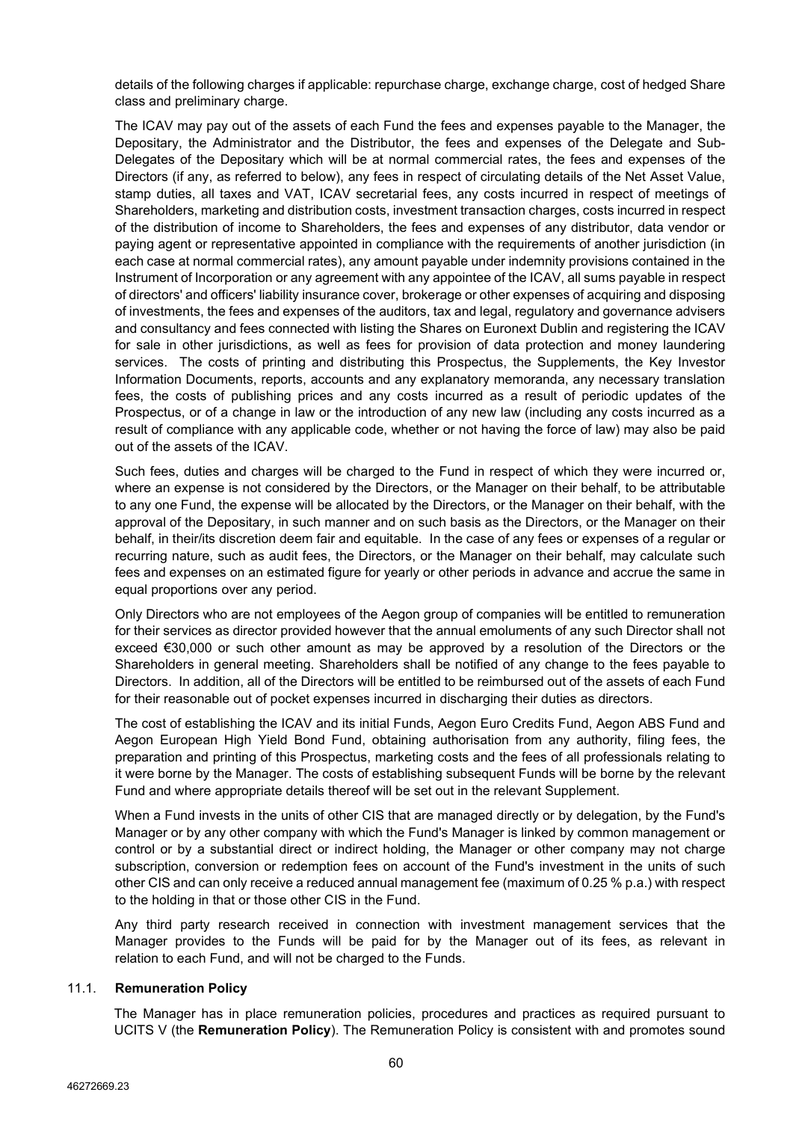details of the following charges if applicable: repurchase charge, exchange charge, cost of hedged Share class and preliminary charge.

The ICAV may pay out of the assets of each Fund the fees and expenses payable to the Manager, the Depositary, the Administrator and the Distributor, the fees and expenses of the Delegate and Sub-Delegates of the Depositary which will be at normal commercial rates, the fees and expenses of the Directors (if any, as referred to below), any fees in respect of circulating details of the Net Asset Value, stamp duties, all taxes and VAT, ICAV secretarial fees, any costs incurred in respect of meetings of Shareholders, marketing and distribution costs, investment transaction charges, costs incurred in respect of the distribution of income to Shareholders, the fees and expenses of any distributor, data vendor or paying agent or representative appointed in compliance with the requirements of another jurisdiction (in each case at normal commercial rates), any amount payable under indemnity provisions contained in the Instrument of Incorporation or any agreement with any appointee of the ICAV, all sums payable in respect of directors' and officers' liability insurance cover, brokerage or other expenses of acquiring and disposing of investments, the fees and expenses of the auditors, tax and legal, regulatory and governance advisers and consultancy and fees connected with listing the Shares on Euronext Dublin and registering the ICAV for sale in other jurisdictions, as well as fees for provision of data protection and money laundering services. The costs of printing and distributing this Prospectus, the Supplements, the Key Investor Information Documents, reports, accounts and any explanatory memoranda, any necessary translation fees, the costs of publishing prices and any costs incurred as a result of periodic updates of the Prospectus, or of a change in law or the introduction of any new law (including any costs incurred as a result of compliance with any applicable code, whether or not having the force of law) may also be paid out of the assets of the ICAV.

Such fees, duties and charges will be charged to the Fund in respect of which they were incurred or, where an expense is not considered by the Directors, or the Manager on their behalf, to be attributable to any one Fund, the expense will be allocated by the Directors, or the Manager on their behalf, with the approval of the Depositary, in such manner and on such basis as the Directors, or the Manager on their behalf, in their/its discretion deem fair and equitable. In the case of any fees or expenses of a regular or recurring nature, such as audit fees, the Directors, or the Manager on their behalf, may calculate such fees and expenses on an estimated figure for yearly or other periods in advance and accrue the same in equal proportions over any period.

Only Directors who are not employees of the Aegon group of companies will be entitled to remuneration for their services as director provided however that the annual emoluments of any such Director shall not exceed €30,000 or such other amount as may be approved by a resolution of the Directors or the Shareholders in general meeting. Shareholders shall be notified of any change to the fees payable to Directors. In addition, all of the Directors will be entitled to be reimbursed out of the assets of each Fund for their reasonable out of pocket expenses incurred in discharging their duties as directors.

The cost of establishing the ICAV and its initial Funds, Aegon Euro Credits Fund, Aegon ABS Fund and Aegon European High Yield Bond Fund, obtaining authorisation from any authority, filing fees, the preparation and printing of this Prospectus, marketing costs and the fees of all professionals relating to it were borne by the Manager. The costs of establishing subsequent Funds will be borne by the relevant Fund and where appropriate details thereof will be set out in the relevant Supplement.

When a Fund invests in the units of other CIS that are managed directly or by delegation, by the Fund's Manager or by any other company with which the Fund's Manager is linked by common management or control or by a substantial direct or indirect holding, the Manager or other company may not charge subscription, conversion or redemption fees on account of the Fund's investment in the units of such other CIS and can only receive a reduced annual management fee (maximum of 0.25 % p.a.) with respect to the holding in that or those other CIS in the Fund.

Any third party research received in connection with investment management services that the Manager provides to the Funds will be paid for by the Manager out of its fees, as relevant in relation to each Fund, and will not be charged to the Funds.

## 11.1. **Remuneration Policy**

The Manager has in place remuneration policies, procedures and practices as required pursuant to UCITS V (the **Remuneration Policy**). The Remuneration Policy is consistent with and promotes sound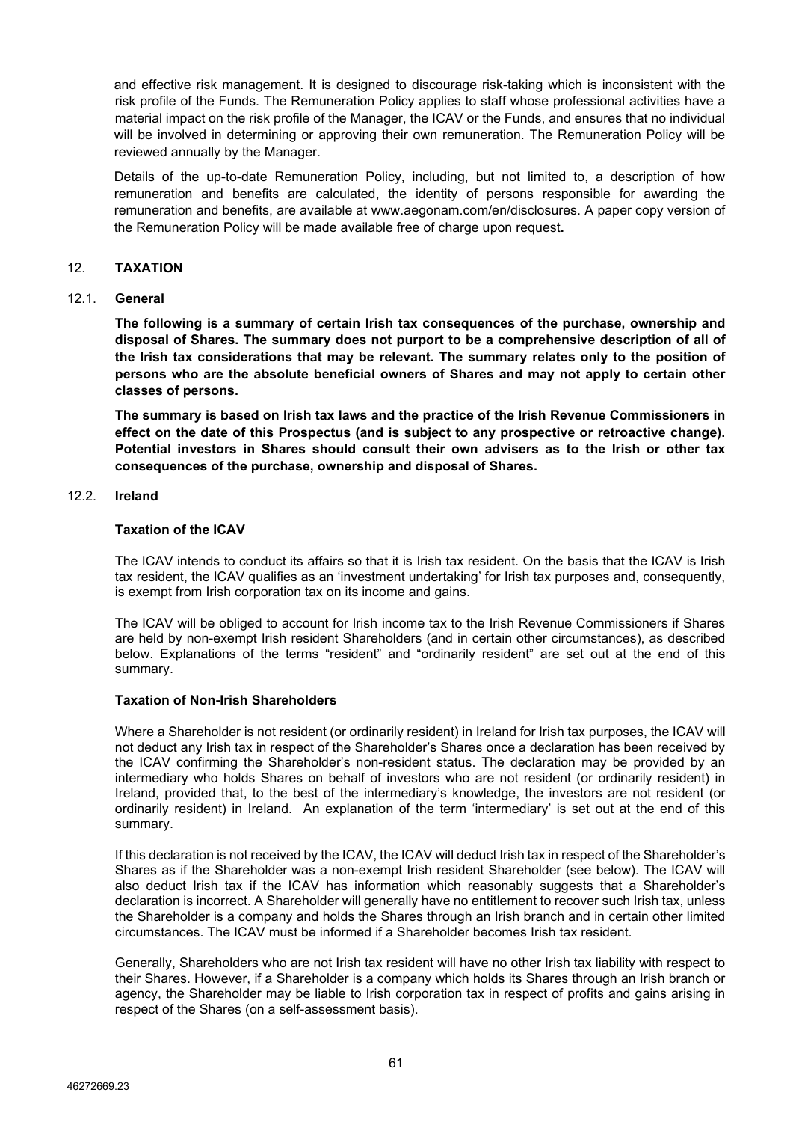and effective risk management. It is designed to discourage risk-taking which is inconsistent with the risk profile of the Funds. The Remuneration Policy applies to staff whose professional activities have a material impact on the risk profile of the Manager, the ICAV or the Funds, and ensures that no individual will be involved in determining or approving their own remuneration. The Remuneration Policy will be reviewed annually by the Manager.

Details of the up-to-date Remuneration Policy, including, but not limited to, a description of how remuneration and benefits are calculated, the identity of persons responsible for awarding the remuneration and benefits, are available at www.aegonam.com/en/disclosures. A paper copy version of the Remuneration Policy will be made available free of charge upon request**.**

### 12. **TAXATION**

#### 12.1. **General**

**The following is a summary of certain Irish tax consequences of the purchase, ownership and disposal of Shares. The summary does not purport to be a comprehensive description of all of the Irish tax considerations that may be relevant. The summary relates only to the position of persons who are the absolute beneficial owners of Shares and may not apply to certain other classes of persons.**

**The summary is based on Irish tax laws and the practice of the Irish Revenue Commissioners in effect on the date of this Prospectus (and is subject to any prospective or retroactive change). Potential investors in Shares should consult their own advisers as to the Irish or other tax consequences of the purchase, ownership and disposal of Shares.**

# 12.2. **Ireland**

#### **Taxation of the ICAV**

The ICAV intends to conduct its affairs so that it is Irish tax resident. On the basis that the ICAV is Irish tax resident, the ICAV qualifies as an 'investment undertaking' for Irish tax purposes and, consequently, is exempt from Irish corporation tax on its income and gains.

The ICAV will be obliged to account for Irish income tax to the Irish Revenue Commissioners if Shares are held by non-exempt Irish resident Shareholders (and in certain other circumstances), as described below. Explanations of the terms "resident" and "ordinarily resident" are set out at the end of this summary.

#### **Taxation of Non-Irish Shareholders**

Where a Shareholder is not resident (or ordinarily resident) in Ireland for Irish tax purposes, the ICAV will not deduct any Irish tax in respect of the Shareholder's Shares once a declaration has been received by the ICAV confirming the Shareholder's non-resident status. The declaration may be provided by an intermediary who holds Shares on behalf of investors who are not resident (or ordinarily resident) in Ireland, provided that, to the best of the intermediary's knowledge, the investors are not resident (or ordinarily resident) in Ireland. An explanation of the term 'intermediary' is set out at the end of this summary.

If this declaration is not received by the ICAV, the ICAV will deduct Irish tax in respect of the Shareholder's Shares as if the Shareholder was a non-exempt Irish resident Shareholder (see below). The ICAV will also deduct Irish tax if the ICAV has information which reasonably suggests that a Shareholder's declaration is incorrect. A Shareholder will generally have no entitlement to recover such Irish tax, unless the Shareholder is a company and holds the Shares through an Irish branch and in certain other limited circumstances. The ICAV must be informed if a Shareholder becomes Irish tax resident.

Generally, Shareholders who are not Irish tax resident will have no other Irish tax liability with respect to their Shares. However, if a Shareholder is a company which holds its Shares through an Irish branch or agency, the Shareholder may be liable to Irish corporation tax in respect of profits and gains arising in respect of the Shares (on a self-assessment basis).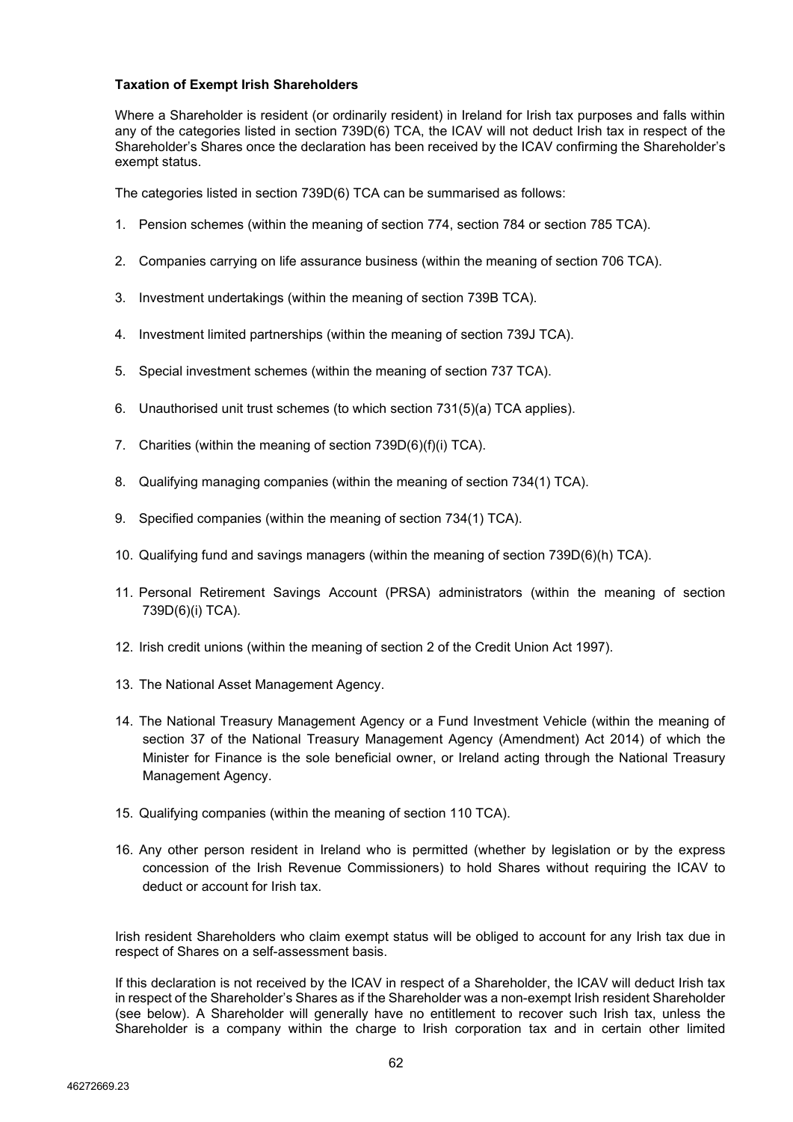## **Taxation of Exempt Irish Shareholders**

Where a Shareholder is resident (or ordinarily resident) in Ireland for Irish tax purposes and falls within any of the categories listed in section 739D(6) TCA, the ICAV will not deduct Irish tax in respect of the Shareholder's Shares once the declaration has been received by the ICAV confirming the Shareholder's exempt status.

The categories listed in section 739D(6) TCA can be summarised as follows:

- 1. Pension schemes (within the meaning of section 774, section 784 or section 785 TCA).
- 2. Companies carrying on life assurance business (within the meaning of section 706 TCA).
- 3. Investment undertakings (within the meaning of section 739B TCA).
- 4. Investment limited partnerships (within the meaning of section 739J TCA).
- 5. Special investment schemes (within the meaning of section 737 TCA).
- 6. Unauthorised unit trust schemes (to which section 731(5)(a) TCA applies).
- 7. Charities (within the meaning of section 739D(6)(f)(i) TCA).
- 8. Qualifying managing companies (within the meaning of section 734(1) TCA).
- 9. Specified companies (within the meaning of section 734(1) TCA).
- 10. Qualifying fund and savings managers (within the meaning of section 739D(6)(h) TCA).
- 11. Personal Retirement Savings Account (PRSA) administrators (within the meaning of section 739D(6)(i) TCA).
- 12. Irish credit unions (within the meaning of section 2 of the Credit Union Act 1997).
- 13. The National Asset Management Agency.
- 14. The National Treasury Management Agency or a Fund Investment Vehicle (within the meaning of section 37 of the National Treasury Management Agency (Amendment) Act 2014) of which the Minister for Finance is the sole beneficial owner, or Ireland acting through the National Treasury Management Agency.
- 15. Qualifying companies (within the meaning of section 110 TCA).
- 16. Any other person resident in Ireland who is permitted (whether by legislation or by the express concession of the Irish Revenue Commissioners) to hold Shares without requiring the ICAV to deduct or account for Irish tax.

Irish resident Shareholders who claim exempt status will be obliged to account for any Irish tax due in respect of Shares on a self-assessment basis.

If this declaration is not received by the ICAV in respect of a Shareholder, the ICAV will deduct Irish tax in respect of the Shareholder's Shares as if the Shareholder was a non-exempt Irish resident Shareholder (see below). A Shareholder will generally have no entitlement to recover such Irish tax, unless the Shareholder is a company within the charge to Irish corporation tax and in certain other limited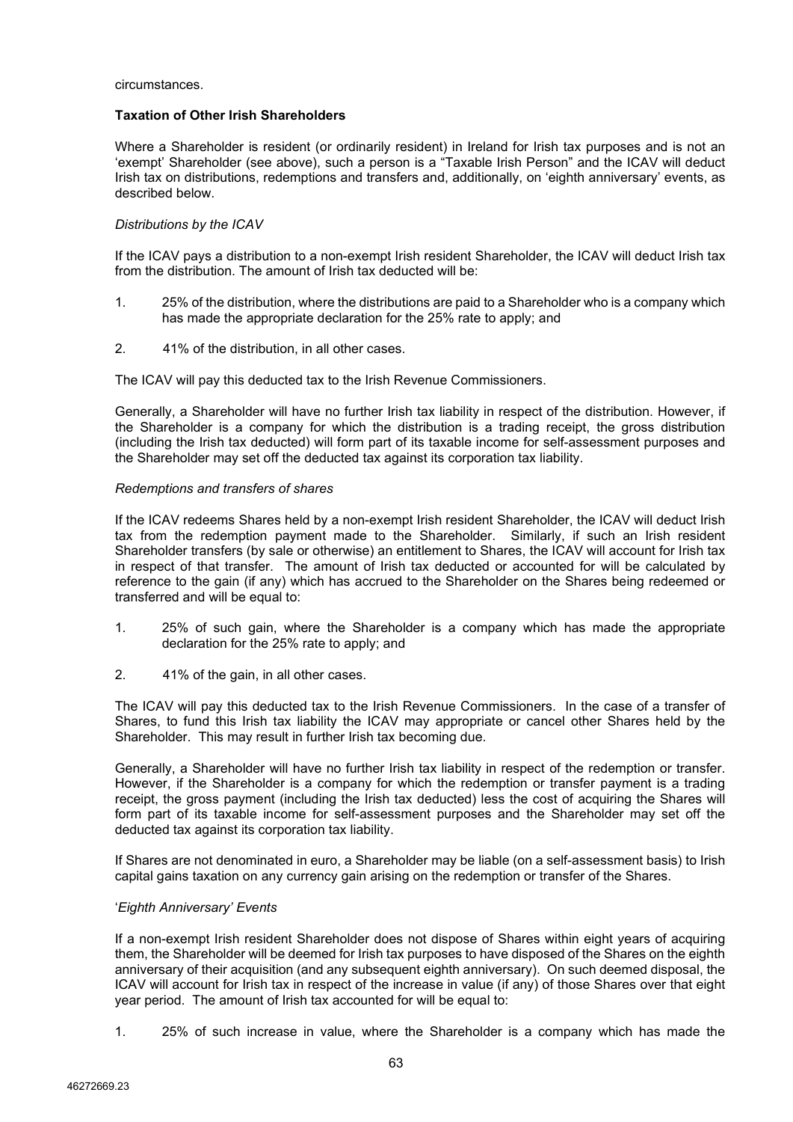circumstances.

#### **Taxation of Other Irish Shareholders**

Where a Shareholder is resident (or ordinarily resident) in Ireland for Irish tax purposes and is not an 'exempt' Shareholder (see above), such a person is a "Taxable Irish Person" and the ICAV will deduct Irish tax on distributions, redemptions and transfers and, additionally, on 'eighth anniversary' events, as described below.

## *Distributions by the ICAV*

If the ICAV pays a distribution to a non-exempt Irish resident Shareholder, the ICAV will deduct Irish tax from the distribution. The amount of Irish tax deducted will be:

- 1. 25% of the distribution, where the distributions are paid to a Shareholder who is a company which has made the appropriate declaration for the 25% rate to apply; and
- 2. 41% of the distribution, in all other cases.

The ICAV will pay this deducted tax to the Irish Revenue Commissioners.

Generally, a Shareholder will have no further Irish tax liability in respect of the distribution. However, if the Shareholder is a company for which the distribution is a trading receipt, the gross distribution (including the Irish tax deducted) will form part of its taxable income for self-assessment purposes and the Shareholder may set off the deducted tax against its corporation tax liability.

#### *Redemptions and transfers of shares*

If the ICAV redeems Shares held by a non-exempt Irish resident Shareholder, the ICAV will deduct Irish tax from the redemption payment made to the Shareholder. Similarly, if such an Irish resident Shareholder transfers (by sale or otherwise) an entitlement to Shares, the ICAV will account for Irish tax in respect of that transfer. The amount of Irish tax deducted or accounted for will be calculated by reference to the gain (if any) which has accrued to the Shareholder on the Shares being redeemed or transferred and will be equal to:

- 1. 25% of such gain, where the Shareholder is a company which has made the appropriate declaration for the 25% rate to apply; and
- 2. 41% of the gain, in all other cases.

The ICAV will pay this deducted tax to the Irish Revenue Commissioners. In the case of a transfer of Shares, to fund this Irish tax liability the ICAV may appropriate or cancel other Shares held by the Shareholder. This may result in further Irish tax becoming due.

Generally, a Shareholder will have no further Irish tax liability in respect of the redemption or transfer. However, if the Shareholder is a company for which the redemption or transfer payment is a trading receipt, the gross payment (including the Irish tax deducted) less the cost of acquiring the Shares will form part of its taxable income for self-assessment purposes and the Shareholder may set off the deducted tax against its corporation tax liability.

If Shares are not denominated in euro, a Shareholder may be liable (on a self-assessment basis) to Irish capital gains taxation on any currency gain arising on the redemption or transfer of the Shares.

#### '*Eighth Anniversary' Events*

If a non-exempt Irish resident Shareholder does not dispose of Shares within eight years of acquiring them, the Shareholder will be deemed for Irish tax purposes to have disposed of the Shares on the eighth anniversary of their acquisition (and any subsequent eighth anniversary). On such deemed disposal, the ICAV will account for Irish tax in respect of the increase in value (if any) of those Shares over that eight year period. The amount of Irish tax accounted for will be equal to:

1. 25% of such increase in value, where the Shareholder is a company which has made the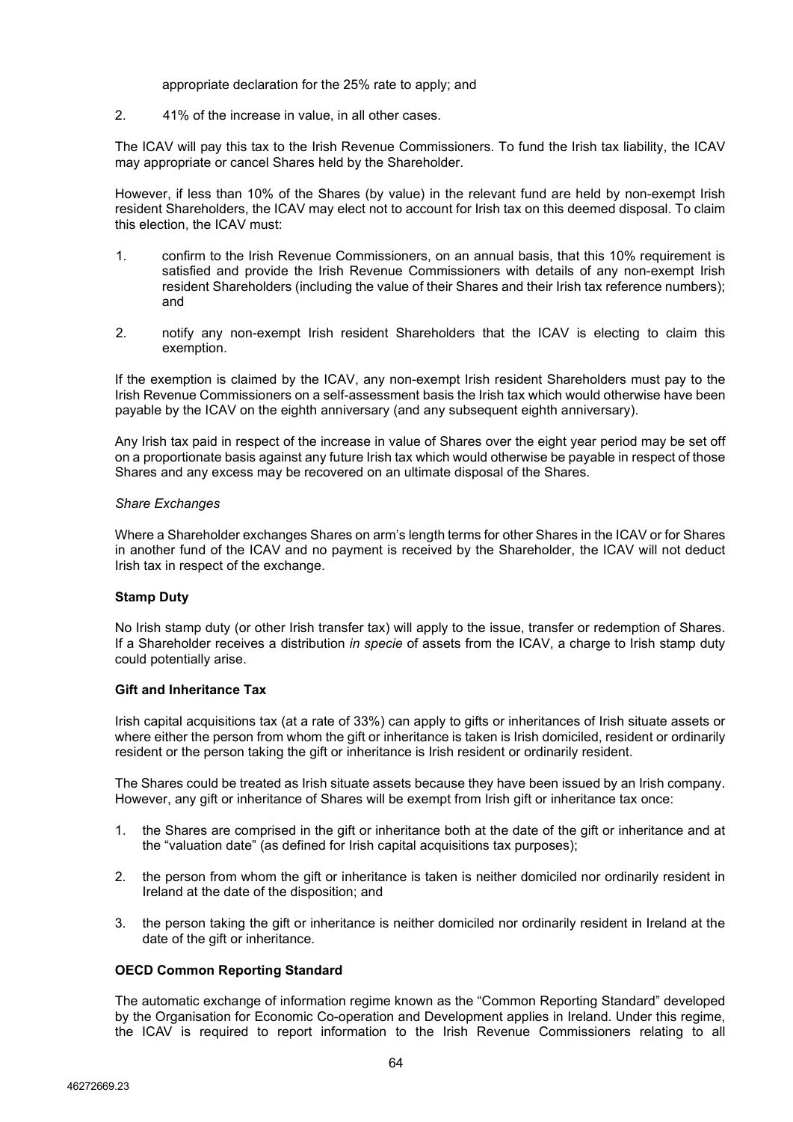appropriate declaration for the 25% rate to apply; and

2. 41% of the increase in value, in all other cases.

The ICAV will pay this tax to the Irish Revenue Commissioners. To fund the Irish tax liability, the ICAV may appropriate or cancel Shares held by the Shareholder.

However, if less than 10% of the Shares (by value) in the relevant fund are held by non-exempt Irish resident Shareholders, the ICAV may elect not to account for Irish tax on this deemed disposal. To claim this election, the ICAV must:

- 1. confirm to the Irish Revenue Commissioners, on an annual basis, that this 10% requirement is satisfied and provide the Irish Revenue Commissioners with details of any non-exempt Irish resident Shareholders (including the value of their Shares and their Irish tax reference numbers); and
- 2. notify any non-exempt Irish resident Shareholders that the ICAV is electing to claim this exemption.

If the exemption is claimed by the ICAV, any non-exempt Irish resident Shareholders must pay to the Irish Revenue Commissioners on a self-assessment basis the Irish tax which would otherwise have been payable by the ICAV on the eighth anniversary (and any subsequent eighth anniversary).

Any Irish tax paid in respect of the increase in value of Shares over the eight year period may be set off on a proportionate basis against any future Irish tax which would otherwise be payable in respect of those Shares and any excess may be recovered on an ultimate disposal of the Shares.

#### *Share Exchanges*

Where a Shareholder exchanges Shares on arm's length terms for other Shares in the ICAV or for Shares in another fund of the ICAV and no payment is received by the Shareholder, the ICAV will not deduct Irish tax in respect of the exchange.

#### **Stamp Duty**

No Irish stamp duty (or other Irish transfer tax) will apply to the issue, transfer or redemption of Shares. If a Shareholder receives a distribution *in specie* of assets from the ICAV, a charge to Irish stamp duty could potentially arise.

#### **Gift and Inheritance Tax**

Irish capital acquisitions tax (at a rate of 33%) can apply to gifts or inheritances of Irish situate assets or where either the person from whom the gift or inheritance is taken is Irish domiciled, resident or ordinarily resident or the person taking the gift or inheritance is Irish resident or ordinarily resident.

The Shares could be treated as Irish situate assets because they have been issued by an Irish company. However, any gift or inheritance of Shares will be exempt from Irish gift or inheritance tax once:

- 1. the Shares are comprised in the gift or inheritance both at the date of the gift or inheritance and at the "valuation date" (as defined for Irish capital acquisitions tax purposes);
- 2. the person from whom the gift or inheritance is taken is neither domiciled nor ordinarily resident in Ireland at the date of the disposition; and
- 3. the person taking the gift or inheritance is neither domiciled nor ordinarily resident in Ireland at the date of the gift or inheritance.

#### **OECD Common Reporting Standard**

The automatic exchange of information regime known as the "Common Reporting Standard" developed by the Organisation for Economic Co-operation and Development applies in Ireland. Under this regime, the ICAV is required to report information to the Irish Revenue Commissioners relating to all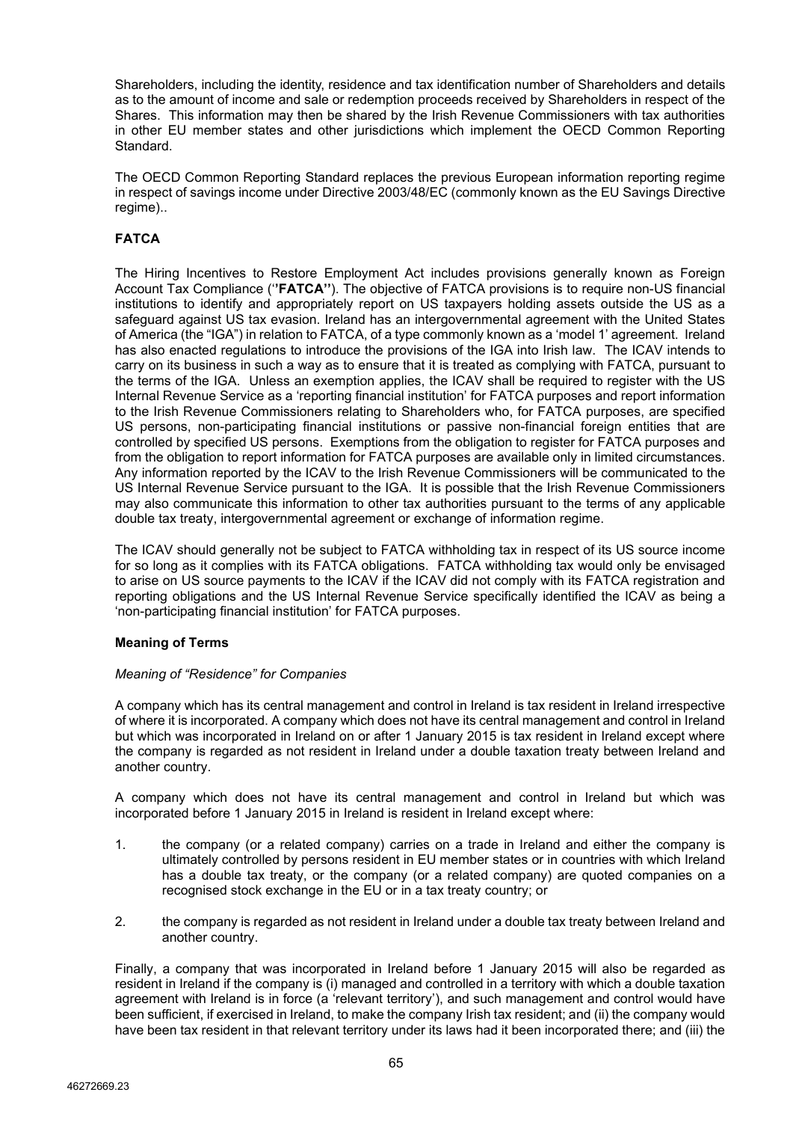Shareholders, including the identity, residence and tax identification number of Shareholders and details as to the amount of income and sale or redemption proceeds received by Shareholders in respect of the Shares. This information may then be shared by the Irish Revenue Commissioners with tax authorities in other EU member states and other jurisdictions which implement the OECD Common Reporting Standard.

The OECD Common Reporting Standard replaces the previous European information reporting regime in respect of savings income under Directive 2003/48/EC (commonly known as the EU Savings Directive regime)..

# **FATCA**

The Hiring Incentives to Restore Employment Act includes provisions generally known as Foreign Account Tax Compliance ('**'FATCA''**). The objective of FATCA provisions is to require non-US financial institutions to identify and appropriately report on US taxpayers holding assets outside the US as a safeguard against US tax evasion. Ireland has an intergovernmental agreement with the United States of America (the "IGA") in relation to FATCA, of a type commonly known as a 'model 1' agreement. Ireland has also enacted regulations to introduce the provisions of the IGA into Irish law. The ICAV intends to carry on its business in such a way as to ensure that it is treated as complying with FATCA, pursuant to the terms of the IGA. Unless an exemption applies, the ICAV shall be required to register with the US Internal Revenue Service as a 'reporting financial institution' for FATCA purposes and report information to the Irish Revenue Commissioners relating to Shareholders who, for FATCA purposes, are specified US persons, non-participating financial institutions or passive non-financial foreign entities that are controlled by specified US persons. Exemptions from the obligation to register for FATCA purposes and from the obligation to report information for FATCA purposes are available only in limited circumstances. Any information reported by the ICAV to the Irish Revenue Commissioners will be communicated to the US Internal Revenue Service pursuant to the IGA. It is possible that the Irish Revenue Commissioners may also communicate this information to other tax authorities pursuant to the terms of any applicable double tax treaty, intergovernmental agreement or exchange of information regime.

The ICAV should generally not be subject to FATCA withholding tax in respect of its US source income for so long as it complies with its FATCA obligations. FATCA withholding tax would only be envisaged to arise on US source payments to the ICAV if the ICAV did not comply with its FATCA registration and reporting obligations and the US Internal Revenue Service specifically identified the ICAV as being a 'non-participating financial institution' for FATCA purposes.

## **Meaning of Terms**

## *Meaning of "Residence" for Companies*

A company which has its central management and control in Ireland is tax resident in Ireland irrespective of where it is incorporated. A company which does not have its central management and control in Ireland but which was incorporated in Ireland on or after 1 January 2015 is tax resident in Ireland except where the company is regarded as not resident in Ireland under a double taxation treaty between Ireland and another country.

A company which does not have its central management and control in Ireland but which was incorporated before 1 January 2015 in Ireland is resident in Ireland except where:

- 1. the company (or a related company) carries on a trade in Ireland and either the company is ultimately controlled by persons resident in EU member states or in countries with which Ireland has a double tax treaty, or the company (or a related company) are quoted companies on a recognised stock exchange in the EU or in a tax treaty country; or
- 2. the company is regarded as not resident in Ireland under a double tax treaty between Ireland and another country.

Finally, a company that was incorporated in Ireland before 1 January 2015 will also be regarded as resident in Ireland if the company is (i) managed and controlled in a territory with which a double taxation agreement with Ireland is in force (a 'relevant territory'), and such management and control would have been sufficient, if exercised in Ireland, to make the company Irish tax resident; and (ii) the company would have been tax resident in that relevant territory under its laws had it been incorporated there; and (iii) the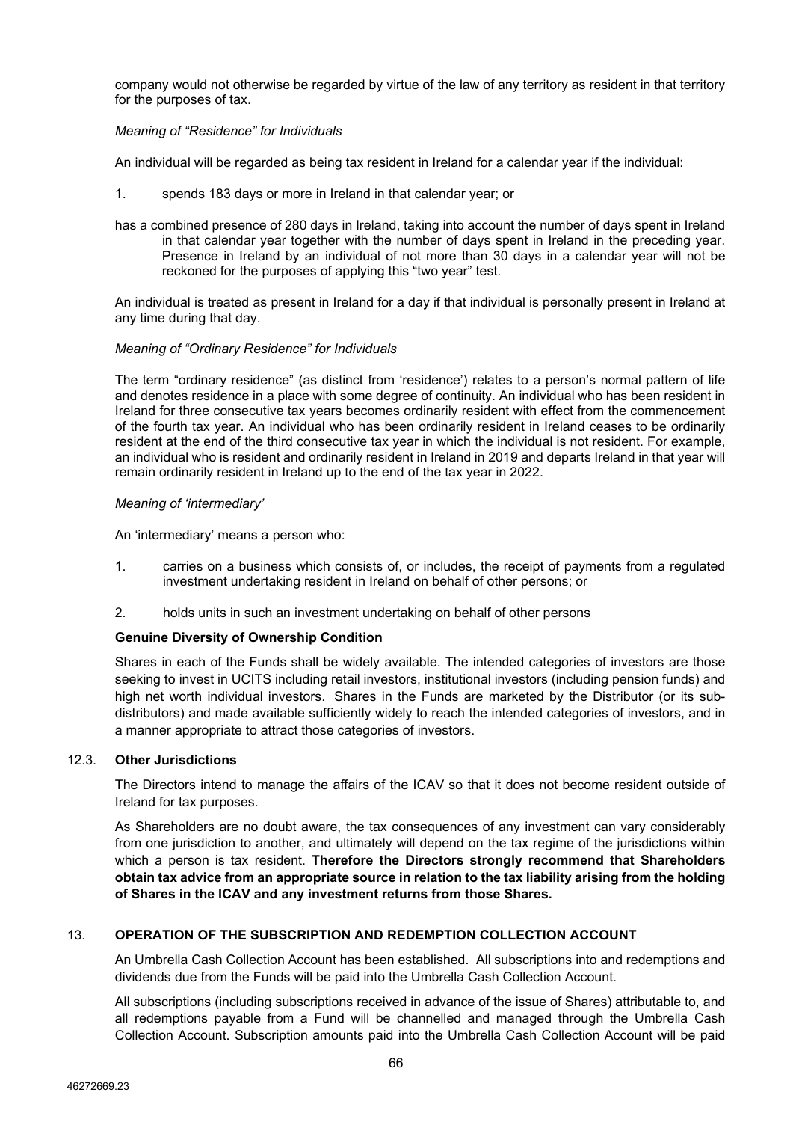company would not otherwise be regarded by virtue of the law of any territory as resident in that territory for the purposes of tax.

### *Meaning of "Residence" for Individuals*

An individual will be regarded as being tax resident in Ireland for a calendar year if the individual:

- 1. spends 183 days or more in Ireland in that calendar year; or
- has a combined presence of 280 days in Ireland, taking into account the number of days spent in Ireland in that calendar year together with the number of days spent in Ireland in the preceding year. Presence in Ireland by an individual of not more than 30 days in a calendar year will not be reckoned for the purposes of applying this "two year" test.

An individual is treated as present in Ireland for a day if that individual is personally present in Ireland at any time during that day.

#### *Meaning of "Ordinary Residence" for Individuals*

The term "ordinary residence" (as distinct from 'residence') relates to a person's normal pattern of life and denotes residence in a place with some degree of continuity. An individual who has been resident in Ireland for three consecutive tax years becomes ordinarily resident with effect from the commencement of the fourth tax year. An individual who has been ordinarily resident in Ireland ceases to be ordinarily resident at the end of the third consecutive tax year in which the individual is not resident. For example, an individual who is resident and ordinarily resident in Ireland in 2019 and departs Ireland in that year will remain ordinarily resident in Ireland up to the end of the tax year in 2022.

#### *Meaning of 'intermediary'*

An 'intermediary' means a person who:

- 1. carries on a business which consists of, or includes, the receipt of payments from a regulated investment undertaking resident in Ireland on behalf of other persons; or
- 2. holds units in such an investment undertaking on behalf of other persons

## **Genuine Diversity of Ownership Condition**

Shares in each of the Funds shall be widely available. The intended categories of investors are those seeking to invest in UCITS including retail investors, institutional investors (including pension funds) and high net worth individual investors. Shares in the Funds are marketed by the Distributor (or its subdistributors) and made available sufficiently widely to reach the intended categories of investors, and in a manner appropriate to attract those categories of investors.

#### 12.3. **Other Jurisdictions**

The Directors intend to manage the affairs of the ICAV so that it does not become resident outside of Ireland for tax purposes.

As Shareholders are no doubt aware, the tax consequences of any investment can vary considerably from one jurisdiction to another, and ultimately will depend on the tax regime of the jurisdictions within which a person is tax resident. **Therefore the Directors strongly recommend that Shareholders obtain tax advice from an appropriate source in relation to the tax liability arising from the holding of Shares in the ICAV and any investment returns from those Shares.**

## 13. **OPERATION OF THE SUBSCRIPTION AND REDEMPTION COLLECTION ACCOUNT**

An Umbrella Cash Collection Account has been established. All subscriptions into and redemptions and dividends due from the Funds will be paid into the Umbrella Cash Collection Account.

All subscriptions (including subscriptions received in advance of the issue of Shares) attributable to, and all redemptions payable from a Fund will be channelled and managed through the Umbrella Cash Collection Account. Subscription amounts paid into the Umbrella Cash Collection Account will be paid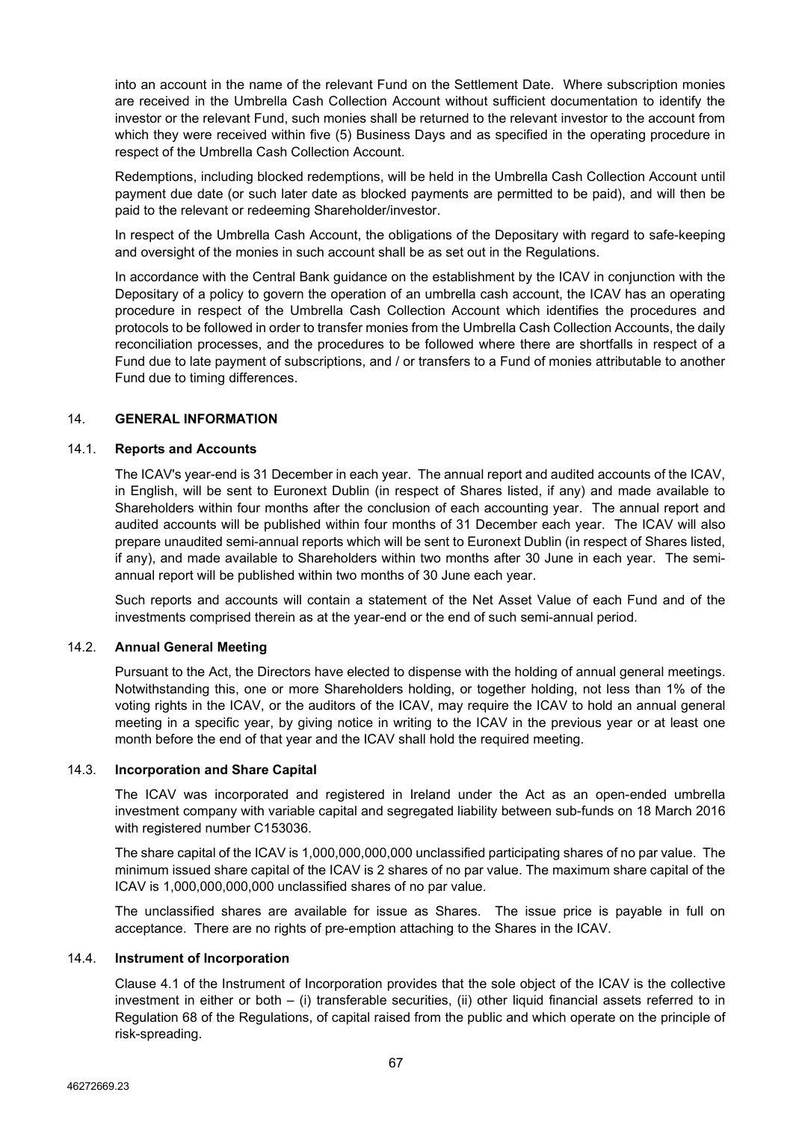into an account in the name of the relevant Fund on the Settlement Date. Where subscription monies are received in the Umbrella Cash Collection Account without sufficient documentation to identify the investor or the relevant Fund, such monies shall be returned to the relevant investor to the account from which they were received within five (5) Business Days and as specified in the operating procedure in respect of the Umbrella Cash Collection Account.

Redemptions, including blocked redemptions, will be held in the Umbrella Cash Collection Account until payment due date (or such later date as blocked payments are permitted to be paid), and will then be paid to the relevant or redeeming Shareholder/investor.

In respect of the Umbrella Cash Account, the obligations of the Depositary with regard to safe-keeping and oversight of the monies in such account shall be as set out in the Regulations.

In accordance with the Central Bank guidance on the establishment by the ICAV in conjunction with the Depositary of a policy to govern the operation of an umbrella cash account, the ICAV has an operating procedure in respect of the Umbrella Cash Collection Account which identifies the procedures and protocols to be followed in order to transfer monies from the Umbrella Cash Collection Accounts, the daily reconciliation processes, and the procedures to be followed where there are shortfalls in respect of a Fund due to late payment of subscriptions, and / or transfers to a Fund of monies attributable to another Fund due to timing differences.

#### <span id="page-66-0"></span>14. **GENERAL INFORMATION**

#### 14.1. **Reports and Accounts**

The ICAV's year-end is 31 December in each year. The annual report and audited accounts of the ICAV, in English, will be sent to Euronext Dublin (in respect of Shares listed, if any) and made available to Shareholders within four months after the conclusion of each accounting year. The annual report and audited accounts will be published within four months of 31 December each year. The ICAV will also prepare unaudited semi-annual reports which will be sent to Euronext Dublin (in respect of Shares listed, if any), and made available to Shareholders within two months after 30 June in each year. The semiannual report will be published within two months of 30 June each year.

Such reports and accounts will contain a statement of the Net Asset Value of each Fund and of the investments comprised therein as at the year-end or the end of such semi-annual period.

#### 14.2. **Annual General Meeting**

Pursuant to the Act, the Directors have elected to dispense with the holding of annual general meetings. Notwithstanding this, one or more Shareholders holding, or together holding, not less than 1% of the voting rights in the ICAV, or the auditors of the ICAV, may require the ICAV to hold an annual general meeting in a specific year, by giving notice in writing to the ICAV in the previous year or at least one month before the end of that year and the ICAV shall hold the required meeting.

#### 14.3. **Incorporation and Share Capital**

The ICAV was incorporated and registered in Ireland under the Act as an open-ended umbrella investment company with variable capital and segregated liability between sub-funds on 18 March 2016 with registered number C153036.

The share capital of the ICAV is 1,000,000,000,000 unclassified participating shares of no par value. The minimum issued share capital of the ICAV is 2 shares of no par value. The maximum share capital of the ICAV is 1,000,000,000,000 unclassified shares of no par value.

The unclassified shares are available for issue as Shares. The issue price is payable in full on acceptance. There are no rights of pre-emption attaching to the Shares in the ICAV.

#### 14.4. **Instrument of Incorporation**

Clause 4.1 of the Instrument of Incorporation provides that the sole object of the ICAV is the collective investment in either or both – (i) transferable securities, (ii) other liquid financial assets referred to in Regulation 68 of the Regulations, of capital raised from the public and which operate on the principle of risk-spreading.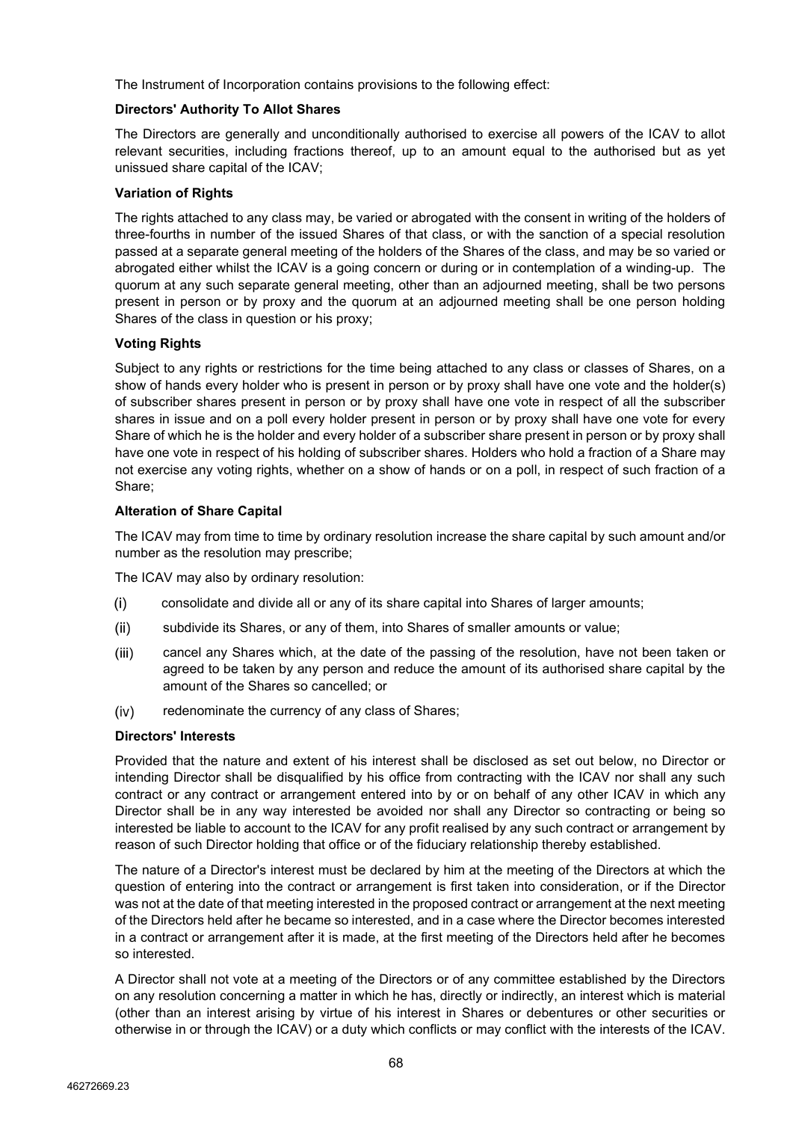The Instrument of Incorporation contains provisions to the following effect:

# **Directors' Authority To Allot Shares**

The Directors are generally and unconditionally authorised to exercise all powers of the ICAV to allot relevant securities, including fractions thereof, up to an amount equal to the authorised but as yet unissued share capital of the ICAV;

# **Variation of Rights**

The rights attached to any class may, be varied or abrogated with the consent in writing of the holders of three-fourths in number of the issued Shares of that class, or with the sanction of a special resolution passed at a separate general meeting of the holders of the Shares of the class, and may be so varied or abrogated either whilst the ICAV is a going concern or during or in contemplation of a winding-up. The quorum at any such separate general meeting, other than an adjourned meeting, shall be two persons present in person or by proxy and the quorum at an adjourned meeting shall be one person holding Shares of the class in question or his proxy;

# **Voting Rights**

Subject to any rights or restrictions for the time being attached to any class or classes of Shares, on a show of hands every holder who is present in person or by proxy shall have one vote and the holder(s) of subscriber shares present in person or by proxy shall have one vote in respect of all the subscriber shares in issue and on a poll every holder present in person or by proxy shall have one vote for every Share of which he is the holder and every holder of a subscriber share present in person or by proxy shall have one vote in respect of his holding of subscriber shares. Holders who hold a fraction of a Share may not exercise any voting rights, whether on a show of hands or on a poll, in respect of such fraction of a Share;

# **Alteration of Share Capital**

The ICAV may from time to time by ordinary resolution increase the share capital by such amount and/or number as the resolution may prescribe;

The ICAV may also by ordinary resolution:

- $(i)$ consolidate and divide all or any of its share capital into Shares of larger amounts;
- $(ii)$ subdivide its Shares, or any of them, into Shares of smaller amounts or value;
- $(iii)$ cancel any Shares which, at the date of the passing of the resolution, have not been taken or agreed to be taken by any person and reduce the amount of its authorised share capital by the amount of the Shares so cancelled; or
- redenominate the currency of any class of Shares;  $(iv)$

## **Directors' Interests**

Provided that the nature and extent of his interest shall be disclosed as set out below, no Director or intending Director shall be disqualified by his office from contracting with the ICAV nor shall any such contract or any contract or arrangement entered into by or on behalf of any other ICAV in which any Director shall be in any way interested be avoided nor shall any Director so contracting or being so interested be liable to account to the ICAV for any profit realised by any such contract or arrangement by reason of such Director holding that office or of the fiduciary relationship thereby established.

The nature of a Director's interest must be declared by him at the meeting of the Directors at which the question of entering into the contract or arrangement is first taken into consideration, or if the Director was not at the date of that meeting interested in the proposed contract or arrangement at the next meeting of the Directors held after he became so interested, and in a case where the Director becomes interested in a contract or arrangement after it is made, at the first meeting of the Directors held after he becomes so interested.

A Director shall not vote at a meeting of the Directors or of any committee established by the Directors on any resolution concerning a matter in which he has, directly or indirectly, an interest which is material (other than an interest arising by virtue of his interest in Shares or debentures or other securities or otherwise in or through the ICAV) or a duty which conflicts or may conflict with the interests of the ICAV.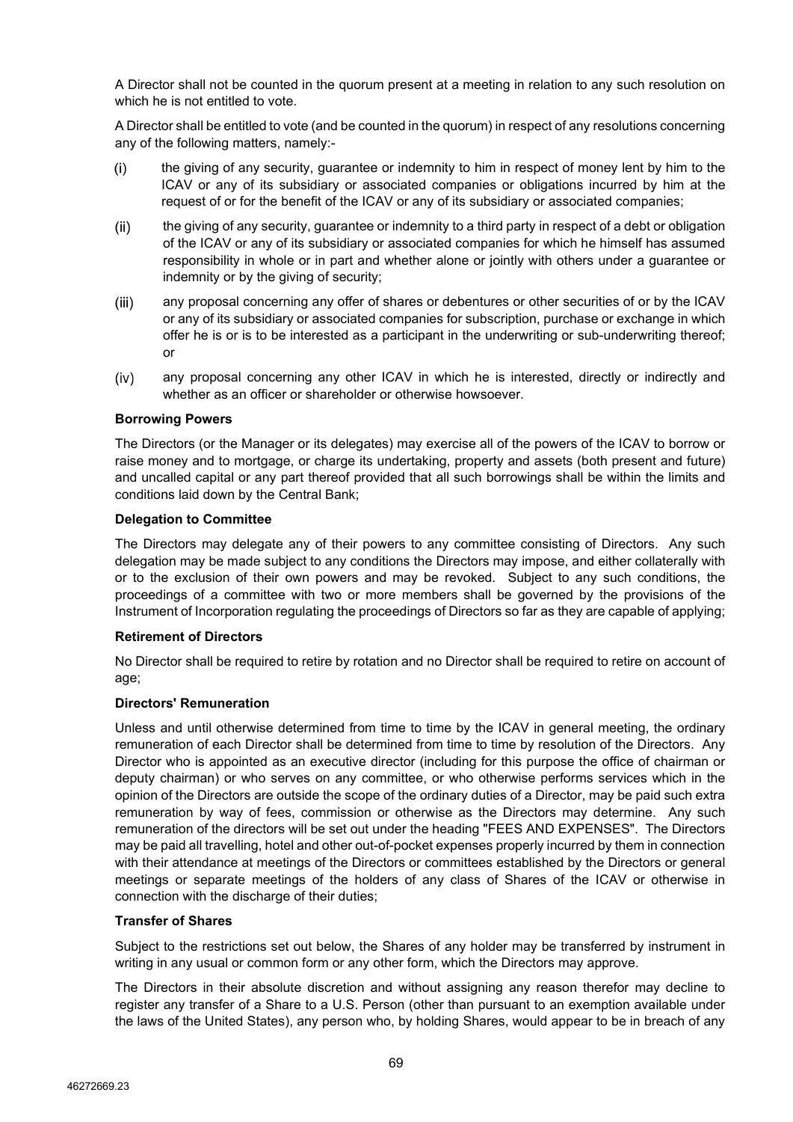A Director shall not be counted in the quorum present at a meeting in relation to any such resolution on which he is not entitled to vote.

A Director shall be entitled to vote (and be counted in the quorum) in respect of any resolutions concerning any of the following matters, namely:-

- $(i)$ the giving of any security, guarantee or indemnity to him in respect of money lent by him to the ICAV or any of its subsidiary or associated companies or obligations incurred by him at the request of or for the benefit of the ICAV or any of its subsidiary or associated companies;
- $(ii)$ the giving of any security, guarantee or indemnity to a third party in respect of a debt or obligation of the ICAV or any of its subsidiary or associated companies for which he himself has assumed responsibility in whole or in part and whether alone or jointly with others under a guarantee or indemnity or by the giving of security;
- $(iii)$ any proposal concerning any offer of shares or debentures or other securities of or by the ICAV or any of its subsidiary or associated companies for subscription, purchase or exchange in which offer he is or is to be interested as a participant in the underwriting or sub-underwriting thereof; or
- any proposal concerning any other ICAV in which he is interested, directly or indirectly and  $(iv)$ whether as an officer or shareholder or otherwise howsoever.

#### **Borrowing Powers**

The Directors (or the Manager or its delegates) may exercise all of the powers of the ICAV to borrow or raise money and to mortgage, or charge its undertaking, property and assets (both present and future) and uncalled capital or any part thereof provided that all such borrowings shall be within the limits and conditions laid down by the Central Bank;

#### **Delegation to Committee**

The Directors may delegate any of their powers to any committee consisting of Directors. Any such delegation may be made subject to any conditions the Directors may impose, and either collaterally with or to the exclusion of their own powers and may be revoked. Subject to any such conditions, the proceedings of a committee with two or more members shall be governed by the provisions of the Instrument of Incorporation regulating the proceedings of Directors so far as they are capable of applying;

#### **Retirement of Directors**

No Director shall be required to retire by rotation and no Director shall be required to retire on account of age;

#### **Directors' Remuneration**

Unless and until otherwise determined from time to time by the ICAV in general meeting, the ordinary remuneration of each Director shall be determined from time to time by resolution of the Directors. Any Director who is appointed as an executive director (including for this purpose the office of chairman or deputy chairman) or who serves on any committee, or who otherwise performs services which in the opinion of the Directors are outside the scope of the ordinary duties of a Director, may be paid such extra remuneration by way of fees, commission or otherwise as the Directors may determine. Any such remuneration of the directors will be set out under the heading "FEES AND EXPENSES". The Directors may be paid all travelling, hotel and other out-of-pocket expenses properly incurred by them in connection with their attendance at meetings of the Directors or committees established by the Directors or general meetings or separate meetings of the holders of any class of Shares of the ICAV or otherwise in connection with the discharge of their duties;

#### **Transfer of Shares**

Subject to the restrictions set out below, the Shares of any holder may be transferred by instrument in writing in any usual or common form or any other form, which the Directors may approve.

The Directors in their absolute discretion and without assigning any reason therefor may decline to register any transfer of a Share to a U.S. Person (other than pursuant to an exemption available under the laws of the United States), any person who, by holding Shares, would appear to be in breach of any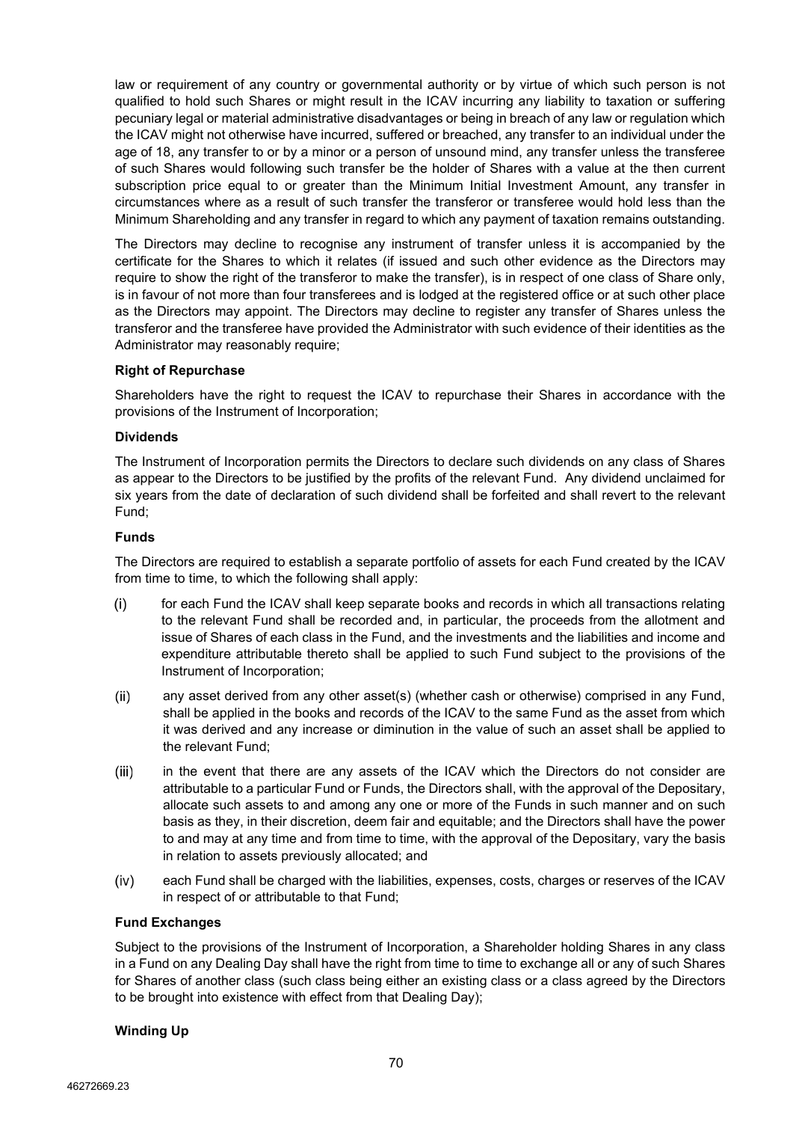law or requirement of any country or governmental authority or by virtue of which such person is not qualified to hold such Shares or might result in the ICAV incurring any liability to taxation or suffering pecuniary legal or material administrative disadvantages or being in breach of any law or regulation which the ICAV might not otherwise have incurred, suffered or breached, any transfer to an individual under the age of 18, any transfer to or by a minor or a person of unsound mind, any transfer unless the transferee of such Shares would following such transfer be the holder of Shares with a value at the then current subscription price equal to or greater than the Minimum Initial Investment Amount, any transfer in circumstances where as a result of such transfer the transferor or transferee would hold less than the Minimum Shareholding and any transfer in regard to which any payment of taxation remains outstanding.

The Directors may decline to recognise any instrument of transfer unless it is accompanied by the certificate for the Shares to which it relates (if issued and such other evidence as the Directors may require to show the right of the transferor to make the transfer), is in respect of one class of Share only, is in favour of not more than four transferees and is lodged at the registered office or at such other place as the Directors may appoint. The Directors may decline to register any transfer of Shares unless the transferor and the transferee have provided the Administrator with such evidence of their identities as the Administrator may reasonably require;

## **Right of Repurchase**

Shareholders have the right to request the ICAV to repurchase their Shares in accordance with the provisions of the Instrument of Incorporation;

#### **Dividends**

The Instrument of Incorporation permits the Directors to declare such dividends on any class of Shares as appear to the Directors to be justified by the profits of the relevant Fund. Any dividend unclaimed for six years from the date of declaration of such dividend shall be forfeited and shall revert to the relevant Fund;

#### **Funds**

The Directors are required to establish a separate portfolio of assets for each Fund created by the ICAV from time to time, to which the following shall apply:

- $(i)$ for each Fund the ICAV shall keep separate books and records in which all transactions relating to the relevant Fund shall be recorded and, in particular, the proceeds from the allotment and issue of Shares of each class in the Fund, and the investments and the liabilities and income and expenditure attributable thereto shall be applied to such Fund subject to the provisions of the Instrument of Incorporation;
- any asset derived from any other asset(s) (whether cash or otherwise) comprised in any Fund,  $(ii)$ shall be applied in the books and records of the ICAV to the same Fund as the asset from which it was derived and any increase or diminution in the value of such an asset shall be applied to the relevant Fund;
- $(iii)$ in the event that there are any assets of the ICAV which the Directors do not consider are attributable to a particular Fund or Funds, the Directors shall, with the approval of the Depositary, allocate such assets to and among any one or more of the Funds in such manner and on such basis as they, in their discretion, deem fair and equitable; and the Directors shall have the power to and may at any time and from time to time, with the approval of the Depositary, vary the basis in relation to assets previously allocated; and
- $(iv)$ each Fund shall be charged with the liabilities, expenses, costs, charges or reserves of the ICAV in respect of or attributable to that Fund;

## **Fund Exchanges**

Subject to the provisions of the Instrument of Incorporation, a Shareholder holding Shares in any class in a Fund on any Dealing Day shall have the right from time to time to exchange all or any of such Shares for Shares of another class (such class being either an existing class or a class agreed by the Directors to be brought into existence with effect from that Dealing Day);

## **Winding Up**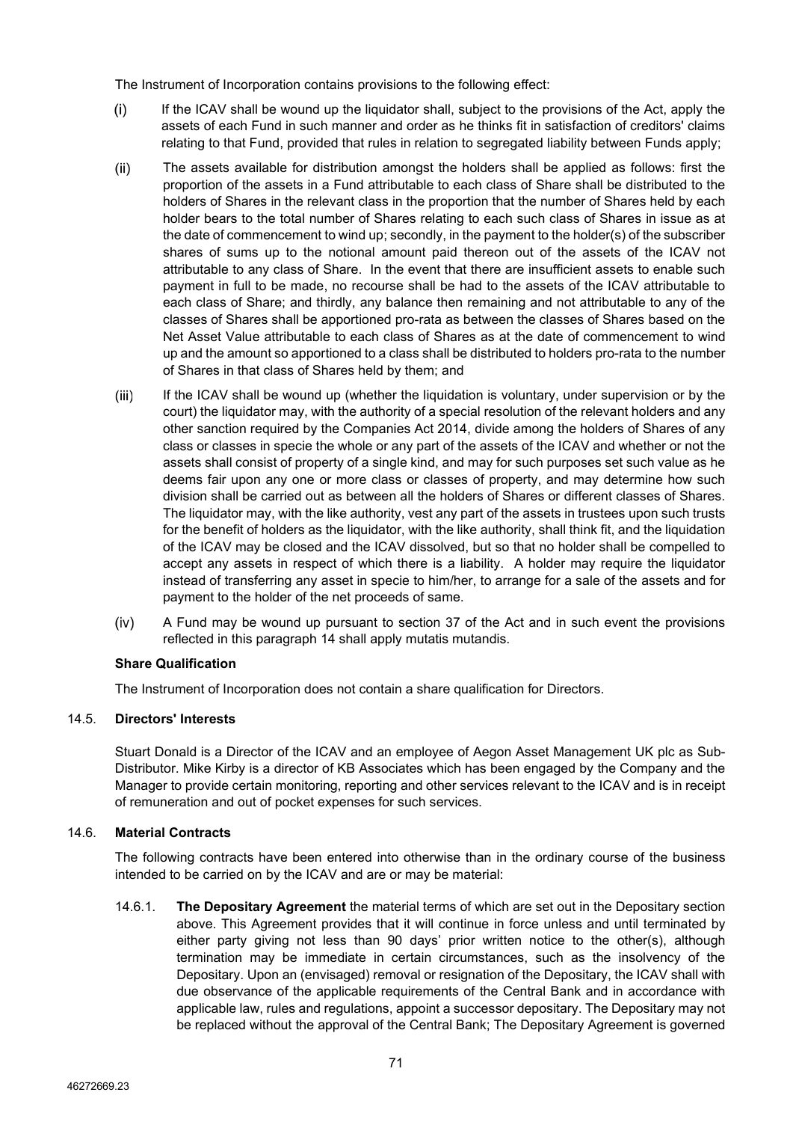The Instrument of Incorporation contains provisions to the following effect:

- $(i)$ If the ICAV shall be wound up the liquidator shall, subject to the provisions of the Act, apply the assets of each Fund in such manner and order as he thinks fit in satisfaction of creditors' claims relating to that Fund, provided that rules in relation to segregated liability between Funds apply;
- $(ii)$ The assets available for distribution amongst the holders shall be applied as follows: first the proportion of the assets in a Fund attributable to each class of Share shall be distributed to the holders of Shares in the relevant class in the proportion that the number of Shares held by each holder bears to the total number of Shares relating to each such class of Shares in issue as at the date of commencement to wind up; secondly, in the payment to the holder(s) of the subscriber shares of sums up to the notional amount paid thereon out of the assets of the ICAV not attributable to any class of Share. In the event that there are insufficient assets to enable such payment in full to be made, no recourse shall be had to the assets of the ICAV attributable to each class of Share; and thirdly, any balance then remaining and not attributable to any of the classes of Shares shall be apportioned pro-rata as between the classes of Shares based on the Net Asset Value attributable to each class of Shares as at the date of commencement to wind up and the amount so apportioned to a class shall be distributed to holders pro-rata to the number of Shares in that class of Shares held by them; and
- $(iii)$ If the ICAV shall be wound up (whether the liquidation is voluntary, under supervision or by the court) the liquidator may, with the authority of a special resolution of the relevant holders and any other sanction required by the Companies Act 2014, divide among the holders of Shares of any class or classes in specie the whole or any part of the assets of the ICAV and whether or not the assets shall consist of property of a single kind, and may for such purposes set such value as he deems fair upon any one or more class or classes of property, and may determine how such division shall be carried out as between all the holders of Shares or different classes of Shares. The liquidator may, with the like authority, vest any part of the assets in trustees upon such trusts for the benefit of holders as the liquidator, with the like authority, shall think fit, and the liquidation of the ICAV may be closed and the ICAV dissolved, but so that no holder shall be compelled to accept any assets in respect of which there is a liability. A holder may require the liquidator instead of transferring any asset in specie to him/her, to arrange for a sale of the assets and for payment to the holder of the net proceeds of same.
- $(iv)$ A Fund may be wound up pursuant to section 37 of the Act and in such event the provisions reflected in this paragraph [14](#page-66-0) shall apply mutatis mutandis.

# **Share Qualification**

The Instrument of Incorporation does not contain a share qualification for Directors.

## 14.5. **Directors' Interests**

Stuart Donald is a Director of the ICAV and an employee of Aegon Asset Management UK plc as Sub-Distributor. Mike Kirby is a director of KB Associates which has been engaged by the Company and the Manager to provide certain monitoring, reporting and other services relevant to the ICAV and is in receipt of remuneration and out of pocket expenses for such services.

# 14.6. **Material Contracts**

The following contracts have been entered into otherwise than in the ordinary course of the business intended to be carried on by the ICAV and are or may be material:

14.6.1. **The Depositary Agreement** the material terms of which are set out in the Depositary section above. This Agreement provides that it will continue in force unless and until terminated by either party giving not less than 90 days' prior written notice to the other(s), although termination may be immediate in certain circumstances, such as the insolvency of the Depositary. Upon an (envisaged) removal or resignation of the Depositary, the ICAV shall with due observance of the applicable requirements of the Central Bank and in accordance with applicable law, rules and regulations, appoint a successor depositary. The Depositary may not be replaced without the approval of the Central Bank; The Depositary Agreement is governed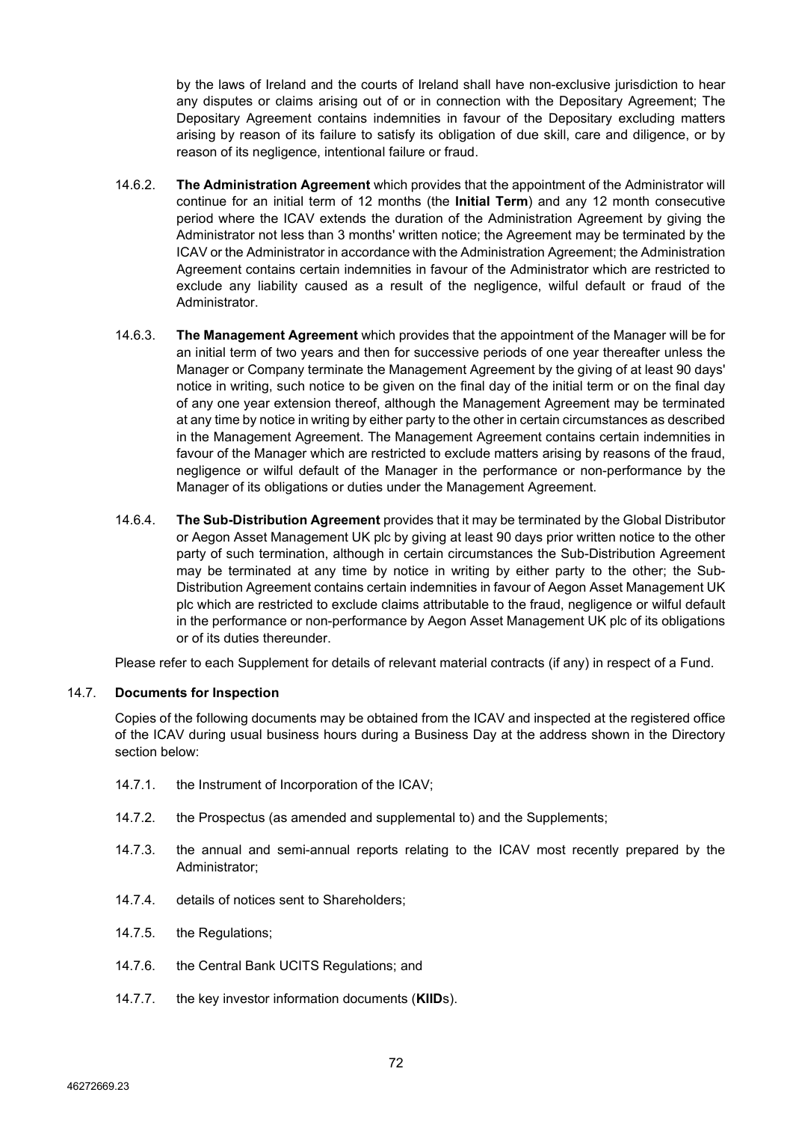by the laws of Ireland and the courts of Ireland shall have non-exclusive jurisdiction to hear any disputes or claims arising out of or in connection with the Depositary Agreement; The Depositary Agreement contains indemnities in favour of the Depositary excluding matters arising by reason of its failure to satisfy its obligation of due skill, care and diligence, or by reason of its negligence, intentional failure or fraud.

- 14.6.2. **The Administration Agreement** which provides that the appointment of the Administrator will continue for an initial term of 12 months (the **Initial Term**) and any 12 month consecutive period where the ICAV extends the duration of the Administration Agreement by giving the Administrator not less than 3 months' written notice; the Agreement may be terminated by the ICAV or the Administrator in accordance with the Administration Agreement; the Administration Agreement contains certain indemnities in favour of the Administrator which are restricted to exclude any liability caused as a result of the negligence, wilful default or fraud of the Administrator.
- 14.6.3. **The Management Agreement** which provides that the appointment of the Manager will be for an initial term of two years and then for successive periods of one year thereafter unless the Manager or Company terminate the Management Agreement by the giving of at least 90 days' notice in writing, such notice to be given on the final day of the initial term or on the final day of any one year extension thereof, although the Management Agreement may be terminated at any time by notice in writing by either party to the other in certain circumstances as described in the Management Agreement. The Management Agreement contains certain indemnities in favour of the Manager which are restricted to exclude matters arising by reasons of the fraud, negligence or wilful default of the Manager in the performance or non-performance by the Manager of its obligations or duties under the Management Agreement.
- 14.6.4. **The Sub-Distribution Agreement** provides that it may be terminated by the Global Distributor or Aegon Asset Management UK plc by giving at least 90 days prior written notice to the other party of such termination, although in certain circumstances the Sub-Distribution Agreement may be terminated at any time by notice in writing by either party to the other; the Sub-Distribution Agreement contains certain indemnities in favour of Aegon Asset Management UK plc which are restricted to exclude claims attributable to the fraud, negligence or wilful default in the performance or non-performance by Aegon Asset Management UK plc of its obligations or of its duties thereunder.

Please refer to each Supplement for details of relevant material contracts (if any) in respect of a Fund.

## 14.7. **Documents for Inspection**

Copies of the following documents may be obtained from the ICAV and inspected at the registered office of the ICAV during usual business hours during a Business Day at the address shown in the Directory section below:

- 14.7.1. the Instrument of Incorporation of the ICAV;
- 14.7.2. the Prospectus (as amended and supplemental to) and the Supplements;
- 14.7.3. the annual and semi-annual reports relating to the ICAV most recently prepared by the Administrator;
- 14.7.4. details of notices sent to Shareholders;
- 14.7.5. the Regulations;
- 14.7.6. the Central Bank UCITS Regulations; and
- 14.7.7. the key investor information documents (**KIID**s).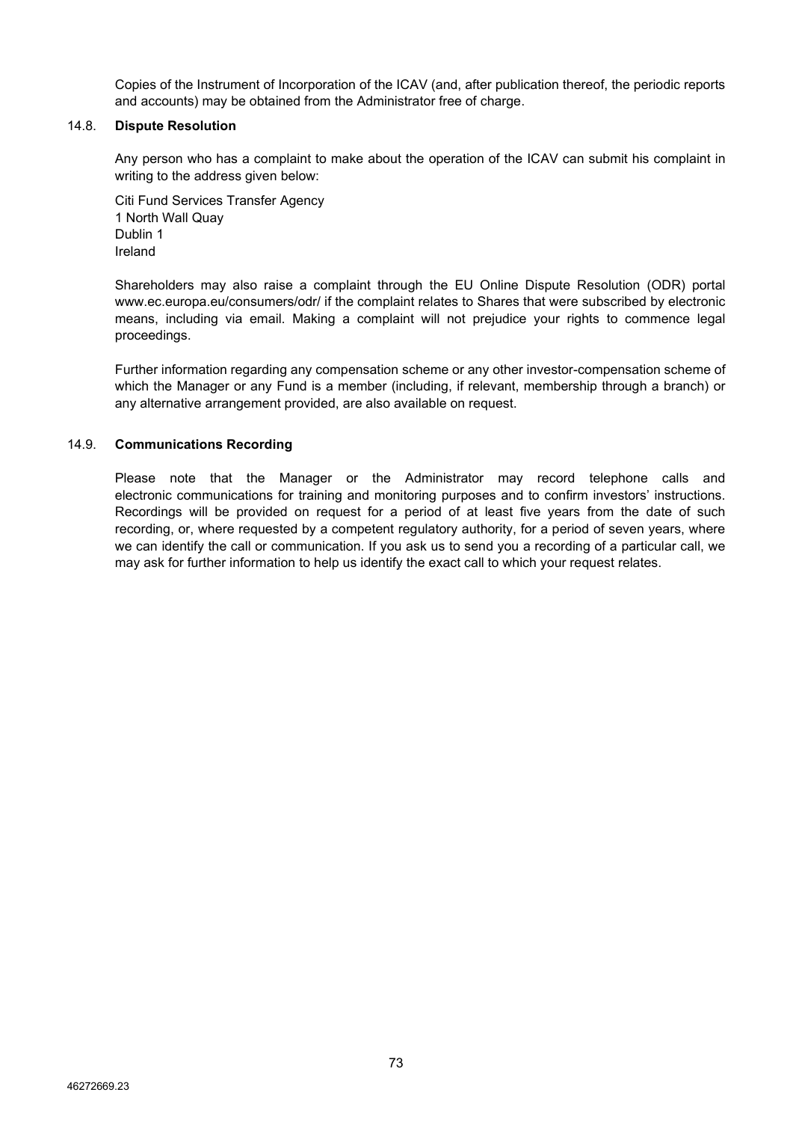Copies of the Instrument of Incorporation of the ICAV (and, after publication thereof, the periodic reports and accounts) may be obtained from the Administrator free of charge.

# 14.8. **Dispute Resolution**

Any person who has a complaint to make about the operation of the ICAV can submit his complaint in writing to the address given below:

Citi Fund Services Transfer Agency 1 North Wall Quay Dublin 1 Ireland

Shareholders may also raise a complaint through the EU Online Dispute Resolution (ODR) portal www.ec.europa.eu/consumers/odr/ if the complaint relates to Shares that were subscribed by electronic means, including via email. Making a complaint will not prejudice your rights to commence legal proceedings.

Further information regarding any compensation scheme or any other investor-compensation scheme of which the Manager or any Fund is a member (including, if relevant, membership through a branch) or any alternative arrangement provided, are also available on request.

# 14.9. **Communications Recording**

Please note that the Manager or the Administrator may record telephone calls and electronic communications for training and monitoring purposes and to confirm investors' instructions. Recordings will be provided on request for a period of at least five years from the date of such recording, or, where requested by a competent regulatory authority, for a period of seven years, where we can identify the call or communication. If you ask us to send you a recording of a particular call, we may ask for further information to help us identify the exact call to which your request relates.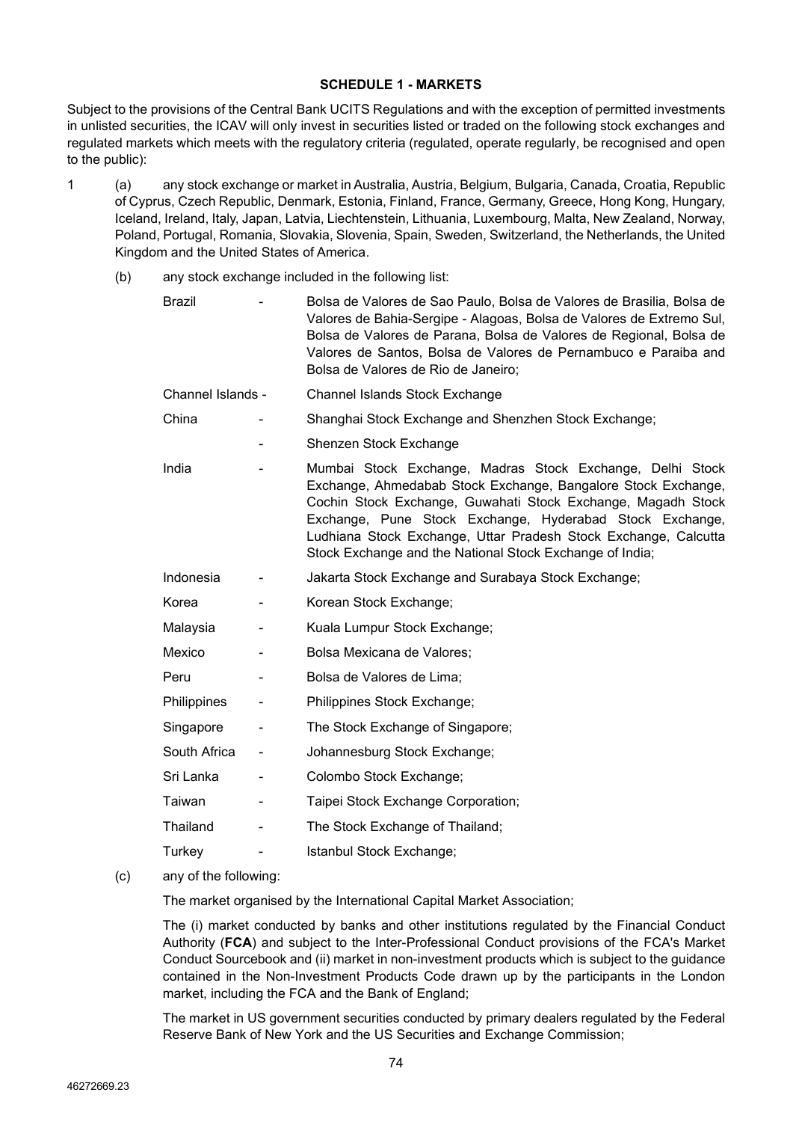#### **SCHEDULE 1 - MARKETS**

Subject to the provisions of the Central Bank UCITS Regulations and with the exception of permitted investments in unlisted securities, the ICAV will only invest in securities listed or traded on the following stock exchanges and regulated markets which meets with the regulatory criteria (regulated, operate regularly, be recognised and open to the public):

- 1 (a) any stock exchange or market in Australia, Austria, Belgium, Bulgaria, Canada, Croatia, Republic of Cyprus, Czech Republic, Denmark, Estonia, Finland, France, Germany, Greece, Hong Kong, Hungary, Iceland, Ireland, Italy, Japan, Latvia, Liechtenstein, Lithuania, Luxembourg, Malta, New Zealand, Norway, Poland, Portugal, Romania, Slovakia, Slovenia, Spain, Sweden, Switzerland, the Netherlands, the United Kingdom and the United States of America.
	- (b) any stock exchange included in the following list:

| <b>Brazil</b>     | Bolsa de Valores de Sao Paulo, Bolsa de Valores de Brasilia, Bolsa de<br>Valores de Bahia-Sergipe - Alagoas, Bolsa de Valores de Extremo Sul,<br>Bolsa de Valores de Parana, Bolsa de Valores de Regional, Bolsa de<br>Valores de Santos, Bolsa de Valores de Pernambuco e Paraiba and<br>Bolsa de Valores de Rio de Janeiro;                                                         |
|-------------------|---------------------------------------------------------------------------------------------------------------------------------------------------------------------------------------------------------------------------------------------------------------------------------------------------------------------------------------------------------------------------------------|
| Channel Islands - | Channel Islands Stock Exchange                                                                                                                                                                                                                                                                                                                                                        |
| China             | Shanghai Stock Exchange and Shenzhen Stock Exchange;                                                                                                                                                                                                                                                                                                                                  |
|                   | Shenzen Stock Exchange                                                                                                                                                                                                                                                                                                                                                                |
| India             | Mumbai Stock Exchange, Madras Stock Exchange, Delhi Stock<br>Exchange, Ahmedabab Stock Exchange, Bangalore Stock Exchange,<br>Cochin Stock Exchange, Guwahati Stock Exchange, Magadh Stock<br>Exchange, Pune Stock Exchange, Hyderabad Stock Exchange,<br>Ludhiana Stock Exchange, Uttar Pradesh Stock Exchange, Calcutta<br>Stock Exchange and the National Stock Exchange of India; |
| Indonesia         | Jakarta Stock Exchange and Surabaya Stock Exchange;                                                                                                                                                                                                                                                                                                                                   |
| Korea             | Korean Stock Exchange;                                                                                                                                                                                                                                                                                                                                                                |
| Malaysia          | Kuala Lumpur Stock Exchange;                                                                                                                                                                                                                                                                                                                                                          |
| Mexico            | Bolsa Mexicana de Valores;                                                                                                                                                                                                                                                                                                                                                            |
| Peru              | Bolsa de Valores de Lima;                                                                                                                                                                                                                                                                                                                                                             |
| Philippines       | Philippines Stock Exchange;                                                                                                                                                                                                                                                                                                                                                           |
| Singapore         | The Stock Exchange of Singapore;                                                                                                                                                                                                                                                                                                                                                      |
| South Africa      | Johannesburg Stock Exchange;                                                                                                                                                                                                                                                                                                                                                          |
| Sri Lanka         | Colombo Stock Exchange;                                                                                                                                                                                                                                                                                                                                                               |
| Taiwan            | Taipei Stock Exchange Corporation;                                                                                                                                                                                                                                                                                                                                                    |
| Thailand          | The Stock Exchange of Thailand;                                                                                                                                                                                                                                                                                                                                                       |
| Turkey            | Istanbul Stock Exchange;                                                                                                                                                                                                                                                                                                                                                              |
| <b>CALL CALL</b>  |                                                                                                                                                                                                                                                                                                                                                                                       |

(c) any of the following:

The market organised by the International Capital Market Association;

The (i) market conducted by banks and other institutions regulated by the Financial Conduct Authority (**FCA**) and subject to the Inter-Professional Conduct provisions of the FCA's Market Conduct Sourcebook and (ii) market in non-investment products which is subject to the guidance contained in the Non-Investment Products Code drawn up by the participants in the London market, including the FCA and the Bank of England;

The market in US government securities conducted by primary dealers regulated by the Federal Reserve Bank of New York and the US Securities and Exchange Commission;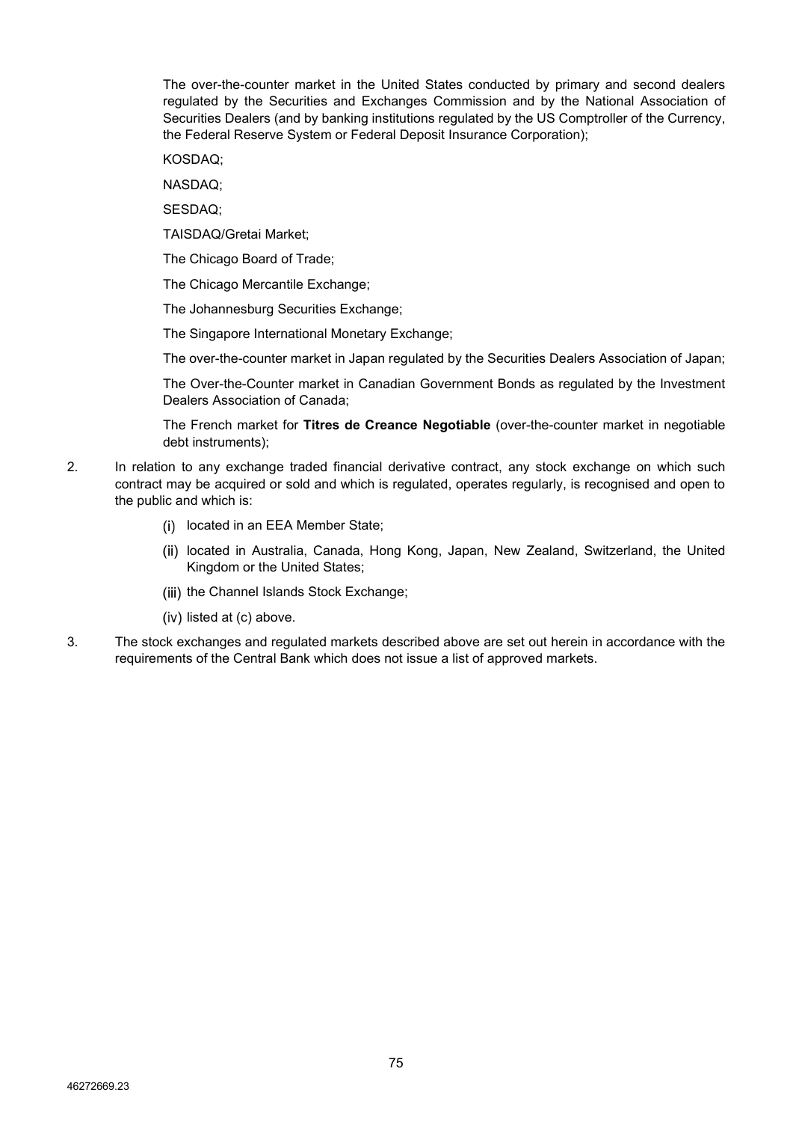The over-the-counter market in the United States conducted by primary and second dealers regulated by the Securities and Exchanges Commission and by the National Association of Securities Dealers (and by banking institutions regulated by the US Comptroller of the Currency, the Federal Reserve System or Federal Deposit Insurance Corporation);

KOSDAQ;

NASDAQ;

SESDAQ;

TAISDAQ/Gretai Market;

The Chicago Board of Trade;

The Chicago Mercantile Exchange;

The Johannesburg Securities Exchange;

The Singapore International Monetary Exchange;

The over-the-counter market in Japan regulated by the Securities Dealers Association of Japan;

The Over-the-Counter market in Canadian Government Bonds as regulated by the Investment Dealers Association of Canada;

The French market for **Titres de Creance Negotiable** (over-the-counter market in negotiable debt instruments);

- 2. In relation to any exchange traded financial derivative contract, any stock exchange on which such contract may be acquired or sold and which is regulated, operates regularly, is recognised and open to the public and which is:
	- (i) located in an EEA Member State;
	- (ii) located in Australia, Canada, Hong Kong, Japan, New Zealand, Switzerland, the United Kingdom or the United States;
	- (iii) the Channel Islands Stock Exchange:
	- $(iv)$  listed at  $(c)$  above.
- 3. The stock exchanges and regulated markets described above are set out herein in accordance with the requirements of the Central Bank which does not issue a list of approved markets.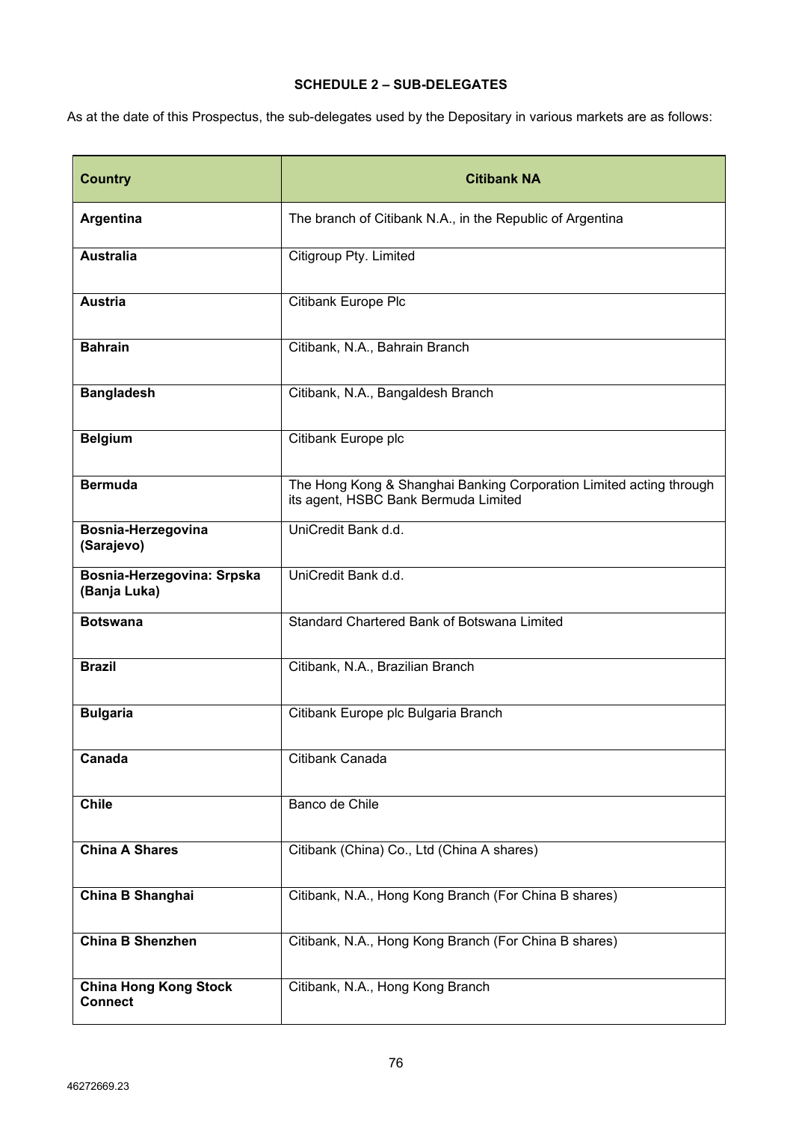# **SCHEDULE 2 – SUB-DELEGATES**

As at the date of this Prospectus, the sub-delegates used by the Depositary in various markets are as follows:

| <b>Country</b>                                 | <b>Citibank NA</b>                                                                                          |
|------------------------------------------------|-------------------------------------------------------------------------------------------------------------|
| <b>Argentina</b>                               | The branch of Citibank N.A., in the Republic of Argentina                                                   |
| <b>Australia</b>                               | Citigroup Pty. Limited                                                                                      |
| <b>Austria</b>                                 | Citibank Europe Plc                                                                                         |
| <b>Bahrain</b>                                 | Citibank, N.A., Bahrain Branch                                                                              |
| <b>Bangladesh</b>                              | Citibank, N.A., Bangaldesh Branch                                                                           |
| <b>Belgium</b>                                 | Citibank Europe plc                                                                                         |
| <b>Bermuda</b>                                 | The Hong Kong & Shanghai Banking Corporation Limited acting through<br>its agent, HSBC Bank Bermuda Limited |
| Bosnia-Herzegovina<br>(Sarajevo)               | UniCredit Bank d.d.                                                                                         |
| Bosnia-Herzegovina: Srpska<br>(Banja Luka)     | UniCredit Bank d.d.                                                                                         |
| <b>Botswana</b>                                | Standard Chartered Bank of Botswana Limited                                                                 |
| <b>Brazil</b>                                  | Citibank, N.A., Brazilian Branch                                                                            |
| <b>Bulgaria</b>                                | Citibank Europe plc Bulgaria Branch                                                                         |
| Canada                                         | Citibank Canada                                                                                             |
| <b>Chile</b>                                   | Banco de Chile                                                                                              |
| <b>China A Shares</b>                          | Citibank (China) Co., Ltd (China A shares)                                                                  |
| China B Shanghai                               | Citibank, N.A., Hong Kong Branch (For China B shares)                                                       |
| China B Shenzhen                               | Citibank, N.A., Hong Kong Branch (For China B shares)                                                       |
| <b>China Hong Kong Stock</b><br><b>Connect</b> | Citibank, N.A., Hong Kong Branch                                                                            |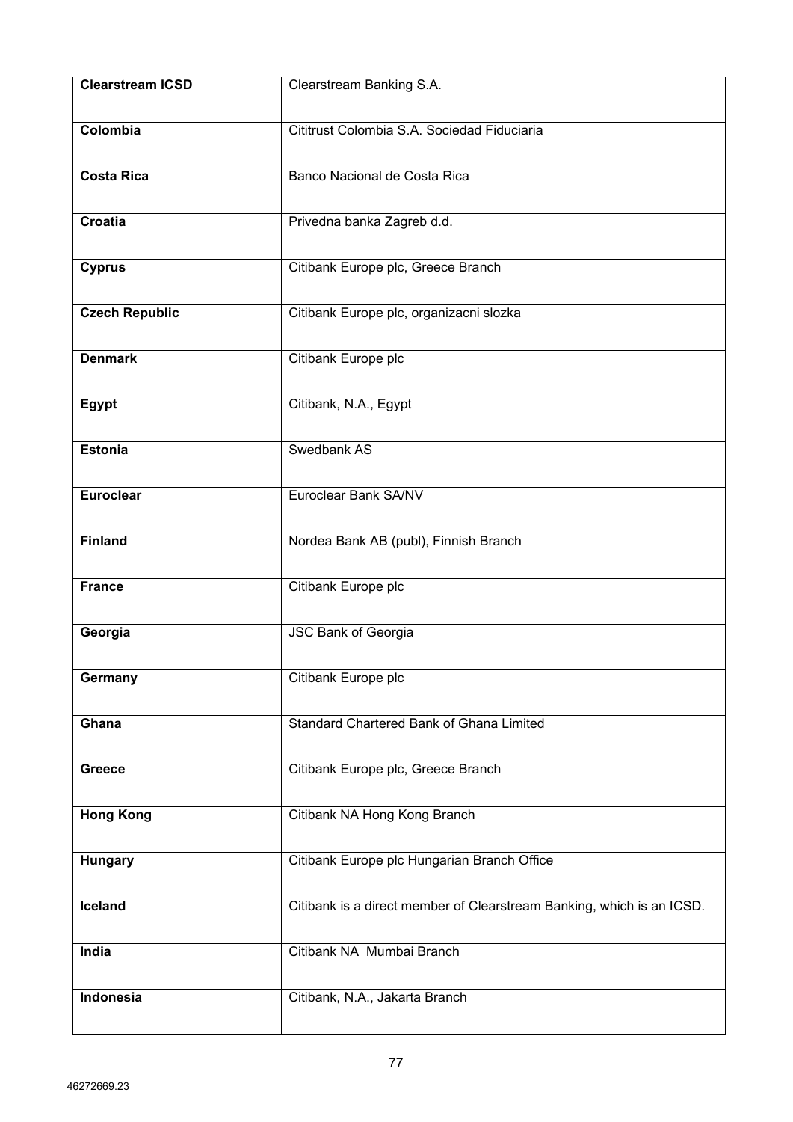| <b>Clearstream ICSD</b> | Clearstream Banking S.A.                                              |
|-------------------------|-----------------------------------------------------------------------|
| Colombia                | Cititrust Colombia S.A. Sociedad Fiduciaria                           |
| <b>Costa Rica</b>       | Banco Nacional de Costa Rica                                          |
| Croatia                 | Privedna banka Zagreb d.d.                                            |
| <b>Cyprus</b>           | Citibank Europe plc, Greece Branch                                    |
| <b>Czech Republic</b>   | Citibank Europe plc, organizacni slozka                               |
| <b>Denmark</b>          | Citibank Europe plc                                                   |
| Egypt                   | Citibank, N.A., Egypt                                                 |
| <b>Estonia</b>          | Swedbank AS                                                           |
| <b>Euroclear</b>        | Euroclear Bank SA/NV                                                  |
| <b>Finland</b>          | Nordea Bank AB (publ), Finnish Branch                                 |
| <b>France</b>           | Citibank Europe plc                                                   |
| Georgia                 | <b>JSC Bank of Georgia</b>                                            |
| Germany                 | Citibank Europe plc                                                   |
| Ghana                   | Standard Chartered Bank of Ghana Limited                              |
| <b>Greece</b>           | Citibank Europe plc, Greece Branch                                    |
| <b>Hong Kong</b>        | Citibank NA Hong Kong Branch                                          |
| Hungary                 | Citibank Europe plc Hungarian Branch Office                           |
| Iceland                 | Citibank is a direct member of Clearstream Banking, which is an ICSD. |
| India                   | Citibank NA Mumbai Branch                                             |
| Indonesia               | Citibank, N.A., Jakarta Branch                                        |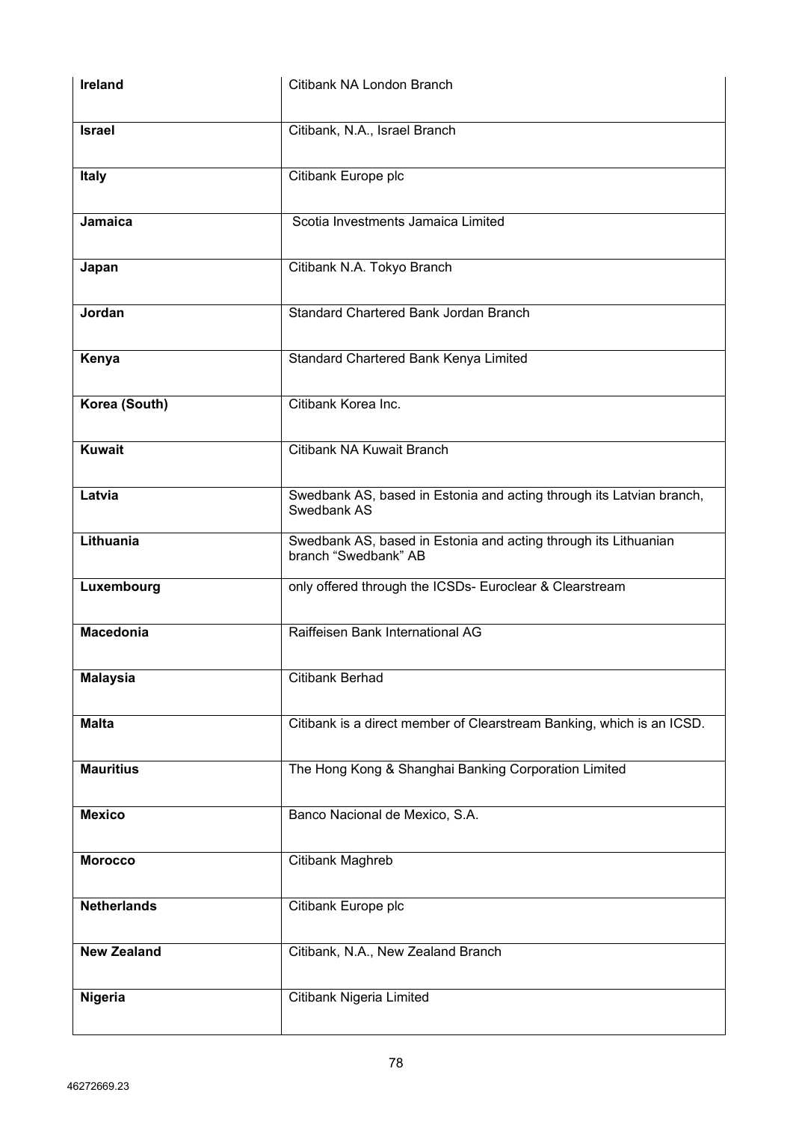| <b>Ireland</b>     | Citibank NA London Branch                                                               |
|--------------------|-----------------------------------------------------------------------------------------|
| <b>Israel</b>      | Citibank, N.A., Israel Branch                                                           |
| <b>Italy</b>       | Citibank Europe plc                                                                     |
| Jamaica            | Scotia Investments Jamaica Limited                                                      |
| Japan              | Citibank N.A. Tokyo Branch                                                              |
| Jordan             | Standard Chartered Bank Jordan Branch                                                   |
| Kenya              | Standard Chartered Bank Kenya Limited                                                   |
| Korea (South)      | Citibank Korea Inc.                                                                     |
| Kuwait             | Citibank NA Kuwait Branch                                                               |
| Latvia             | Swedbank AS, based in Estonia and acting through its Latvian branch,<br>Swedbank AS     |
| Lithuania          | Swedbank AS, based in Estonia and acting through its Lithuanian<br>branch "Swedbank" AB |
| Luxembourg         | only offered through the ICSDs- Euroclear & Clearstream                                 |
| <b>Macedonia</b>   | Raiffeisen Bank International AG                                                        |
| <b>Malaysia</b>    | <b>Citibank Berhad</b>                                                                  |
| <b>Malta</b>       | Citibank is a direct member of Clearstream Banking, which is an ICSD.                   |
| <b>Mauritius</b>   | The Hong Kong & Shanghai Banking Corporation Limited                                    |
| <b>Mexico</b>      | Banco Nacional de Mexico, S.A.                                                          |
| <b>Morocco</b>     | Citibank Maghreb                                                                        |
| <b>Netherlands</b> | Citibank Europe plc                                                                     |
| <b>New Zealand</b> | Citibank, N.A., New Zealand Branch                                                      |
| Nigeria            | Citibank Nigeria Limited                                                                |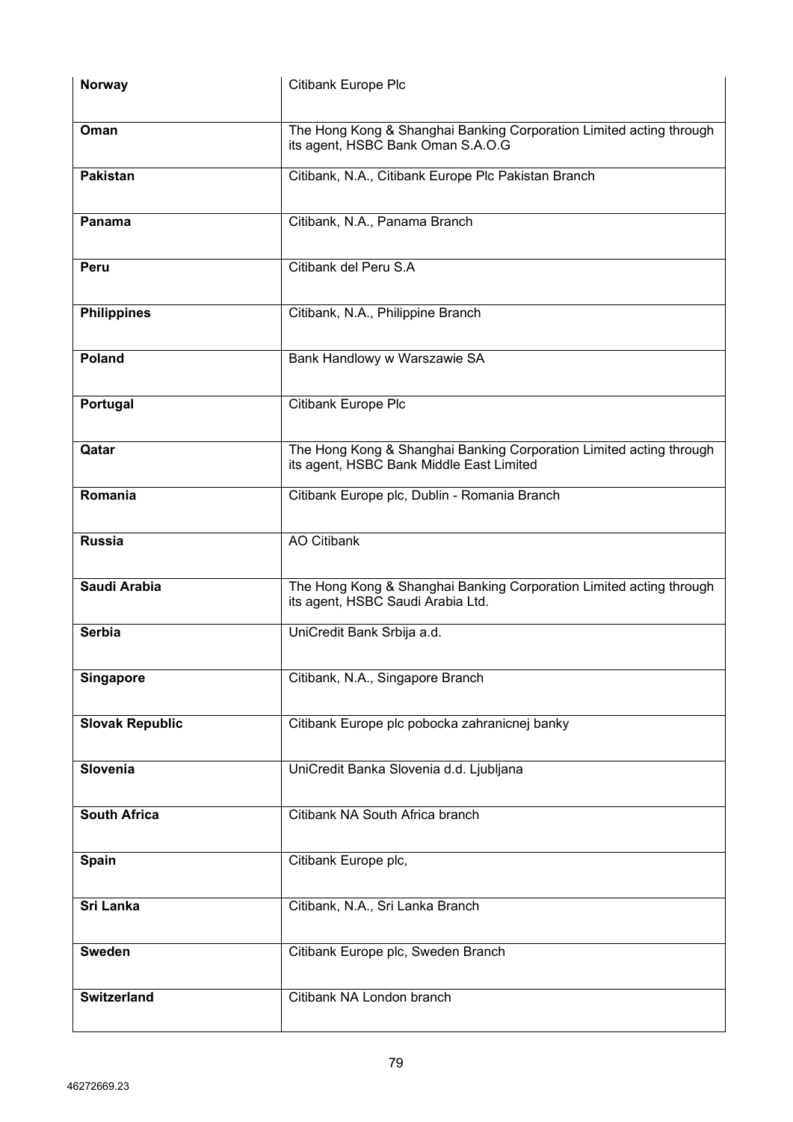| <b>Norway</b>          | Citibank Europe Plc                                                                                             |
|------------------------|-----------------------------------------------------------------------------------------------------------------|
| Oman                   | The Hong Kong & Shanghai Banking Corporation Limited acting through<br>its agent, HSBC Bank Oman S.A.O.G        |
| <b>Pakistan</b>        | Citibank, N.A., Citibank Europe Plc Pakistan Branch                                                             |
| Panama                 | Citibank, N.A., Panama Branch                                                                                   |
| Peru                   | Citibank del Peru S.A                                                                                           |
| <b>Philippines</b>     | Citibank, N.A., Philippine Branch                                                                               |
| Poland                 | Bank Handlowy w Warszawie SA                                                                                    |
| Portugal               | Citibank Europe Plc                                                                                             |
| Qatar                  | The Hong Kong & Shanghai Banking Corporation Limited acting through<br>its agent, HSBC Bank Middle East Limited |
| Romania                | Citibank Europe plc, Dublin - Romania Branch                                                                    |
| <b>Russia</b>          | <b>AO Citibank</b>                                                                                              |
| Saudi Arabia           | The Hong Kong & Shanghai Banking Corporation Limited acting through<br>its agent, HSBC Saudi Arabia Ltd.        |
| <b>Serbia</b>          | UniCredit Bank Srbija a.d.                                                                                      |
| <b>Singapore</b>       | Citibank, N.A., Singapore Branch                                                                                |
| <b>Slovak Republic</b> | Citibank Europe plc pobocka zahranicnej banky                                                                   |
| Slovenia               | UniCredit Banka Slovenia d.d. Ljubljana                                                                         |
| <b>South Africa</b>    | Citibank NA South Africa branch                                                                                 |
| <b>Spain</b>           | Citibank Europe plc,                                                                                            |
| <b>Sri Lanka</b>       | Citibank, N.A., Sri Lanka Branch                                                                                |
| <b>Sweden</b>          | Citibank Europe plc, Sweden Branch                                                                              |
| <b>Switzerland</b>     | Citibank NA London branch                                                                                       |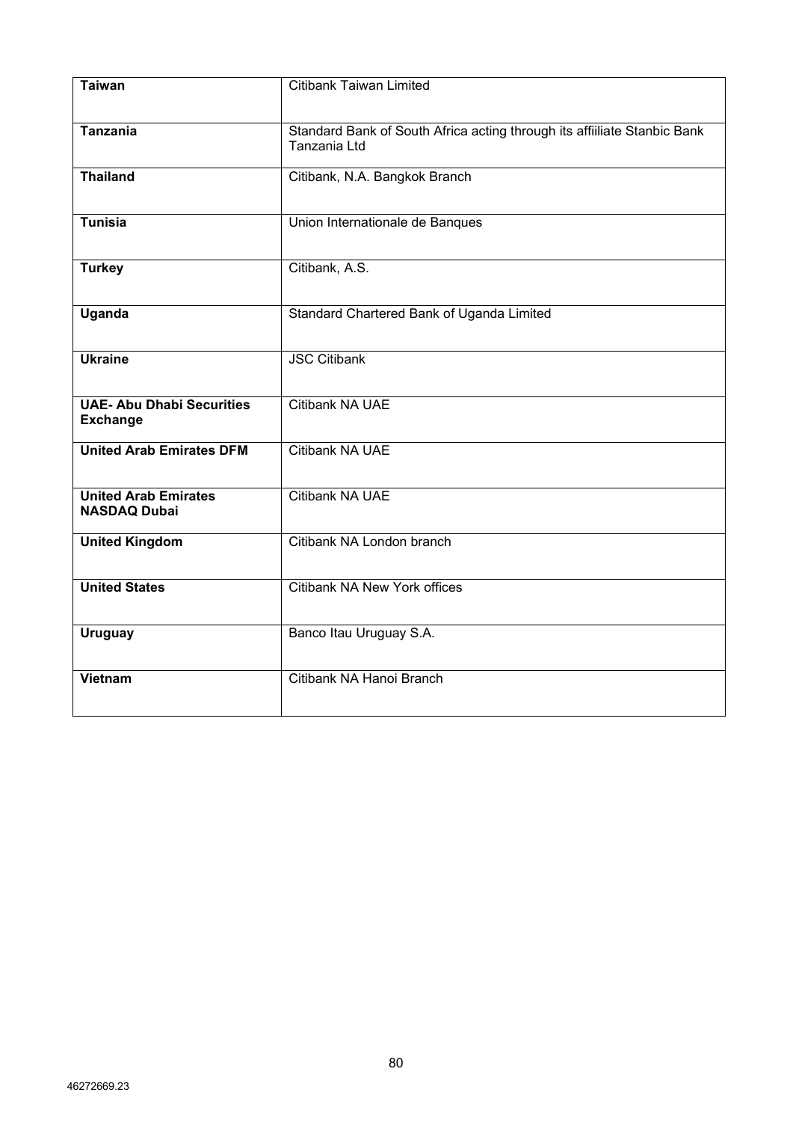| <b>Taiwan</b>                                       | <b>Citibank Taiwan Limited</b>                                                           |
|-----------------------------------------------------|------------------------------------------------------------------------------------------|
| <b>Tanzania</b>                                     | Standard Bank of South Africa acting through its affiiliate Stanbic Bank<br>Tanzania Ltd |
| <b>Thailand</b>                                     | Citibank, N.A. Bangkok Branch                                                            |
| <b>Tunisia</b>                                      | Union Internationale de Banques                                                          |
| <b>Turkey</b>                                       | Citibank, A.S.                                                                           |
| <b>Uganda</b>                                       | Standard Chartered Bank of Uganda Limited                                                |
| <b>Ukraine</b>                                      | <b>JSC Citibank</b>                                                                      |
| <b>UAE- Abu Dhabi Securities</b><br><b>Exchange</b> | Citibank NA UAE                                                                          |
| <b>United Arab Emirates DFM</b>                     | Citibank NA UAE                                                                          |
| <b>United Arab Emirates</b><br><b>NASDAQ Dubai</b>  | Citibank NA UAE                                                                          |
| <b>United Kingdom</b>                               | Citibank NA London branch                                                                |
| <b>United States</b>                                | <b>Citibank NA New York offices</b>                                                      |
| <b>Uruguay</b>                                      | Banco Itau Uruguay S.A.                                                                  |
| <b>Vietnam</b>                                      | Citibank NA Hanoi Branch                                                                 |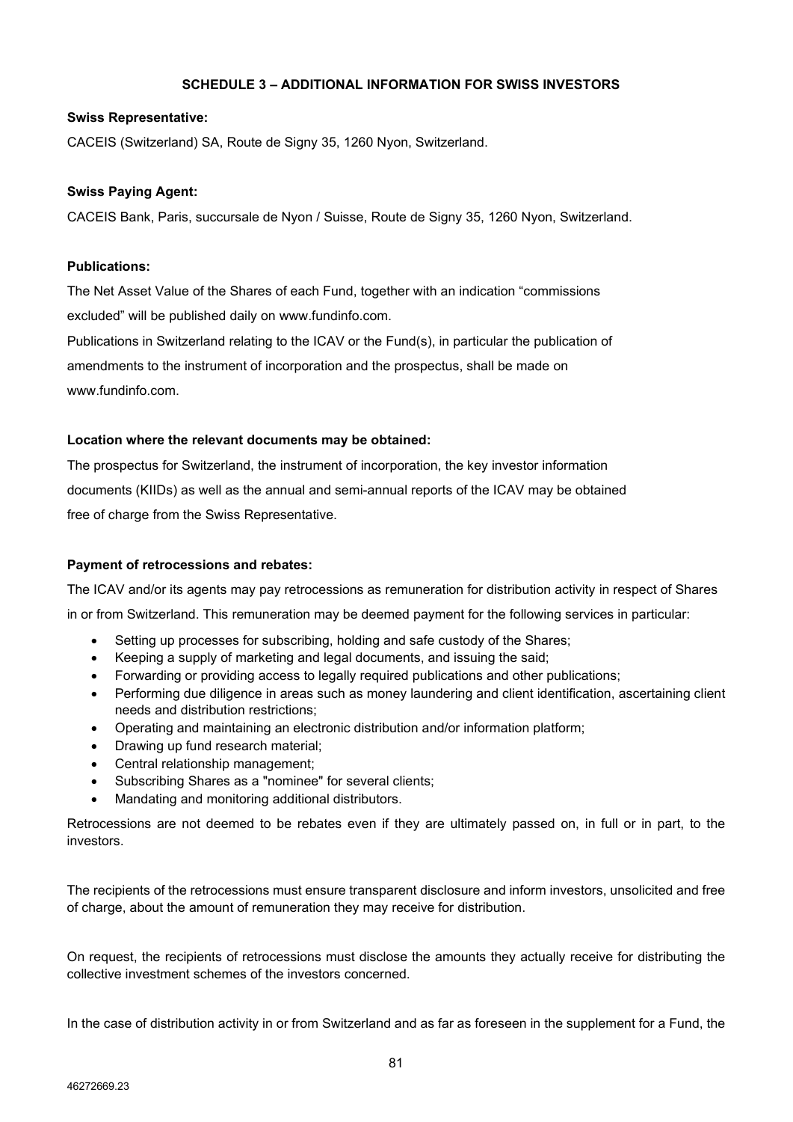# **SCHEDULE 3 – ADDITIONAL INFORMATION FOR SWISS INVESTORS**

## **Swiss Representative:**

CACEIS (Switzerland) SA, Route de Signy 35, 1260 Nyon, Switzerland.

# **Swiss Paying Agent:**

CACEIS Bank, Paris, succursale de Nyon / Suisse, Route de Signy 35, 1260 Nyon, Switzerland.

#### **Publications:**

The Net Asset Value of the Shares of each Fund, together with an indication "commissions excluded" will be published daily on www.fundinfo.com.

Publications in Switzerland relating to the ICAV or the Fund(s), in particular the publication of amendments to the instrument of incorporation and the prospectus, shall be made on www.fundinfo.com.

#### **Location where the relevant documents may be obtained:**

The prospectus for Switzerland, the instrument of incorporation, the key investor information documents (KIIDs) as well as the annual and semi-annual reports of the ICAV may be obtained free of charge from the Swiss Representative.

# **Payment of retrocessions and rebates:**

The ICAV and/or its agents may pay retrocessions as remuneration for distribution activity in respect of Shares in or from Switzerland. This remuneration may be deemed payment for the following services in particular:

- Setting up processes for subscribing, holding and safe custody of the Shares;
- Keeping a supply of marketing and legal documents, and issuing the said;
- Forwarding or providing access to legally required publications and other publications;
- Performing due diligence in areas such as money laundering and client identification, ascertaining client needs and distribution restrictions;
- Operating and maintaining an electronic distribution and/or information platform;
- Drawing up fund research material;
- Central relationship management;
- Subscribing Shares as a "nominee" for several clients;
- Mandating and monitoring additional distributors.

Retrocessions are not deemed to be rebates even if they are ultimately passed on, in full or in part, to the investors.

The recipients of the retrocessions must ensure transparent disclosure and inform investors, unsolicited and free of charge, about the amount of remuneration they may receive for distribution.

On request, the recipients of retrocessions must disclose the amounts they actually receive for distributing the collective investment schemes of the investors concerned.

In the case of distribution activity in or from Switzerland and as far as foreseen in the supplement for a Fund, the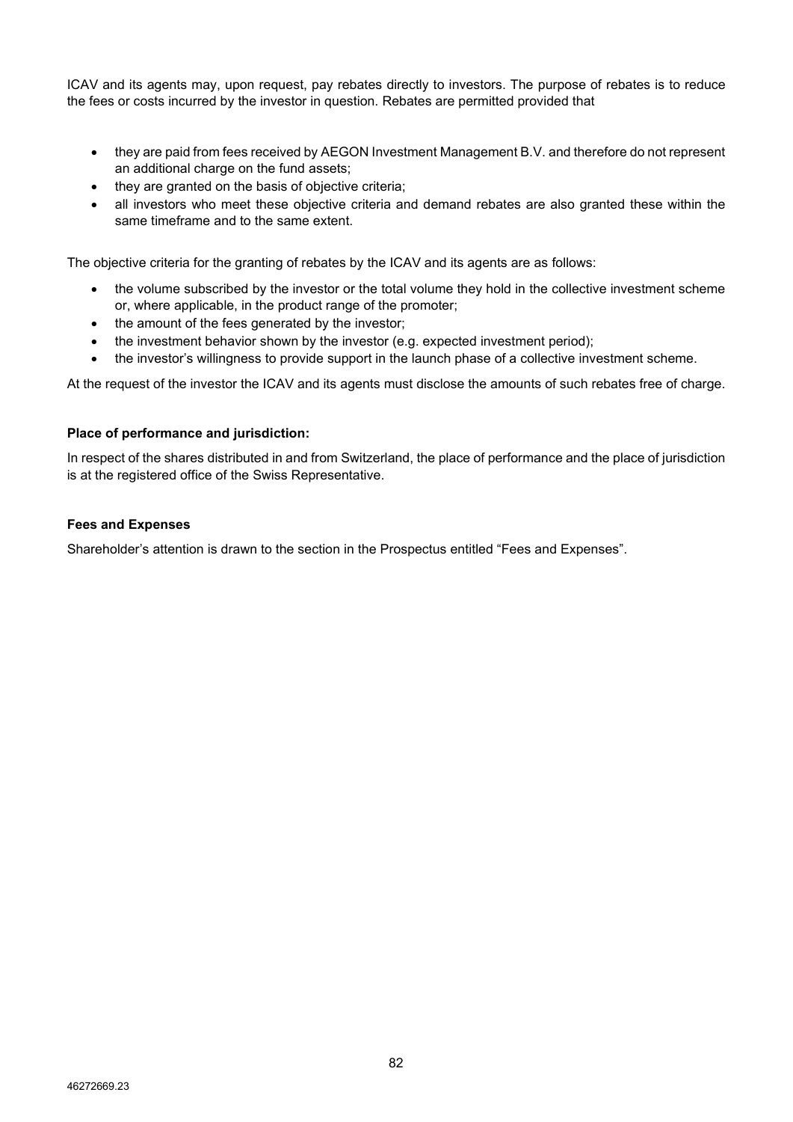ICAV and its agents may, upon request, pay rebates directly to investors. The purpose of rebates is to reduce the fees or costs incurred by the investor in question. Rebates are permitted provided that

- they are paid from fees received by AEGON Investment Management B.V. and therefore do not represent an additional charge on the fund assets;
- they are granted on the basis of objective criteria;
- all investors who meet these objective criteria and demand rebates are also granted these within the same timeframe and to the same extent.

The objective criteria for the granting of rebates by the ICAV and its agents are as follows:

- the volume subscribed by the investor or the total volume they hold in the collective investment scheme or, where applicable, in the product range of the promoter;
- the amount of the fees generated by the investor;
- the investment behavior shown by the investor (e.g. expected investment period);
- the investor's willingness to provide support in the launch phase of a collective investment scheme.

At the request of the investor the ICAV and its agents must disclose the amounts of such rebates free of charge.

# **Place of performance and jurisdiction:**

In respect of the shares distributed in and from Switzerland, the place of performance and the place of jurisdiction is at the registered office of the Swiss Representative.

#### **Fees and Expenses**

Shareholder's attention is drawn to the section in the Prospectus entitled "Fees and Expenses".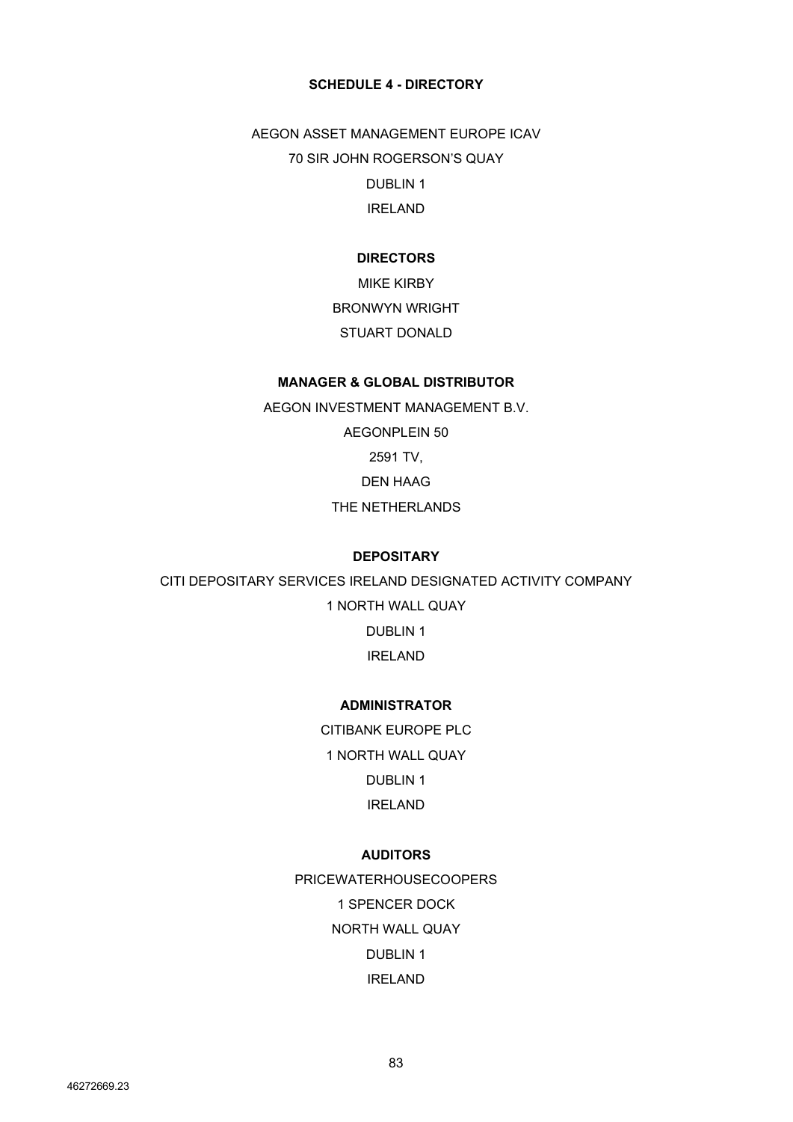# **SCHEDULE 4 - DIRECTORY**

AEGON ASSET MANAGEMENT EUROPE ICAV 70 SIR JOHN ROGERSON'S QUAY DUBLIN 1 IRELAND

# **DIRECTORS**

MIKE KIRBY BRONWYN WRIGHT STUART DONALD

# **MANAGER & GLOBAL DISTRIBUTOR**

AEGON INVESTMENT MANAGEMENT B.V. AEGONPLEIN 50 2591 TV, DEN HAAG THE NETHERLANDS

# **DEPOSITARY**

CITI DEPOSITARY SERVICES IRELAND DESIGNATED ACTIVITY COMPANY 1 NORTH WALL QUAY DUBLIN 1 IRELAND

# **ADMINISTRATOR**

CITIBANK EUROPE PLC 1 NORTH WALL QUAY DUBLIN 1 IRELAND

# **AUDITORS**

PRICEWATERHOUSECOOPERS 1 SPENCER DOCK NORTH WALL QUAY DUBLIN 1 IRELAND